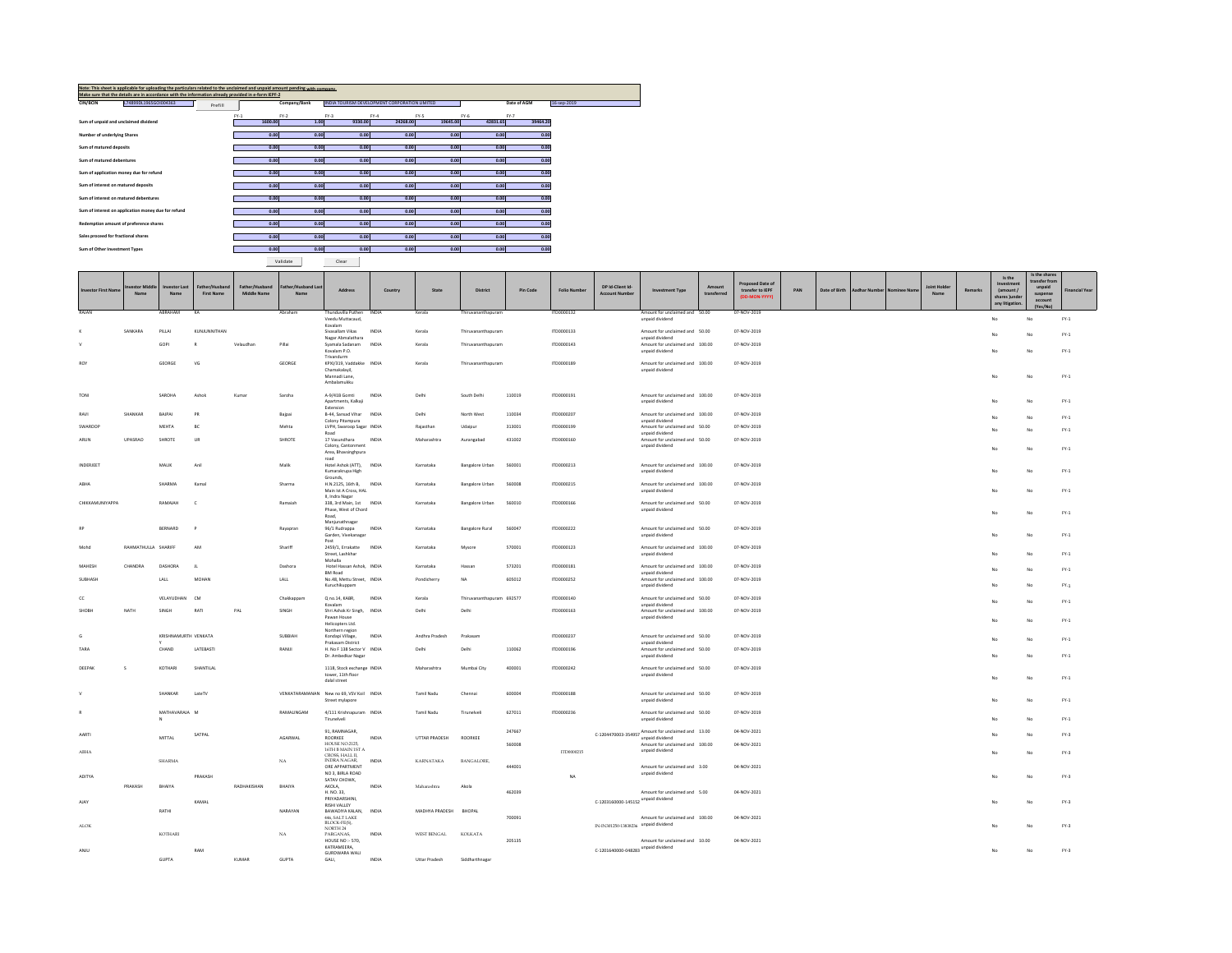|                                         | Note: This sheet is applicable for uploading the particulars related to the unclaimed and unpaid amount pending with company.<br>Make sure that the details are in accordance with the information already provided in e-form IEPF-2 |         |         |              |         |                                               |          |          |                            |
|-----------------------------------------|--------------------------------------------------------------------------------------------------------------------------------------------------------------------------------------------------------------------------------------|---------|---------|--------------|---------|-----------------------------------------------|----------|----------|----------------------------|
| CIN/BCIN                                | L74899DL1965GOI004363                                                                                                                                                                                                                | Prefill |         | Company/Bank |         | INDIA TOURISM DEVELOPMENT CORPORATION LIMITED |          |          | Date of AGM<br>16-sep-2019 |
|                                         |                                                                                                                                                                                                                                      |         | $FY-1$  | $FY-2$       | $FY-3$  | $FY-4$                                        | FY-5     | $FY-6$   | $FY-7$                     |
| Sum of unpaid and unclaimed dividend    |                                                                                                                                                                                                                                      |         | 1600.00 | 1.00         | 9330.00 | 24268.00                                      | 19645.00 | 42831.65 | 39464.20                   |
| Number of underlying Shares             |                                                                                                                                                                                                                                      |         |         | 0.00<br>0.00 | 0.00    | 0.00                                          | 0.00     | 0.00     | 0.00                       |
| Sum of matured deposits                 |                                                                                                                                                                                                                                      |         |         | 0.00<br>0.00 | 0.00    | 0.00                                          | 0.00     | 0.00     | 0.00                       |
|                                         |                                                                                                                                                                                                                                      |         |         |              |         |                                               |          |          |                            |
| Sum of matured debentures               |                                                                                                                                                                                                                                      |         |         | 0.00<br>0.00 | 0.00    | 0.00                                          | 0.00     | 0.00     | 0.00                       |
| Sum of application money due for refund |                                                                                                                                                                                                                                      |         |         | 0.00<br>0.00 | 0.00    | 0.00                                          | 0.00     | 0.00     | 0.00                       |
| Sum of interest on matured deposits     |                                                                                                                                                                                                                                      |         |         | 0.00<br>0.00 | 0.00    | 0.00                                          | 0.00     | 0.00     | 0.00                       |
| Sum of interest on matured debentures   |                                                                                                                                                                                                                                      |         |         | 0.00<br>0.00 | 0.00    | 0.00                                          | 0.00     | 0.00     | 0.00                       |
|                                         | Sum of interest on application money due for refund                                                                                                                                                                                  |         |         | 0.00<br>0.00 | 0.00    | 0.00                                          | 0.00     | 0.00     | 0.00                       |
|                                         |                                                                                                                                                                                                                                      |         |         |              |         |                                               |          |          |                            |
|                                         | Redemption amount of preference shares                                                                                                                                                                                               |         |         | 0.00<br>0.00 | 0.00    | 0.00                                          | 0.00     | 0.00     | 0.00                       |
| Sales proceed for fractional shares     |                                                                                                                                                                                                                                      |         |         | 0.00<br>0.00 | 0.00    | 0.00                                          | 0.00     | 0.00     | 0.00                       |
| Sum of Other Investment Types           |                                                                                                                                                                                                                                      |         |         | 0.00<br>0.00 | 0.00    | 0.00                                          | 0.00     | 0.00     | 0.00                       |
|                                         |                                                                                                                                                                                                                                      |         |         |              |         |                                               |          |          |                            |

Validate Clear

m.

m.

| nvestor First Name  | stor Midd<br>Name   | westor Las<br>Name            | Father/Husbane<br><b>First Name</b> | Father/Husband<br><b>Middle Name</b> | Father/Husband Last<br>Name | Address                                                                       | Country      | State             | <b>District</b>           | Pin Code | <b>Folio Number</b> | DP Id-Client Id-<br><b>Account Number</b> | <b>Investment Type</b>                                                | Amount<br>transferred | Proposed Date of<br>transfer to IEPF<br>(DD-MON-YYYY) | PAN | Date of Birth | Aadhar Number | Nominee Name | Joint H<br>Name | Remarks | Investmen<br>(amount /<br>shares Junde<br>any litigation. | ransfer from<br>unpaid<br>suspense<br>account<br>(Yes/No) | <b>Financial Year</b> |
|---------------------|---------------------|-------------------------------|-------------------------------------|--------------------------------------|-----------------------------|-------------------------------------------------------------------------------|--------------|-------------------|---------------------------|----------|---------------------|-------------------------------------------|-----------------------------------------------------------------------|-----------------------|-------------------------------------------------------|-----|---------------|---------------|--------------|-----------------|---------|-----------------------------------------------------------|-----------------------------------------------------------|-----------------------|
| RAJAN               |                     | ABRAHAM                       | KA                                  |                                      | Abraham                     | Thunduvilla Puthen INDIA<br>Veedu Muttacaud,                                  |              | Kerala            | Thiruvananthapuram        |          | ITD0000132          |                                           | Amount for unclaimed and 50.00<br>unpaid dividend                     |                       | 07-NOV-2019                                           |     |               |               |              |                 |         | No                                                        | No                                                        | $FY-1$                |
|                     | SANKARA             | PILLAI                        | KUNJUNNITHAN                        |                                      |                             | Kovalam<br>Siyasallam Vikas<br>Nagar Abmalathara                              | INDIA        | Kerala            | Thiruyananthapuram        |          | ITD0000133          |                                           | Amount for unclaimed and 50.00<br>unpaid dividend                     |                       | 07-NOV-2019                                           |     |               |               |              |                 |         | No                                                        | No                                                        | $FY-1$                |
|                     |                     | GOPI                          |                                     | Velaudhan                            | Pillai                      | Syamala Sadanam<br>Kovalam P.O.                                               | INDIA        | Kerala            | Thiruvananthapuram        |          | ITD0000143          |                                           | Amount for unclaimed and 100.00<br>unpaid dividend                    |                       | 07-NOV-2019                                           |     |               |               |              |                 |         | No                                                        | No                                                        | $FY-1$                |
| <b>ROY</b>          |                     | GEORGE                        | VG                                  |                                      | GEORGE                      | Trivandurm<br>KPXI/319. Vaddakke INDIA                                        |              | Kerala            | Thiruvananthapuram        |          | ITD0000189          |                                           | Amount for unclaimed and 100.00                                       |                       | 07-NOV-2019                                           |     |               |               |              |                 |         |                                                           |                                                           |                       |
|                     |                     |                               |                                     |                                      |                             | Chamakalayil,<br>Mannadi Lane.<br>Ambalamukku                                 |              |                   |                           |          |                     |                                           | unpaid dividend                                                       |                       |                                                       |     |               |               |              |                 |         | No                                                        | No                                                        | $FY-1$                |
| TONI                |                     | SAROHA                        | Ashok                               | Kumar                                | Saroha                      | A-9/41B Gomti<br>Apartments, Kalkaji<br>Extension                             | INDIA        | Delhi             | South Delhi               | 110019   | ITD0000191          |                                           | Amount for unclaimed and 100.00<br>unpaid dividend                    |                       | 07-NOV-2019                                           |     |               |               |              |                 |         |                                                           | No                                                        | $FY-1$                |
| RAVI                | SHANKAR             | BAJPAI                        | PR                                  |                                      | Bajpai                      | B-44, Sansad Vihar<br>Colony Pitampura                                        | <b>INDIA</b> | Delhi             | North West                | 110034   | ITD0000207          |                                           | Amount for unclaimed and 100.00<br>unpaid dividend                    |                       | 07-NOV-2019                                           |     |               |               |              |                 |         |                                                           | No                                                        | $FY-1$                |
| SWAROOF             |                     | MEHTA                         | BC                                  |                                      | Mehta                       | LVPH, Swaroop Sagar INDIA<br>Road                                             |              | Raiasthar         | Udajpur                   | 313001   | ITD0000199          |                                           | Amount for unclaimed and 50.00<br>unpaid dividend                     |                       | 07-NOV-2019                                           |     |               |               |              |                 |         | No                                                        | No                                                        | $FY-1$                |
| <b>ARLIN</b>        | <b>UPASRAD</b>      | SHROTE                        | <b>LIR</b>                          |                                      | SHROTE                      | 17 Vasundhara<br>Colony, Cantonment<br>Area, Bhavsinghpura                    | INDIA        | Maharashtra       | Aurangabad                | 431002   | 1700000160          |                                           | Amount for unclaimed and 50.00<br>unpaid dividend                     |                       | 07-NOV-2019                                           |     |               |               |              |                 |         | $M_{\rm P}$                                               | No                                                        | $FY-1$                |
| <b>INDERIFET</b>    |                     | MALIK.                        | Anil                                |                                      | Malik                       | road<br>Hotel Ashok (ATT), INDIA<br>Kumarakrupa High<br>Grounds,              |              | Karnataka         | Bangalore Urban           | 560001   | ITD0000213          |                                           | Amount for unclaimed and 100.00<br>unpaid dividend                    |                       | 07-NOV-2019                                           |     |               |               |              |                 |         | No                                                        | No                                                        | $\text{FY-1}$         |
| ABHA                |                     | SHARMA                        | Kamal                               |                                      | Sharma                      | H.N.2125, 16th B. INDIA<br>Main Ist A Cross, HAL<br>II, Indra Nagar           |              | Karnataka         | Bangalore Urban           | 560008   | ITD0000215          |                                           | Amount for unclaimed and 100.00<br>unpaid dividend                    |                       | 07-NOV-2019                                           |     |               |               |              |                 |         | No                                                        | No                                                        | $FY-1$                |
| CHIKKAMUNIYAPPA     |                     | RAMAIAH                       | c                                   |                                      | Ramaiah                     | 338, 3rd Main, 1st<br>Phase, West of Chord<br>Road                            | <b>INDIA</b> | Karnataka         | Bangalore Urban           | 560010   | ITD0000166          |                                           | Amount for unclaimed and 50.00<br>unpaid dividend                     |                       | 07-NOV-2019                                           |     |               |               |              |                 |         |                                                           |                                                           | $FY-1$                |
|                     |                     | BERNARD                       |                                     |                                      | Rayapran                    | Manjunathnagar<br>96/1 Rudrappa<br>Garden, Vivekanagar                        | INDIA        | Karnataka         | <b>Bangalore Rural</b>    | 560047   | ITD0000222          |                                           | Amount for unclaimed and 50.00<br>unpaid dividend                     |                       | 07-NOV-2019                                           |     |               |               |              |                 |         | No                                                        | No                                                        | $FY-1$                |
| Mobd                | RAHMATHULLA SHARIFF |                               | AM                                  |                                      | Shariff                     | Post<br>2459/1, Errakatte<br>Street, Lashkhar<br>Mohalla                      | INDIA        | Karnataka         | Mysore                    | 570001   | ITD0000123          |                                           | Amount for unclaimed and 100.00<br>unpaid dividend                    |                       | 07-NOV-2019                                           |     |               |               |              |                 |         |                                                           | No                                                        | $FY-1$                |
| MAHESH              | CHANDRA             | DASHORA                       | $\mathbf{u}$                        |                                      | Dashora                     | Hotel Hassan Ashok INDIA<br><b>BM Road</b>                                    |              | Karnataka         | Hassan                    | 573201   | 1700000181          |                                           | Amount for unclaimed and 100.00<br>unpaid dividend                    |                       | 07-NOV-2019                                           |     |               |               |              |                 |         | No                                                        | No                                                        | $FY-1$                |
| SUBHASH             |                     | LALL                          | MOHAN                               |                                      | LALL                        | No.48, Mettu Street, INDIA<br>Kuruchikuppam                                   |              | Pondicherry       | NA                        | 605012   | ITD0000252          |                                           | Amount for unclaimed and 100.00<br>unpaid dividend                    |                       | 07-NOV-2019                                           |     |               |               |              |                 |         | No                                                        | No                                                        | $FY-1$                |
| cc                  |                     | <b>VELAYUDHAN</b>             | CM <sub>3</sub>                     |                                      | Chakkappam                  | Q no.14, KABR.<br>Kovalam                                                     | INDIA        | Kerala            | Thiruvananthapuram 692577 |          | 1700000140          |                                           | Amount for unclaimed and 50.00<br>unpaid dividend                     |                       | 07-NOV-2019                                           |     |               |               |              |                 |         | No                                                        | No                                                        | $FY-1$                |
| SHOBH               | NATH                | SINGH                         | RAT                                 | PAL                                  | SINGH                       | Shri Ashok Kr Singh,<br>Pawan House<br>Helicopters Ltd.                       | INDIA        | Delhi             | Delhi                     |          | ITD0000163          |                                           | Amount for unclaimed and 100.00<br>unpaid dividend                    |                       | 07-NOV-2019                                           |     |               |               |              |                 |         | No                                                        | No                                                        | $FY-1$                |
| G                   |                     | KRISHNAMURTH VENKATA          |                                     |                                      | SUBBIAH                     | Northern region<br>Kondapi Village.                                           | INDIA        | Andhra Pradesh    | Prakasam                  |          | ITD0000237          |                                           | Amount for unclaimed and 50.00                                        |                       | 07-NOV-2019                                           |     |               |               |              |                 |         | No                                                        | No                                                        | $FY-1$                |
| TARA                |                     | CHAND                         | LATEBASTI                           |                                      | RANUL                       | Prakasam District<br>H. No F 138 Sector V INDIA<br>Dr. Ambedkar Nagar         |              | Delhi             | Delhi                     | 110062   | ITD0000196          |                                           | unnaid dividend<br>Amount for unclaimed and 50.00<br>unpaid dividend  |                       | 07-NOV-2019                                           |     |               |               |              |                 |         | No                                                        | No                                                        | $FY-1$                |
| DEEPAK              | $\sim$              | KOTHARI                       | SHANTILAL                           |                                      |                             | 1118. Stock exchange INDIA<br>tower 11th floor<br>dalal street                |              | Maharashtra       | Mumbai City               | 400001   | ITD0000242          |                                           | Amount for unclaimed and 50.00<br>unnaid dividend                     |                       | 07-NOV-2019                                           |     |               |               |              |                 |         |                                                           | No                                                        | $FY-1$                |
|                     |                     | SHANKAR                       | LateTV                              |                                      |                             | VENKATARAMANAN New no 69, VSV Koil INDIA<br>Street mylapore                   |              | <b>Tamil Nadu</b> | Chennai                   | 600004   | ITD0000188          |                                           | Amount for unclaimed and 50.00<br>unpaid dividend                     |                       | 07-NOV-2019                                           |     |               |               |              |                 |         | No                                                        | No                                                        | $FY-1$                |
|                     |                     | MATHAVARAJA M<br>$\mathbb{N}$ |                                     |                                      | RAMALINGAM                  | 4/111 Krishnapuram INDIA<br>Tirunelveli                                       |              | Tamil Nadu        | Tirunelvel                | 627011   | ITD0000236          |                                           | Amount for unclaimed and 50.00<br>unpaid dividend                     |                       | 07-NOV-2019                                           |     |               |               |              |                 |         | No                                                        | No                                                        | $FY-1$                |
| AARTI               |                     | MITTAL                        | SATPAL                              |                                      | AGARWAL                     | 91. RAMNAGAR.<br>ROORKEE                                                      | INDIA        | UTTAR PRADESH     | ROORKEE                   | 247667   |                     |                                           | C-1204470003-354957 Amount for unclaimed and 13.00<br>unpaid dividend |                       | 04-NOV-2021                                           |     |               |               |              |                 |         | No                                                        | No                                                        | $FY-3$                |
| $\Lambda\text{BHA}$ |                     | <b>SHARMA</b>                 |                                     |                                      | <b>NA</b>                   | <b>HOUSE NO.2125,</b><br>16TH B MAIN 1ST A<br>CROSS, HALL II.<br>INDRA NAGAR. | INDIA        | KARNATAKA         | <b>BANGALORE</b>          | 560008   | ITD0000215          |                                           | Amount for unclaimed and 100.00<br>unpaid dividend                    |                       | 04-NOV-2021                                           |     |               |               |              |                 |         | No                                                        | No                                                        | $FY-3$                |
| ADITYA              |                     |                               | PRAKASH                             |                                      |                             | ORE APPARTMENT<br>NO 3, BIRLA ROAD<br>SATAV CHOWK.                            |              |                   |                           | 444001   | NA                  |                                           | Amount for unclaimed and 3.00<br>unpaid dividend                      |                       | 04-NOV-2021                                           |     |               |               |              |                 |         | No                                                        | No                                                        | $FY-3$                |
| AJAY                | PRAKASH             | RHAIYA                        | KAMAL                               | RADHAKISHAN                          | RHAIVA                      | AKOLA<br>H. NO. 33.<br>PRIYADARSHINI,                                         | INDIA        | Maharashtra       | Akola                     | 462039   |                     | C-1203160000-145152 unpaid dividend       | Amount for unclaimed and 5.00                                         |                       | 04-NOV-2021                                           |     |               |               |              |                 |         | No                                                        | No                                                        | $FY-3$                |
|                     |                     | RATHI                         |                                     |                                      | NARAYAN                     | <b>RISHI VALLEY</b><br>BAWADIYA KALAN.<br><b>446 SALTLAKE</b><br>BLOCK-FE(S), | INDIA        | MADHYA PRADESH    | RHOPAL                    | 700091   |                     |                                           | Amount for unclaimed and 100.00                                       |                       | 04-NOV-2021                                           |     |               |               |              |                 |         |                                                           |                                                           |                       |
| <b>ALOK</b>         |                     | KOTHARI                       |                                     |                                      | $_{\rm NA}$                 | NORTH 24<br>PARGANAS.<br>HOUSE NO $\sim$ 570.                                 | INDIA        | WEST BENGAL       | KOLKATA                   | 205135   |                     | IN-IN301250-13838236 unpaid dividend      | Amount for unclaimed and 10.00                                        |                       | 04-NOV-2021                                           |     |               |               |              |                 |         |                                                           |                                                           | $FY-3$                |
| ANJU                |                     | GUPTA                         | RAM                                 | KUMAR                                | <b>GUPTA</b>                | KATRAMEERA.<br>GURDWARA WALI<br>GALI,                                         | INDIA        | Uttar Pradesh     | Siddharthnagar            |          |                     | C-1201640000-048283 unpaid dividend       |                                                                       |                       |                                                       |     |               |               |              |                 |         |                                                           | No                                                        | $FY-3$                |

m.

╖

m i

- 1

and the second state.

**Is the shares**

a l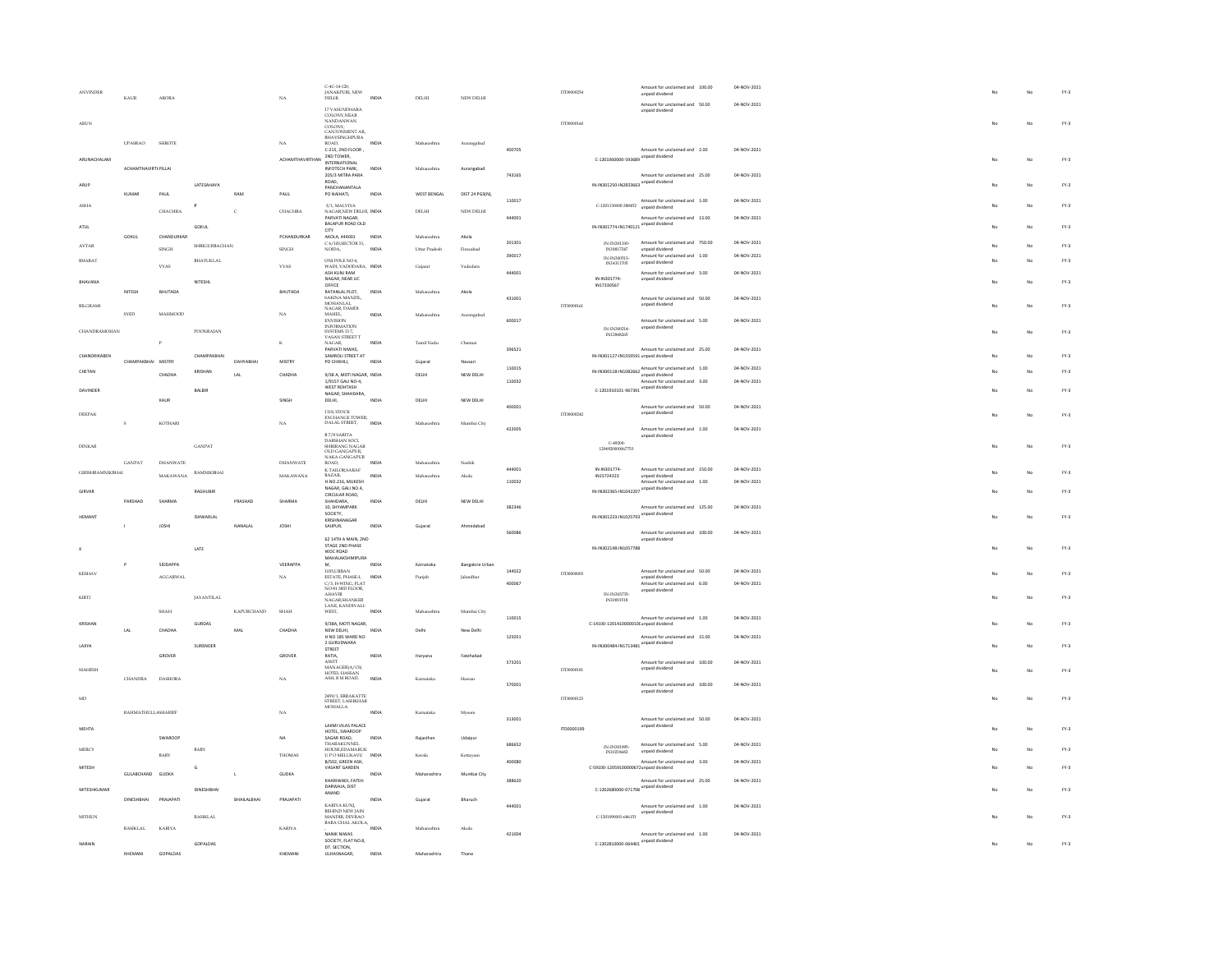| <b>ANVINDER</b>         | KAUR                       | <b>ARORA</b>    |                      |                   | $N_A$                          | $C-4C-14-120$ ,<br>JANAKPURI, NEW<br>DELHI.                | INDIA | <b>DELHI</b>  | NEW DELHI              |        | ITD0000254 |                                                                        | Amount for unclaimed and 100.00<br>unpaid dividend                  | 04-NOV-2021 |  |              | $FY-3$ |
|-------------------------|----------------------------|-----------------|----------------------|-------------------|--------------------------------|------------------------------------------------------------|-------|---------------|------------------------|--------|------------|------------------------------------------------------------------------|---------------------------------------------------------------------|-------------|--|--------------|--------|
| <b>ARUN</b>             |                            |                 |                      |                   |                                | 17 VASUNDHARA<br>COLONY, NEAR<br>NANDANWAN                 |       |               |                        |        | ETD000360  |                                                                        | Amount for unclaimed and 50.00<br>unpaid dividend                   | 04-NOV-2021 |  | $\mathbf{M}$ | $FY-3$ |
|                         |                            |                 |                      |                   |                                | COLONY,<br>CANTONMENT AR,<br>BHAVSINGHPURA                 |       |               |                        |        |            |                                                                        |                                                                     |             |  |              |        |
| ARUNACHALAM             | <b>UPASRAO</b>             | <b>SHROTE</b>   |                      |                   | $_{\rm NA}$<br>ACHAMTHAVIRTHAN | ROAD,<br>C-215, 2ND FLOOR,<br>2ND TOWER,                   | INDIA | Maharashtra   | Aurangabad             | 400705 |            | C-1201060000-593689 unpaid dividend                                    | Amount for unclaimed and 2.00                                       | 04-NOV-2021 |  | No           | $FY-3$ |
|                         | <b>ACHAMTHAVIRTHPILLAI</b> |                 |                      |                   |                                | <b>INTERNATIONAL</b><br>INFOTECH PARK,<br>205/3 MITRA PARA | INDV  | Maharashtra   | Aurangabad             | 743165 |            |                                                                        | Amount for unclaimed and 25.00                                      | 04-NOV-2021 |  |              |        |
| ARUP                    | KUMAR                      | PAUL            | LATESAHAYA           | RAM               | PAUL                           | ROAD,<br>PANCHANANTALA<br>PO NAIHATI,                      | INDV  | WEST BENGAL   | DIST 24 PGS(N),        |        |            | IN-IN301250-IN2833663 unpaid dividend                                  |                                                                     |             |  | No           | $FY-3$ |
| ASHA                    |                            | CHACHRA         | $\mathbf{P}$         | c                 | CHACHRA                        | 3/1, MALVIYA<br>NAGAR.NEW DELHI, INDIA                     |       | DELHI         | NEW DELHI              | 110017 |            | C-1201130000-388452 unpaid dividend                                    | Amount for unclaimed and 1.00                                       | 04-NOV-2021 |  | No           | $FY-3$ |
| ATUL                    |                            |                 | <b>GOKUL</b>         |                   |                                | <b>PARVATI NAGAR</b><br>BALAPUR ROAD OLD<br>cm             |       |               |                        | 444001 |            | IN-IN301774-IN1740121 unpaid dividend                                  | Amount for unclaimed and 13.00                                      | 04-NOV-2021 |  | No           | $FY-3$ |
| AVTAR                   | GOKUL                      | CHANDURKAR      | <b>SHRIGURBACHAN</b> |                   | PCHANDURKAR                    | AKOLA, 444001<br>C 4/103, SECTOR 31,                       | INDIA | Maharashtra   | Akola                  | 201301 |            | $\begin{array}{c} \text{IN-IN}301330 \\ \text{IN}18817247 \end{array}$ | Amount for unclaimed and 750.00                                     | 04-NOV-2021 |  | No           | $FY-3$ |
| BHARAT                  |                            | SINGH           | BHATUKLAL            |                   | $\scriptstyle\rm SINCH$        | NOIDA,<br>ONLIN'S ENO 4                                    | INDU  | Uttar Pradesl | Firozabad              | 390017 |            | IN-IN300513-                                                           | unpaid dividend<br>Amount for unclaimed and 1.00<br>unpaid dividend | 04-NOV-2021 |  | No           | $FY-3$ |
| BHAVANA                 |                            | <b>VYAS</b>     | NITESHL              |                   | $_{\rm VYS}$                   | WADI, VADODARA, INDI<br>ASH KUNJ RAM<br>NAGAR, NEAR LIC    |       | Gujarat       | Vadodari               | 444001 |            | IN14311705<br>IN-IN301774-                                             | Amount for unclaimed and 3.00<br>unpaid dividend                    | 04-NOV-2021 |  | No           | $FY-3$ |
|                         | NITESH                     | BHUTADA         |                      |                   | BHUTADA                        | OFFICE<br>RATANLAL PLOT.                                   | INDIA | Maharashtra   | Akola                  |        |            | IN17330567                                                             |                                                                     |             |  |              |        |
| <b>BILGRAMI</b>         |                            |                 |                      |                   |                                | SAKINA MANZIL,<br>MOHANLAL<br>NAGAR, DAMDI                 |       |               |                        | 431001 | ITD0000161 |                                                                        | Amount for unclaimed and 50.00<br>unpaid dividend                   | 04-NOV-2021 |  | No           | $FY-3$ |
|                         | SYED                       | MAHMOOD         |                      |                   | $_{\rm NA}$                    | MAHEL,<br><b>ENVISION</b>                                  | INDIA | Maharashtra   | Aurangabad             | 600017 |            |                                                                        | Amount for unclaimed and 5.00                                       | 04-NOV-2021 |  |              |        |
| <b>CHANDRAMOHAN</b>     |                            |                 | POONRAJAN            |                   |                                | INFORMATION<br>SYSTEMS 137,<br>VASAN STREET T              |       |               |                        |        |            | IN-IN300214<br>IN12848265                                              | unpaid dividend                                                     |             |  | No           | $FY-3$ |
|                         |                            |                 |                      |                   | K                              | NAGAR.<br>PARVATI NIWAS,                                   | INDIA | Tamil Nadu    | Chennai                | 396521 |            |                                                                        | Amount for unclaimed and 25.00                                      | 04-NOV-2021 |  |              |        |
| CHANDRIKABEN            | CHAMPAKBHAI MISTRY         |                 | СНАМРАКВНАІ          | <b>DAHYARHAI</b>  | MISTRY                         | SAMROLI STREET AT<br>PO CHIKHLI,                           | INDIA | Gujarat       | Navsar                 |        |            | IN-IN301127-IN1559591 unpaid dividend                                  |                                                                     |             |  | No           | $FY-3$ |
| CHETAN                  |                            | CHADHA          | KRISHAN              | LAL               | CHADHA                         | 9/38 A. MOTI NAGAR. INDIA                                  |       | DELHI         | NEW DELHI              | 110015 |            |                                                                        | IN-IN300118-IN1082662 Amount for unclaimed and 1.00                 | 04-NOV-2021 |  | No           | $FY-3$ |
| DAVINDER                |                            |                 | BALBIR               |                   |                                | 1/9157 GALI NO-4,<br><b>WEST ROHTASH</b>                   |       |               |                        | 110032 |            | C-1201910101-967391 unpaid dividend                                    | Amount for unclaimed and 3.00                                       | 04-NOV-2021 |  | No           | $FY-3$ |
|                         |                            | KAUR            |                      |                   | SINGH                          | NAGAR, SHAHDARA,<br>DELHI.                                 | INDIA | DELHI         | NEW DELHI              |        |            |                                                                        |                                                                     |             |  |              |        |
| DEEPAK                  |                            |                 |                      |                   |                                | <b>1118 STOCK</b><br>EXCHANGE TOWER,                       |       |               |                        | 400001 | ITD0000242 |                                                                        | Amount for unclaimed and 50.00<br>unpaid dividend                   | 04-NOV-2021 |  | No           | $FY-3$ |
|                         | s                          | KOTHARI         |                      |                   | $_{\rm NA}$                    | DALAL STREET,<br><b>B7/SSARITA</b>                         | INDIA | Maharashtra   | Mumbai City            | 422005 |            |                                                                        | Amount for unclaimed and 1.00                                       | 04-NOV-2021 |  |              |        |
| <b>DINKAR</b>           |                            |                 | <b>GANPAT</b>        |                   |                                | DARSHAN SOCI,<br>SHRIRANG NAGAR                            |       |               |                        |        |            | C-49200-                                                               | unpaid dividend                                                     |             |  | No           | $FY-3$ |
|                         |                            |                 |                      |                   |                                | OLD GANGAPUR,<br>NAKA GANGAPUR                             |       |               |                        |        |            | 1204920000067753                                                       |                                                                     |             |  |              |        |
| <b>GIRISHRAMNIKBHAI</b> | <b>GANPAT</b>              | DHANWATE        | <b>RAMNIKBHAI</b>    |                   | DHANWATE                       | ROAD.<br>K TAILOR, SARAF                                   | INDIA | Maharashtra   | Nashik                 | 444001 |            | IN-IN301774                                                            | Amount for unclaimed and 150.00                                     | 04-NOV-2021 |  | No           | $FY-3$ |
|                         |                            | MAKAWANA        |                      |                   | <b>MAKAWANA</b>                | BAZAR.<br>H.NO.216, MUKESH<br>NAGAR, GALI NO.4.            | INDIA | Maharashtra   | Akola                  | 110032 |            | IN15724323                                                             | unpaid dividend<br>Amount for unclaimed and 1.00                    | 04-NOV-2021 |  |              |        |
| GIRVAR                  | PARSHAD                    | SHARMA          | RAGHUBIR             | PRASHAD           | SHARMA                         | CIRCULAR ROAD,<br>SHAHDARA.                                | INDIA | DELHI         | NEW DELHI              |        |            | IN-IN302365-IN1042207 unpaid dividend                                  |                                                                     |             |  | No           | $FY-3$ |
| HEMANT                  |                            |                 | <b>ISHWARLAL</b>     |                   |                                | 10, SHYAMPARK<br>SOCIETY,<br>KRISHNANAGAR                  |       |               |                        | 382346 |            | IN-IN301233-IN1025793 unpaid dividend                                  | Amount for unclaimed and 125.00                                     | 04-NOV-2021 |  | No           | $FY-3$ |
|                         |                            | <b>JOSHI</b>    |                      | NANALAL           | JOSHI                          | SAIJPUR,                                                   | INDM  | Gujarat       | Ahmedabad              | 560086 |            |                                                                        | Amount for unclaimed and 100.00                                     | 04-NOV-2021 |  |              |        |
|                         |                            |                 | <b>LATE</b>          |                   |                                | 62 14TH A MAIN, 2ND<br>STAGE 2ND PHASE                     |       |               |                        |        |            | IN-IN302148-IN1057788                                                  | unpaid dividend                                                     |             |  | No           | $FY-3$ |
|                         |                            |                 |                      |                   |                                | WOC ROAD<br>MAHALAKSHMIPURA                                |       |               |                        |        |            |                                                                        |                                                                     |             |  |              |        |
| KESHAV                  |                            | SIDDAPPA        |                      |                   | VEERAPPA                       | 1035.URBAN                                                 | INDM  | Karnataka     | <b>Bangalore Urban</b> | 144022 | ITD0000003 |                                                                        | Amount for unclaimed and 50.00                                      | 04-NOV-2021 |  | No           | $FY-3$ |
|                         |                            | <b>AGGARWAI</b> |                      |                   | $N_A$                          | ESTATE, PHASE-L<br>C/3, H-WING, FLAT<br>NO-81 3RD FLOOR,   | INDIA | Punjab        | lalandha               | 400067 |            |                                                                        | unpaid dividend<br>Amount for unclaimed and 6.00                    | 04-NOV-2021 |  |              |        |
| KIRTI                   |                            |                 | <b>JAYANTILAL</b>    |                   |                                | <b>AHAVIR</b><br>NAGAR.SHANKER                             |       |               |                        |        |            | IN-IN303735<br>IN10001518                                              | unpaid dividend                                                     |             |  | No           | $FY-3$ |
|                         |                            | SHAH            |                      | <b>KAPURCHAND</b> | SHAH                           | LANE, KANDIVALI-<br>WEST,                                  |       | Maharashtra   | Mumbai City            |        |            |                                                                        |                                                                     |             |  |              |        |
| KRISHAM                 |                            |                 | GURDAS               |                   |                                | 9/38A, MOTI NAGAR,                                         |       |               |                        | 110015 |            | C-14100-1201410000010(unpaid dividend                                  | Amount for unclaimed and 1.00                                       | 04-NOV-2021 |  | No           | $FY-3$ |
|                         | LAL                        | CHADHA          |                      | MAL               | CHADHA                         | NEW DELHI.<br>H NO 185 WARD NO<br>2 GURUDWARA              | INDIA | Delhi         | New Delhi              | 125051 |            |                                                                        | Amount for unclaimed and 15.00                                      | 04-NOV-2021 |  |              |        |
| LAXYA                   |                            | GROVER          | SURENDER             |                   | GROVER                         | STREET<br>RATIA,                                           | INDU  | Haryana       | Fatehabad              |        |            | IN-IN300484-IN1713481 unpaid dividend                                  |                                                                     |             |  | No           | $FY-3$ |
| MAHESH                  |                            |                 |                      |                   |                                | <b>ASSTT</b><br>MANAGER(A/CS)                              |       |               |                        | 573201 | ITD0000181 |                                                                        | Amount for unclaimed and 100.00<br>unpaid dividend                  | 04-NOV-2021 |  | No           | $FY-3$ |
|                         | <b>CHANDRA</b>             | DASHORA         |                      |                   | NA                             | HOTEL HASSAN<br>ASH, B M ROAD,                             | INDM  | Kamataka      | Hassar                 | 570001 |            |                                                                        | Amount for unclaimed and 100.00                                     | 04-NOV-2021 |  |              |        |
| MD.                     |                            |                 |                      |                   |                                | 2459/1 FRRAKATTE                                           |       |               |                        |        | ITD0000123 |                                                                        | unpaid dividend                                                     |             |  | No           | $FY-3$ |
|                         |                            |                 |                      |                   | $_{\rm NA}$                    | STREET, LASHKHAR<br>MOHALLA                                |       |               |                        |        |            |                                                                        |                                                                     |             |  |              |        |
|                         | RAHMATHULLASHARIFF         |                 |                      |                   |                                | LAXMI VILAS PALACE                                         | INDV  | Kamataka      | Mysore                 | 313001 |            |                                                                        | Amount for unclaimed and 50.00<br>unpaid dividend                   | 04-NOV-2021 |  |              |        |
| MEHTA                   |                            | SWARDOR         |                      |                   | NA                             | HOTEL, SWAROOP                                             | INDM  | Rajasthar     | Udaipu                 |        | ITD0000199 |                                                                        |                                                                     |             |  | No           | $FY-3$ |
| MERCY                   |                            |                 | BABY                 |                   |                                | SAGAR ROAD,<br>THARAKUNNEL<br>HOUSE,EDAMARUK               |       |               |                        | 686652 |            | IN-IN301895<br>IN10218682                                              | Amount for unclaimed and 5.00<br>unpaid dividend                    | 04-NOV-2021 |  | No           | $FY-3$ |
|                         |                            | <b>BABY</b>     |                      |                   | <b>THOMAS</b>                  | U PO MELUKAVU<br>B/SO2, GREEN ASH,                         | INDIA | Kerala        | Kottavam               | 400080 |            |                                                                        | Amount for unclaimed and 3.00                                       | 04-NOV-2021 |  |              |        |
| MITESH                  | GULABCHAND                 | GUDKA           |                      |                   | <b>GUDKA</b>                   | VASANT GARDEN<br>KHARIWADI, FATEH                          | INDIA | Maharashtra   | Mumbai City            | 388620 |            | C-59100-12059100000671unpaid dividend                                  | Amount for unclaimed and 25.00                                      | 04-NOV-2021 |  | No           | $FY-3$ |
| MITESHKUMAF             |                            |                 | DINESHBHA            |                   |                                | DARWAJA, DIST<br>ANAND                                     |       |               |                        |        |            | C-1202680000-071798 unpaid dividend                                    |                                                                     |             |  | No           | $FY-3$ |
|                         | DINESHBHAI                 | PRAJAPATI       |                      | BHAILALBHAI       | PRAJAPATI                      | KARIYA KUNJ,<br>BEHIND NEW JAIN                            | INDIA | Guiarat       | Bharuch                | 444001 |            |                                                                        | Amount for unclaimed and 1.00                                       | 04-NOV-2021 |  |              |        |
| <b>MITHUN</b>           |                            |                 | <b>RASIKLAL</b>      |                   |                                | MANDIR, DEVRAO<br>BABA CHAL AKOLA                          |       |               |                        |        |            | C-1201090001-686151                                                    | unpaid dividend                                                     |             |  | No           | $FY-3$ |
|                         | RASIKLAL                   | <b>KARIYA</b>   |                      |                   | <b>KARIYA</b>                  | NANIK NIWAS                                                | INDIA | Maharashtra   | Akola                  | 421004 |            |                                                                        | Amount for unclaimed and 1.00                                       | 04-NOV-2021 |  |              |        |
| NARAIN                  |                            |                 | GOPALDAS             |                   |                                | SOCIETY, FLAT NO.8.<br>DT. SECTION,                        |       |               |                        |        |            | C-1202810000-064401 unpaid dividend                                    |                                                                     |             |  | No           | $FY-3$ |
|                         | KHEMANI                    | GOPALDAS        |                      |                   | KHEMANI                        | ULHASNAGAR.                                                | INDIA | Maharashtra   | Thane                  |        |            |                                                                        |                                                                     |             |  |              |        |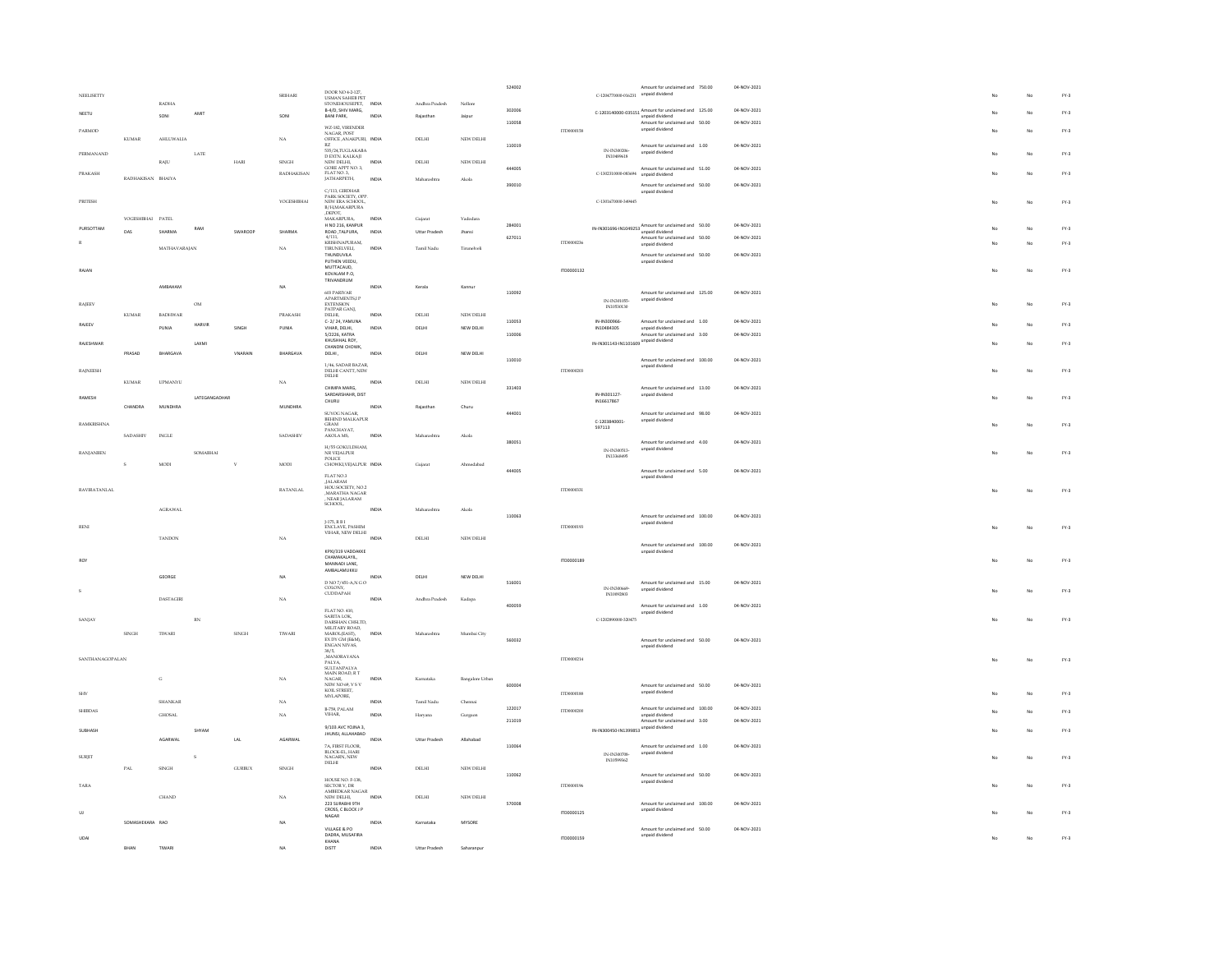|        | NEELISETTY          |                                                                  |                  |                        |                | SRIHARI                | DOOR NO 4-2-127,<br>USMAN SAHEB PET                  |       |                      |                 | 524002 |                   | C-1204770000-016231 unpaid dividend   | Amount for unclaimed and 750.00                       | 04-NOV-2021 |             |    | $FY-3$ |
|--------|---------------------|------------------------------------------------------------------|------------------|------------------------|----------------|------------------------|------------------------------------------------------|-------|----------------------|-----------------|--------|-------------------|---------------------------------------|-------------------------------------------------------|-------------|-------------|----|--------|
|        |                     |                                                                  | <b>RADHA</b>     |                        |                |                        | STONEHOUSEPET,                                       | INDIA | Andhra Pradesh       | Nellon          |        |                   |                                       |                                                       |             |             |    |        |
|        | NEETU               |                                                                  |                  | AMIT                   |                |                        | B-4/D, SHIV MARG,                                    |       |                      |                 | 302006 |                   |                                       | $C-1203140000-035151$ Amount for unclaimed and 125.00 | 04-NOV-2021 |             | No | $FN-3$ |
|        |                     |                                                                  | SONI             |                        |                | SONI                   | BANI PARK.                                           | INDIA | Rajasthan            | Jajour          | 110058 |                   |                                       | Amount for unclaimed and 50.00                        | 04-NOV-2021 |             |    |        |
|        | PARMOD              |                                                                  |                  |                        |                |                        | WZ-182, VIRENDER                                     |       |                      |                 |        | ITD0000158        |                                       | unpaid dividend                                       |             |             | No | $FY-3$ |
|        |                     | <b>KUMAR</b>                                                     | AHLUWALIA        |                        |                | $_{\rm{NA}}$           | NAGAR, POST<br>OFFICE, ANAKPURI, INDIA               |       | DELHI                | NEW DELHI       |        |                   |                                       |                                                       |             |             |    |        |
|        |                     |                                                                  |                  |                        |                |                        | RZ<br>535/24 THGLAKARA                               |       |                      |                 | 110019 |                   | INJIN300206                           | Amount for unclaimed and 1.00                         | 04-NOV-2021 |             |    |        |
|        | PERMANAND           |                                                                  |                  | $_{\rm LATE}$          |                |                        | 2357 24, I OGENNIB.<br>D EXTN. KALKAJI<br>NEW DELHI, |       |                      |                 |        |                   |                                       | unpaid dividend                                       |             |             | No | $FN-3$ |
|        |                     |                                                                  | RAJU             |                        | $_{\rm HARI}$  | <b>SINGH</b>           | GORE APPT NO. 3,                                     | INDIA | DELHI                | NEW DELHI       |        |                   |                                       |                                                       |             |             |    |        |
|        | <b>PRAKASH</b>      |                                                                  |                  |                        |                | <b>RADHAKISAN</b>      | FLAT NO.3.                                           |       |                      |                 | 444005 |                   | C-1302310000-083694                   | Amount for unclaimed and 51.00<br>unpaid dividend     | 04-NOV-2021 |             | No | $FY-3$ |
|        |                     | $\begin{tabular}{ll} \bf{RADHAKISAN} & \bf{BHAYA} \end{tabular}$ |                  |                        |                |                        | JATHARPETH,                                          | INDIA | Mahamahh             | Akola           |        |                   |                                       |                                                       |             |             |    |        |
|        |                     |                                                                  |                  |                        |                |                        | C/113, GIRDHAR                                       |       |                      |                 | 390010 |                   |                                       | Amount for unclaimed and 50.00<br>unpaid dividend     | 04-NOV-2021 |             |    |        |
|        | PRITESH             |                                                                  |                  |                        |                | <b>YOCESHBHAI</b>      | PARK SOCIETY, OPP.<br>NEW ERA SCHOOL,                |       |                      |                 |        |                   | C-1301670000-349445                   |                                                       |             | No          | No | $FY-3$ |
|        |                     |                                                                  |                  |                        |                |                        | B/H,MAKARPURA                                        |       |                      |                 |        |                   |                                       |                                                       |             |             |    |        |
|        |                     | YOGESHBHAI PATEL                                                 |                  |                        |                |                        | ,DEPOT,<br>MAKARPURA,                                | INDIA | Gujarat              | Vadodara        |        |                   |                                       |                                                       |             |             |    |        |
|        |                     |                                                                  |                  |                        |                |                        | H NO 216, KANPUR                                     |       |                      |                 | 284001 |                   |                                       |                                                       | 04-NOV-2021 |             |    |        |
|        | PURSOTTAM           | DAS                                                              | SHARMA           | RAM                    | SWAROOF        | SHARMA                 | ROAD, TALPURA,                                       | INDIA | Uttar Pradesh        | Jhansi          |        |                   |                                       | IN-IN301696-IN1049253 Amount for unclaimed and 50.00  |             |             | No | $FY-3$ |
|        |                     |                                                                  |                  |                        |                |                        | 4/111,<br>KRISHNAPURAM,                              |       |                      |                 | 627011 | ITD0000236        |                                       | Amount for unclaimed and 50.00<br>unpaid dividend     | 04-NOV-2021 |             | No | $FN-3$ |
|        |                     |                                                                  | MATHAVARAJAN     |                        |                | $_{\rm NA}$            | TIRUNELVELL                                          | INDM  | Tamil Nadu           | Tirunelve       |        |                   |                                       |                                                       |             |             |    |        |
|        |                     |                                                                  |                  |                        |                |                        | THUNDUVILA<br>PUTHEN VEEDU,                          |       |                      |                 |        |                   |                                       | Amount for unclaimed and 50.00<br>unpaid dividend     | 04-NOV-2021 |             |    |        |
|        | RAIAN               |                                                                  |                  |                        |                |                        | MUTTACAUD.                                           |       |                      |                 |        | 1700000132        |                                       |                                                       |             | $M_{\rm P}$ | No | $FY-3$ |
|        |                     |                                                                  |                  |                        |                |                        | KOVALAM P.O.<br>TRIVANDRUM                           |       |                      |                 |        |                   |                                       |                                                       |             |             |    |        |
|        |                     |                                                                  | <b>AMRAHAM</b>   |                        |                | NA                     |                                                      | INDIA | Kerala               | Kannu           |        |                   |                                       |                                                       |             |             |    |        |
|        |                     |                                                                  |                  |                        |                |                        | 603 PARIVAR<br>APARTMENTS, IP                        |       |                      |                 | 110092 |                   |                                       | Amount for unclaimed and 125.00                       | 04-NOV-2021 |             |    |        |
|        | <b>RAIEEV</b>       |                                                                  |                  | OM                     |                |                        | <b>EXTENSION</b>                                     |       |                      |                 |        |                   | IN-IN301055<br>IN10530130             | unpaid dividend                                       |             | Mo          | No | $FY-3$ |
|        |                     | $\textsc{KUMAR}$                                                 | <b>BADHWAR</b>   |                        |                | PRAKASH                | PATPAR GANL<br>DELHI,                                | INDIA | DELHI                | NEW DELHI       |        |                   |                                       |                                                       |             |             |    |        |
|        | RAJEEV              |                                                                  |                  | HARVIR                 |                |                        | C-2/24, YAMUNA                                       |       |                      |                 | 110053 |                   | IN-IN300966                           | Amount for unclaimed and 1.00                         | 04-NOV-2021 |             | No | $FY-3$ |
|        |                     |                                                                  | PUNIJ            |                        | SINGH          | PUNIA                  | VIHAR, DELHI,                                        | INDIA | DELH                 | NEW DELHI       |        |                   | IN10484305                            | unpaid dividend                                       |             |             |    |        |
|        |                     |                                                                  |                  |                        |                |                        | 5/2226, KATRA<br>KHUSHHAL ROY,                       |       |                      |                 | 110006 |                   |                                       | Amount for unclaimed and 3.00                         | 04-NOV-2021 |             |    |        |
|        | RAJESHWAR           |                                                                  |                  | LAXM                   |                |                        | CHANDNI CHOWK.                                       |       |                      |                 |        |                   | IN-IN301143-IN1101609 unpaid dividend |                                                       |             |             | No | $FN-3$ |
|        |                     | PRASAD                                                           | <b>BHARGAVA</b>  |                        | VNARAIN        | BHARGAVA               | DELHI,                                               | INDIA | DELHI                | NEW DELHI       |        |                   |                                       |                                                       |             |             |    |        |
|        |                     |                                                                  |                  |                        |                |                        | 1/46, SADAR BAZAR,                                   |       |                      |                 | 110010 |                   |                                       | Amount for unclaimed and 100.00<br>unpaid dividend    | 04-NOV-2021 |             |    |        |
|        | <b>RAINEESH</b>     |                                                                  |                  |                        |                |                        | DELHI CANTT, NEW<br>$_{\rm DELHI}$                   |       |                      |                 |        | 1TD0000203        |                                       |                                                       |             | No          | No | $FY-3$ |
|        |                     | KUMAR                                                            | <b>UPMANYU</b>   |                        |                | $_{\rm NA}$            |                                                      | INDIA | DELHI                | NEW DELHI       |        |                   |                                       |                                                       |             |             |    |        |
|        |                     |                                                                  |                  |                        |                |                        | CHIMPA MARG.                                         |       |                      |                 | 331403 |                   | IN-IN301127-                          | Amount for unclaimed and 13.00<br>unpaid dividend     | 04-NOV-2021 |             |    |        |
|        | RAMESH              |                                                                  |                  | LATEGANGADHAR          |                |                        | SARDARSHAHR, DIST<br>CHURU                           |       |                      |                 |        |                   | IN16617867                            |                                                       |             |             | No | $FY-3$ |
|        |                     | CHANDRA                                                          | <b>MUNDHRA</b>   |                        |                | MUNDHRA                |                                                      | INDIA | Rajastha             | Churu           |        |                   |                                       |                                                       |             |             |    |        |
|        |                     |                                                                  |                  |                        |                |                        | SUYOG NAGAR,<br>BEHIND MALKAPUR                      |       |                      |                 | 444001 |                   | C-1203840001-                         | Amount for unclaimed and 98.00<br>unpaid dividend     | 04-NOV-2021 |             |    |        |
|        | RAMKRISHNA          |                                                                  |                  |                        |                |                        |                                                      |       |                      |                 |        |                   | 597113                                |                                                       |             |             | No | $FY-3$ |
|        |                     | SADASHIV                                                         | $\text{INGLE}$   |                        |                | <b>SADASHIV</b>        | GRAM<br>PANCHAYAT,<br>AKOLA MS,                      | INDIA | Maharashtra          | Akola           |        |                   |                                       |                                                       |             |             |    |        |
|        |                     |                                                                  |                  |                        |                |                        | H/SSOOKULDHAM                                        |       |                      |                 | 380051 |                   |                                       | Amount for unclaimed and 4.00                         | 04-NOV-2021 |             |    |        |
|        | RANJANBEN           |                                                                  |                  | SOMABHAI               |                |                        | NR VEJALPUR<br>NR VEJALPUR<br>POLICE                 |       |                      |                 |        |                   | IN-IN300513<br>IN13368495             | unpaid dividend                                       |             |             | No | $FN-3$ |
|        |                     | s                                                                | MODI             |                        |                | <b>MODI</b>            | CHOWKI, VEJALPUR INDIA                               |       | Guiara               | Ahmedabad       |        |                   |                                       |                                                       |             |             |    |        |
|        |                     |                                                                  |                  |                        |                |                        |                                                      |       |                      |                 | 444005 |                   |                                       | Amount for unclaimed and 5.00                         | 04-NOV-2021 |             |    |        |
|        |                     |                                                                  |                  |                        |                |                        | FLAT NO.3                                            |       |                      |                 |        |                   |                                       | unpaid dividend                                       |             |             |    |        |
|        | <b>RAVIRATANLAI</b> |                                                                  |                  |                        |                | RATANLAL               | JALARAM<br>JALARAM<br>HOUSOCIETY, NO.2               |       |                      |                 |        | ITD0000331        |                                       |                                                       |             |             | No | $FY-3$ |
|        |                     |                                                                  |                  |                        |                |                        | MARATHA NAGAR<br>, NEAR JALARAM<br>SCHOOL,           |       |                      |                 |        |                   |                                       |                                                       |             |             |    |        |
|        |                     |                                                                  | AGRAWAL          |                        |                |                        |                                                      | INDM  | Maharashtra          | Akola           |        |                   |                                       |                                                       |             |             |    |        |
|        |                     |                                                                  |                  |                        |                |                        |                                                      |       |                      |                 | 110063 |                   |                                       | Amount for unclaimed and 100.00                       | 04-NOV-2021 |             |    |        |
|        | <b>RENI</b>         |                                                                  |                  |                        |                |                        | 1-175, R B I                                         |       |                      |                 |        | ITD0000193        |                                       | unpaid dividend                                       |             |             | No | $FN-3$ |
|        |                     |                                                                  |                  |                        |                |                        | ENCLAVE, PASHIM<br>VIHAR, NEW DELHI                  |       |                      |                 |        |                   |                                       |                                                       |             |             |    |        |
|        |                     |                                                                  | <b>TANDON</b>    |                        |                | $_{\rm NA}$            |                                                      | INDIA | DELHI                | NEW DELHI       |        |                   |                                       | Amount for unclaimed and 100.00                       | 04-NOV-2021 |             |    |        |
|        |                     |                                                                  |                  |                        |                |                        | KPXI/319 VADDAKKE                                    |       |                      |                 |        |                   |                                       | unpaid dividend                                       |             |             |    |        |
| ROV    |                     |                                                                  |                  |                        |                |                        | CHAMAKALAYIL                                         |       |                      |                 |        | ITD0000189        |                                       |                                                       |             |             | No | $FY-3$ |
|        |                     |                                                                  |                  |                        |                |                        | MANNADI LANE,<br>AMBALAMUKKU                         |       |                      |                 |        |                   |                                       |                                                       |             |             |    |        |
|        |                     |                                                                  | GEORGI           |                        |                | NA                     |                                                      |       | DELH                 | NEW DELHI       |        |                   |                                       |                                                       |             |             |    |        |
|        |                     |                                                                  |                  |                        |                |                        | D NO 7/451-A,N G O<br>COLONY                         |       |                      |                 | 516001 |                   | IN-IN300669                           | Amount for unclaimed and 15.00<br>unpaid dividend     | 04-NOV-2021 |             |    |        |
|        |                     |                                                                  | <b>DASTAGIRI</b> |                        |                | $_{\rm NA}$            | CUDDAPAH                                             | INDIA | Andhra Pradesh       | Kadapa          |        |                   | IN10092917                            |                                                       |             |             | No | $FY-3$ |
|        |                     |                                                                  |                  |                        |                |                        |                                                      |       |                      |                 | 400059 |                   |                                       | Amount for unclaimed and 1.00                         | 04-NOV-2021 |             |    |        |
|        |                     |                                                                  |                  |                        |                |                        | FLAT NO. 410.                                        |       |                      |                 |        |                   |                                       | unpaid dividend                                       |             |             |    |        |
|        | SANJAY              |                                                                  |                  | $\mathbb{R}\mathbb{N}$ |                |                        | SARITA LOK,<br>DARSHAN CHSLTD,                       |       |                      |                 |        |                   | C-1202890000-320475                   |                                                       |             |             | No | $FY-3$ |
|        |                     | SINGH                                                            | TIWARI           |                        | $\mbox{SINCH}$ | TIWARI                 | MILITARY ROAD,<br>MAROL(EAST),                       | INDIA | Maharashtra          | Mumbai City     |        |                   |                                       |                                                       |             |             |    |        |
|        |                     |                                                                  |                  |                        |                |                        | EX DY GM (E&M),<br>ENGAN NIVAS,                      |       |                      |                 | 560032 |                   |                                       | Amount for unclaimed and 50.00                        | 04-NOV-2021 |             |    |        |
|        |                     |                                                                  |                  |                        |                |                        |                                                      |       |                      |                 |        |                   |                                       | unpaid dividend                                       |             |             |    |        |
|        | SANTHANAGOPALAN     |                                                                  |                  |                        |                |                        | 38/5,<br>,MANORAYANA                                 |       |                      |                 |        | ITD0000214        |                                       |                                                       |             |             | No | $FY-3$ |
|        |                     |                                                                  |                  |                        |                |                        | PALYA.                                               |       |                      |                 |        |                   |                                       |                                                       |             |             |    |        |
|        |                     |                                                                  | $_{\rm G}$       |                        |                | NA                     | SULTANPALYA<br>MAIN ROAD, R T<br>NAGAR,              | INDIA |                      |                 |        |                   |                                       |                                                       |             |             |    |        |
|        |                     |                                                                  |                  |                        |                |                        | NEW NO 69, VS V                                      |       | Kamataka             | Bangalore Urban | 600004 |                   |                                       | Amount for unclaimed and 50.00                        | 04-NOV-2021 |             |    |        |
| SUV    |                     |                                                                  |                  |                        |                |                        | KOU STREET<br>MYLAPORE,                              |       |                      |                 |        | <b>EThiopiass</b> |                                       | unpaid dividend                                       |             |             | No | $FY-3$ |
|        |                     |                                                                  | SHANKAR          |                        |                | NA                     |                                                      | INDIA | <b>Tamil Nadu</b>    | Chenna          |        |                   |                                       |                                                       |             |             |    |        |
|        | <b>SHIBDAS</b>      |                                                                  | GHOSAL           |                        |                | $_{\rm NA}$            | B-759, PALAM<br>VIHAR,                               | INDIA |                      |                 | 122017 | ITD0000200        |                                       | Amount for unclaimed and 100.00<br>unpaid dividend    | 04-NOV-2021 |             | No | $FY-3$ |
|        |                     |                                                                  |                  |                        |                |                        |                                                      |       | $\rm Haryana$        | Gurgaor         | 211019 |                   |                                       | Amount for unclaimed and 3.00                         | 04-NOV-2021 |             |    |        |
|        | <b>SUBHASE</b>      |                                                                  |                  |                        |                |                        | 9/103 AVC YOJNA 3,                                   |       |                      |                 |        |                   | IN-IN300450-IN1399853 unpaid dividend |                                                       |             |             | No | $FN-3$ |
|        |                     |                                                                  | AGARWAL          |                        | LAL            | AGARWAI                | JHUNSI, ALLAHABAD                                    | INDIA | <b>Uttar Pradesh</b> | Allahabad       |        |                   |                                       |                                                       |             |             |    |        |
|        |                     |                                                                  |                  |                        |                |                        | 7A, FIRST FLOOR,                                     |       |                      |                 | 110064 |                   |                                       | Amount for unclaimed and 1.00                         | 04-NOV-2021 |             |    |        |
|        | <b>SURIIT</b>       |                                                                  |                  |                        |                |                        | BLOCK-EL, HARI<br>NAGARN, NEW                        |       |                      |                 |        |                   | IN-IN300708                           | unpaid dividend                                       |             |             | No | $FY-3$ |
|        |                     |                                                                  |                  |                        |                |                        | DELHI                                                |       |                      |                 |        |                   | IN1099952                             |                                                       |             |             |    |        |
|        |                     | $_{\rm PAL}$                                                     | SINGH            |                        | $GURBUX$       | $\operatorname{SINGH}$ |                                                      | INDIA | DELHI                | NEW DELHI       | 110062 |                   |                                       | Amount for unclaimed and 50.00                        | 04-NOV-2021 |             |    |        |
|        |                     |                                                                  |                  |                        |                |                        | HOUSE NO. F-138.                                     |       |                      |                 |        |                   |                                       | unpaid dividend                                       |             |             |    |        |
|        | TARA                |                                                                  |                  |                        |                |                        | SECTOR V, DR<br>AMBEDKAR NAGAR<br>NEW DELHI,         |       |                      |                 |        | ITD0000196        |                                       |                                                       |             |             | No | $FY-3$ |
|        |                     |                                                                  | $\text{CHAND}{}$ |                        |                | NA                     | 223 SURABHI 9TH                                      | INDIA | $_{\rm DELHI}$       | NEW DELHI       | 570008 |                   |                                       | Amount for unclaimed and 100.00                       | 04-NOV-2021 |             |    |        |
|        |                     |                                                                  |                  |                        |                |                        | CROSS, C BLOCK J P                                   |       |                      |                 |        |                   |                                       | unpaid dividend                                       |             |             |    |        |
| $\cup$ |                     |                                                                  |                  |                        |                |                        | NAGAR                                                |       |                      |                 |        | ITD0000125        |                                       |                                                       |             |             | No | $FY-3$ |
|        |                     | SOMASHEKARA RAO                                                  |                  |                        |                |                        | VILLAGE & PO                                         | INDIA | Karnataka            | MYSORE          |        |                   |                                       | Amount for unclaimed and 50.00                        | 04-NOV-2021 |             |    |        |
| UDA    |                     |                                                                  |                  |                        |                |                        | DADRA, MUSAFIRA                                      |       |                      |                 |        | ITD0000159        |                                       | unpaid dividend                                       |             |             | No | $FY-3$ |
|        |                     | BHAN                                                             | TIWAR            |                        |                |                        | KHANA<br>DISTT                                       | INDIA | <b>Uttar Pradesh</b> | Saharanpur      |        |                   |                                       |                                                       |             |             |    |        |
|        |                     |                                                                  |                  |                        |                |                        |                                                      |       |                      |                 |        |                   |                                       |                                                       |             |             |    |        |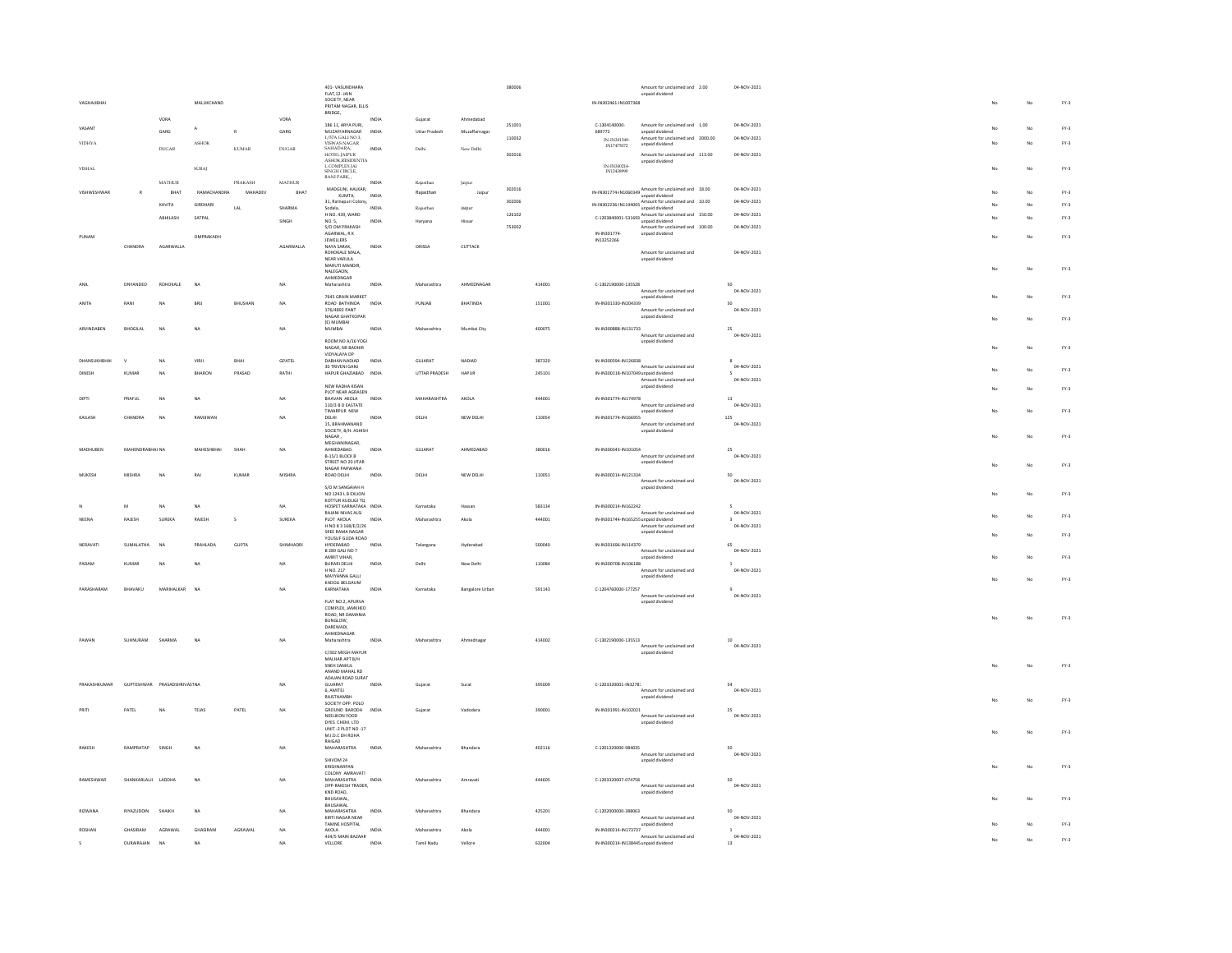|                   |                     |                             |                   |              |               | 401-VASUNDHARA<br>FLAT, 12- JAIN<br>SOCIETY, NEAR  |              |                      |                 | 380006 |        |                                                                       | Amount for unclaimed and 2.00<br>unpaid dividend     | 04-NOV-2021                 |             |    |        |
|-------------------|---------------------|-----------------------------|-------------------|--------------|---------------|----------------------------------------------------|--------------|----------------------|-----------------|--------|--------|-----------------------------------------------------------------------|------------------------------------------------------|-----------------------------|-------------|----|--------|
| VAGHAJIBHAI       |                     |                             | MALUKCHAND        |              |               | PRITAM NAGAR, ELLIS<br>BRIDGE,                     |              |                      |                 |        |        | IN-IN302461-IN1007368                                                 |                                                      |                             |             | No | $FY-3$ |
|                   |                     | VORA                        |                   |              | VORA          | 186 11, ARYA PURI,                                 | INDIA        | Guiarat              | Ahmedahad       | 251001 |        | $C-1304140000$                                                        | Amount for unclaimed and 1.00                        | 04-NOV-2021                 |             |    |        |
| VASANT            |                     | GARG.                       | A                 | R            | <b>GARG</b>   | MUZAFFARNAGAR<br>1/57A GALI NO 3.                  | INDIA        | <b>Uttar Pradesh</b> | Muzaffarnaga    | 110032 |        | 689772                                                                | unpaid dividend<br>Amount for unclaimed and 2000.00  | 04-NOV-2021                 |             | No | $FY-3$ |
| VIDHYA            |                     | DUGAR                       | ASHOK             | <b>KUMAR</b> | DUGAR         | VISWAS NAGAR<br>SAHADARA,                          | INDIA        | Delhi                | New Delhi       |        |        | IN-IN301549-<br>IN17475072                                            | unpaid dividend                                      |                             |             | No | $FY-3$ |
|                   |                     |                             |                   |              |               | HOTEL IAIPUR                                       |              |                      |                 | 302016 |        |                                                                       | Amount for unclaimed and 113.00<br>unpaid dividend   | 04-NOV-2021                 |             |    |        |
| VISHAL            |                     |                             | $\rm SURAJ$       |              |               | ASHOK,RESIDENTIA<br>L COMPLEX JAI<br>SINGH CIRCLE, |              |                      |                 |        |        | $\begin{array}{c} \text{IN-IN}300214\\ \text{IN}12438990 \end{array}$ |                                                      |                             |             | No | $FY-3$ |
|                   |                     | <b>MATHUR</b>               |                   | PRAKASH      | <b>MATHUR</b> | BANI PARK                                          | <b>INDIA</b> | Rajasthan            | Jaipur          |        |        |                                                                       |                                                      |                             |             |    |        |
| VISHWESHWAR       | R                   | BHAT                        | RAMACHANDRA       | MAHADEV      | BHAT          | MADGUNI, HALKAR,<br>KUMTA.                         | INDIA        | Rajasthan            | Jaipur          | 302016 |        |                                                                       | IN-IN301774-IN1060349 Amount for unclaimed and 18.00 | 04-NOV-2021                 |             | No | $FY-3$ |
|                   |                     | KAVITA                      | <b>GIRDHARI</b>   | LAL          | SHARMA        | 31, Ratnapuri Colony,<br>Sodala.                   | INDIA        | Rajasthan            | Jajour          | 302006 |        |                                                                       | IN-IN302236-IN1194005 Amount for unclaimed and 10.00 | 04-NOV-2021                 |             | No | $FN-3$ |
|                   |                     | ABHILASH                    | SATPAL            |              |               | H.NO. 439, WARD                                    |              |                      |                 | 126102 |        |                                                                       | C-1203840001-531693 Amount for unclaimed and 150.00  | 04-NOV-2021                 |             | No | $FY-3$ |
|                   |                     |                             |                   |              | SINGH         | NO. 5.<br>S/O OM PRAKASH                           | INDIA        | Haryana              | Hissan          | 753002 |        |                                                                       | Amount for unclaimed and 100.00                      | 04-NOV-2021                 |             |    |        |
| PUNAM             |                     |                             | OMPRAKADH         |              |               | AGARWAL, R K<br><b>JEWELLERS</b>                   |              |                      |                 |        |        | IN-IN301774<br>IN13252266                                             | unpaid dividend                                      |                             |             | No | $FY-3$ |
|                   | CHANDRA             | AGARWALLA                   |                   |              | AGARWALLA     | NAYA SARAK,<br>ROHOKALE MALA,                      | INDIA        | ORISSA               | CUTTACK         |        |        |                                                                       | Amount for unclaimed and                             | 04-NOV-2021                 |             |    |        |
|                   |                     |                             |                   |              |               | NEAR VARULA<br>MARUTI MANDIR                       |              |                      |                 |        |        |                                                                       | unpaid dividend                                      |                             |             |    |        |
|                   |                     |                             |                   |              |               | NALEGAON.<br>AHMEDNGAR                             |              |                      |                 |        |        |                                                                       |                                                      |                             |             | No | $FY-3$ |
| ANIL              | <b>DNYANDEO</b>     | ROHOKALE                    | NA                |              | NA            | Maharashtra                                        | INDIA        | Maharashtra          | AHMEDNAGAR      |        | 414001 | C-1302190000-135528                                                   | Amount for unclaimed and                             | 50<br>04-NOV-2021           |             |    |        |
|                   |                     |                             |                   |              |               | 7645 GRAIN MARKET                                  |              |                      |                 |        |        |                                                                       | unpaid dividend                                      |                             |             | No | $FY-3$ |
| <b>ANITA</b>      | RANI                | <b>NA</b>                   | RRII              | BHUSHAN      | $1$           | ROAD RATHINDA<br>176/4892 PANT                     | INDIA        | PUNJAR               | <b>BHATINDA</b> |        | 151001 | IN-IN301330-IN204339                                                  | Amount for unclaimed and                             | sn<br>04-NOV-2021           |             |    |        |
|                   |                     |                             |                   |              |               | NAGAR GHATKOPAR<br>(E) MUMBAI                      |              |                      |                 |        |        |                                                                       | unpaid dividend                                      |                             |             | No | $FN-3$ |
| <b>ARVINDAREN</b> | <b>BHOGILAL</b>     | N <sub>0</sub>              | <b>NA</b>         |              | NA            | MUMBAI                                             | INDIA        | Maharashtra          | Mumbai City     |        | 400075 | IN-IN300888-IN131733                                                  | Amount for unclaimed and                             | 25<br>04-NOV-2021           |             |    |        |
|                   |                     |                             |                   |              |               | ROOM NO A/16 YOGI<br>NAGAR, NR BADHIR              |              |                      |                 |        |        |                                                                       | unpaid dividend                                      |                             |             | No | $FY-3$ |
| DHANSUKHBHA       |                     | <b>NA</b>                   | VIRJI             | BHAI         | GPATEL        | VIDYALAYA OP<br>DABHAN NADIAD                      | INDIA        | GUJARAT              | NADIAD          |        | 387320 | IN-IN300394-IN126838                                                  |                                                      |                             |             |    |        |
|                   |                     |                             |                   |              |               | 30 TRIVENI GANJ                                    |              |                      |                 |        |        |                                                                       | Amount for unclaimed and                             | 04-NOV-2021                 |             | No | $FY-3$ |
|                   | KUMAR               | <b>NA</b>                   | <b>BHARON</b>     | PRASAD       | RATHI         | HAPUR GHAZIABAD INDIA                              |              | UTTAR PRADESH        | HAPUR           |        | 245101 | IN-IN300118-IN107049 unpaid dividend                                  | Amount for unclaimed and                             | 04-NOV-2021                 |             |    |        |
|                   |                     |                             |                   |              |               | NEW RADHA KISAN<br>PLOT NEAR AGRASEN               |              |                      |                 |        |        |                                                                       | unpaid dividend                                      |                             |             | No | $FY-3$ |
|                   | PRAFUL              | NA                          | <b>NA</b>         |              | NA            | BHAVAN AKOLA<br>110/3 B D EASTATE                  | INDIA        | MAHARASHTRA          | AKOLA           |        | 444001 | IN-IN301774-IN174978                                                  | Amount for unclaimed and                             | 13<br>04-NOV-2021           |             |    |        |
| KAILASH           | CHANDRA             | <b>NA</b>                   | RAMJIWAN          |              | NA            | TIMARPUR NEW<br>DELHI                              | INDIA        | DELHI                | NEW DELHI       |        | 110054 | IN-IN301774-IN166955                                                  | unpaid dividend                                      | 125                         |             | No | $FY-3$ |
|                   |                     |                             |                   |              |               | 15, BRAHMANAND<br>SOCIETY, B/H, ASHISH             |              |                      |                 |        |        |                                                                       | Amount for unclaimed and<br>unpaid dividend          | 04-NOV-2021                 |             |    |        |
|                   |                     |                             |                   |              |               | $NAGAR$ ,                                          |              |                      |                 |        |        |                                                                       |                                                      |                             |             | No | $FY-3$ |
| <b>MADHLIREN</b>  | MAHENDRARHAI NA     |                             | <b>MAHESHRHAI</b> | SHAH         | NA            | MEGHANINAGAR,<br>AHMEDARAD                         | INDIA        | GUIARAT              | AHMEDARAD       |        | 380016 | IN-IN300343-IN101054                                                  |                                                      | 25                          |             |    |        |
|                   |                     |                             |                   |              |               | B-15/1 BLOCK B<br>STREET NO 20 JITAR               |              |                      |                 |        |        |                                                                       | Amount for unclaimed and<br>unpaid dividend          | 04-NOV-2021                 | No          | No | $FN-3$ |
| MUKESH            | <b>MISHRA</b>       | <b>NA</b>                   | RAJ               | KUMAR        | MISHRA        | NAGAR PARWANA<br>ROAD DELHI                        | INDIA        | DELHI                | NEW DELHI       |        | 110051 | IN-IN300214-IN121334                                                  |                                                      | 50                          |             |    |        |
|                   |                     |                             |                   |              |               | S/O M SANGAIAH H                                   |              |                      |                 |        |        |                                                                       | Amount for unclaimed and<br>unpaid dividend          | 04-NOV-2021                 |             |    |        |
|                   |                     |                             |                   |              |               | NO 1243 L B EXLION<br>KOTTUR KUDUGUTO              |              |                      |                 |        |        |                                                                       |                                                      |                             |             | No | $FY-3$ |
|                   | M                   | $_{\sf NA}$                 | $_{\sf NA}$       |              | NA            | HOSPET KARNATAKA INDIA<br>RAIANI NIVAS ALSI        |              | Karnataka            | Hassan          |        | 583134 | IN-IN300214-IN162242                                                  | Amount for unclaimed and                             | 04-NOV-2021                 |             |    |        |
| NEENA             | RAJESH              | SUREKA                      | RAJESH            | s            | SUREKA        | PLOT AKOLA<br>H NO 8 3 168/E/2/26                  | INDIA        | Maharashtr           | Akola           |        | 444001 | IN-IN301744-IN165255 unpaid dividend                                  |                                                      | 04-NOV-2021                 |             | No | $FY-3$ |
|                   |                     |                             |                   |              |               | SREE RAMA NAGAR                                    |              |                      |                 |        |        |                                                                       | Amount for unclaimed and<br>unpaid dividend          |                             |             | No | $FY-3$ |
| NERAVATI          | SUMALATHA           | <b>NA</b>                   | PRAHLADA          | GUPTA        | SHIMHADRI     | YOUSUE GUDA ROAD<br>HYDERABAD                      | INDIA        | Telangana            | Hyderabad       |        | 500040 | IN-IN301696-IN114379                                                  |                                                      |                             |             |    |        |
|                   |                     |                             |                   |              |               | <b>R 289 GALLNO 7</b><br>AMRIT VIHAR,              |              |                      |                 |        |        |                                                                       | Amount for unclaimed and<br>unpaid dividend          | 04-NOV-2021                 |             | No | $FY-3$ |
| PADAM             | <b>KUMAR</b>        | NA                          | NA                |              | NA            | BURARI DELHI<br>H NO. 217                          | INDIA        | Delhi                | New Delhi       |        | 110084 | IN-IN300708-IN106188                                                  | Amount for unclaimed and                             | $\mathbf{1}$<br>04-NOV-2021 |             |    |        |
|                   |                     |                             |                   |              |               | MAYYANNA GALLI<br>KADOLI BELGAUM                   |              |                      |                 |        |        |                                                                       | unpaid dividend                                      |                             | $M_{\odot}$ | No | $FY-3$ |
| PARASHARAM        | BHAVAKU             | MARIHALKAR                  | NA                |              | NA            | KARNATAKA                                          | INDIA        | Karnataka            | Bangalore Urban |        | 591143 | C-1204760000-177257                                                   | Amount for unclaimed and                             | 04-NOV-2021                 |             |    |        |
|                   |                     |                             |                   |              |               | FLAT NO 2, APURVA<br>COMPLEX, JAMKHED              |              |                      |                 |        |        |                                                                       | unpaid dividend                                      |                             |             |    |        |
|                   |                     |                             |                   |              |               | ROAD, NR DAMANIA<br><b>BUNGLOW</b>                 |              |                      |                 |        |        |                                                                       |                                                      |                             | No.         | No | $FY-3$ |
|                   |                     |                             |                   |              |               | DAREWADI,                                          |              |                      |                 |        |        |                                                                       |                                                      |                             |             |    |        |
| PAWAN             | SUHNURAM SHARMA     |                             | NA                |              | NA            | AHMEDNAGAR<br>Maharashtra                          | INDIA        | Maharashtra          | Ahmednagar      |        | 414002 | C-1302190000-135513                                                   |                                                      | $10^{-1}$                   |             |    |        |
|                   |                     |                             |                   |              |               | C/302 MEGH MAYUR                                   |              |                      |                 |        |        |                                                                       | Amount for unclaimed and<br>unpaid dividend          | 04-NOV-2021                 |             |    |        |
|                   |                     |                             |                   |              |               | MALHAR APT B/H<br>SNEH SANKUL                      |              |                      |                 |        |        |                                                                       |                                                      |                             | No          | No | $FY-3$ |
|                   |                     |                             |                   |              |               | ANAND MAHAL RD<br>ADAJAN ROAD SURAT                |              |                      |                 |        |        |                                                                       |                                                      |                             |             |    |        |
| PRAKASHKLIMAR     |                     | GUPTESHWAR PRASADSHRIVASTNA |                   |              | <b>NA</b>     | GUIARAT<br>6, AMITEJ                               | INDIA        | Guiarat              | Surat           |        | 395009 | C-1203320001-IN3278                                                   | Amount for unclaimed and                             | S4<br>04-NOV-2021           |             |    |        |
|                   |                     |                             |                   |              |               | RAISTHAMRH<br>SOCIETY OPP. POLO                    |              |                      |                 |        |        |                                                                       | unpaid dividend                                      |                             |             | No | $FY-3$ |
|                   | PATEL               | <b>NA</b>                   | TEJAS             | PATEL        | $1$           | GROUND BARODA<br>NEELIKON FOOD                     | INDIA        | Gujarat              | Vadodarz        |        | 390001 | IN-IN301991-IN102021                                                  |                                                      | 04-NOV-2021                 |             |    |        |
|                   |                     |                             |                   |              |               | DYES CHEM. LTD                                     |              |                      |                 |        |        |                                                                       | Amount for unclaimed and<br>unpaid dividend          |                             |             |    |        |
|                   |                     |                             |                   |              |               | UNIT -2 PLOT NO -17<br>M.I.D.C DH ROHA             |              |                      |                 |        |        |                                                                       |                                                      |                             | No          | No | $FY-3$ |
| RAKESH            | RAMPRATAP           | SINGH                       | <b>NA</b>         |              | NA            | RAIGAD<br><b>MAHARASHTRA</b>                       | INDIA        | Maharashtra          | Bhandara        |        | 402116 | C-1201320000-984035                                                   |                                                      | 50                          |             |    |        |
|                   |                     |                             |                   |              |               | SHIVOM 24                                          |              |                      |                 |        |        |                                                                       | Amount for unclaimed and<br>unpaid dividend          | 04-NOV-2021                 |             |    |        |
|                   |                     |                             |                   |              |               | KRISHNARPAN<br>COLONY AMRAVATI                     |              |                      |                 |        |        |                                                                       |                                                      |                             |             | No | $FN-3$ |
| RAMESHWAR         | SHANKARLALJI LADDHA |                             | NA                |              | NA            | MAHARASHTRA<br>OPP-RAKESH TRADER.                  | INDIA        | Maharashtra          |                 |        | 444605 | C-1203320007-074758                                                   | Amount for unclaimed and                             | 04-NOV-2021                 |             |    |        |
|                   |                     |                             |                   |              |               | KND ROAD,                                          |              |                      |                 |        |        |                                                                       | unpaid dividend                                      |                             |             |    | $FY-3$ |
|                   |                     |                             |                   |              |               | BHUSAWAL.<br>BHUSAWAL                              |              |                      |                 |        |        |                                                                       |                                                      |                             |             | No |        |
| <b>RIZWANA</b>    | RIYAZUDDIN          | SHAIKH                      | NA                |              | NA            | <b>MAHARASHTRA</b><br>KIRTI NAGAR NEAR             | INDIA        | Maharashtra          | Bhandara        |        | 425201 | C-1202000000-388063                                                   | Amount for unclaimed and                             | 04-NOV-2021                 |             |    |        |
| ROSHAN            | <b>GHASRAM</b>      | AGRAWAL                     | GHASIRAM          | AGRAWAL      | NA            | TAMNE HOSPITAL<br>AKOLA                            | INDIA        | Maharashtra          | Akola           |        | 444001 | IN-IN300214-IN173737                                                  | unpaid dividend                                      | $\mathbf{1}$                |             | No | $FY-3$ |
|                   |                     |                             |                   |              | NA            | 434/5 MAIN BAZAAR                                  | INDIA        | Tamil Nadu           | Vellon          |        | 632004 | IN-IN300214-IN138445 unpaid dividend                                  | Amount for unclaimed and                             | 04-NOV-2021<br>13           |             | No | $FY-3$ |
|                   | <b>DURAIRAIAN</b>   | NA                          | NΔ                |              |               | VELLORE                                            |              |                      |                 |        |        |                                                                       |                                                      |                             |             |    |        |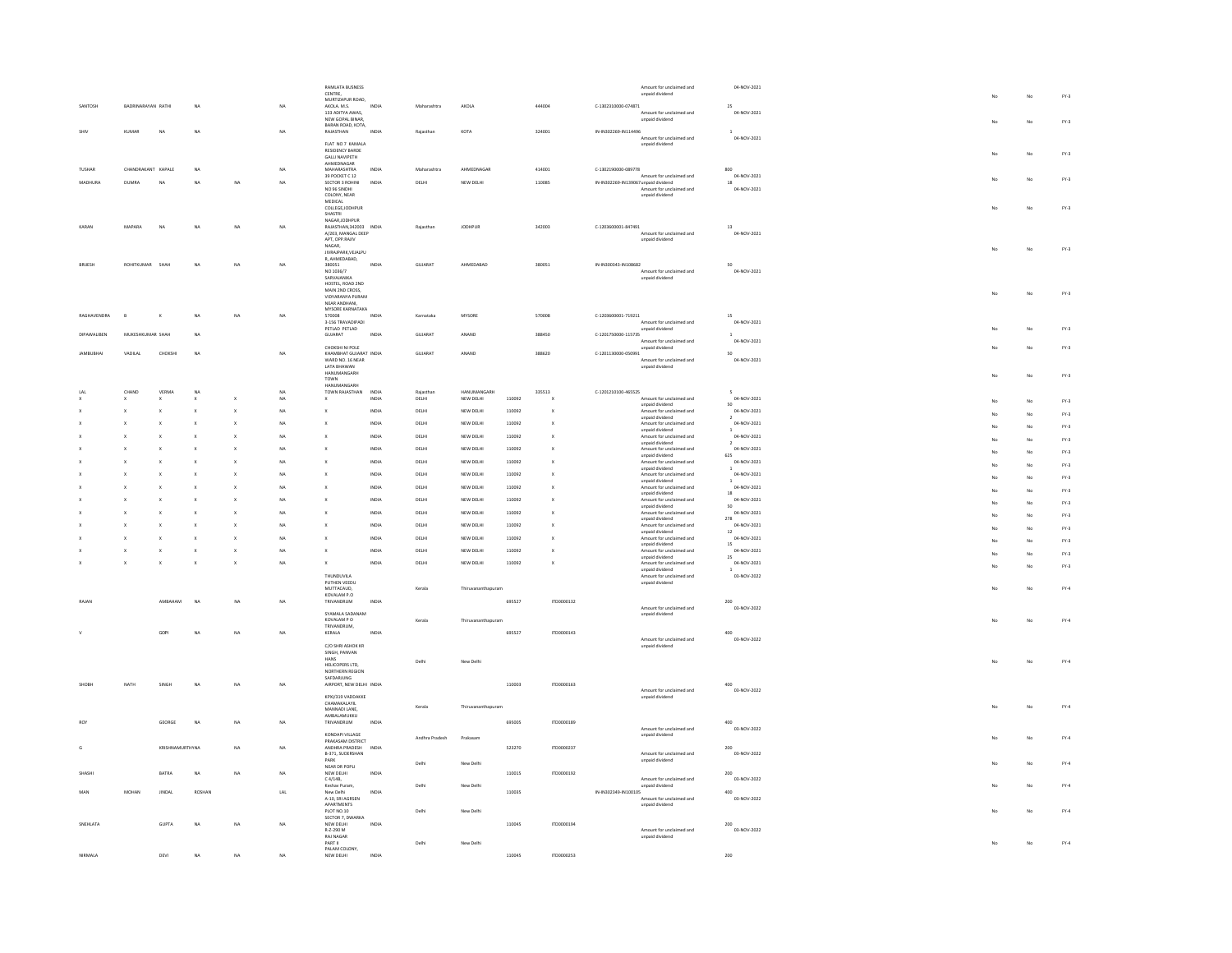|                    |                    |                        |              |                         |                | <b>RAMLATA BUSNESS</b>                   |              |                |                    |        |                           |                                      | Amount for unclaimed and                    | 04-NOV-2021                  |    |    |              |
|--------------------|--------------------|------------------------|--------------|-------------------------|----------------|------------------------------------------|--------------|----------------|--------------------|--------|---------------------------|--------------------------------------|---------------------------------------------|------------------------------|----|----|--------------|
|                    |                    |                        |              |                         |                | CENTRE,                                  |              |                |                    |        |                           |                                      | unpaid dividend                             |                              |    | No | $FY-3$       |
| SANTOSH            | BADRINARAYAN RATHI |                        | <b>NA</b>    |                         |                | MURTIZAPUR ROAD.                         | INDM         | Maharashtra    | AKOLA              |        | 444004                    | C-1302310000-074871                  |                                             | $\overline{25}$              |    |    |              |
|                    |                    |                        |              |                         |                | AKOLA. M.S.<br>133 ADITYA AWAS,          |              |                |                    |        |                           |                                      | Amount for unclaimed and                    | 04-NOV-2021                  |    |    |              |
|                    |                    |                        |              |                         |                | NEW GOPAL BINAR                          |              |                |                    |        |                           |                                      | unpaid dividend                             |                              |    | No | $FY-3$       |
|                    | KUMAR              | <b>NA</b>              |              |                         |                | BARAN ROAD, KOTA,                        | <b>INDIA</b> |                |                    |        |                           |                                      |                                             |                              |    |    |              |
|                    |                    |                        | <b>NA</b>    |                         | NA             | RAJASTHAN                                |              | Rajasthar      | KOTA               |        | 324001                    | IN-IN302269-IN114496                 | Amount for unclaimed and                    | 04-NOV-2021                  |    |    |              |
|                    |                    |                        |              |                         |                | FLAT NO 7 KAMALA                         |              |                |                    |        |                           |                                      | unpaid dividend                             |                              |    |    |              |
|                    |                    |                        |              |                         |                | <b>RESIDENCY BARDE</b>                   |              |                |                    |        |                           |                                      |                                             |                              |    | No | $FY-3$       |
|                    |                    |                        |              |                         |                | <b>GALLI NAVIPETH</b><br>AHMEDNAGAR      |              |                |                    |        |                           |                                      |                                             |                              |    |    |              |
| <b>TUSHAR</b>      | CHANDRAKANT KAPALE |                        | <b>NA</b>    |                         | NA             | <b>MAHARASHTRA</b>                       | INDIA        | Maharashtra    | AHMEDNAGAR         |        | 414001                    | C-1302190000-089778                  |                                             | 800                          |    |    |              |
|                    |                    |                        |              |                         |                | 39 POCKET C 12                           |              |                |                    |        |                           |                                      | Amount for unclaimed and                    | 04-NOV-2021                  |    | No | $FY-3$       |
| MADHURA            | <b>DUMRA</b>       | NA                     | <b>NA</b>    | NA                      | NA             | SECTOR 3 ROHINI                          | INDIA        | DELHI          | NEW DELHI          |        | 110085                    | IN-IN302269-IN139067 unpaid dividend |                                             | 18                           |    |    |              |
|                    |                    |                        |              |                         |                | NO 96 SINDHI                             |              |                |                    |        |                           |                                      | Amount for unclaimed and                    | 04-NOV-2021                  |    |    |              |
|                    |                    |                        |              |                         |                | COLONY, NEAR<br><b>MEDICAL</b>           |              |                |                    |        |                           |                                      | unpaid dividend                             |                              |    |    |              |
|                    |                    |                        |              |                         |                | COLLEGE, JODHPUR                         |              |                |                    |        |                           |                                      |                                             |                              |    |    | $FY-3$       |
|                    |                    |                        |              |                         |                | SHASTRI                                  |              |                |                    |        |                           |                                      |                                             |                              |    |    |              |
| KARAN              | <b>MAPARA</b>      | N <sub>A</sub>         | <b>NA</b>    | NA                      | NA             | NAGAR, JODHPUR<br>RAJASTHAN.342003 INDIA |              | Rajasthan      | <b>JODHPUR</b>     |        | 342003                    | C-1203600001-847491                  |                                             | 13                           |    |    |              |
|                    |                    |                        |              |                         |                | A/203, MANGAL DEEP                       |              |                |                    |        |                           |                                      | Amount for unclaimed and                    | 04-NOV-2021                  |    |    |              |
|                    |                    |                        |              |                         |                | APT, OPP.RAJIV                           |              |                |                    |        |                           |                                      | unpaid dividend                             |                              |    |    |              |
|                    |                    |                        |              |                         |                | NAGAR,<br>JIVRAJPARK,VEJALPU             |              |                |                    |        |                           |                                      |                                             |                              |    |    | $FY-3$       |
|                    |                    |                        |              |                         |                | R. AHMEDABAD.                            |              |                |                    |        |                           |                                      |                                             |                              |    |    |              |
| BRIJESI            | ROHITKUMAR         | SHAH                   | <b>NA</b>    | NA                      | NA             | 380051                                   | INDIA        | GUJARAT        | AHMEDABAD          |        | 380051                    | IN-IN300343-IN108682                 |                                             | 50                           |    |    |              |
|                    |                    |                        |              |                         |                | NO 1036/7                                |              |                |                    |        |                           |                                      | Amount for unclaimed and                    | 04-NOV-2021                  |    |    |              |
|                    |                    |                        |              |                         |                | SARVAJANIKA<br>HOSTEL, ROAD 2ND          |              |                |                    |        |                           |                                      | unpaid dividend                             |                              |    |    |              |
|                    |                    |                        |              |                         |                | MAIN 2ND CROSS,                          |              |                |                    |        |                           |                                      |                                             |                              |    |    |              |
|                    |                    |                        |              |                         |                | VIDYARANYA PURAM                         |              |                |                    |        |                           |                                      |                                             |                              | No | No | $FY-3$       |
|                    |                    |                        |              |                         |                | NEAR ANDHANI                             |              |                |                    |        |                           |                                      |                                             |                              |    |    |              |
| RAGHAVENDRA        | $\theta$           |                        | NA           | NA                      | NA             | MYSORE KARNATAKA<br>570008               | <b>INDIA</b> | Karnataka      | MYSORE             |        | 570008                    | C-1203600001-719211                  |                                             | 15                           |    |    |              |
|                    |                    |                        |              |                         |                | 3-156 TRAVADIPADI                        |              |                |                    |        |                           |                                      | Amount for unclaimed and                    | 04-NOV-2021                  |    |    |              |
|                    |                    |                        |              |                         |                | PETLAD PETLAD                            |              |                |                    |        |                           |                                      | unpaid dividend                             |                              |    | No | $FY-3$       |
| <b>DIPAWALIBEN</b> | MUKESHKUMAR SHAH   |                        | <b>NA</b>    |                         |                | GUJARAT                                  | INDM         | GUJARAT        | ANAND              |        | 388450                    | C-1201750000-115735                  |                                             |                              |    |    |              |
|                    |                    |                        |              |                         |                | CHOKSHI NI POLE                          |              |                |                    |        |                           |                                      | Amount for unclaimed and                    | 04-NOV-2021                  |    | No | $FY-3$       |
| <b>JAMBUBHAI</b>   | VADILAL            | CHOKSHI                | <b>NA</b>    |                         | NA             | KHAMBHAT GUJARAT INDIA                   |              | GUJARAT        | ANAND              |        | 388620                    | C-1201130000-050991                  | unpaid dividend                             | 50                           |    |    |              |
|                    |                    |                        |              |                         |                | WARD NO. 16 NEAR                         |              |                |                    |        |                           |                                      | Amount for unclaimed and                    | 04-NOV-2021                  |    |    |              |
|                    |                    |                        |              |                         |                | LATA BHAWAN                              |              |                |                    |        |                           |                                      | unpaid dividend                             |                              |    |    |              |
|                    |                    |                        |              |                         |                | HANIIMANGARH                             |              |                |                    |        |                           |                                      |                                             |                              |    | No | $FY-3$       |
|                    |                    |                        |              |                         |                | TOWN<br>HANUMANGARH                      |              |                |                    |        |                           |                                      |                                             |                              |    |    |              |
|                    | CHAND              | VERMA                  | $_{\sf NA}$  |                         |                | TOWN RAJASTHAN                           | INDIA        | Rajasthar      | HANUMANGARH        |        | 335513                    | C-1201210100-465525                  |                                             |                              |    |    |              |
|                    |                    |                        |              |                         | NA             |                                          | <b>INDIA</b> | DELHI          | NEW DELHI          | 110092 |                           |                                      | Amount for unclaimed and                    | 04-NOV-2021                  |    | No | $FY-3$       |
|                    |                    |                        |              |                         |                |                                          |              |                |                    |        |                           |                                      | unpaid dividend                             | so                           |    |    |              |
|                    |                    |                        | $\mathbf{x}$ | $\mathbf x$             | NA             | $\mathbf{x}$                             | INDIA        | DELHI          | NEW DELHI          | 110092 | $\mathbf{x}$              |                                      | Amount for unclaimed and<br>unpaid dividend | 04-NOV-2021                  |    | No | $FY-3$       |
|                    |                    |                        |              |                         | NA             |                                          | INDIA        | DELHI          | NEW DELHI          | 110092 | x                         |                                      | Amount for unclaimed and                    | 04-NOV-2021                  |    | No | $FY-3$       |
|                    |                    |                        |              |                         |                |                                          |              |                |                    |        |                           |                                      | unpaid dividend                             |                              |    |    |              |
|                    |                    |                        |              |                         | NA             |                                          | INDM         | DELHI          | NEW DELHI          | 110092 |                           |                                      | Amount for unclaimed and<br>unpaid dividend | 04-NOV-2021<br>$\rightarrow$ |    | No | $FY-3$       |
|                    |                    |                        |              |                         | NA             |                                          | INDIA        | DELHI          | NEW DELHI          | 110092 | $\mathsf X$               |                                      | Amount for unclaimed and                    | 04-NOV-2021                  |    |    |              |
|                    |                    |                        |              |                         |                |                                          |              |                |                    |        |                           |                                      | unpaid dividend                             | 625                          |    | No | $FY-3$       |
|                    |                    |                        |              |                         | NA             |                                          | INDM         | DELHI          | NEW DELHI          | 110092 |                           |                                      | Amount for unclaimed and                    | 04-NOV-2021                  |    | No | $FY-3$       |
|                    |                    |                        |              |                         | $_{\text{NA}}$ |                                          | INDIA        | DELHI          | NEW DELHI          | 110092 | ×                         |                                      | unpaid dividend<br>Amount for unclaimed and | 04-NOV-2021                  |    |    |              |
|                    |                    |                        |              |                         |                |                                          |              |                |                    |        |                           |                                      | unpaid dividend                             |                              |    | No | $FY-3$       |
|                    |                    |                        |              |                         | $_{\text{NA}}$ |                                          | INDIA        | DELHI          | NEW DELHI          | 110092 | x                         |                                      | Amount for unclaimed and                    | 04-NOV-2021                  |    | No | $FY-3$       |
|                    |                    |                        |              |                         |                |                                          |              |                |                    |        |                           |                                      | unpaid dividend                             | 18                           |    |    |              |
|                    |                    |                        |              |                         | NA             |                                          | INDIA        | DELHI          | NEW DELHI          | 110092 | $\mathbf x$               |                                      | Amount for unclaimed and<br>unpaid dividend | 04-NOV-2021<br>50            |    | No | $FY-3$       |
|                    |                    |                        |              |                         | NA             |                                          | INDIA        | DELHI          | NEW DELHI          | 110092 | $\mathbf{x}$              |                                      | Amount for unclaimed and                    | 04-NOV-2021                  |    | No | $FY-3$       |
|                    |                    |                        |              |                         |                |                                          |              |                |                    |        |                           |                                      | unpaid dividend                             | 278                          |    |    |              |
|                    |                    |                        |              |                         | NA             |                                          | INDIA        | DELHI          | NEW DELHI          | 110092 | $\mathbf x$               |                                      | Amount for unclaimed and                    | 04-NOV-2021<br>12            |    | No | $FY-2$       |
|                    |                    |                        |              |                         | NA             |                                          | INDIA        | DELHI          | NEW DELHI          | 110092 | $\mathbf x$               |                                      | unpaid dividend<br>Amount for unclaimed and | 04-NOV-2021                  |    |    |              |
|                    |                    |                        |              |                         |                |                                          |              |                |                    |        |                           |                                      | unpaid dividend                             | 15                           |    | No | $FY-3$       |
|                    |                    |                        | x            |                         | NA             |                                          | INDIA        | DELHI          | NEW DELHI          | 110092 | $\mathbf x$               |                                      | Amount for unclaimed and                    | 04-NOV-2021                  |    | No | $FY-3$       |
|                    |                    |                        |              |                         | NA             |                                          |              |                |                    |        | $\boldsymbol{\mathsf{x}}$ |                                      | unpaid dividend                             | 25                           |    |    |              |
|                    |                    |                        |              |                         |                | $\boldsymbol{\chi}$                      | INDIA        | DELHI          | NEW DELHI          | 110092 |                           |                                      | Amount for unclaimed and<br>unpaid dividend | 04-NOV-2021                  |    | No | $FY-3$       |
|                    |                    |                        |              |                         |                | THUNDUVILA                               |              |                |                    |        |                           |                                      | Amount for unclaimed and                    | 03-NOV-2022                  |    |    |              |
|                    |                    |                        |              |                         |                | PUTHEN VEEDU                             |              |                |                    |        |                           |                                      | unpaid dividend                             |                              |    |    |              |
|                    |                    |                        |              |                         |                | MUTTACAUD.<br>KOVALAM P.O                |              | Kerala         | Thiruyananthapuran |        |                           |                                      |                                             |                              |    | No | $FY-4$       |
| RAIAN              |                    | <b>AMRAHAM</b>         | NA           | NA                      | NA             | TRIVANDRUM                               | INDIA        |                |                    | 695527 | 1700000132                |                                      |                                             | 200                          |    |    |              |
|                    |                    |                        |              |                         |                |                                          |              |                |                    |        |                           |                                      | Amount for unclaimed and                    | 03-NOV-2022                  |    |    |              |
|                    |                    |                        |              |                         |                | SYAMALA SADANAM                          |              |                |                    |        |                           |                                      | unpaid dividend                             |                              |    |    |              |
|                    |                    |                        |              |                         |                | KOVALAM P O<br>TRIVANDRUM,               |              | Kerala         | Thiruvananthapuram |        |                           |                                      |                                             |                              | No | No | ${\sf FY-4}$ |
|                    |                    | copi                   | <b>MA</b>    | NA                      | NA             | KERALA                                   | <b>INDIA</b> |                |                    | 695527 | ITD0000143                |                                      |                                             | 400                          |    |    |              |
|                    |                    |                        |              |                         |                |                                          |              |                |                    |        |                           |                                      | Amount for unclaimed and                    | 03-NOV-2022                  |    |    |              |
|                    |                    |                        |              |                         |                | C/O SHRI ASHOK KR                        |              |                |                    |        |                           |                                      | unpaid dividend                             |                              |    |    |              |
|                    |                    |                        |              |                         |                | SINGH, PANVAN<br>HANS                    |              |                |                    |        |                           |                                      |                                             |                              |    |    |              |
|                    |                    |                        |              |                         |                | HELICOPERS LTD,                          |              | Delhi          | New Delhi          |        |                           |                                      |                                             |                              |    | No | $FY-4$       |
|                    |                    |                        |              |                         |                | NORTHERN REGION                          |              |                |                    |        |                           |                                      |                                             |                              |    |    |              |
| cunou              | NATH               | SINGH                  | NA           | <b>NA</b>               | NA             | SAFDARJUNG<br>AIRPORT NEW DELHI INDIA    |              |                |                    | 110003 | 1700000163                |                                      |                                             | ann                          |    |    |              |
|                    |                    |                        |              |                         |                |                                          |              |                |                    |        |                           |                                      | Amount for unclaimed and                    | 03-NOV-2022                  |    |    |              |
|                    |                    |                        |              |                         |                | KPXI/319 VADDAKKE                        |              |                |                    |        |                           |                                      | unpaid dividend                             |                              |    |    |              |
|                    |                    |                        |              |                         |                | CHAMAKALAYIL                             |              | Kerala         | Thiruvananthapuran |        |                           |                                      |                                             |                              |    | No | ${\sf FY-4}$ |
|                    |                    |                        |              |                         |                | MANNADI LANE,<br>AMBALAMUKKU             |              |                |                    |        |                           |                                      |                                             |                              |    |    |              |
|                    |                    | GEORGE                 | <b>NA</b>    | NA                      | NA             | TRIVANDRUM                               | INDIA        |                |                    | 695005 | ITD0000189                |                                      |                                             | 400                          |    |    |              |
|                    |                    |                        |              |                         |                |                                          |              |                |                    |        |                           |                                      | Amount for unclaimed and                    | 03-NOV-2022                  |    |    |              |
|                    |                    |                        |              |                         |                | KONDAPI VILLAGE<br>PRAKASAM DISTRICT     |              | Andhra Pradesh | Prakasan           |        |                           |                                      | unpaid dividend                             |                              |    | No | $FY-4$       |
|                    |                    | <b>KRISHNAMURTHYNA</b> |              | $\overline{\mathbf{M}}$ | NA             | ANDHRA PRADESH                           | INDIA        |                |                    | 523270 | ITD0000237                |                                      |                                             | 200                          |    |    |              |
|                    |                    |                        |              |                         |                | B-371, SUDERSHAN                         |              |                |                    |        |                           |                                      | Amount for unclaimed and                    | 03-NOV-2022                  |    |    |              |
|                    |                    |                        |              |                         |                | PARK                                     |              | Delhi          | New Delhi          |        |                           |                                      | unpaid dividend                             |                              |    | No | ${\sf FY-4}$ |
| SHASH              |                    | BATRA                  | <b>NA</b>    | NA                      | NA             | NEAR DR POPLI<br>NEW DELHI               | INDIA        |                |                    | 110015 | ITD0000192                |                                      |                                             | 200                          |    |    |              |
|                    |                    |                        |              |                         |                | C 4/14B,                                 |              |                |                    |        |                           |                                      | Amount for unclaimed and                    | 03-NOV-2022                  |    |    |              |
|                    |                    |                        |              |                         |                | Keshav Puram,<br>New Delhi               |              | <b>Delb</b>    | New Delhi          |        |                           |                                      | unpaid dividend                             |                              |    | No | $FY-4$       |
| MAN                |                    | <b>JINDAL</b>          | ROSHAN       |                         | LAL            |                                          | INDIA        |                |                    | 110035 |                           | IN-IN302349-IN100105                 |                                             | 400                          |    |    |              |
|                    | <b>MOHAN</b>       |                        |              |                         |                | A-10, SRI AGRSEN<br>APARTMENTS           |              |                |                    |        |                           |                                      | Amount for unclaimed and<br>unpaid dividend | 03-NOV-2022                  |    |    |              |
|                    |                    |                        |              |                         |                | PLOT NO.10                               |              | Delhi          | New Delhi          |        |                           |                                      |                                             |                              |    | No | $FY-4$       |
|                    |                    |                        |              |                         |                |                                          |              |                |                    |        |                           |                                      |                                             |                              |    |    |              |
|                    |                    |                        |              |                         |                | SECTOR 7, DWARKA                         |              |                |                    |        |                           |                                      |                                             |                              |    |    |              |
| SNEHLATA           |                    | GUPTA                  | NA           | NA                      | NA             | NEW DELHI                                | INDIA        |                |                    | 110045 | ITD0000194                |                                      |                                             | 200                          |    |    |              |
|                    |                    |                        |              |                         |                | R-Z-290 M                                |              |                |                    |        |                           |                                      | Amount for unclaimed and                    | 03-NOV-2022                  |    |    |              |
|                    |                    |                        |              |                         |                | RAJ NAGAR<br>PART II                     |              | Delhi          | New Delhi          |        |                           |                                      | unpaid dividend                             |                              |    | No |              |
| NIRMALA            |                    | DEVI                   | <b>NA</b>    | NA                      |                | PALAM COLONY,<br>NEW DELHI               | <b>INDIA</b> |                |                    | 110045 | ITD0000253                |                                      |                                             | 200                          |    |    | $FY-4$       |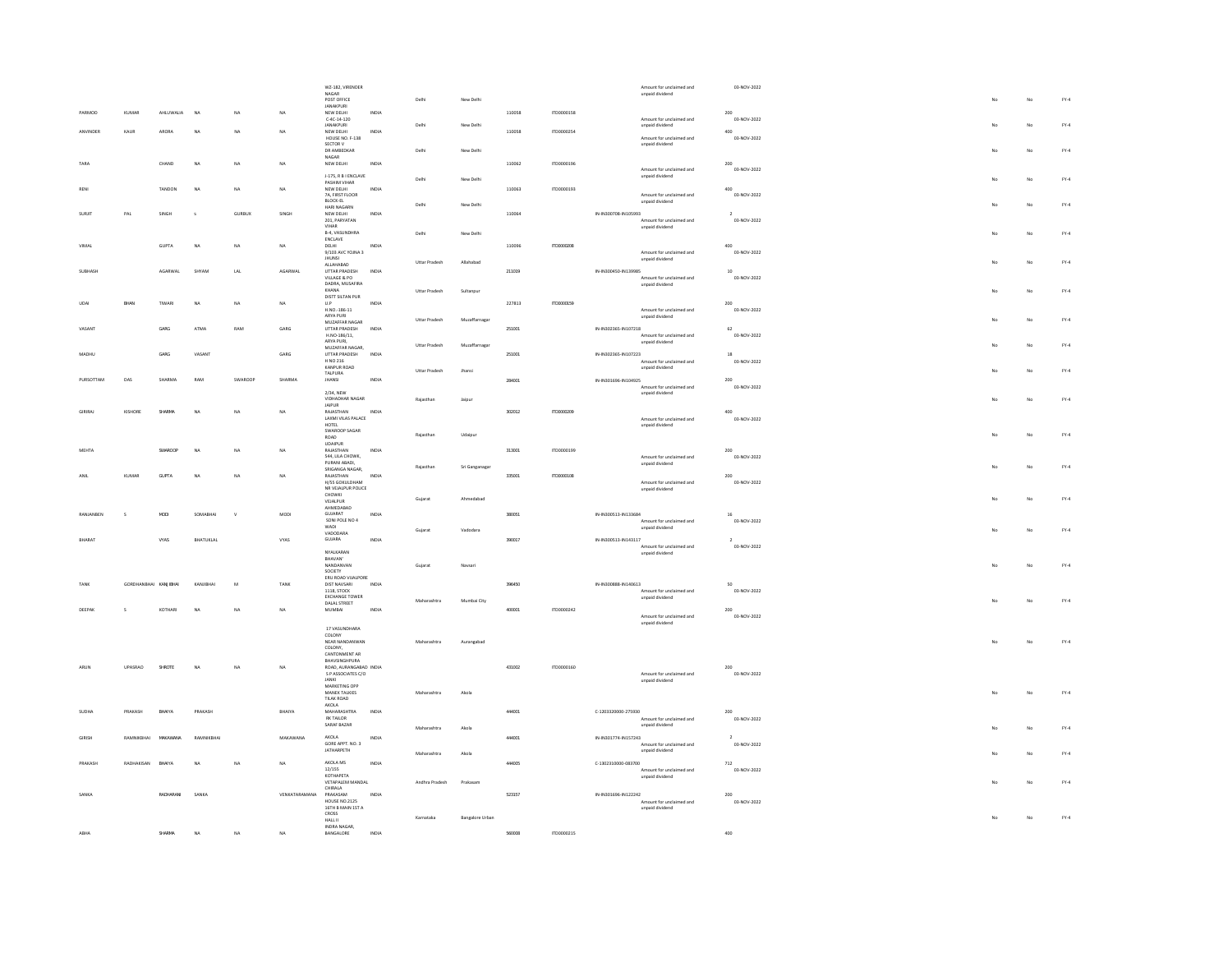|                |                       |           |           |               |                | WZ-182, VIRENDER                                                    |              |                      |                        |        |            | Amount for unclaimed and                         |                | 03-NOV-2022 |     |             |        |
|----------------|-----------------------|-----------|-----------|---------------|----------------|---------------------------------------------------------------------|--------------|----------------------|------------------------|--------|------------|--------------------------------------------------|----------------|-------------|-----|-------------|--------|
|                |                       |           |           |               |                | NAGAR<br>POST OFFICE                                                |              | Delh                 | New Delhi              |        |            | unpaid dividend                                  |                |             |     | $_{\rm No}$ | $FY-4$ |
|                |                       |           |           |               |                | <b>IANAKPURI</b>                                                    |              |                      |                        |        |            |                                                  |                |             |     |             |        |
| PARMOD         | KUMAR                 | AHLUWALIA | NA        | NA            | NA             | NEW DELHI                                                           | INDIA        |                      |                        | 110058 | ITD0000158 |                                                  | 200            |             |     |             |        |
|                |                       |           |           |               |                | $C-4C-14-120$<br>JANAKPURI                                          |              | Delhi                | New Delhi              |        |            | Amount for unclaimed and<br>unpaid dividend      |                | 03-NOV-2022 |     | No          | FY.4   |
| AMMMDEE        | KAUR                  | ARORA     | NA        | $N\Delta$     | $_{\text{NA}}$ | NEW DELHI                                                           | INDIA        |                      |                        | 110058 | ITD0000254 |                                                  | ann            |             |     |             |        |
|                |                       |           |           |               |                | HOUSE NO. F-138                                                     |              |                      |                        |        |            | Amount for unclaimed and                         |                | 03-NOV-2022 |     |             |        |
|                |                       |           |           |               |                | SECTOR V                                                            |              |                      |                        |        |            | unpaid dividend                                  |                |             |     |             |        |
|                |                       |           |           |               |                | DR AMBEDKAR<br>NAGAR                                                |              | Delhi                | New Delhi              |        |            |                                                  |                |             |     | No          | FY.4   |
| TARA           |                       | CHAND     | NA        | NA            | NA             | NEW DELHI                                                           | INDIA        |                      |                        | 110062 | ITD0000196 |                                                  | 200            |             |     |             |        |
|                |                       |           |           |               |                |                                                                     |              |                      |                        |        |            | Amount for unclaimed and                         |                | 03-NOV-2022 |     |             |        |
|                |                       |           |           |               |                | J-175, R B I ENCLAVE<br>PASHIM VIHAR                                |              | Delhi                | New Delhi              |        |            | unpaid dividend                                  |                |             |     | No          | $FY-4$ |
| RENI           |                       | TANDON    | <b>NA</b> | NA            | NA             | NEW DELHI                                                           | INDIA        |                      |                        | 110063 | ITD0000193 |                                                  | 400            |             |     |             |        |
|                |                       |           |           |               |                | 7A, FIRST FLOOR                                                     |              |                      |                        |        |            | Amount for unclaimed and                         |                | 03-NOV-2022 |     |             |        |
|                |                       |           |           |               |                | <b>BLOCK-EL</b><br>HARI NAGARN                                      |              | Delhi                | New Delhi              |        |            | unpaid dividend                                  |                |             |     | No          | $FY-4$ |
| SURJIT         | PAL                   | SINGH     |           | <b>GURBUX</b> | SINGH          | NEW DELHI                                                           | INDIA        |                      |                        | 110064 |            | IN-IN300708-IN105993                             |                |             |     |             |        |
|                |                       |           |           |               |                | 201, PARYATAN                                                       |              |                      |                        |        |            | Amount for unclaimed and                         |                | 03-NOV-2022 |     |             |        |
|                |                       |           |           |               |                | VIHAR                                                               |              |                      |                        |        |            | unpaid dividend                                  |                |             |     |             |        |
|                |                       |           |           |               |                | B-4, VASUNDHRA<br>ENCLAVE                                           |              | Delh                 | New Delhi              |        |            |                                                  |                |             |     | No          | $FY-4$ |
| VIMAL          |                       | GUPTA     | NA        | NA            | NA             | DELHI                                                               | INDIA        |                      |                        | 110096 | ITD0000208 |                                                  | 400            |             |     |             |        |
|                |                       |           |           |               |                | 9/103 AVC YOJNA 3                                                   |              |                      |                        |        |            | Amount for unclaimed and                         |                | 03-NOV-2022 |     |             |        |
|                |                       |           |           |               |                | <b>JHUNSI</b>                                                       |              | <b>Uttar Pradesh</b> | Allahabad              |        |            | unpaid dividend                                  |                |             |     | No          | $FY-4$ |
| <b>SUBHASE</b> |                       | AGARWAL   | SHYAM     | LAL           | AGARWAL        | ALLAHABAD<br>UTTAR PRADESH                                          | INDIA        |                      |                        | 211019 |            | IN-IN300450-IN139985                             | 10             |             |     |             |        |
|                |                       |           |           |               |                | VILLAGE & PO                                                        |              |                      |                        |        |            | Amount for unclaimed and                         |                | 03-NOV-2022 |     |             |        |
|                |                       |           |           |               |                | DADRA, MUSAFIRA                                                     |              |                      |                        |        |            | unpaid dividend                                  |                |             |     |             |        |
|                |                       |           |           |               |                | KHANA                                                               |              | Uttar Pradesh        | Sultanpur              |        |            |                                                  |                |             |     | $_{\rm No}$ | $FY-4$ |
|                | BHAN                  | TIWARI    | NA        | NA            | NA             | DISTT SILTAN PUR                                                    | INDIA        |                      |                        |        |            |                                                  | 200            |             |     |             |        |
|                |                       |           |           |               |                | $\mathsf{U}.\mathsf{P}$<br>H.NO.-186-11                             |              |                      |                        | 227813 | ITD0000159 | Amount for unclaimed and                         |                | 03-NOV-2022 |     |             |        |
|                |                       |           |           |               |                | ARYA PURI                                                           |              |                      |                        |        |            | unpaid dividend                                  |                |             |     |             | $FY-4$ |
|                |                       |           |           |               |                | MUZAFFAR NAGAR                                                      |              | Uttar Pradesh        | Muzaffarnagar          |        |            |                                                  |                |             |     | No          |        |
|                |                       | GARG      | ATMA      | RAM           | GARG           | UTTAR PRADESH                                                       | INDIA        |                      |                        | 251001 |            | IN-IN302365-IN107218                             | 62             |             |     |             |        |
|                |                       |           |           |               |                | H.NO-186/11,<br>ARYA PURI,                                          |              |                      |                        |        |            | Amount for unclaimed and                         |                | 03-NOV-2022 |     |             |        |
|                |                       |           |           |               |                | MUZAFFAR NAGAR.                                                     |              | <b>Uttar Pradesh</b> | Muzaffarnagar          |        |            | unpaid dividend                                  |                |             |     | No          | $FY-4$ |
| MADHU          |                       | GARG      | VASANT    |               | GARG           | <b>UTTAR PRADESH</b>                                                | INDIA        |                      |                        | 251001 |            | IN-IN302365-IN107223                             |                |             |     |             |        |
|                |                       |           |           |               |                | H NO 216                                                            |              |                      |                        |        |            | Amount for unclaimed and                         |                | 03-NOV-2022 |     |             |        |
|                |                       |           |           |               |                | KANPUR ROAD<br>TAI PLIRA                                            |              | <b>Uttar Pradesh</b> | thans                  |        |            | unpaid dividend                                  |                |             |     | No          | $FY-4$ |
| PURSOTTAM      | DAS                   | SHARMA    | RAM       | SWAROOP       | SHARMA         | <b>JHANSI</b>                                                       | INDIA        |                      |                        | 284001 |            | IN-IN301696-IN104925                             | 200            |             |     |             |        |
|                |                       |           |           |               |                |                                                                     |              |                      |                        |        |            | Amount for unclaimed and                         |                | 03-NOV-2022 |     |             |        |
|                |                       |           |           |               |                | 2/34, NEW                                                           |              |                      |                        |        |            | unpaid dividend                                  |                |             |     |             |        |
|                |                       |           |           |               |                | VIDHADHAR NAGAR                                                     |              | Rajasthan            | Jaipur                 |        |            |                                                  |                |             |     | No          | $FY-4$ |
| GIRIRAL        | KISHORE               | SHARMA    |           |               |                | JAIPUR<br>RAJASTHAN                                                 |              |                      |                        |        | ITD0000209 |                                                  |                |             |     |             |        |
|                |                       |           | NA        | NA            | NA             | LAXMI VILAS PALACE                                                  | INDIA        |                      |                        | 302012 |            | Amount for unclaimed and                         | $400\,$        | 03-NOV-2022 |     |             |        |
|                |                       |           |           |               |                | HOTEL                                                               |              |                      |                        |        |            | unpaid dividend                                  |                |             |     |             |        |
|                |                       |           |           |               |                | SWAROOP SAGAR                                                       |              | Rajasthar            | Udaipu                 |        |            |                                                  |                |             |     | No          | $FY-4$ |
|                |                       |           |           |               |                | $\begin{tabular}{ c c } \hline \text{ROAD} \\ \hline \end{tabular}$ |              |                      |                        |        |            |                                                  |                |             |     |             |        |
| <b>MEHTA</b>   |                       | SWAROOP   | NA        | NA            | NA             | <b>UDAIPUR</b><br>RAJASTHAN                                         | INDIA        |                      |                        | 313001 | ITD0000199 |                                                  | 200            |             |     |             |        |
|                |                       |           |           |               |                | 544. LILA CHOWK.                                                    |              |                      |                        |        |            | Amount for unclaimed and                         |                | 03-NOV-2022 |     |             |        |
|                |                       |           |           |               |                | PURANI ABADI,                                                       |              | Raiasthan            |                        |        |            | unpaid dividend                                  |                |             |     | No          | $FY-4$ |
|                |                       |           |           |               |                | SRIGANGA NAGAR.                                                     |              |                      | Sri Ganganagar         |        |            |                                                  |                |             |     |             |        |
|                | KUMAR                 | GUPTA     | NA        | NA            | NA             | RAJASTHAN<br>H/55 GOKULDHAM                                         | INDIA        |                      |                        | 335001 | ITD0000108 |                                                  | 200            |             |     |             |        |
|                |                       |           |           |               |                | NR VEJALPUR POLICE                                                  |              |                      |                        |        |            | Amount for unclaimed and<br>unpaid dividend      |                | 03-NOV-2022 |     |             |        |
|                |                       |           |           |               |                | CHOWKI                                                              |              |                      |                        |        |            |                                                  |                |             |     |             |        |
|                |                       |           |           |               |                | VEJALPUR                                                            |              | Gujarat              | Ahmedabad              |        |            |                                                  |                |             | No  | No          | $FY-4$ |
|                |                       |           |           |               |                | AHMEDABAD                                                           |              |                      |                        |        |            |                                                  |                |             |     |             |        |
| RANJANBEN      | s                     | MODI      | SOMABHAI  | $\mathsf{v}$  | MODI           | GUJARAT<br>SONI POLE NO 4                                           | INDIA        |                      |                        | 380051 |            | IN-IN300513-IN133684<br>Amount for unclaimed and | 16             | 03-NOV-2022 |     |             |        |
|                |                       |           |           |               |                | WADI                                                                |              |                      |                        |        |            | unpaid dividend                                  |                |             |     |             |        |
|                |                       |           |           |               |                | VADODARA                                                            |              | Gujarat              | Vadodara               |        |            |                                                  |                |             |     | $_{\rm No}$ | $FY-4$ |
| BHARAT         |                       | VYAS      | BHATUKLAL |               | VYAS           | GUJARA                                                              | <b>INDIA</b> |                      |                        | 390017 |            | IN-IN300513-IN143117                             | $\overline{2}$ |             |     |             |        |
|                |                       |           |           |               |                | NYAIKARAN                                                           |              |                      |                        |        |            | Amount for unclaimed and                         |                | 03-NOV-2022 |     |             |        |
|                |                       |           |           |               |                | BHAVAN'                                                             |              |                      |                        |        |            | unpaid dividend                                  |                |             |     |             |        |
|                |                       |           |           |               |                | NANDANVAN                                                           |              | Gujarat              | Navsari                |        |            |                                                  |                |             |     | No          | $FY-4$ |
|                |                       |           |           |               |                | SOCIETY                                                             |              |                      |                        |        |            |                                                  |                |             |     |             |        |
|                |                       |           |           |               |                | ERU ROAD VUALPORE                                                   |              |                      |                        |        |            |                                                  |                |             |     |             |        |
| TANK           | GORDHANBHAI KANJIBHAI |           | KANJIBHAI | M             | TANK           | DIST NAVSARI<br>1118, STOCK                                         | INDIA        |                      |                        | 396450 |            | IN-IN300888-IN140613<br>Amount for unclaimed and | sn             | 03-NOV-2022 |     |             |        |
|                |                       |           |           |               |                | <b>EXCHANGE TOWER</b>                                               |              |                      |                        |        |            | unpaid dividend                                  |                |             |     |             |        |
|                |                       |           |           |               |                | DALAL STREET                                                        |              | Maharashtra          | Mumbai City            |        |            |                                                  |                |             |     | No          | $FY-4$ |
| DEEPAK         | $\mathsf{s}$          | KOTHARI   | NA        | NA            | NA             | MUMBAI                                                              | <b>INDIA</b> |                      |                        | 400001 | ITD0000242 |                                                  | 200            | 03-NOV-2022 |     |             |        |
|                |                       |           |           |               |                |                                                                     |              |                      |                        |        |            | Amount for unclaimed and<br>unpaid dividend      |                |             |     |             |        |
|                |                       |           |           |               |                | 17 VASUNDHARA                                                       |              |                      |                        |        |            |                                                  |                |             |     |             |        |
|                |                       |           |           |               |                | COLONY                                                              |              |                      |                        |        |            |                                                  |                |             |     |             |        |
|                |                       |           |           |               |                | NEAR NANDANWAN                                                      |              | Maharashtra          | Aurangabad             |        |            |                                                  |                |             |     | No          | $FY-4$ |
|                |                       |           |           |               |                | COLONY.<br>CANTONMENT AR                                            |              |                      |                        |        |            |                                                  |                |             |     |             |        |
|                |                       |           |           |               |                | BHAVSINGHPURA                                                       |              |                      |                        |        |            |                                                  |                |             |     |             |        |
| ARUM           | UPASRAO               | SHROTE    | <b>NA</b> |               | NA             | ROAD, AURANGABAD INDIA                                              |              |                      |                        | 431002 | ITD0000160 |                                                  | 200            |             |     |             |        |
|                |                       |           |           |               |                | S P ASSOCIATES C/O                                                  |              |                      |                        |        |            | Amount for unclaimed and                         |                | 03-NOV-2022 |     |             |        |
|                |                       |           |           |               |                | JANKI<br>MARKETING OPP                                              |              |                      |                        |        |            | unpaid dividend                                  |                |             |     |             |        |
|                |                       |           |           |               |                | MANEK TALKIES                                                       |              | Maharashtra          | Akola                  |        |            |                                                  |                |             | No. | No          | $FY-4$ |
|                |                       |           |           |               |                | TILAK ROAD                                                          |              |                      |                        |        |            |                                                  |                |             |     |             |        |
|                |                       |           |           |               |                | AKOLA                                                               |              |                      |                        |        |            |                                                  |                |             |     |             |        |
| <b>SLIDHA</b>  | PRAKASH               | BHAIYA    | PRAKASH   |               | BHAIYA         | <b>MAHARASHTRA</b>                                                  | INDIA        |                      |                        | 444001 |            | C-1203320000-275930                              | 200            |             |     |             |        |
|                |                       |           |           |               |                | RK TAILOR<br>SARAF BAZAR                                            |              |                      |                        |        |            | Amount for unclaimed and<br>unpaid dividend      |                | 03-NOV-2022 |     |             |        |
|                |                       |           |           |               |                |                                                                     |              | Maharashtra          | Akola                  |        |            |                                                  |                |             |     | No          | FY.4   |
|                | RAMNIKBHAI            | MAKAWANA  | RAMNIKBHA |               | MAKAWANA       | AKOLA                                                               | INDIA        |                      |                        | 444001 |            | IN-IN301774-IN157243                             |                |             |     |             |        |
|                |                       |           |           |               |                | GORE APPT, NO. 3                                                    |              |                      |                        |        |            | Amount for unclaimed and                         |                | 03-NOV-2022 |     |             |        |
|                |                       |           |           |               |                | JATHARPETH                                                          |              | Maharashtra          | Akola                  |        |            | unpaid dividend                                  |                |             |     | No          | $FY-4$ |
| PRAKASH        | RADHAKISAN            | BHAIYA    | <b>NA</b> | NA            | NA             | AKOLA MS                                                            | INDIA        |                      |                        | 444005 |            | C-1302310000-083700                              | $712\,$        |             |     |             |        |
|                |                       |           |           |               |                | 12/155                                                              |              |                      |                        |        |            | Amount for unclaimed and                         |                | 03-NOV-2022 |     |             |        |
|                |                       |           |           |               |                | KOTHAPETA                                                           |              |                      |                        |        |            | unpaid dividend                                  |                |             |     |             |        |
|                |                       |           |           |               |                | VETAPALEM MANDAL                                                    |              | Andhra Pradesh       | Prakasan               |        |            |                                                  |                |             |     | No          | $FY-4$ |
| SANKA          |                       | RADHARANI | SANKA     |               | VENKATARAMANA  | CHIRALA<br>PRAKASAM                                                 |              |                      |                        | 523157 |            |                                                  |                |             |     |             |        |
|                |                       |           |           |               |                | <b>HOUSE NO.2125</b>                                                | INDIA        |                      |                        |        |            | IN-IN301696-IN122242<br>Amount for unclaimed and | 200            | 03-NOV-2022 |     |             |        |
|                |                       |           |           |               |                | 16TH B MAIN 1ST A                                                   |              |                      |                        |        |            | unpaid dividend                                  |                |             |     |             |        |
|                |                       |           |           |               |                | CROSS                                                               |              | Karnataka            | <b>Bangalore Urban</b> |        |            |                                                  |                |             |     | No          | $FY-4$ |
|                |                       |           |           |               |                | HALL II                                                             |              |                      |                        |        |            |                                                  |                |             |     |             |        |
|                |                       |           |           |               |                | INDRA NAGAR,                                                        |              |                      |                        |        |            |                                                  |                |             |     |             |        |
| ABHA           |                       | SHARMA    | <b>NA</b> | NA.           | NA             | BANGALORE                                                           | <b>INDIA</b> |                      |                        | 560008 | ITD0000215 |                                                  | 400            |             |     |             |        |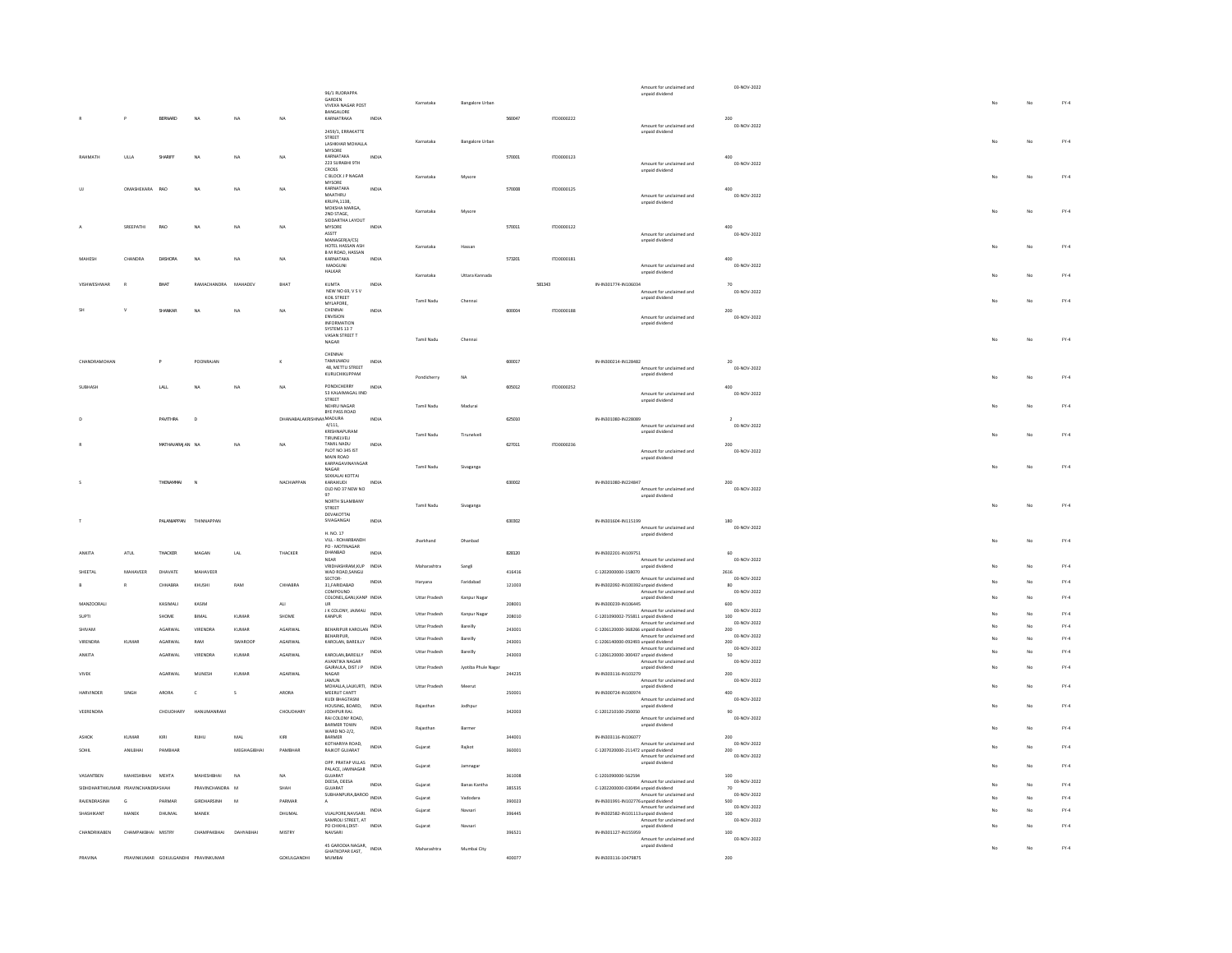|              |                  |                                   |                 |                                     |                |                         | 96/1 RUDRAPPA                                                                                                                                                                                                                                                |              |                   |                        |        |            |                                      | Amount for unclaimed and<br>unpaid dividend | 03-NOV-2022         |    |    |        |
|--------------|------------------|-----------------------------------|-----------------|-------------------------------------|----------------|-------------------------|--------------------------------------------------------------------------------------------------------------------------------------------------------------------------------------------------------------------------------------------------------------|--------------|-------------------|------------------------|--------|------------|--------------------------------------|---------------------------------------------|---------------------|----|----|--------|
|              |                  |                                   |                 |                                     |                |                         | GARDEN                                                                                                                                                                                                                                                       |              | Karnataka         | <b>Bangalore Urban</b> |        |            |                                      |                                             |                     |    | No | $FY-4$ |
|              |                  |                                   |                 |                                     |                |                         | <b>VIVEKA NAGAR POST</b><br>BANGALORE                                                                                                                                                                                                                        |              |                   |                        |        |            |                                      |                                             |                     |    |    |        |
|              |                  | $\overline{P}$                    | BERNARD         | $_{\sf NA}$                         | $_{\rm NA}$    | NA.                     | KARNATRAKA                                                                                                                                                                                                                                                   | INDIA        |                   |                        | 560047 | ITD0000222 |                                      | Amount for unclaimed and                    | 200<br>03-NOV-2022  |    |    |        |
|              |                  |                                   |                 |                                     |                |                         | 2459/1, ERRAKATTE                                                                                                                                                                                                                                            |              |                   |                        |        |            |                                      | unpaid dividend                             |                     |    |    |        |
|              |                  |                                   |                 |                                     |                |                         | STREET<br>LASHKHAR MOHALLA                                                                                                                                                                                                                                   |              | Karnataka         | <b>Bangalore Urban</b> |        |            |                                      |                                             |                     |    | No | $FY-4$ |
| RAHMATH      |                  | ULLA                              | SHARIFF         | NA                                  | NA             | <b>NA</b>               | MYSORE<br>KARNATAKA                                                                                                                                                                                                                                          | INDIA        |                   |                        | 570001 | 1700000123 |                                      |                                             | ann                 |    |    |        |
|              |                  |                                   |                 |                                     |                |                         | 223 SURABHI 9TH                                                                                                                                                                                                                                              |              |                   |                        |        |            |                                      | Amount for unclaimed and                    | 03-NOV-2022         |    |    |        |
|              |                  |                                   |                 |                                     |                |                         | CROSS<br>C BLOCK J P NAGAR                                                                                                                                                                                                                                   |              | Karnataka         | Mysore                 |        |            |                                      | unpaid dividend                             |                     |    | No | $FY-4$ |
|              |                  |                                   |                 |                                     |                |                         | MYSORE<br>KARNATAKA                                                                                                                                                                                                                                          |              |                   |                        |        |            |                                      |                                             |                     |    |    |        |
|              |                  | OMASHEKARA                        | RAO             |                                     | NA             | NA                      | MAATHRU                                                                                                                                                                                                                                                      | INDM         |                   |                        | 570008 | ITD0000125 |                                      | Amount for unclaimed and                    | 03-NOV-2022         |    |    |        |
|              |                  |                                   |                 |                                     |                |                         | <b>KRUPA,1138,</b><br>MOKSHA MARGA,                                                                                                                                                                                                                          |              |                   |                        |        |            |                                      | unpaid dividend                             |                     |    |    |        |
|              |                  |                                   |                 |                                     |                |                         | 2ND STAGE.                                                                                                                                                                                                                                                   |              | Karnataka         | Myson                  |        |            |                                      |                                             |                     |    | No | $FY-4$ |
|              |                  | SREEPATHI                         | RAO             | NA                                  | NA             | NA                      | SIDDARTHA LAYOUT<br>MYSORE                                                                                                                                                                                                                                   | <b>INDIA</b> |                   |                        | 570011 | ITD0000122 |                                      |                                             | 400                 |    |    |        |
|              |                  |                                   |                 |                                     |                |                         | ASSTT<br>MANAGER(A/CS)                                                                                                                                                                                                                                       |              |                   |                        |        |            |                                      | Amount for unclaimed and                    | 03-NOV-2022         |    |    |        |
|              |                  |                                   |                 |                                     |                |                         | HOTEL HASSAN ASH                                                                                                                                                                                                                                             |              | Karnataka         | Hassan                 |        |            |                                      | unpaid dividend                             |                     |    | No | $FY-4$ |
|              |                  | CHANDRA                           | DASHORA         | <b>NA</b>                           | NA             | NA                      | B M ROAD, HASSAN<br>KARNATAKA                                                                                                                                                                                                                                | INDM         |                   |                        | 573201 | ITD0000181 |                                      |                                             | 400                 |    |    |        |
|              |                  |                                   |                 |                                     |                |                         | MADGUNI                                                                                                                                                                                                                                                      |              |                   |                        |        |            |                                      | Amount for unclaimed and                    | 03-NOV-2022         |    |    |        |
|              |                  |                                   |                 |                                     |                |                         | HALKAR                                                                                                                                                                                                                                                       |              | Karnataka         | Uttara Kannada         |        |            |                                      | unpaid dividend                             |                     |    | No | $FY-4$ |
|              |                  |                                   | <b>DUA</b>      | RAMACHANDRA                         | MAHADEV        | <b>BHAT</b>             | KUMTA<br>NEW NO 69, V S V                                                                                                                                                                                                                                    |              |                   |                        |        | 581343     | IN-IN301774-IN106034                 |                                             |                     |    |    |        |
|              |                  |                                   |                 |                                     |                |                         | KOIL STREET                                                                                                                                                                                                                                                  |              | Tamil Nadu        | Chenna                 |        |            |                                      | Amount for unclaimed and<br>unpaid dividend | 03-NOV-2022         |    | No | $FY-4$ |
|              |                  | $\mathbf{v}$                      | SHANKAR         | NA                                  | NA             | <b>NA</b>               | MYLAPORE,<br>CHENNAL                                                                                                                                                                                                                                         | INDIA        |                   |                        | 600004 | ITD0000188 |                                      |                                             | 200                 |    |    |        |
|              |                  |                                   |                 |                                     |                |                         | ENVISION                                                                                                                                                                                                                                                     |              |                   |                        |        |            |                                      | Amount for unclaimed and                    | 03-NOV-2022         |    |    |        |
|              |                  |                                   |                 |                                     |                |                         | INFORMATION<br>SYSTEMS 13 7                                                                                                                                                                                                                                  |              |                   |                        |        |            |                                      | unpaid dividend                             |                     |    |    |        |
|              |                  |                                   |                 |                                     |                |                         | VASAN STREET T<br>NAGAR                                                                                                                                                                                                                                      |              | Tamil Nadu        | Chenna                 |        |            |                                      |                                             |                     |    | No | $FY-4$ |
|              |                  |                                   |                 |                                     |                |                         |                                                                                                                                                                                                                                                              |              |                   |                        |        |            |                                      |                                             |                     |    |    |        |
|              | CHANDRAMOHAN     |                                   | $\mathsf{P}$    | POONRAJAM                           |                | $\kappa$                | CHENNAL<br>TAMILNADU                                                                                                                                                                                                                                         | INDIA        |                   |                        | 600017 |            | IN-IN300214-IN128482                 |                                             |                     |    |    |        |
|              |                  |                                   |                 |                                     |                |                         | 48 METTU STREET                                                                                                                                                                                                                                              |              |                   |                        |        |            |                                      | Amount for unclaimed and                    | 03-NOV-2022         |    |    |        |
|              |                  |                                   |                 |                                     |                |                         | KURUCHIKUPPAM                                                                                                                                                                                                                                                |              | Pondicherry       | NA                     |        |            |                                      | unpaid dividend                             |                     |    | No | $FY-4$ |
|              |                  |                                   | LALL            |                                     | NA             | NA                      | PONDICHERRY<br>53 KALAIMAGAL IIND                                                                                                                                                                                                                            | INDIA        |                   |                        | 605012 | ITD0000252 |                                      | Amount for unclaimed and                    | 03-NOV-2022         |    |    |        |
|              |                  |                                   |                 |                                     |                |                         | STREET                                                                                                                                                                                                                                                       |              |                   |                        |        |            |                                      | unpaid dividend                             |                     |    |    |        |
|              |                  |                                   |                 |                                     |                |                         | NEHRU NAGAR<br><b>RYF PASS ROAD</b>                                                                                                                                                                                                                          |              | Tamil Nadu        | Madurai                |        |            |                                      |                                             |                     |    | No | EY-4   |
|              |                  |                                   | PAVITHRA        | $\sqrt{2}$                          |                | DHANABALAKRISHNAMMADURA |                                                                                                                                                                                                                                                              | INDIA        |                   |                        | 625010 |            | IN-IN301080-IN228089                 | Amount for unclaimed and                    | 03-NOV-2022         |    |    |        |
|              |                  |                                   |                 |                                     |                |                         | 4/111,<br>KRISHNAPURAM                                                                                                                                                                                                                                       |              | Tamil Nadu        | Tinunelwell            |        |            |                                      | unpaid dividend                             |                     |    | No | $FY-4$ |
|              |                  |                                   | MATHAVARAJAN NA |                                     | NA             | NA                      | TIRUNELVELI<br>TAMIL NADU                                                                                                                                                                                                                                    | INDIA        |                   |                        | 627011 | ITD0000236 |                                      |                                             | 200                 |    |    |        |
|              |                  |                                   |                 |                                     |                |                         | PLOT NO 345 IST                                                                                                                                                                                                                                              |              |                   |                        |        |            |                                      | Amount for unclaimed and                    | 03-NOV-2022         |    |    |        |
|              |                  |                                   |                 |                                     |                |                         | MAIN ROAD<br>KARPAGAVINAYAGAR                                                                                                                                                                                                                                |              |                   |                        |        |            |                                      | unpaid dividend                             |                     |    |    |        |
|              |                  |                                   |                 |                                     |                |                         | NAGAR<br>SEKKALAI KOTTAI                                                                                                                                                                                                                                     |              | Tamil Nadu        | Sivaganga              |        |            |                                      |                                             |                     |    | No | $FY-4$ |
|              |                  |                                   | THENAMMAL       | $\overline{N}$                      |                | NACHIAPPAN              | KARAIKUDI                                                                                                                                                                                                                                                    | INDM         |                   |                        | 630002 |            | IN-IN301080-IN224847                 |                                             | 200                 |    |    |        |
|              |                  |                                   |                 |                                     |                |                         | OLD NO 37 NEW NO                                                                                                                                                                                                                                             |              |                   |                        |        |            |                                      | Amount for unclaimed and<br>unpaid dividend | 03-NOV-2022         |    |    |        |
|              |                  |                                   |                 |                                     |                |                         | NORTH SILAMBANY                                                                                                                                                                                                                                              |              | <b>Tamil Nadu</b> | Sivaganga              |        |            |                                      |                                             |                     | No | No | $FY-4$ |
|              |                  |                                   |                 |                                     |                |                         | STREET<br><b>DEVAKOTTAL</b>                                                                                                                                                                                                                                  |              |                   |                        |        |            |                                      |                                             |                     |    |    |        |
|              |                  |                                   | PAI ANIAPPAN    | THINNAPPAN                          |                |                         | SIVAGANGAI                                                                                                                                                                                                                                                   | INDIA        |                   |                        | 630302 |            | IN-IN301604-IN115199                 | Amount for unclaimed and                    | 180<br>03-NOV-2022  |    |    |        |
|              |                  |                                   |                 |                                     |                |                         | H. NO. 17                                                                                                                                                                                                                                                    |              |                   |                        |        |            |                                      | unpaid dividend                             |                     |    |    |        |
|              |                  |                                   |                 |                                     |                |                         | VILL - ROHARBANDH<br>PO - MOTINAGAR                                                                                                                                                                                                                          |              | Jharkhand         | Dhanbad                |        |            |                                      |                                             |                     |    | No | $FY-4$ |
|              |                  | ATUL                              | THACKER         | MAGAM                               | LAL            | THACKER                 | DHANBAD                                                                                                                                                                                                                                                      | INDM         |                   |                        | 828120 |            | IN-IN302201-IN109751                 |                                             |                     |    |    |        |
|              |                  |                                   |                 |                                     |                |                         | <b>NEAR</b><br>VRIDHASHRAM,KUP INDIA                                                                                                                                                                                                                         |              | Maharashtra       | Sangli                 |        |            |                                      | Amount for unclaimed and<br>unpaid dividend | 03-NOV-2022         |    | No | $FY-4$ |
| SHEETAL      |                  | MAHAVEER                          | DHAVATE         | MAHAVEER                            |                |                         | WAD ROAD, SANGLI<br>SECTOR-                                                                                                                                                                                                                                  |              |                   |                        | 416416 |            | C-1202000000-158070                  | Amount for unclaimed and                    | 2616<br>03-NOV-2022 |    |    |        |
|              |                  | ${\mathsf R}$                     | CHHABRA         | KHUSHI                              | RAM            | CHHABRA                 | 31, FARIDABAD                                                                                                                                                                                                                                                | INDV         | Haryana           | Faridabad              | 121003 |            | IN-IN302092-IN100392 unpaid dividend |                                             |                     |    | No | $FY-4$ |
|              |                  |                                   |                 |                                     |                |                         | COMPOUND.<br>COLONEL, GANJ, KANP INDIA                                                                                                                                                                                                                       |              | Uttar Pradesh     | Kanpur Nagar           |        |            |                                      | Amount for unclaimed and<br>unpaid dividend | 03-NOV-2022         |    | No | $FY-4$ |
|              | MANZOORALI       |                                   | KASIMALI        | KASIM                               |                | ALI                     |                                                                                                                                                                                                                                                              |              |                   |                        | 208001 |            | IN-IN300239-IN106445                 |                                             | 600                 |    |    |        |
| <b>SUPTI</b> |                  |                                   | SHOME           | BIMAL                               | <b>KUMAR</b>   | SHOME                   | J K COLONY, JAJMAU<br>KANPUR                                                                                                                                                                                                                                 | INDIA        | Uttar Pradesh     | Kanpur Nagar           | 208010 |            | C-1201090002-755811 unpaid dividend  | Amount for unclaimed and                    | 03-NOV-2022<br>100  |    | No | $FY-4$ |
| SHIVAM       |                  |                                   | AGARWAL         | VIRENDRA                            | KUMAR          | AGARWAL                 | BEHARIPUR KAROLAN INDIA                                                                                                                                                                                                                                      |              | Uttar Pradesh     | Bareilly               | 243001 |            | C-1206120000-368266 unpaid dividend  | Amount for unclaimed and                    | 03-NOV-2022<br>200  |    | No | $FY-4$ |
|              |                  |                                   |                 |                                     |                |                         | REHARIPUR                                                                                                                                                                                                                                                    |              | Uttar Pradesh     | Bareilly               |        |            |                                      | Amount for unclaimed and                    | 03-NOV-2022         |    | No | $FY-4$ |
| VIRENDRA     |                  | KUMAR                             | AGARWAI         | RAM                                 | <b>SWAROOR</b> | AGARWAL                 | $\begin{tabular}{ll} $\begin{array}{lcl} \multicolumn{3}{l}{{\small\textrm{A}}\hspace{-0.2cm}}\end{array}$ & & & & & & \\ \multicolumn{3}{l}{\small\textbf{KAROLAN, BAREILLY}} & & & & \multicolumn{3}{l}{\small\textbf{INDIA}} \end{tabular} \end{tabular}$ |              |                   |                        | 243001 |            | C-1206140000-092493 unpaid dividend  | Amount for unclaimed and                    | 200<br>03-NOV-2022  |    | No | $FY-4$ |
|              |                  |                                   | AGARWA          | VIRENDRA                            | KUMA           | AGARWAL                 | KAROLAN, BAREILLY INDIA<br>AVANTIKA NAGAR                                                                                                                                                                                                                    |              | Uttar Pradesh     | <b>Bareilly</b>        | 24300  |            | C-1206120000-300437 unpaid dividend  | Amount for unclaimed and                    | 03-NOV-2022         |    |    |        |
|              |                  |                                   |                 |                                     |                |                         | GAJRAULA, DIST J P INDIA                                                                                                                                                                                                                                     |              | Uttar Pradesh     | Jyotiba Phule Nagar    |        |            |                                      | unpaid dividend                             |                     |    | No | $FY-4$ |
| VIVEK        |                  |                                   | AGARWAL         | MUNESH                              | <b>KUMAR</b>   | AGARWAL                 | NAGAR<br>JAMUN                                                                                                                                                                                                                                               |              |                   |                        | 244235 |            | IN-IN303116-IN103279                 | Amount for unclaimed and                    | 200<br>03-NOV-2022  |    |    |        |
|              | HARVINDER        | SINGH                             | ARORA           | $\epsilon$                          | $\sim$         | ARORA                   | MOHALLA,LALKURTI, INDIA<br>MEERUT CANTT                                                                                                                                                                                                                      |              | Uttar Pradesh     | Meerut                 | 250001 |            | IN-IN300724-IN100974                 | unpaid dividend                             | 400                 |    | No | $FY-4$ |
|              |                  |                                   |                 |                                     |                |                         | KUDI BHAGTASNI                                                                                                                                                                                                                                               |              |                   |                        |        |            |                                      | Amount for unclaimed and                    | 03-NOV-2022         |    |    |        |
| VEERENDRA    |                  |                                   | CHOUDHARY       | HANUMANRAN                          |                | CHOUDHARY               | HOUSING, BOARD. INDIA<br>JODHPUR RAJ.                                                                                                                                                                                                                        |              | Rajasthan         | Jodhpur                | 342003 |            | C-1201210100-250050                  | unpaid dividend                             | 90                  |    | No | $FY-4$ |
|              |                  |                                   |                 |                                     |                |                         | RAI COLONY ROAD.                                                                                                                                                                                                                                             |              |                   |                        |        |            |                                      | Amount for unclaimed and                    | 03-NOV-2022         |    |    |        |
|              |                  |                                   |                 |                                     |                |                         | BARMER TOWN<br>WARD NO-2/2,                                                                                                                                                                                                                                  | INDIA        | Rajasthan         | Barmer                 |        |            |                                      | unpaid dividend                             |                     |    | No | $FY-4$ |
|              |                  | KUMAR                             | KIRI            | RIJHU                               | $\text{MAL}$   | KIRI                    | BARMER<br>KOTHARIYA ROAD,                                                                                                                                                                                                                                    |              |                   |                        | 344001 |            | IN-IN303116-IN106077                 | Amount for unclaimed and                    | 200<br>03-NOV-2022  |    |    |        |
|              |                  | ANII RHAI                         | PAMRHAR         |                                     | MEGHAGIRHAL    | PAMRHAR                 | RAJKOT GUJARAT                                                                                                                                                                                                                                               | INDIA        | Guiarat           | Raikot                 | 360001 |            | C-1207020000-211472 unpaid dividend  |                                             | 200                 |    | No | $FY-4$ |
|              |                  |                                   |                 |                                     |                |                         | OPP. PRATAP VILLAS                                                                                                                                                                                                                                           |              |                   |                        |        |            |                                      | Amount for unclaimed and<br>unpaid dividend | 03-NOV-2022         |    |    |        |
|              |                  |                                   |                 |                                     |                |                         | PALACE, JAMNAGAR                                                                                                                                                                                                                                             | INDIA        | Gujarat           | Jamnaga                |        |            |                                      |                                             |                     |    | No | $FY-4$ |
|              | VASANTBEN        | MAHESHBHAI MEHTA                  |                 | MAHESHBHAI                          | NA             | NA                      | GUJARAT<br>DEESA, DEESA                                                                                                                                                                                                                                      | INDIA        | Gujarat           | <b>Banas Kantha</b>    | 361008 |            | C-1201090000-562594                  | Amount for unclaimed and                    | 100<br>03-NOV-2022  |    | No | $FY-4$ |
|              |                  | SIDHDHARTHKUMAR PRAVINCHANDRASHAH |                 | PRAVINCHANDRA M                     |                | SHAH                    | GUJARAT<br>GUJANA I<br>SUBHANPURA,BAROD INDIA                                                                                                                                                                                                                |              |                   |                        | 385535 |            | C-1202200000-030494 unpaid dividend  | Amount for unclaimed and                    | 70<br>03-NOV-2022   |    |    |        |
|              | RAJENDRASINH     | G                                 | PARMAR          | GIRDHARSINH                         | M              | PARMAR                  |                                                                                                                                                                                                                                                              |              | Gujarat           | Vadodar                | 390023 |            | IN-IN301991-IN102776 unpaid dividend |                                             | 500                 |    | No | $FY-4$ |
|              | <b>HASHIKANT</b> | MANEK                             | DHUMA           | MANER                               |                | DHUMAL                  | VIJALPORE, NAVSARI. INDIA                                                                                                                                                                                                                                    |              | Gujarat           |                        | 396445 |            | IN-IN302582-IN101113 unpaid dividend | Amount for unclaimed and                    | 03-NOV-2022<br>100  |    | No | $FY-4$ |
|              |                  |                                   |                 |                                     |                |                         | SAMROLI STREET, AT<br>PO CHIKHLI, DIST-                                                                                                                                                                                                                      | INDM         |                   |                        |        |            |                                      | Amount for unclaimed and                    | 03-NOV-2022         |    | No | $FY-4$ |
|              | CHANDRIKABEN     | CHAMPAKBHAI MISTRY                |                 | CHAMPAKBHAI DAHYABHAI               |                | MISTRY                  | NAVSARI                                                                                                                                                                                                                                                      |              | Gujarat           | Navsar                 | 396521 |            | IN-IN301127-IN155959                 | unpaid dividend                             | 100                 |    |    |        |
|              |                  |                                   |                 |                                     |                |                         | 45 GARODIA NAGAR, INDIA                                                                                                                                                                                                                                      |              |                   |                        |        |            |                                      | Amount for unclaimed and<br>unpaid dividend | 03-NOV-2022         |    |    |        |
|              |                  |                                   |                 |                                     |                |                         | <b>GHATKOPAR EAST,</b>                                                                                                                                                                                                                                       |              | Maharashtra       | Mumbai City            |        |            |                                      |                                             |                     | No | No | $FY-4$ |
| PRAVINA      |                  |                                   |                 | PRAVINKUMAR GOKULGANDHI PRAVINKUMAR |                | GOKULGANDHI             | MUMBAI                                                                                                                                                                                                                                                       |              |                   |                        | 400077 |            | IN-IN303116-10479875                 |                                             | 200                 |    |    |        |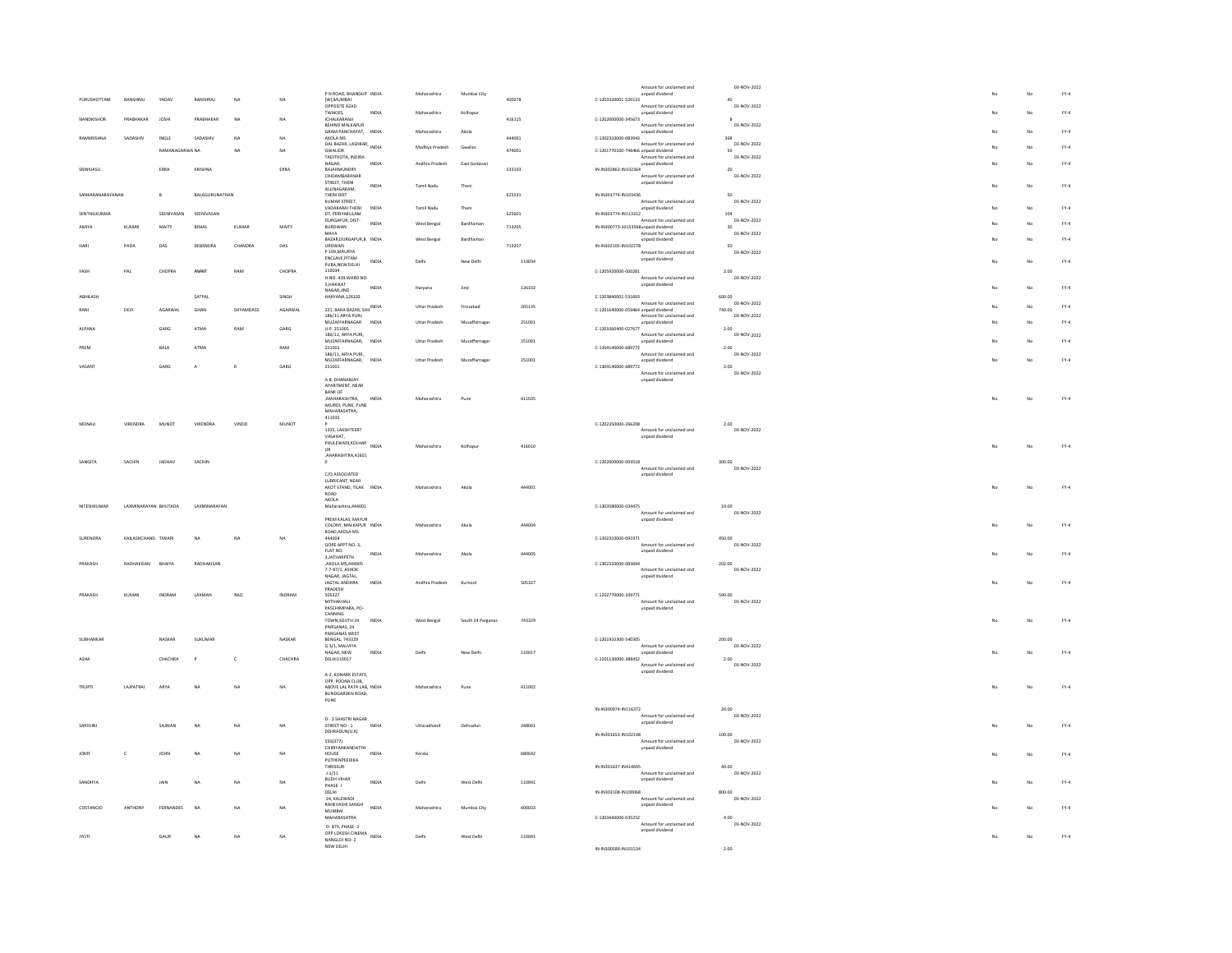|              |                  |                             |                 |                |              |         | P N ROAD, BHANDUP INDIA                                                     |       | Maharashtra           | Mumbai City       |        |                                      | Amount for unclaimed and                    | 03-NOV-2022           |    | No | $FY-4$ |
|--------------|------------------|-----------------------------|-----------------|----------------|--------------|---------|-----------------------------------------------------------------------------|-------|-----------------------|-------------------|--------|--------------------------------------|---------------------------------------------|-----------------------|----|----|--------|
|              | PURUSHOTTAM      | RANSHRAL                    | YADAV           | BANSHRAJ       | NA           | NA      | (W), MUMBAI                                                                 |       |                       |                   | 400078 | $C-1203320001-520133$                | unpaid dividend                             | 40                    |    |    |        |
|              |                  |                             |                 |                |              |         | OPPOSITE AZAD<br>TWAKIES,                                                   | INDIA | Maharashtra           | Kolhapu           |        |                                      | Amount for unclaimed and<br>unpaid dividend | 03-NOV-2022           |    | No | $FY-4$ |
| NANDKISHOR   |                  | PRABHAKAR                   | <b>JOSHI</b>    | PRABHAKAR      | <b>NA</b>    | NA      | ICHALKARANJI                                                                |       |                       |                   | 416115 | C-1202000000-345673                  |                                             | $\mathbf{8}$          |    |    |        |
|              |                  |                             |                 |                |              |         | BEHIND MALKAPUR<br>GRAM PANCHAYAT. INDIA                                    |       | Maharashtra           | Akola             |        |                                      | Amount for unclaimed and<br>unpaid dividend | 03-NOV-2022           |    | No | $FY-4$ |
|              | <b>AMKRISHNA</b> | SADASHIV                    | INGLE           | SADASHIV       | NA           | NA      | AKOLA MS                                                                    |       |                       |                   | 444001 | C-1302310000-083943                  |                                             | 398                   |    |    |        |
|              |                  |                             | RAMANAGARWA NA  |                | $N\Delta$    | NA      | DAL BAZAR, LASHKAR, INDIA<br><b>GWALIOR</b>                                 |       | Madhya Pradesh        | Gwalion           | 474001 | C-1201770100-746466 unpaid dividend  | Amount for unclaimed and                    | 03-NOV-2022<br>sn     |    | No | $FY-4$ |
|              |                  |                             |                 |                |              |         | TADITHOTA, INDIRA<br>NAGAR.                                                 | INDIA | Andhra Pradesh        | East Godayari     |        |                                      | Amount for unclaimed and                    | 03-NOV-2022           |    | No | $FY-4$ |
| SRINIVASU    |                  |                             | ERRA            | KRISHNA        |              | ERRA    | RAJAHMUNDRY                                                                 |       |                       |                   | 533103 | IN-IN302863-IN102364                 | unpaid dividend                             | $\mathbf{z}$          |    |    |        |
|              |                  |                             |                 |                |              |         | CHIDAMRARANAR<br>STREET, THENI                                              |       |                       |                   |        |                                      | Amount for unclaimed and                    | 03-NOV-2022           |    |    |        |
|              |                  |                             |                 |                |              |         | ALLINAGARAM.                                                                | INDIA | Tamil Nadu            | Theni             |        |                                      | unpaid dividend                             |                       | No | No | $FY-4$ |
|              | SANKARANARAYANAN |                             | $\mathsf{B}$    | BALAGURUNATHAN |              |         | THENI DIST<br>KUMAR STREET.                                                 |       |                       |                   | 625531 | IN-IN301774-IN103436                 | Amount for unclaimed and                    | 50<br>03-NOV-2022     |    |    |        |
|              |                  |                             |                 |                |              |         | VADAKARAI THENI                                                             | INDIA | Tamil Nadu            | Theni             |        |                                      | unpaid dividend                             |                       |    | No | $FY-4$ |
|              | SENTHILKUMAR     |                             | SEENIVASAN      | SEENIVASAN     |              |         | DT. PERIYAKULAM<br>DURGAPUR, DIST-                                          |       |                       |                   | 625601 | IN-IN301774-IN113312                 | Amount for unclaimed and                    | 104<br>03-NOV-2022    |    |    |        |
| AMIYA        |                  | <b>KUMAR</b>                | MAITY           | BIMAL          | KUMAR        | MAITY   | BURDWAN                                                                     | INDIA | West Bengal           | Bardhamar         | 713205 | IN-IN300773-10153568 unpaid dividend |                                             | 30                    |    | No | $FY-4$ |
|              |                  |                             |                 |                |              |         | MAYA<br>BAZAR.DURGAPUR.B INDIA                                              |       | West Bengal           | Bardhaman         |        |                                      | Amount for unclaimed and<br>unpaid dividend | 03-NOV-2022           |    | No | $FY-4$ |
|              |                  | PADA                        | DAS             | DEBENDRA       | CHANDRA      | DAS     | URDWAN<br>P 109, MAURYA                                                     |       |                       |                   | 713207 | IN-IN302105-IN102278                 | Amount for unclaimed and                    | $50\,$<br>03-NOV-2022 |    |    |        |
|              |                  |                             |                 |                |              |         | ENCLAVE.PITAM                                                               | INDIA | Delhi                 | New Delhi         | 110034 |                                      | unpaid dividend                             |                       | No | No | $FY-4$ |
| YASH         |                  | $\ensuremath{\mathsf{PAL}}$ | CHOPRA          | ANANT          | RAM          | CHOPRA  | PURA, NEW DELHI<br>110034                                                   |       |                       |                   |        | C-1205920000-000281                  |                                             | 2.00                  |    |    |        |
|              |                  |                             |                 |                |              |         | H.NO. 439, WARD NO.                                                         |       |                       |                   |        |                                      | Amount for unclaimed and                    | 03-NOV-2022           |    |    |        |
|              |                  |                             |                 |                |              |         | <b>S.HAKIKAT</b><br>NAGAR, JIND                                             | INDIA | Haryana               | <b>Jind</b>       | 126102 |                                      | unpaid dividend                             |                       | No | No | $FY-4$ |
| ABHILASH     |                  |                             |                 | SATPAL         |              | SINGH   | HARYANA,126102                                                              |       |                       |                   |        | C-1203840001-531693                  |                                             | 600.00                |    |    |        |
| RANI         |                  | DEVI                        | AGARWAL         | GHAN           | SHYAMDASS    | AGARWA  | 221, BARA BAZAR, SHII INDIA                                                 |       | Uttar Pradesh         | Firozabad         | 205135 | C-1201640000-059464 unpaid dividend  | Amount for unclaimed and                    | 03-NOV-2022<br>740.00 |    | No | $FY-4$ |
|              |                  |                             |                 |                |              |         | 186/11 ARYA PURI,                                                           | INDIA | Uttar Pradesh         |                   | 251001 |                                      | Amount for unclaimed and                    | 03-NOV-2022           |    |    | $FY-4$ |
| ALPANA       |                  |                             | $\mathsf{GARS}$ | ATMA           | RAM          | GARG    | MUZAFFARNAGAR<br>U.P. 251001                                                |       |                       | Muzaffarnaga      |        | C-1201060400-027677                  | unpaid dividend                             | 2.00                  |    | No |        |
|              |                  |                             |                 |                |              |         | 186/11, ARYA PURI.<br>MUZAFFARNAGAR,                                        | INDIA | Uttar Pradesh         | Muzaffarnagar     | 251001 |                                      | Amount for unclaimed and<br>unpaid dividend | 03-NOV-2022           |    | No | $FY-4$ |
| PREM         |                  |                             | <b>BALA</b>     | <b>ATMA</b>    |              | RAM     | 251001                                                                      |       |                       |                   |        | C-1304140000-689772                  |                                             | 2.00                  |    |    |        |
|              |                  |                             |                 |                |              |         | 186/11, ARYA PURI,<br>MUZAFFARNAGAR                                         | INDIA | <b>Littar Pradesh</b> | Muzaffarnagar     | 251001 |                                      | Amount for unclaimed and<br>unpaid dividend | 03-NOV-2022           |    | No | EY-4   |
| VASANT       |                  |                             | GARG            | A              |              | GARG    | 251001                                                                      |       |                       |                   |        | C-1304140000-689772                  |                                             | 2.00                  |    |    |        |
|              |                  |                             |                 |                |              |         | A-8, DHANANJAY                                                              |       |                       |                   |        |                                      | Amount for unclaimed and<br>unpaid dividend | 03-NOV-2022           |    |    |        |
|              |                  |                             |                 |                |              |         | APARTMENT, NEAR                                                             |       |                       |                   |        |                                      |                                             |                       |    |    |        |
|              |                  |                             |                 |                |              |         | BANK OF<br>.MAHARASHTRA                                                     | INDIA | Maharashtra           | Pune              | 411035 |                                      |                                             |                       | No | No | $FY-4$ |
|              |                  |                             |                 |                |              |         | AKURDI, PUNE, PUNE                                                          |       |                       |                   |        |                                      |                                             |                       |    |    |        |
|              |                  |                             |                 |                |              |         | MAHARASHTRA.<br>411035                                                      |       |                       |                   |        |                                      |                                             |                       |    |    |        |
| MONAL        |                  | VIRENDRA                    | MUNOT           | VIRENDRA       | VINOD        | MUNOT   | 1335. LAKSHTEERT                                                            |       |                       |                   |        | C-1202350000-266208                  | Amount for unclaimed and                    | 2.00<br>03-NOV-2022   |    |    |        |
|              |                  |                             |                 |                |              |         | VASAHAT,                                                                    |       |                       |                   |        |                                      | unpaid dividend                             |                       |    |    |        |
|              |                  |                             |                 |                |              |         | VASAMA1,<br>PHULEWADI,KOLHAP INDIA<br>UR.                                   |       | Maharashtra           | Kolhapur          | 416010 |                                      |                                             |                       |    | No | $FY-4$ |
|              |                  |                             |                 |                |              |         | AHARASHTRA,41601                                                            |       |                       |                   |        |                                      |                                             |                       |    |    |        |
| SANGITA      |                  | SACHIN                      | JADHAV          | SACHIN         |              |         |                                                                             |       |                       |                   |        | C-1202000000-093518                  | Amount for unclaimed and                    | 300.00<br>03-NOV-2022 |    |    |        |
|              |                  |                             |                 |                |              |         | C/O ASSOCIATED                                                              |       |                       |                   |        |                                      | unpaid dividend                             |                       |    |    |        |
|              |                  |                             |                 |                |              |         | <b>ILIRRICANT NEAR</b><br>AKOT STAND, TILAK                                 | INDV  | Maharashtr            |                   | 444001 |                                      |                                             |                       |    | No | $FY-4$ |
|              |                  |                             |                 |                |              |         | ROAD                                                                        |       |                       |                   |        |                                      |                                             |                       |    |    |        |
|              | NITESHKUMAR      | LAXMINARAYAN BHUTADA        |                 | LAXMINARAYAN   |              |         | AKOLA<br>Maharashtra,444001                                                 |       |                       |                   |        | C-1303580000-034475                  |                                             | 10.00                 |    |    |        |
|              |                  |                             |                 |                |              |         | PREM KALAS, MAYUR                                                           |       |                       |                   |        |                                      | Amount for unclaimed and<br>unpaid dividend | 03-NOV-2022           |    |    |        |
|              |                  |                             |                 |                |              |         | COLONY, MALKAPUR INDIA                                                      |       |                       | Akola             | 444004 |                                      |                                             |                       |    | No | $FY-4$ |
| SURENDRA     |                  | KAILASHCHAND TIWARI         |                 |                |              |         |                                                                             |       | Maharashtra           |                   |        |                                      |                                             |                       |    |    |        |
|              |                  |                             |                 |                |              |         | ROAD, AKOLA MS                                                              |       |                       |                   |        |                                      |                                             |                       |    |    |        |
|              |                  |                             |                 | NA             | NA           | NA      | 444004<br>GORE APPT NO. 3,                                                  |       |                       |                   |        | C-1302310000-091971                  | Amount for unclaimed and                    | 450.00<br>03-NOV-2022 |    |    |        |
| PRAKASH      |                  |                             |                 |                |              |         |                                                                             | INDIA | Maharashtra           | Akola             | 444005 |                                      | unpaid dividend                             |                       |    | No | $FY-4$ |
|              |                  | RADHAKISAN                  | BHAIYA          | RADHAKISAN     |              |         | FLAT NO.<br>3,JATHARPETH<br>AKOLA MS, 444005                                |       |                       |                   |        | C-1302310000-083694                  |                                             | 202.00                |    |    |        |
|              |                  |                             |                 |                |              |         | 7-7-87/1, ASHOK                                                             |       |                       |                   |        |                                      | Amount for unclaimed and                    | 03-NOV-2022           |    |    |        |
|              |                  |                             |                 |                |              |         | NAGAR, JAGTAL,<br>JAGTAL ANDHRA                                             | INDIA | Andhra Pradesh        | Kurnool           | 505327 |                                      | unpaid dividend                             |                       |    | No | $FY-4$ |
|              |                  |                             |                 |                |              |         | PRADESH                                                                     |       |                       |                   |        |                                      |                                             |                       |    |    |        |
| PRAKASH      |                  | KUMAR                       | INDRAN          | LAXMAN         | RAO          | INDRAM  | 505327<br>MITHAKHALL                                                        |       |                       |                   |        | $C-1202770000-109771$                | Amount for unclaimed and                    | 590.00<br>03-NOV-2022 |    |    |        |
|              |                  |                             |                 |                |              |         | PASCHIMPARA, PO-<br><b>CANNING</b>                                          |       |                       |                   |        |                                      | unpaid dividend                             |                       |    |    |        |
|              |                  |                             |                 |                |              |         | TOWN, SOUTH 24                                                              | INDIA | West Bengal           | South 24 Parganas | 743329 |                                      |                                             |                       | No | No | $FY-4$ |
|              |                  |                             |                 |                |              |         | PARGANAS 24<br>PARGANAS WEST                                                |       |                       |                   |        |                                      |                                             |                       |    |    |        |
| SURHANKAR    |                  |                             | NASKAR          | SUKUMAR        |              | NASKAR  | <b>RENGAL 743329</b>                                                        |       |                       |                   |        | C-1201910300-540305                  |                                             | 200.00                |    |    |        |
|              |                  |                             |                 |                |              |         | G 3/1, MALVIYA<br>NAGAR, NEW                                                | INDIA | Delhi                 | New Delhi         | 110017 |                                      | Amount for unclaimed and<br>unpaid dividend | 03-NOV-2022           | No | No | $FY-4$ |
|              |                  |                             | CHACHRA         |                | $\mathsf{c}$ | CHACHRA | <b>DELHI110017</b>                                                          |       |                       |                   |        | C-1201130000-388452                  | Amount for unclaimed and                    | 2.00<br>03-NOV-2022   |    |    |        |
|              |                  |                             |                 |                |              |         | A-2, KONARK ESTATE,                                                         |       |                       |                   |        |                                      | unpaid dividend                             |                       |    |    |        |
|              |                  |                             |                 |                |              |         | OPP. POONA CLUB.                                                            |       |                       |                   |        |                                      |                                             |                       |    |    |        |
| <b>TRUP</b>  |                  | LAJPATRAI                   | ARYA            | <b>NA</b>      | NA           | NA      | ABOVE LAL PATH LAB, INDIA<br>BUNDGARDEN ROAD.                               |       | Maharashtra           | Pune              | 411002 |                                      |                                             |                       |    | No | $FY-4$ |
|              |                  |                             |                 |                |              |         | $\ensuremath{\mathsf{PUNE}}$                                                |       |                       |                   |        |                                      |                                             |                       |    |    |        |
|              |                  |                             |                 |                |              |         |                                                                             |       |                       |                   |        | IN-IN300974-IN116372                 |                                             | 20.00                 |    |    |        |
| SAROJIN      |                  |                             | SAJWAN          | <b>NA</b>      |              | NA      | D - 2 SHASTRI NAGAR                                                         | INDIA |                       |                   |        |                                      | Amount for unclaimed and<br>unpaid dividend | 03-NOV-2022           |    |    | $FY-4$ |
|              |                  |                             |                 |                | NA           |         | STREET NO - 1<br>DEHRADUN(U.K)                                              |       | Uttarakhand           | Dehradur          | 248001 | IN-IN301653-IN102148                 |                                             | 100.00                |    | No |        |
|              |                  |                             |                 |                |              |         | 550(377)                                                                    |       |                       |                   |        |                                      | Amount for unclaimed and                    | 03-NOV-2022           |    |    |        |
| <b>JOM</b>   |                  | $\mathsf{c}$                | JOHN            | NA             | NA.          | NA      | CHIRIYANKANDATYH<br>HOUSE                                                   | INDV  | Kerala                |                   | 680642 |                                      | unpaid dividend                             |                       |    | No | $FY-4$ |
|              |                  |                             |                 |                |              |         | PUTHENPEEDIKA                                                               |       |                       |                   |        |                                      |                                             |                       |    |    |        |
|              |                  |                             |                 |                |              |         | THRISSUR<br>$1-1/11$                                                        |       |                       |                   |        | IN-IN301637-IN414695                 | Amount for unclaimed and                    | 40.00<br>03-NOV-2022  |    |    |        |
| SANDHYA      |                  |                             | JAIN            |                | NA           | NA      | <b>BUDH VIHAR</b><br>PHASE-1                                                | INDIA | Delhi                 | West Delhi        | 110041 |                                      | unpaid dividend                             |                       |    | No | $FY-4$ |
|              |                  |                             |                 |                |              |         | DELHI                                                                       |       |                       |                   |        | IN-IN303108-IN100068                 |                                             | 800.00                |    |    |        |
|              |                  |                             |                 |                |              |         | 24. KALEWADI                                                                |       |                       |                   |        |                                      | Amount for unclaimed and                    | 03-NOV-2022           |    |    |        |
| COSTANCIO    |                  | ANTHONY                     | FERNANDES       | NA             | NA           | NA      | RAHEVASHI SANGH<br>MUMBAI                                                   | INDIA | Maharashtra           | Mumbai City       | 400033 |                                      | unpaid dividend                             |                       |    | No | $FY-4$ |
|              |                  |                             |                 |                |              |         | MAHARASHTRA                                                                 |       |                       |                   |        | C-1203440000-035252                  | Amount for unclaimed and                    | 4.00<br>03-NOV-2022   |    |    |        |
|              |                  |                             |                 |                |              |         | D- 879, PHASE- 2                                                            |       |                       |                   |        |                                      | unpaid dividend                             |                       |    |    |        |
| <b>JYOTI</b> |                  |                             | GAUR            | NA             | NA           | NA      | D' 6/3, 110 LEMA<br>OPP LOKESH CINEMA<br>NDIA<br>NANGLOI NO- 2<br>NEW DELHI |       | Delhi                 | West Delhi        | 110041 | IN-IN200590-IN101524                 |                                             | 200                   | No | No | $FY-4$ |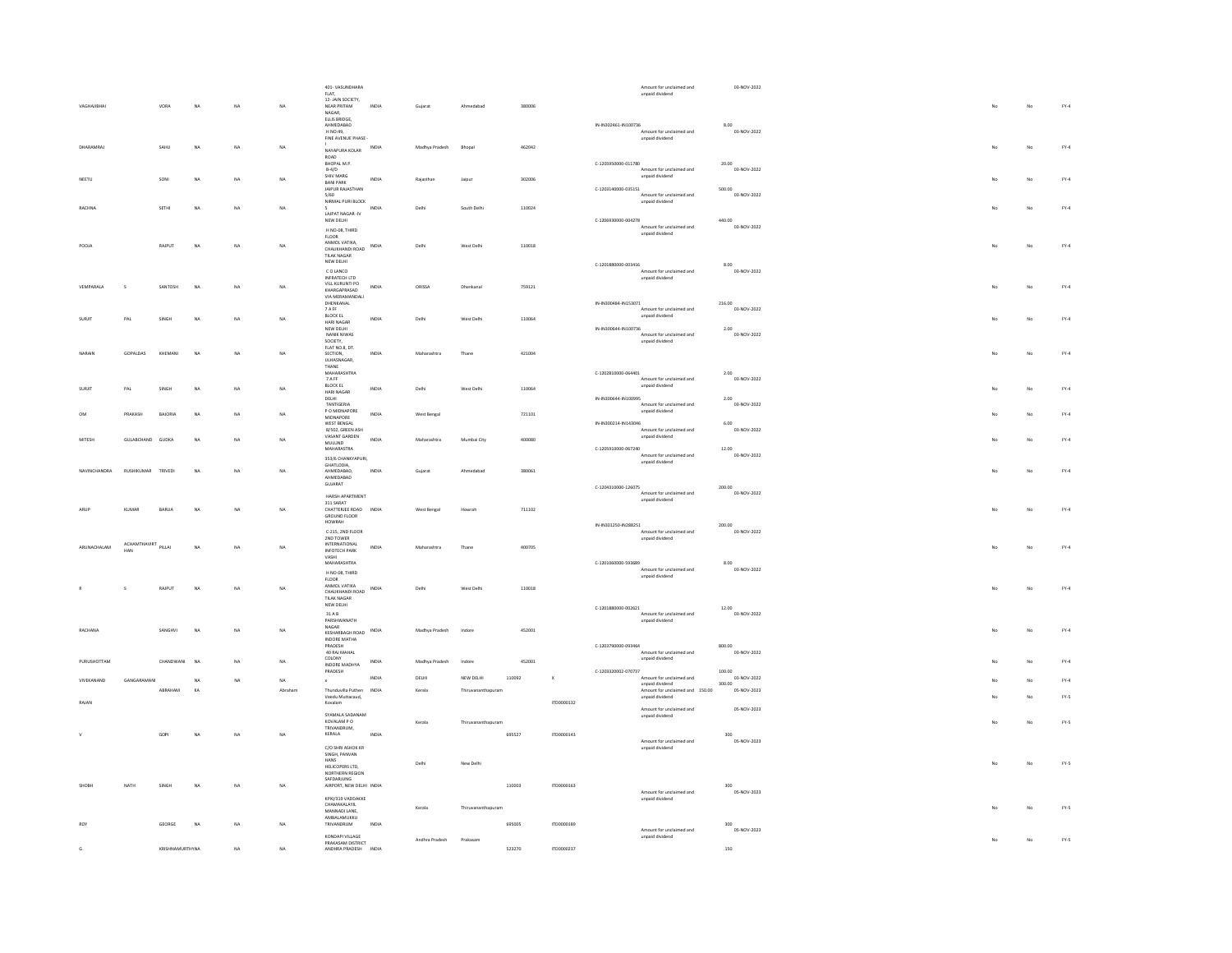|                     |                     |                 |                |    |             | 401- VASUNDHARA                              |              |                |                    |        |                           |                      | Amount for unclaimed and                           | 03-NOV-2022           |             |             |        |
|---------------------|---------------------|-----------------|----------------|----|-------------|----------------------------------------------|--------------|----------------|--------------------|--------|---------------------------|----------------------|----------------------------------------------------|-----------------------|-------------|-------------|--------|
|                     |                     |                 |                |    |             | FLAT,<br>12- JAIN SOCIETY,                   |              |                |                    | 380006 |                           |                      | unpaid dividend                                    |                       |             |             |        |
| VAGHAJIBHA          |                     | VORA            | <b>NA</b>      | NA | NA          | NEAR PRITAM<br>NAGAR,                        | INDIA        | Gujarat        | Ahmedabad          |        |                           |                      |                                                    |                       | No          | No          | $FY-4$ |
|                     |                     |                 |                |    |             | ELLIS BRIDGE.<br>AHMEDABAD                   |              |                |                    |        |                           | IN-IN302461-IN100736 |                                                    | 8.00                  |             |             |        |
|                     |                     |                 |                |    |             | H NO:49,<br>FINE AVENUE PHASE                |              |                |                    |        |                           |                      | Amount for unclaimed and<br>unpaid dividend        | 03-NOV-2022           |             |             |        |
| DHARAMRA            |                     | SAHU            | NA             | NA | NA          | NAYAPURA KOLAR                               | INDIA        | Madhya Pradesh | Bhopa              | 462042 |                           |                      |                                                    |                       |             | No          | $FY-4$ |
|                     |                     |                 |                |    |             | ROAD<br>BHOPAL M.P.                          |              |                |                    |        |                           | C-1205950000-011780  |                                                    | 20.00                 |             |             |        |
|                     |                     |                 |                |    |             | $B-4/D$<br>SHIV MARG                         |              |                |                    |        |                           |                      | Amount for unclaimed and<br>unpaid dividend        | 03-NOV-2022           |             |             |        |
| NEETU               |                     | SONI            | <b>NA</b>      | NA | $_{\rm NA}$ | <b>BANI PARK</b><br>JAIPUR RAJASTHAN         | INDIA        | Rajasthar      | Jaipur             | 302006 |                           | C-1203140000-035151  |                                                    | 500.00                |             | No          | $FY-4$ |
|                     |                     |                 |                |    |             | 5/60<br>NIRMAL PURI BLOCK                    |              |                |                    |        |                           |                      | Amount for unclaimed and<br>unpaid dividend        | 03-NOV-2022           |             |             |        |
| <b>RACHNA</b>       |                     | SETHI           | <b>NA</b>      | NA | NA          | 5<br>LAJPAT NAGAR -IV                        | INDIA        | Delhi          | South Delhi        | 110024 |                           |                      |                                                    |                       |             | No          | $FY-4$ |
|                     |                     |                 |                |    |             | NEW DELHI                                    |              |                |                    |        |                           | C-1206930000-004278  |                                                    | 440.00                |             |             |        |
|                     |                     |                 |                |    |             | H NO-08, THIRD<br><b>FLOOR</b>               |              |                |                    |        |                           |                      | Amount for unclaimed and<br>unpaid dividend        | 03-NOV-2022           |             |             |        |
| POOJA               |                     | RAJPUT          | NA             | NA | NA          | ANMOL VATIKA,<br>CHAUKHANDI ROAD             | INDIA        | Delhi          | West Delhi         | 110018 |                           |                      |                                                    |                       | No          | No          | $FY-4$ |
|                     |                     |                 |                |    |             | TILAK NAGAR<br>NEW DELHI                     |              |                |                    |        |                           |                      |                                                    |                       |             |             |        |
|                     |                     |                 |                |    |             | CO LANCO                                     |              |                |                    |        |                           | C-1201880000-003416  | Amount for unclaimed and                           | 8.00<br>03-NOV-2022   |             |             |        |
| VEMPARALA           | -S                  | SANTOSH         | N <sub>A</sub> | NA | $_{\rm NA}$ | INFRATECH LTD<br>VILL KURUNTI PO             | INDIA        | ORISSA         |                    | 759121 |                           |                      | unpaid dividend                                    |                       |             | No          | $FY-4$ |
|                     |                     |                 |                |    |             | KHARGAPRASAD<br>VIA MERAMANDALI              |              |                | Dhenkana           |        |                           |                      |                                                    |                       |             |             |        |
|                     |                     |                 |                |    |             | DHENKANAL<br>7 A FF                          |              |                |                    |        |                           | IN-IN300484-IN153071 | Amount for unclaimed and                           | 216.00<br>03-NOV-2022 |             |             |        |
| <b>SURID</b>        | PAI                 | SINGH           | NA             | NA | NA          | <b>BLOCK EL</b><br>HARI NAGAR                | INDIA        | Delhi          | West Delhi         | 110064 |                           |                      | unpaid dividend                                    |                       | $M_{\odot}$ | No          | EY-4   |
|                     |                     |                 |                |    |             | NEW DELHI<br>NANIK NIWAS                     |              |                |                    |        |                           | IN-IN300644-IN100736 | Amount for unclaimed and                           | 2.00<br>03-NOV-2022   |             |             |        |
|                     |                     |                 |                |    |             | SOCIETY,<br>FLAT NO.8, DT.                   |              |                |                    |        |                           |                      | unpaid dividend                                    |                       |             |             |        |
| NARAIN              | GOPALDAS            | KHEMANI         | NA             | NA | NA          | SECTION,<br>ULHASNAGAR.                      | INDIA        | Maharashtra    | Thane              | 421004 |                           |                      |                                                    |                       | No          | No          | $FY-4$ |
|                     |                     |                 |                |    |             | THANE                                        |              |                |                    |        |                           |                      |                                                    |                       |             |             |        |
|                     |                     |                 |                |    |             | MAHARASHTRA<br>$7$ A FF                      |              |                |                    |        |                           | C-1202810000-064401  | Amount for unclaimed and                           | 2.00<br>03-NOV-2022   |             |             |        |
| <b>SURID</b>        | PAL                 | SINGH           | NA             | NA | NA          | <b>BLOCK EL</b><br>HARI NAGAR                | INDIA        | Delhi          | West Delhi         | 110064 |                           |                      | unpaid dividend                                    |                       |             | No          | $FY-4$ |
|                     |                     |                 |                |    |             | DELHI<br>TANTIGERIA                          |              |                |                    |        |                           | IN-IN300644-IN100995 | Amount for unclaimed and                           | 2.00<br>03-NOV-2022   |             |             |        |
|                     | PRAKASH             | RAIORIA         | NA             | NA | <b>NA</b>   | P O MIDNAPORE<br>MIDNAPORE                   | INDIA        | West Bengal    |                    | 721101 |                           |                      | unpaid dividend                                    |                       |             | No          | EY-4   |
|                     |                     |                 |                |    |             | WEST BENGAL<br>B/502, GREEN ASH              |              |                |                    |        |                           | IN-IN300214-IN143046 | Amount for unclaimed and                           | 6.00<br>03-NOV-2022   |             |             |        |
| MITESH              | GULABCHAND GUDKA    |                 | NA             | NA | NA          | VASANT GARDEN<br><b>MULUND</b>               | INDIA        | Maharashtra    | Mumbai City        | 400080 |                           |                      | unpaid dividend                                    |                       |             | No          | $FY-4$ |
|                     |                     |                 |                |    |             | MAHARASTRA                                   |              |                |                    |        |                           | C-1205910000-067240  | Amount for unclaimed and                           | 12.00<br>03-NOV-2022  |             |             |        |
|                     |                     |                 |                |    |             | 353/6 CHANKYAPURI,<br>GHATLODIA,             |              |                |                    |        |                           |                      | unpaid dividend                                    |                       |             |             |        |
| <b>NAVIMCUANDRA</b> | RUSHIKUMAR          | TRIVEDI         | <b>NA</b>      | NA | NA          | AHMEDABAD.<br>AHMEDABAD                      | INDIA        | Gujarat        | Ahmedabad          | 380061 |                           |                      |                                                    |                       |             | No          | $FY-4$ |
|                     |                     |                 |                |    |             | GUJARAT                                      |              |                |                    |        |                           | C-1204310000-126075  |                                                    | 200.00                |             |             |        |
|                     |                     |                 |                |    |             | HARSH APARTMENT<br>311 SARAT                 |              |                |                    |        |                           |                      | Amount for unclaimed and<br>unpaid dividend        | 03-NOV-2022           |             |             |        |
| ARUP                | <b>KUMAR</b>        | BARUA           | N <sub>A</sub> | NA | NA          | CHATTERIEE ROAD INDIA<br>GROUND FLOOR        |              | West Bengal    | Howrah             | 711102 |                           |                      |                                                    |                       | No          | No          | $FY-4$ |
|                     |                     |                 |                |    |             | HOWRAH                                       |              |                |                    |        |                           | IN-IN301250-IN288251 |                                                    | 200.00                |             |             |        |
|                     |                     |                 |                |    |             | C-215, 2ND FLOOR<br>2ND TOWER                |              |                |                    |        |                           |                      | Amount for unclaimed and<br>unpaid dividend        | 03-NOV-2022           |             |             |        |
| ARUNACHALAM         | ACHAMTHAVIRT<br>HAN | PILLAI          | NA             | NA | NA          | <b>INTERNATIONAL</b><br><b>INFOTECH PARK</b> | INDIA        | Maharashtra    | Thane              | 400705 |                           |                      |                                                    |                       |             | No          | $FY-4$ |
|                     |                     |                 |                |    |             | VASHI<br>MAHARASHTRA                         |              |                |                    |        |                           | C-1201060000-593689  |                                                    | 8.00                  |             |             |        |
|                     |                     |                 |                |    |             | H NO-08, THIRD                               |              |                |                    |        |                           |                      | Amount for unclaimed and<br>unpaid dividend        | 03-NOV-2022           |             |             |        |
|                     |                     | RAJPUT          | N <sub>A</sub> | NA | NA          | FLOOR<br>ANMOL VATIKA                        | <b>INDIA</b> | Delhi          | West Delhi         | 110018 |                           |                      |                                                    |                       | No          | No          | $FY-4$ |
|                     |                     |                 |                |    |             | CHAUKHANDI ROAD<br><b>TILAK NAGAR</b>        |              |                |                    |        |                           |                      |                                                    |                       |             |             |        |
|                     |                     |                 |                |    |             | NEW DELHI<br>31AB                            |              |                |                    |        |                           | C-1201880000-002621  | Amount for unclaimed and                           | 12.00<br>03-NOV-2022  |             |             |        |
|                     |                     |                 |                |    |             | PARSHWANATH<br>NAGAR                         |              |                |                    |        |                           |                      | unpaid dividend                                    |                       |             |             |        |
| RACHANA             |                     | SANGHVI         | N <sub>A</sub> | NA | NA          | KESHARRAGH ROAD                              | INDIA        | Madhya Pradesh | Indore             | 452001 |                           |                      |                                                    |                       |             | No          | $FY-4$ |
|                     |                     |                 |                |    |             | INDORE MATHA<br>PRADESH                      |              |                |                    |        |                           | C-1203790000-093464  |                                                    | 800.00                |             |             |        |
| PURUSHOTTAM         |                     | CHANDWANI       | NA             | NA | NA          | 40 RAJ MAHAL<br>COLONY                       | INDIA        | Madhya Pradesh | Indore             | 452001 |                           |                      | Amount for unclaimed and<br>unpaid dividend        | 03-NOV-2022           |             | No          | $FY-4$ |
|                     |                     |                 |                |    |             | INDORE MADHYA<br>PRADESH                     |              |                |                    |        |                           | C-1203320002-070737  |                                                    | 100.00                |             |             |        |
| VIVEKANAND          | GANGARAMANI         |                 | NA             | NA | NA          |                                              | INDIA        | DELHI          | NEW DELHI          | 110092 | $\boldsymbol{\mathsf{x}}$ |                      | Amount for unclaimed and<br>unpaid dividend        | 03-NOV-2022<br>300.00 |             | No          | $FY-4$ |
|                     |                     | ABRAHAM         | KA             |    | Abraham     | Thunduvilla Puthen<br>Veedu Muttacaud.       | INDIA        | Kerala         | hapurar            |        |                           |                      | Amount for unclaimed and 150.00<br>unpaid dividend | 05-NOV-2023           |             | No          | FY-5   |
| RAJAN               |                     |                 |                |    |             | Kovalam                                      |              |                |                    |        | ITD0000132                |                      | Amount for unclaimed and                           | 05-NOV-2023           |             |             |        |
|                     |                     |                 |                |    |             | SYAMALA SADANAM<br>KOVALAM P O               |              | Kerala         | Thiruyananthapuram |        |                           |                      | unpaid dividend                                    |                       |             | No          | FY-5   |
|                     |                     | GOPI            | NA             | NA | NA          | TRIVANDRUM,<br>KERALA                        | INDIA        |                |                    | 695527 | ITD0000143                |                      |                                                    | 300                   |             |             |        |
|                     |                     |                 |                |    |             | C/O SHRI ASHOK KR                            |              |                |                    |        |                           |                      | Amount for unclaimed and                           | 05-NOV-2023           |             |             |        |
|                     |                     |                 |                |    |             | SINGH, PANVAN<br>HANS                        |              |                |                    |        |                           |                      | unpaid dividend                                    |                       |             |             |        |
|                     |                     |                 |                |    |             | HELICOPERS LTD.                              |              | Delhi          | New Delhi          |        |                           |                      |                                                    |                       | No          | No          | FY-5   |
|                     |                     |                 |                |    |             | NORTHERN REGION<br><b>SAFDARILING</b>        |              |                |                    |        |                           |                      |                                                    |                       |             |             |        |
| SHOBI               | NATH                | SINGH           | NA             | NA | $_{\rm NA}$ | AIRPORT, NEW DELHI INDIA                     |              |                |                    | 110003 | ITD0000163                |                      | Amount for unclaimed and                           | 300<br>05-NOV-2023    |             |             |        |
|                     |                     |                 |                |    |             | KPXI/319 VADDAKKE<br>CHAMAKALAYIL            |              | Kerala         | Thiruvanantha      |        |                           |                      | unpaid dividend                                    |                       | No          | No          | $FY-5$ |
|                     |                     |                 |                |    |             | MANNADI LANE,<br>AMBALAMUKKU                 |              |                |                    |        |                           |                      |                                                    |                       |             |             |        |
|                     |                     | GEORGE          | NA             | NA |             | TRIVANDRUM                                   | INDIA        |                |                    | 695005 | ITD0000189                |                      | Amount for unclaimed and                           | 300<br>05-NOV-2023    |             |             |        |
|                     |                     |                 |                |    |             | KONDAPI VILLAGE<br>PRAKASAM DISTRICT         |              | Andhra Pradesh | Prakasam           |        |                           |                      | unpaid dividend                                    |                       |             | $_{\rm No}$ | $FN-S$ |
|                     |                     | KRISHNAMURTHYNA |                | NA |             | ANDHRA PRADESH                               | INDIA        |                |                    | 523270 | ITD0000237                |                      |                                                    | 150                   |             |             |        |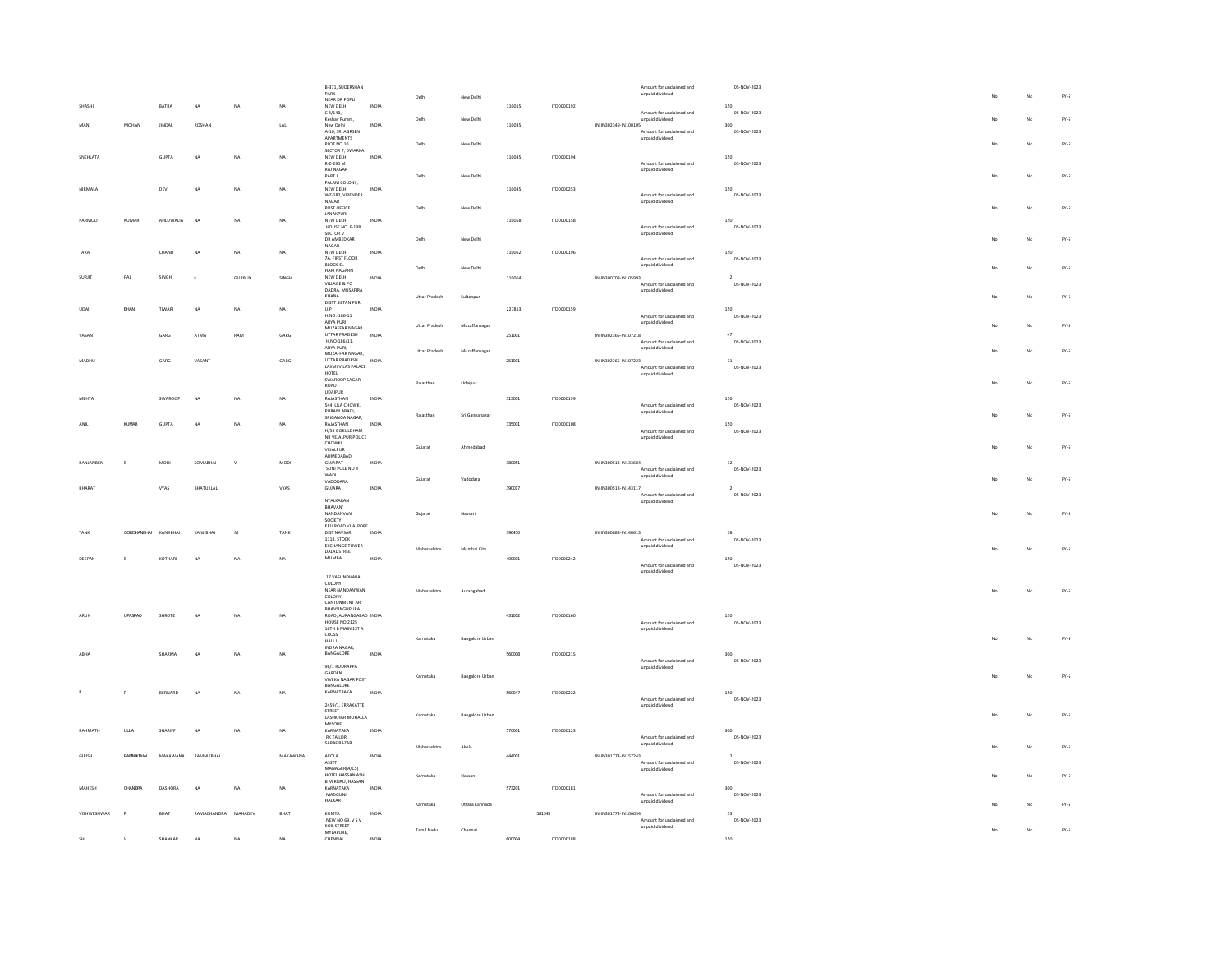|               |                    |                               |                     |               |                 | B-371, SUDERSHAN                         |              |                      |                        |        |                   | Amount for unclaimed and                    | 05-NOV-2023        |             |    |        |
|---------------|--------------------|-------------------------------|---------------------|---------------|-----------------|------------------------------------------|--------------|----------------------|------------------------|--------|-------------------|---------------------------------------------|--------------------|-------------|----|--------|
|               |                    |                               |                     |               |                 | PARK                                     |              | Delhi                | New Delhi              |        |                   | unpaid dividend                             |                    |             | No | $FN-5$ |
|               |                    |                               |                     |               |                 | NEAR DR POPUL                            |              |                      |                        |        |                   |                                             |                    |             |    |        |
| SHASH         |                    | $\mathtt{BATRA}$              | $\mathsf{NA}$       | NA            | NA              | NEW DELHI<br>$C$ 4/14B.                  | INDIA        |                      |                        | 110015 | ITD0000192        | Amount for unclaimed and                    | 150<br>05-NOV-2023 |             |    |        |
|               |                    |                               |                     |               |                 | Keshav Puram,                            |              | Delhi                | New Delhi              |        |                   | unpaid dividend                             |                    |             | No | $FY-5$ |
|               | MOHAN              | <b>IINDAI</b>                 | ROSHAN              |               | LAL             | New Delhi                                | INDIA        |                      |                        | 110035 |                   | IN-IN302349-IN100105                        | 300                |             |    |        |
|               |                    |                               |                     |               |                 | A-10, SRI AGRSEN<br>APARTMENTS           |              |                      |                        |        |                   | Amount for unclaimed and<br>unpaid dividend | 05-NOV-2023        |             |    |        |
|               |                    |                               |                     |               |                 | PLOT NO.10                               |              | Delhi                | New Delhi              |        |                   |                                             |                    |             | No | FY.5   |
|               |                    |                               |                     |               |                 | SECTOR 7, DWARKA                         |              |                      |                        |        |                   |                                             |                    |             |    |        |
| SNEHLATA      |                    | GUPTA                         | $_{\sf NA}$         | NA            | NA              | NEW DELHI<br>R-7-290 M                   | INDIA        |                      |                        | 110045 | ITD0000194        | Amount for unclaimed and                    | 150<br>05-NOV-2023 |             |    |        |
|               |                    |                               |                     |               |                 | RAJ NAGAR                                |              |                      |                        |        |                   | unpaid dividend                             |                    |             |    |        |
|               |                    |                               |                     |               |                 | PARTIL                                   |              | Delhi                | New Delhi              |        |                   |                                             |                    | No          | No | $FY-S$ |
|               |                    |                               |                     |               |                 | PALAM COLONY,                            |              |                      |                        |        |                   |                                             |                    |             |    |        |
| NIRMALA       |                    | DEVI                          | <b>NA</b>           | NA            | $_{\text{NA}}$  | NEW DELHI<br>WZ-182, VIRENDER            | INDIA        |                      |                        | 110045 | ITD0000253        | Amount for unclaimed and                    | 150<br>05-NOV-2023 |             |    |        |
|               |                    |                               |                     |               |                 | NAGAR                                    |              |                      |                        |        |                   | unpaid dividend                             |                    |             |    |        |
|               |                    |                               |                     |               |                 | POST OFFICE                              |              | Delhi                | New Delhi              |        |                   |                                             |                    |             | No | FY.5   |
| PARMOD        | KUMAR              | AHLUWALIA                     | NA                  | NA            | NA              | <b>JANAKPURI</b><br>NEW DELHI            | INDIA        |                      |                        | 110058 | ITD0000158        |                                             | 150                |             |    |        |
|               |                    |                               |                     |               |                 | HOUSE NO. F-138                          |              |                      |                        |        |                   | Amount for unclaimed and                    | 05-NOV-2023        |             |    |        |
|               |                    |                               |                     |               |                 | SECTOR V                                 |              |                      |                        |        |                   | unpaid dividend                             |                    |             |    |        |
|               |                    |                               |                     |               |                 | DR AMREDKAR<br>NAGAR                     |              | Delhi                | New Delhi              |        |                   |                                             |                    |             | No | FY-5   |
| TARA          |                    | CHAND                         | <b>NA</b>           | NA            | NA              |                                          | INDIA        |                      |                        | 110062 | <b>ITD0000196</b> |                                             | 150                |             |    |        |
|               |                    |                               |                     |               |                 | NEW DELHI<br>7A, FIRST FLOOR<br>BLOCK-EL |              |                      |                        |        |                   | Amount for unclaimed and                    | 05-NOV-2023        |             |    |        |
|               |                    |                               |                     |               |                 | HARI NAGARN                              |              | Delhi                | New Delhi              |        |                   | unpaid dividend                             |                    |             | No | $FN-5$ |
| SURJIT        | PAL                | SINGH                         |                     | <b>GURBUX</b> | SINGH           | NEW DELHI                                | <b>INDIA</b> |                      |                        | 110064 |                   | IN-IN300708-IN105993                        |                    |             |    |        |
|               |                    |                               |                     |               |                 | VILLAGE & PO                             |              |                      |                        |        |                   | Amount for unclaimed and                    | 05-NOV-2023        |             |    |        |
|               |                    |                               |                     |               |                 | DADRA, MUSAFIRA                          |              |                      |                        |        |                   | unpaid dividend                             |                    |             |    |        |
|               |                    |                               |                     |               |                 | KHANA<br>DISTT SILTAN PUR                |              | Uttar Pradesh        | Sultanpur              |        |                   |                                             |                    |             | No | $FN-S$ |
| UDA           | BHAN               | TIWARI                        | NA                  | NA            | NA              | $\mathsf{U}.\mathsf{P}$                  | INDIA        |                      |                        | 227813 | ITD0000159        |                                             | 150                |             |    |        |
|               |                    |                               |                     |               |                 | H.NO.-186-11                             |              |                      |                        |        |                   | Amount for unclaimed and                    | 05-NOV-2023        |             |    |        |
|               |                    |                               |                     |               |                 | ARYA PURI<br>MUZAFFAR NAGAR              |              | <b>Uttar Pradesh</b> | Muzaffarnagar          |        |                   | unpaid dividend                             |                    |             | No | $FY-5$ |
|               |                    | GARG                          | ATMA                | RAM           | GARG            | UTTAR PRADESH                            | INDIA        |                      |                        | 251001 |                   | IN-IN302365-IN107218                        | $47\,$             |             |    |        |
|               |                    |                               |                     |               |                 | H.NO-186/11,                             |              |                      |                        |        |                   | Amount for unclaimed and                    | 05-NOV-2023        |             |    |        |
|               |                    |                               |                     |               |                 | ARYA PURI,                               |              | <b>Uttar Pradesh</b> | Muzaffarnagar          |        |                   | unpaid dividend                             |                    |             | No | $FY-S$ |
| MADHU         |                    | $_{\mbox{\scriptsize{GARG}}}$ | VASANT              |               | $\mathtt{GARG}$ | MUZAFFAR NAGAR,<br>UTTAR PRADESH         | INDIA        |                      |                        | 251001 |                   | IN-IN302365-IN107223                        | $11\,$             |             |    |        |
|               |                    |                               |                     |               |                 | LAXMI VILAS PALACE                       |              |                      |                        |        |                   | Amount for unclaimed and                    | 05-NOV-2023        |             |    |        |
|               |                    |                               |                     |               |                 | HOTEL                                    |              |                      |                        |        |                   | unpaid dividend                             |                    |             |    |        |
|               |                    |                               |                     |               |                 | SWAROOP SAGAR<br>ROAD                    |              | Rajasthan            | Udaipur                |        |                   |                                             |                    |             | No | $FN-5$ |
|               |                    |                               |                     |               |                 | UDAIPUR                                  |              |                      |                        |        |                   |                                             |                    |             |    |        |
| MEHTA         |                    | SWARDOP                       | <b>NA</b>           | NA            | NA              | RAJASTHAN                                | INDIA        |                      |                        | 313001 | ITD0000199        |                                             | 150                |             |    |        |
|               |                    |                               |                     |               |                 | 544. LILA CHOWK.                         |              |                      |                        |        |                   | Amount for unclaimed and                    | 05-NOV-2023        |             |    |        |
|               |                    |                               |                     |               |                 | PURANI ABADI,<br>SRIGANGA NAGAR          |              | Rajasthan            | Sri Ganganagar         |        |                   | unpaid dividend                             |                    |             | No | $FY-5$ |
|               | KUMAR              | GUPTA                         | NA                  | NA            | NA              | RAJASTHAN                                | INDIA        |                      |                        | 335001 | ITD0000108        |                                             | 150                |             |    |        |
|               |                    |                               |                     |               |                 | H/55 GOKULDHAM                           |              |                      |                        |        |                   | Amount for unclaimed and                    | 05-NOV-2023        |             |    |        |
|               |                    |                               |                     |               |                 | NR VEJALPUR POLICE<br>CHOWKI             |              |                      |                        |        |                   | unpaid dividend                             |                    |             |    |        |
|               |                    |                               |                     |               |                 | VEJALPUR                                 |              | Gujarat              | Ahmedabac              |        |                   |                                             |                    |             | No | FY.5   |
|               |                    |                               |                     |               |                 | AHMEDABAD                                |              |                      |                        |        |                   |                                             |                    |             |    |        |
| RANJANBEI     | $\mathsf{s}$       | MODI                          | SOMABHAI            |               | MODI            | GUJARAT                                  | INDIA        |                      |                        | 380051 |                   | IN-IN300513-IN133684                        | $12\,$             |             |    |        |
|               |                    |                               |                     |               |                 | SONI POLE NO 4<br>WADI                   |              |                      |                        |        |                   | Amount for unclaimed and<br>unpaid dividend | 05-NOV-2023        |             |    |        |
|               |                    |                               |                     |               |                 | VADODARA                                 |              | Gujarat              | Vadodara               |        |                   |                                             |                    | $M_{\rm P}$ | No | $FY-S$ |
| BHARAT        |                    | VYAS                          | BHATUKLAL           |               | VYAS            | GUJARA                                   | INDIA        |                      |                        | 390017 |                   | IN-IN300513-IN143117                        | $\overline{2}$     |             |    |        |
|               |                    |                               |                     |               |                 | NYALKARAN                                |              |                      |                        |        |                   | Amount for unclaimed and<br>unpaid dividend | 05-NOV-2023        |             |    |        |
|               |                    |                               |                     |               |                 | BHAVAN'                                  |              |                      |                        |        |                   |                                             |                    |             |    |        |
|               |                    |                               |                     |               |                 | NANDANVAN                                |              | Guiarat              | Navsari                |        |                   |                                             |                    | No          | No | FY-5   |
|               |                    |                               |                     |               |                 | SOCIETY<br>ERU ROAD VUALPORE             |              |                      |                        |        |                   |                                             |                    |             |    |        |
|               | <b>GORDHAMBHAL</b> | KANJIBHAI                     | KANJIBHA            | M             | TANK            | DIST NAVSARI                             | INDIA        |                      |                        | 396450 |                   | IN-IN300888-IN140613                        | 38                 |             |    |        |
|               |                    |                               |                     |               |                 | 1118, STOCK                              |              |                      |                        |        |                   | Amount for unclaimed and                    | 05-NOV-2023        |             |    |        |
|               |                    |                               |                     |               |                 | <b>EXCHANGE TOWER</b><br>DALAL STREET    |              | Maharashtra          | Mumbai City            |        |                   | unpaid dividend                             |                    |             | No | FY.5   |
| DEEPAK        | s                  | KOTHARI                       | <b>NA</b>           | NA            | NA              | MUMBAI                                   | INDIA        |                      |                        | 400001 | ITD0000242        |                                             | 150                |             |    |        |
|               |                    |                               |                     |               |                 |                                          |              |                      |                        |        |                   | Amount for unclaimed and                    | 05-NOV-2023        |             |    |        |
|               |                    |                               |                     |               |                 |                                          |              |                      |                        |        |                   | unpaid dividend                             |                    |             |    |        |
|               |                    |                               |                     |               |                 | 17 VASUNDHARA                            |              |                      |                        |        |                   |                                             |                    |             |    |        |
|               |                    |                               |                     |               |                 | COLONY<br>NEAR NANDANWAN                 |              | Maharashtra          | Aurangabad             |        |                   |                                             |                    |             | No | FY-5   |
|               |                    |                               |                     |               |                 | COLONY,                                  |              |                      |                        |        |                   |                                             |                    |             |    |        |
|               |                    |                               |                     |               |                 | CANTONMENT AR                            |              |                      |                        |        |                   |                                             |                    |             |    |        |
| ARUN          | <b>UPASRAO</b>     | SHROTE                        | <b>NA</b>           | NA            | NA              | BHAVSINGHPURA<br>ROAD, AURANGABAD INDIA  |              |                      |                        | 431002 | ITD0000160        |                                             | 150                |             |    |        |
|               |                    |                               |                     |               |                 | <b>HOUSE NO.2125</b>                     |              |                      |                        |        |                   | Amount for unclaimed and                    | 05-NOV-2023        |             |    |        |
|               |                    |                               |                     |               |                 | 16TH B MAIN 1ST A                        |              |                      |                        |        |                   | unpaid dividend                             |                    |             |    |        |
|               |                    |                               |                     |               |                 | CROSS<br>HALL II                         |              | Karnataka            | <b>Bangalore Urban</b> |        |                   |                                             |                    | No          | No | FY.5   |
|               |                    |                               |                     |               |                 | INDRA NAGAR,                             |              |                      |                        |        |                   |                                             |                    |             |    |        |
|               |                    | SHARMA                        | <b>NA</b>           | NA            | NA              | BANGALORE                                | <b>INDIA</b> |                      |                        | 560008 | ITD0000215        |                                             | 300                |             |    |        |
|               |                    |                               |                     |               |                 | 96/1 RUDRAPPA                            |              |                      |                        |        |                   | Amount for unclaimed and                    | 05-NOV-2023        |             |    |        |
|               |                    |                               |                     |               |                 | GARDEN                                   |              |                      |                        |        |                   | unpaid dividend                             |                    |             |    |        |
|               |                    |                               |                     |               |                 | VIVEKA NAGAR POST                        |              | Karnataka            | <b>Bangalore Urban</b> |        |                   |                                             |                    | No          | No | $FN-5$ |
|               |                    | <b>RERNARD</b>                | NA                  | <b>NA</b>     | NA              | BANGALORE<br>KARNATRAKA                  | INDIA        |                      |                        | 560047 | 1TD0000222        |                                             | 150                |             |    |        |
|               | P                  |                               |                     |               |                 |                                          |              |                      |                        |        |                   | Amount for unclaimed and                    | 05-NOV-2023        |             |    |        |
|               |                    |                               |                     |               |                 | 2459/1, ERRAKATTE                        |              |                      |                        |        |                   | unpaid dividend                             |                    |             |    |        |
|               |                    |                               |                     |               |                 | STREET                                   |              | Karnataka            | <b>Bangalore Urban</b> |        |                   |                                             |                    |             | No | FY.5   |
|               |                    |                               |                     |               |                 | LASHKHAR MOHALLA<br>MYSORE               |              |                      |                        |        |                   |                                             |                    |             |    |        |
| RAHMATH       | ULLA               | SHARIFF                       | <b>NA</b>           | NA            | NA              | KARNATAKA                                | INDIA        |                      |                        | 570001 | ITD0000123        |                                             | 300                |             |    |        |
|               |                    |                               |                     |               |                 | RK TAILOR                                |              |                      |                        |        |                   | Amount for unclaimed and                    | 05-NOV-2023        |             |    |        |
|               |                    |                               |                     |               |                 | SARAF BAZAR                              |              | Maharashtra          | Akola                  |        |                   | unpaid dividend                             |                    |             | No | FY.5   |
| <b>GIRISH</b> | RAMNIKRHAL         | MAKAWANA                      | RAMNIKRHAI          |               | MAKAWANA        | AKOLA                                    | INDIA        |                      |                        | 444003 |                   | IN-IN301774-IN157243                        |                    |             |    |        |
|               |                    |                               |                     |               |                 | ASSTT                                    |              |                      |                        |        |                   | Amount for unclaimed and                    | 05-NOV-2023        |             |    |        |
|               |                    |                               |                     |               |                 | MANAGERIA (CS)                           |              |                      |                        |        |                   | unpaid dividend                             |                    |             |    |        |
|               |                    |                               |                     |               |                 | HOTEL HASSAN ASH<br>B M ROAD, HASSAN     |              | Karnataka            | Hassan                 |        |                   |                                             |                    |             | No | FY.5   |
| MAHESH        | CHANDRA            | DASHORA                       | <b>NA</b>           | NA            | NA              | KARNATAKA                                | INDIA        |                      |                        | 573201 | ITD0000181        |                                             | 300                |             |    |        |
|               |                    |                               |                     |               |                 | MADGUNI                                  |              |                      |                        |        |                   | Amount for unclaimed and                    | 05-NOV-2023        |             |    |        |
|               |                    |                               |                     |               |                 | HALKAR                                   |              | Karnataka            | Uttara Kannada         |        |                   | unpaid dividend                             |                    |             | No | FY-5   |
| VISHWESHWAR   | $\mathbb{R}$       | BHAT                          | RAMACHANDRA MAHADEV |               | BHAT            | KUMTA                                    | INDIA        |                      |                        |        | 581343            | IN-IN301774-IN106034                        | 53                 |             |    |        |
|               |                    |                               |                     |               |                 | NFW NO 69 V S V                          |              |                      |                        |        |                   | Amount for unclaimed and                    | 05-NOV-2023        |             |    |        |
|               |                    |                               |                     |               |                 | KOIL STREET                              |              |                      |                        |        |                   | unpaid dividend                             |                    |             |    |        |
|               |                    |                               |                     |               |                 |                                          |              |                      |                        |        |                   |                                             |                    |             |    |        |
| <b>SH</b>     | $\mathbb {V}$      | SHANKAR                       | <b>NA</b>           | NA            | NA              | MYLAPORE.<br>CHENNAL                     | INDIA        | Tamil Nadu           | Chennai                | 600004 | ITD0000188        |                                             | 150                |             | No | $FY-5$ |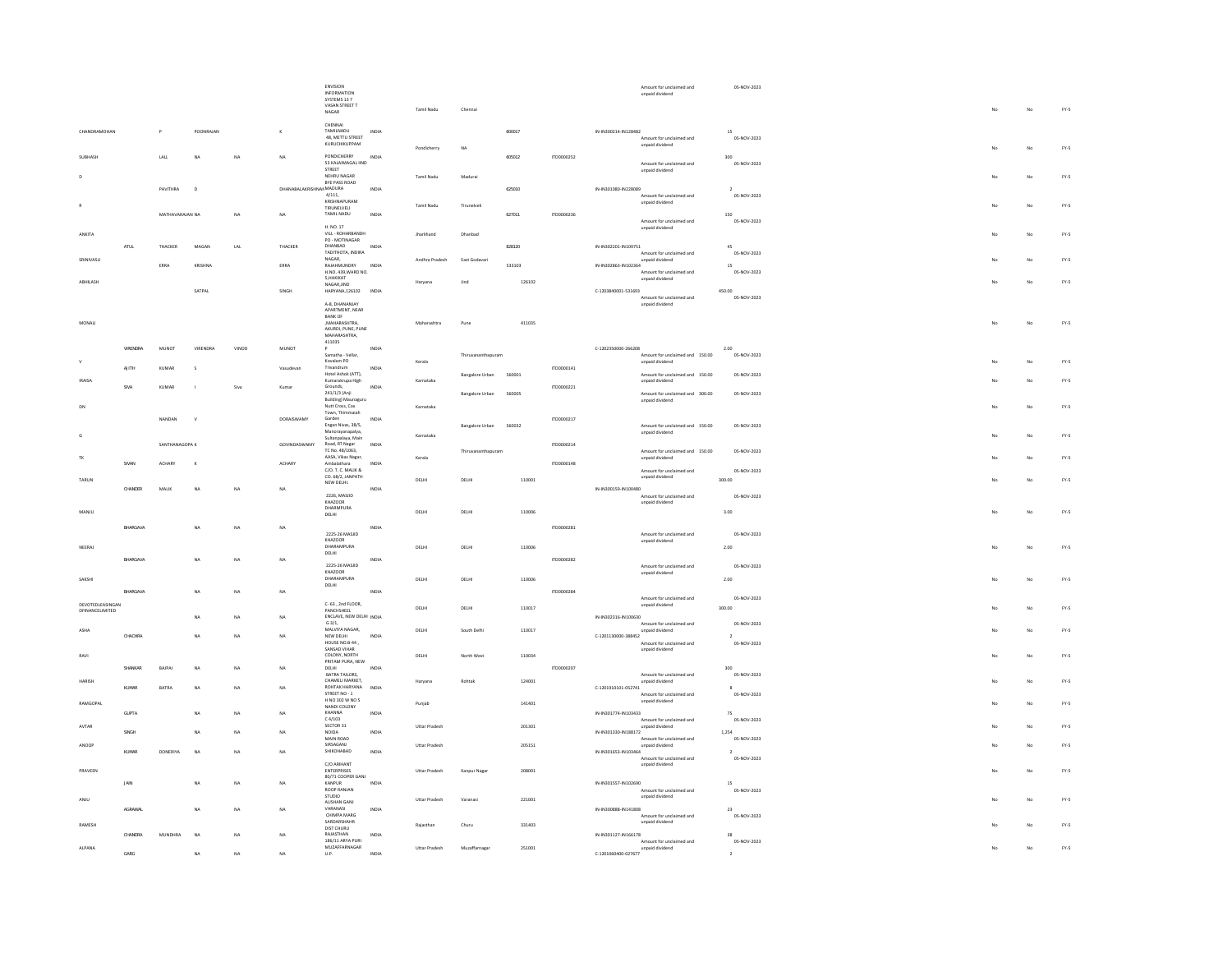|                                     |              |                 |                |             |                         | ENVISION<br>INFORMATION<br>SYSTEMS 13 7                                    |              |                      |                        |        |            |                                                           | Amount for unclaimed and<br>unpaid dividend        |                | 05-NOV-2023 |                         |    |        |
|-------------------------------------|--------------|-----------------|----------------|-------------|-------------------------|----------------------------------------------------------------------------|--------------|----------------------|------------------------|--------|------------|-----------------------------------------------------------|----------------------------------------------------|----------------|-------------|-------------------------|----|--------|
|                                     |              |                 |                |             |                         | VASAN STREET T<br><b>NAGAR</b>                                             |              | Tamil Nadu           | Chennai                |        |            |                                                           |                                                    |                |             | No                      | No | $FY-S$ |
| CHANDRAMOHAN                        |              |                 | POONRAJAN      |             | $\kappa$                | CHENNAI<br>TAMILNADU<br>48, METTU STREET                                   | INDM         |                      |                        | 600017 |            | IN-IN300214-IN128482                                      | Amount for unclaimed and                           | 15             | 05-NOV-2023 |                         |    |        |
| SURHASH                             |              | LALL            | NA             | NA          | NA                      | KURUCHIKUPPAM<br>PONDICHERRY                                               | INDIA        | Pondicherry          | NA                     | 605012 | ITD0000252 |                                                           | unpaid dividend                                    | 300            |             |                         | No | $FN-5$ |
|                                     |              |                 |                |             |                         | 53 KALAIMAGAL IIND<br>STREET<br>NEHRU NAGAR                                |              | Tamil Nadu           | Madurai                |        |            |                                                           | Amount for unclaimed and<br>unpaid dividend        |                | 05-NOV-2023 |                         | No | $FY-S$ |
|                                     |              | PAVITHRA        | $\overline{D}$ |             | DHANABALAKRISHNANMADURA | BYE PASS ROAD<br>4/111<br>KRISHNAPURAM                                     | INDIA        |                      |                        | 625010 |            | IN-IN301080-IN228089                                      | Amount for unclaimed and                           | $\overline{2}$ | 05-NOV-2023 |                         |    |        |
|                                     |              | MATHAVARAJAN NA |                | $_{\sf NA}$ | NA                      | TIRUNELVELI<br>TAMIL NADU                                                  | INDIA        | Tamil Nadu           | Tirunelveli            | 627011 | ITD0000236 |                                                           | unpaid dividend                                    | 150            |             |                         | No | FY-5   |
| ANKITA                              |              |                 |                |             |                         | H. NO. 17<br>VILL - ROHARBANDH                                             |              | Jharkhand            | Dhanbad                |        |            |                                                           | Amount for unclaimed and<br>unpaid dividend        |                | 05-NOV-2023 |                         | No | $FY-S$ |
|                                     | ATUL         | THACKER         | MAGAN          | LAL         | THACKER                 | PO - MOTINAGAR<br>DHANBAD<br>TADITHOTA, INDIRA                             | <b>INDIA</b> |                      |                        | 828120 |            | IN-IN302201-IN109751                                      | Amount for unclaimed and                           | 45             | 05-NOV-2023 |                         |    |        |
| SRINIVASU                           |              | ERRA            | KRISHNA        |             | ERRA                    | $\texttt{NAGAR}_\star$<br>RAIAHMUNDRY<br>H.NO. 439, WARD NO.               | INDIA        | Andhra Pradesh       | East Godayari          | 533103 |            | IN-IN302863-IN102364                                      | unpaid dividend<br>Amount for unclaimed and        | 15             | 05-NOV-2023 |                         | No | $FY-S$ |
| ABHILASH                            |              |                 | SATPAL         |             | SINGH                   | S HAKIKAT<br>NAGAR, JIND<br>HARYANA,126102 INDIA                           |              | Haryana              | Jind                   | 126102 |            | C-1203840001-531693                                       | unpaid dividend                                    | 450.00         |             |                         | No | FY.5   |
|                                     |              |                 |                |             |                         | A-8, DHANANJAY<br>APARTMENT, NEAR                                          |              |                      |                        |        |            |                                                           | Amount for unclaimed and<br>unpaid dividend        |                | 05-NOV-2023 |                         |    |        |
| MONALI                              |              |                 |                |             |                         | <b>BANK OF</b><br><b>MAHARASHTRA</b><br>AKURDI, PUNE, PUNE<br>MAHARASHTRA. |              | Maharashtra          | Pune                   | 411035 |            |                                                           |                                                    |                |             |                         | No | $FY-5$ |
|                                     | VIRENDRA     | <b>MUNOT</b>    | VIRENDRA       | VINOD       | MUNOT                   | 411035<br>Samatha - Vellar,                                                | INDM         |                      |                        |        |            | C-1202350000-266208                                       | Amount for unclaimed and 150.00                    | 2.00           |             |                         |    |        |
|                                     | AJITH        | KUMAR           | s              |             | Vasudevar               | Kovalam PO<br>Trivandrum                                                   | INDIA        | Kerala               | Thiruvananthapuram     |        | ITD0000141 |                                                           | unpaid dividend                                    |                | 05-NOV-2023 |                         | No | $FY-S$ |
| <b>IRAIS/</b>                       | SIVA         | KUMAR           |                | Siva        | Kumar                   | Hotel Ashok (ATT).<br>Kumarakrupa High<br>Grounds.                         | INDIA        | Karnataka            | <b>Bangalore Urban</b> | 560001 | 1TD0000221 |                                                           | Amount for unclaimed and 150.00<br>unpaid dividend |                | 05-NOV-2023 |                         | No | $FY-5$ |
|                                     |              |                 |                |             |                         | 241/1/3 (Anji<br>Building) Maunaguru<br>Nutt Cross, Cox                    |              | Karnataka            | Bangalore Urban        | 560005 |            |                                                           | Amount for unclaimed and 300.00<br>unpaid dividend |                | 05-NOV-2023 |                         | No | $FN-S$ |
|                                     |              | NANDAN          | $\mathbf{v}$   |             | DORAISWAMY              | Town, Thimmaiah<br>Garden<br>Engan Nivas, 38/5,<br>Manorayanapalya,        | INDIA        |                      | Bangalore Urban        | 560032 | ITD0000217 |                                                           | Amount for unclaimed and 150.00<br>unpaid dividend |                | 05-NOV-2023 |                         |    |        |
|                                     |              | SANTHANAGOPA K  |                |             | GOVINDASWAMY            | Sultanpalaya, Main<br>Road, RT Nagar<br>TC No. 48/1063,                    | INDIA        | Karnataka            |                        |        | ITD0000214 |                                                           |                                                    |                |             |                         | No | $FY-5$ |
|                                     | SIVAN        | ACHARY          | $\mathbf{x}$   |             | ACHARY                  | AASA, Vikas Nagar,<br>Ambalathara<br>C/O T C MAIR &                        | INDIA        | Kerala               | Thiruvananthapuram     |        | ITD0000148 |                                                           | Amount for unclaimed and 150.00<br>unpaid dividend |                | 05-NOV-2023 |                         | No | FY.5   |
| TARUN                               | CHANDER      | MALIK           | NA             | $_{\rm NA}$ | NA                      | CO. 68/2, JANPATH<br>NEW DELHI.                                            | INDIA        | DELHI                | DELHI                  | 110001 |            | IN-IN300159-IN100480                                      | Amount for unclaimed and<br>unpaid dividend        | 300.00         | 05-NOV-2023 |                         | No | FY-5   |
|                                     |              |                 |                |             |                         | 2226, MASJID<br>KHAZOOR<br>DHARMPURA                                       |              |                      |                        |        |            |                                                           | Amount for unclaimed and<br>unpaid dividend        |                | 05-NOV-2023 |                         |    |        |
| MANJU                               | BHARGAVA     |                 | NA             | NA          | NA                      | $DELHI$                                                                    | INDM         | DELHI                | DELHI                  | 110006 | ITD0000281 |                                                           |                                                    | 3.00           |             |                         | No | $FN-S$ |
| NEERAJ                              |              |                 |                |             |                         | 2225-26 MASJID<br>KHAZOOR<br>DHARAMPURA                                    |              | DELHI                | DELHI                  | 110006 |            |                                                           | Amount for unclaimed and<br>unpaid dividend        | 2.00           | 05-NOV-2023 | No                      | No | $FY-S$ |
|                                     | BHARGAVA     |                 | <b>NA</b>      | NA          | NA                      | DELHI<br>2225-26 MASIID                                                    | INDIA        |                      |                        |        | ITD0000282 |                                                           | Amount for unclaimed and                           |                | 05-NOV-2023 |                         |    |        |
| SAKSHI                              |              |                 |                |             |                         | KHAZOOR<br>DHARAMPURA<br>DELHI                                             |              | DELHI                | DELHI                  | 110006 |            |                                                           | unpaid dividend                                    | 2.00           |             |                         | No | $FY-S$ |
|                                     | BHARGAVA     |                 | <b>NA</b>      | NA          | NA                      | C-63, 2nd FLOOR,                                                           | <b>INDIA</b> |                      |                        |        | ITD0000284 |                                                           | Amount for unclaimed and                           |                | 05-NOV-2023 |                         |    |        |
| DEVOTEDLEASINGAN<br>DFINANCELIMITED |              |                 | <b>NA</b>      | <b>NA</b>   | NA                      | PANCHSHEEL<br>ENCLAVE, NEW DELHI INDIA                                     |              | DELHI                | DELHI                  | 110017 |            | IN-IN302316-IN100630                                      | unpaid dividend                                    | 300.00         |             |                         | No | $FY-S$ |
| ASHA                                | CHACHRA      |                 | NA             | NA          | <b>NA</b>               | G3/1,<br>MALVIYA NAGAR,<br>NEW DELHI                                       | INDIA        | DELHI                | South Delhi            | 110017 |            | $C-1201130000-388452$                                     | Amount for unclaimed and<br>unpaid dividend        | $\overline{2}$ | 05-NOV-2023 |                         | No | $FY-S$ |
| RAVI                                |              |                 |                |             |                         | HOUSE NO.B-44<br>SANSAD VIHAR<br>COLONY, NORTH                             |              | DELHI                | North West             | 110034 |            |                                                           | Amount for unclaimed and<br>unpaid dividend        |                | 05-NOV-2023 |                         | No | $FY-S$ |
|                                     | SHANKAR      | BAJPAI          | <b>NA</b>      | NA          | NA                      | PRITAM PURA, NEW<br>DELHI<br>BATRA TAILORS.                                | INDIA        |                      |                        |        | ITD0000207 |                                                           | Amount for unclaimed and                           | 300            | 05-NOV-2023 |                         |    |        |
| <b>HARISH</b>                       | KUMAR        | BATRA           | NA             | <b>NA</b>   | NA                      | CHAMELI MARKET,<br>ROHTAK HARYANA INDIA<br>STREET NO - 1                   |              | Haryana              | Rohtak                 | 124001 |            | C-1201910101-052741                                       | unpaid dividend<br>Amount for unclaimed and        | $\mathbf{s}$   | 05-NOV-2023 |                         | No | $FY-5$ |
| RAMGOPAL                            | <b>GUPTA</b> |                 | <b>NA</b>      | NA          | NA                      | H NO 302 W NO 5<br>NANDI COLONY<br>KHANNA                                  | INDIA        | Punjab               |                        | 141401 |            | IN-IN301774-IN103433                                      | unpaid dividend                                    | 75             |             |                         | No | $FY-S$ |
| AVTAR                               | SINGH        |                 | NA             | NA          | NA                      | $C$ 4/103<br>SECTOR 31                                                     | INDIA        | <b>Uttar Pradesh</b> |                        | 201301 |            | IN-IN301330-IN188172                                      | Amount for unclaimed and<br>unpaid dividend        | 1,254          | 05-NOV-2023 |                         | No | $FY-S$ |
| ANOOP                               | KUMAR        | DONERIYA        | <b>NA</b>      | NA          | NA                      | NOIDA<br>MAIN ROAD<br>SIRSAGANJ<br>SHIKOHABAD                              | INDIA        | Uttar Pradesh        |                        | 205151 |            | oouns for unck<br>unpaid dividend<br>IN-IN301653-IN103464 | Amount for unclaimed and                           | $\mathbf{2}$   | 05-NOV-2023 |                         | No | FY.5   |
| PRAVEEN                             |              |                 |                |             |                         | C/O ARIHANT<br><b>ENTERPRISES</b>                                          |              | Uttar Pradesh        | Kanpur Nagar           | 208001 |            |                                                           | Amount for unclaimed and<br>unpaid dividend        |                | 05-NOV-2023 | $\overline{\mathbf{M}}$ | No | $FY-S$ |
|                                     | 10.132       |                 | <b>NA</b>      | NA          | NA                      | 80/71 COOPER GANJ<br>KANPUR<br>ROOP RANJAN                                 | INDIA        |                      |                        |        |            | IN-IN301557-IN102690                                      |                                                    | 15             |             |                         |    |        |
| ANJU                                |              |                 |                |             |                         | <b>STUDIO</b><br>AUSHAN GANJ                                               |              | Uttar Pradesh        | Varanasi               | 221001 |            |                                                           | Amount for unclaimed and<br>unnaid dividend        |                | 05-NOV-2023 |                         | No | FY.5   |
| RAMESH                              | AGRAWAL      |                 | <b>NA</b>      | <b>NA</b>   | NA                      | VARANASI<br>CHIMPA MARG<br>SARDARSHAHR<br>DIST CHURU                       | INDIA        | Rajasthar            | Churu                  | 331403 |            | IN-IN300888-IN141808                                      | Amount for unclaimed and<br>unpaid dividend        | 23             | 05-NOV-2023 |                         | No | $FY-S$ |
|                                     | CHANDRA      | MUNDHRA         | <b>NA</b>      | NA          | NA                      | RAJASTHAN<br>186/11 ARYA PURI                                              | <b>INDIA</b> |                      |                        |        |            | IN-IN301127-IN166178                                      | Amount for unclaimed and                           | 38             | 05-NOV-2023 |                         |    |        |
| ALPANA                              | GARG         |                 |                |             |                         | MUZAFFARNAGAR<br>U.P.                                                      |              | Uttar Pradesh        | Muzaffarnagar          | 251001 |            | C-1201060400-027677                                       | unpaid dividend                                    |                |             |                         | No | $FY-S$ |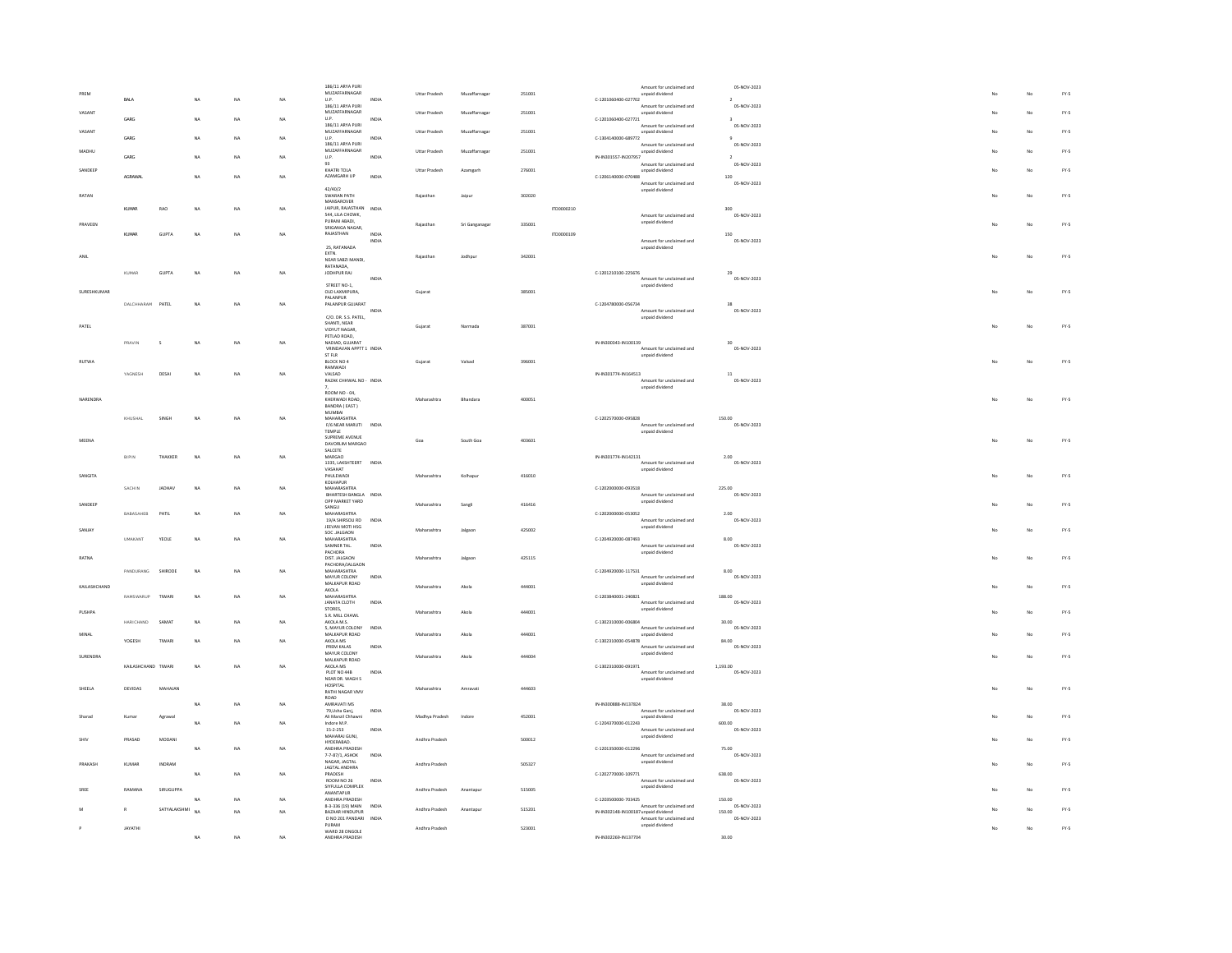|      | PREM         |                     |                |           |    |    | 186/11 ARYA PURI<br>MUZAFFARNAGAR                        |               | Uttar Pradesh        | Muzaffarnagar  | 251001 |            |                                      | Amount for unclaimed and<br>unpaid dividend          | 05-NOV-2023                            |  |    | $FY-5$        |
|------|--------------|---------------------|----------------|-----------|----|----|----------------------------------------------------------|---------------|----------------------|----------------|--------|------------|--------------------------------------|------------------------------------------------------|----------------------------------------|--|----|---------------|
|      | VASANT       | RAI A               |                |           | NA | NA | U.P.<br>186/11 ARYA PURI<br>MUZAFFARNAGAR                | INDIA         | <b>Uttar Pradesh</b> | Muzaffarnaga   | 251001 |            | C-1201060400-027702                  | Amount for unclaimed and                             | $\rightarrow$<br>05-NOV-2023           |  | No | $FY-5$        |
|      |              | GARG                |                | NA        | NA | NA | $\mathsf{U}.\mathsf{P}.$<br>186/11 ARYA PURI             | INDIA         |                      |                |        |            | C-1201060400-027721                  | unpaid dividend<br>Amount for unclaimed and          | $\overline{\mathbf{3}}$<br>05-NOV-2023 |  |    |               |
|      | VASANT       | GARG                |                | NA        | NA | NA | MUZAFFARNAGAR<br>U.P.                                    | INDIA         | Uttar Pradesh        | Muzaffarnagar  | 251001 |            | C-1304140000-689772                  | unpaid dividend                                      | $\overline{9}$                         |  | No | FY.5          |
|      | MADHU        | GARG                |                | <b>NA</b> | NA | NA | 186/11 ARYA PURI<br>MUZAFFARNAGAR<br>U.P.                | INDIA         | Uttar Pradesh        | Muzaffarnagar  | 251001 |            | IN-IN301557-IN207957                 | Amount for unclaimed and<br>unpaid dividend          | 05-NOV-2023<br>$\overline{2}$          |  | No | $FY\text{-}S$ |
|      | SANDEEP      |                     |                |           |    |    | 93<br>KHATRI TOLA                                        |               | <b>Uttar Pradesh</b> | Azamgarh       | 276001 |            |                                      | Amount for unclaimed and<br>unpaid dividend          | 05-NOV-2023                            |  | No | FY-5          |
|      |              | AGRAWA              |                | NA        | NA | NA | AZAMGARH UP<br>42/40/2                                   | INDIA         |                      |                |        |            | $C-1206140000-070488$                | Amount for unclaimed and                             | $120\,$<br>05-NOV-2023                 |  |    |               |
|      | <b>RATAN</b> |                     |                |           |    |    | SWARAN PATH<br>MANSAROVER                                |               | Raiasthan            | Jajour         | 302020 |            |                                      | unpaid dividend                                      |                                        |  | No | FY-5          |
|      |              | KIMAR               | RAO            | NA        | NA | NA | JAIPUR, RAJASTHAN INDIA<br>544, LILA CHOWK,              |               |                      |                |        | 170000210  |                                      | Amount for unclaimed and                             | 300<br>05-NOV-2023                     |  |    |               |
|      | PRAVEEN      | KUMAR               | <b>GUPTA</b>   | <b>NA</b> | NA | NA | PURANI ABADI.<br>SRIGANGA NAGAR,<br>RAJASTHAN            | <b>INDIA</b>  | Rajastha             | Sri Ganganagar | 335001 | ITD0000109 |                                      | unpaid dividend                                      | 150                                    |  | No | FY-5          |
|      |              |                     |                |           |    |    | 25, RATANADA                                             | INDIA         |                      |                |        |            |                                      | Amount for unclaimed and<br>unpaid dividend          | 05-NOV-2023                            |  |    |               |
| ANIL |              |                     |                |           |    |    | EXTN.<br>NEAR SABZI MANDI.<br>RATANADA.                  |               | Raiasthan            | Jodhpur        | 342001 |            |                                      |                                                      |                                        |  | No | FY-5          |
|      |              | KLIMAR              | <b>GUPTA</b>   | <b>NA</b> | NA | NA | JODHPUR RAJ                                              | INDIA         |                      |                |        |            | C-1201210100-225676                  | Amount for unclaimed and                             | 29<br>05-NOV-2023                      |  |    |               |
|      | SURESHKUMAR  |                     |                |           |    |    | STREET NO-1<br>OLD LAXMIPURA,<br>PALANPUR                |               | Gujarat              |                | 385001 |            |                                      | unpaid dividend                                      |                                        |  | No | FY-5          |
|      |              | DALCHHARAM PATEL    |                | <b>NA</b> | NA | NA | PALANPUR GUJARAT                                         | INDIA         |                      |                |        |            | C-1204780000-056734                  | Amount for unclaimed and                             | 28<br>05-NOV-2023                      |  |    |               |
|      | PATEL        |                     |                |           |    |    | C/O. DR. S.S. PATEL<br>SHANTI, NEAR<br>VIDYUT NAGAR,     |               | Gujarat              | Narmada        | 387001 |            |                                      | unpaid dividend                                      |                                        |  | No | FY-5          |
|      |              | PRAVIN              |                | NA        | NA | NA | PETLAD ROAD.<br>NADIAD, GUJARAT                          |               |                      |                |        |            | IN-IN300343-IN100139                 |                                                      | 30                                     |  |    |               |
|      |              |                     |                |           |    |    | VRINDAVAN APPTT 1 INDIA<br>ST FLR                        |               |                      |                |        |            |                                      | Amount for unclaimed and<br>unpaid dividend          | 05-NOV-2023                            |  |    |               |
|      | RUTWA        | <b>VAGNESH</b>      | DESAL          | <b>NA</b> | NA | NA | BLOCK NO 4<br>RAMWADI<br>VALSAD.                         |               | Gujara               | Valsad         | 396001 |            | IN-IN301774-IN164513                 |                                                      | $11\,$                                 |  | No | FY.5          |
|      |              |                     |                |           |    |    | RAZAK CHHWAL NO - INDIA                                  |               |                      |                |        |            |                                      | Amount for unclaimed and<br>unpaid dividend          | 05-NOV-2023                            |  |    |               |
|      | NARENDRA     |                     |                |           |    |    | ROOM NO - 04,<br>KHERWADI ROAD<br>BANDRA (EAST)          |               | Maharashtr           | Bhandara       | 400051 |            |                                      |                                                      |                                        |  | No | $FY-5$        |
|      |              | KHUSHAL             | SINGH          | NA        | NA | NA | <b>MUMBAI</b><br>MAHARASHTRA                             |               |                      |                |        |            | C-1202570000-095828                  |                                                      | 150.00                                 |  |    |               |
|      |              |                     |                |           |    |    | F/6 NEAR MARUTI<br>TEMPLE<br>SUPREME AVENUE              | INDIA         |                      |                |        |            |                                      | Amount for unclaimed and<br>unpaid dividend          | 05-NOV-2023                            |  |    |               |
|      | MEENA        |                     |                |           |    |    | DAVORLIM MARGAO<br>SALCETE                               |               | Goa                  | South Goa      | 403601 |            |                                      |                                                      |                                        |  | No | FY.5          |
|      |              | BIPIN               | <b>THAKKER</b> | <b>NA</b> | NA | NA | MARGAO<br>1335, LAKSHTEERT INDIA<br>VASAHAT              |               |                      |                |        |            | IN-IN301774-IN142131                 | Amount for unclaimed and<br>unpaid dividend          | 2.00<br>05-NOV-2023                    |  |    |               |
|      | SANGITA      |                     |                |           |    |    | PHULEWADI<br>KOLHAPUR                                    |               | Maharashtra          | Kolhapu        | 416010 |            |                                      |                                                      |                                        |  | No | $FY-5$        |
|      |              | SACHIN              | <b>IADHAV</b>  | NA        | NA | NA | MAHARASHTRA<br>BHARTESH BANGLA INDIA<br>OPP MARKET YARD  |               |                      |                |        |            | C-1202000000-093518                  | Amount for unclaimed and<br>unpaid dividend          | 225.00<br>05-NOV-2023                  |  |    |               |
|      | SANDEER      | BABASAHEB           | PATIL          | NA        | NA | NA | SANGLI<br>MAHARASHTRA                                    |               | Maharashtra          | Sangli         | 416416 |            | C-1202000000-053052                  |                                                      | 2.00                                   |  | No | FY.5          |
|      | SANJAY       |                     |                |           |    |    | 19/A SHIRSOLI RD INDIA<br>JEEVAN MOTI HSG<br>SOC JALGAON |               | Maharashtra          | Jalgao         | 425002 |            |                                      | Amount for unclaimed and<br>unpaid dividend          | 05-NOV-2023                            |  | No | $FY-5$        |
|      |              | UMAKANT             | YEOLE          | NA        | NA | NA | MAHARASHTRA<br>SAMNER TAL.                               | INDIA         |                      |                |        |            | C-1204920000-087493                  | Amount for unclaimed and                             | 8.00<br>05-NOV-2023                    |  |    |               |
|      | RATNA        |                     |                |           |    |    | PACHORA<br>DIST. JALGAON<br>PACHORA/JALGAON              |               | Maharashtra          | Jalgaon        | 425115 |            |                                      | unpaid dividend                                      |                                        |  | No | FY-5          |
|      |              | PANDURANG SHIRODE   |                | <b>NA</b> | NA | NA | MAHARASHTRA<br>MAYUR COLONY                              | INDIA         |                      |                |        |            | C-1204920000-117531                  | Amount for unclaimed and                             | 8.00<br>05-NOV-2023                    |  |    |               |
|      | KAILASHCHAND | RAMSWARUP           | TIWARI         | <b>NA</b> | NA | NA | MALKAPUR ROAD<br>$\sf AKOLA$<br>MAHARASHTRA              |               | Maharashtra          | Akola          | 444001 |            | C-1203840001-240821                  | unpaid dividend                                      | 188.00                                 |  | No | FY-5          |
|      | PUSHPA       |                     |                |           |    |    | <b>JANATA CLOTH</b><br>STORES.                           | INDIA         | Maharashtra          | Akob           | 444001 |            |                                      | Amount for unclaimed and<br>unpaid dividend          | 05-NOV-2023                            |  | No | FY-5          |
|      |              | HARICHAND           | SAMAT          | NA        | NA | NA | S.R. MILL CHAWL<br>AKOLA M.S.<br>5, MAYUR COLONY         | INDIA         |                      |                |        |            | C-1302310000-006804                  | Amount for unclaimed and                             | 30.00<br>05-NOV-2023                   |  |    |               |
|      | MINAL        | YOGESH              | TIWAR          | NA        | NA | NA | MALKAPUR ROAD<br>AKOLA MS<br>PREM KALAS                  | INDIA         | Maharashtra          | Akola          | 444001 |            | C-1302310000-054878                  | unpaid dividend<br>Amount for unclaimed and          | 84.00<br>05-NOV-2023                   |  | No | FY-5          |
|      | SURENDRA     |                     |                |           |    |    | MAYUR COLONY<br>MALKAPUR ROAD                            |               | Maharashtra          | Akola          | 444004 |            |                                      | unpaid dividend                                      |                                        |  | No | FY-5          |
|      |              | KAILASHCHAND TIWARI |                | NA        | NA | NA | AKOLA MS<br>PLOT NO 44B                                  | INDIA         |                      |                |        |            | C-1302310000-091971                  | Amount for unclaimed and                             | 1,193.00<br>05-NOV-2023                |  |    |               |
|      | SHEELA       | DEVIDAS             | MAHAIAN        |           |    |    | NEAR DR. WAGH S<br>HOSPITAL<br>RATHI NAGAR VMV           |               | Maharashtra          | Amravati       | 444603 |            |                                      | unpaid dividend                                      |                                        |  | No | FY-5          |
|      |              |                     |                | NA        | NA | NA | ROAD<br>AMRAVATI MS<br>79.Usha Gani.                     | INDIA         |                      |                |        |            | IN-IN300888-IN137824                 | Amount for unclaimed and                             | 38.00<br>05-NOV-2023                   |  |    |               |
|      | Sharad       | Kumar               | Agrawal        | NA        | NA | NA | Ali Manzil Chhawni<br>Indore M.P.                        |               | Madhya Pradesh       | Indore         | 452001 |            | C-1204370000-012243                  | unpaid dividend                                      | 600.00                                 |  | No | FY-5          |
| SHIV |              | PRASAD              | MODANI         |           |    |    | $15 - 2 - 253$<br>MAHARALGUNI                            | INDIA         | Andhra Pradesh       |                | 500012 |            |                                      | Amount for unclaimed and<br>unpaid dividend          | 05-NOV-2023                            |  | No | FY-5          |
|      |              |                     |                | <b>NA</b> | NA | NA | HYDERABAD.<br>ANDHRA PRADESH<br>7-7-87/1, ASHOK          | INDIA         |                      |                |        |            | C-1201350000-012296                  | Amount for unclaimed and                             | 75.00<br>05-NOV-2023                   |  |    |               |
|      | PRAKAS       | KUMAR               | INDRAM         |           |    |    | NAGAR, JAGTAL<br><b>JAGTAL ANDHRA</b>                    |               | Andhra Pradesh       |                | 505327 |            |                                      | unpaid dividend                                      |                                        |  | No | $FY-5$        |
|      |              |                     |                | NA        | NA | NA | PRADESH<br><b>ROOM NO 26</b><br>SIYELILLA COMPLEX        | INDIA         |                      |                |        |            | C-1202770000-109771                  | Amount for unclaimed and<br>unpaid dividend          | 638.00<br>05-NOV-2023                  |  |    |               |
| SREE |              | RAMANA              | SIRUGUPPA      | <b>NA</b> | NA | NA | ANANTAPUR<br>ANDHRA PRADESH                              |               | Andhra Pradesh       | Anantapo       | 515005 |            | C-1203500000-703425                  |                                                      | 150.00                                 |  | No | FY-5          |
|      |              | R                   | SATYALAKSHMI   | <b>NA</b> | NA | NA | 8-3-336 (19) MAIN<br>BAZAAR HINDUPUR<br>D NO 201 PANDARI | INDIA<br>INDV | Andhra Pradesh       | Anantapu       | 515201 |            | IN-IN302148-IN100187 unpaid dividend | Amount for unclaimed and<br>Amount for unclaimed and | 05-NOV-2023<br>150.00<br>05-NOV-2023   |  | No | FY-5          |
|      |              | ΙΔΥΔΤΗΙ             |                |           |    |    | PURAM<br>WARD 28 ONGOLE                                  |               | Andhra Pradesh       |                | 523001 |            |                                      | unpaid dividend                                      |                                        |  | No | FY-5          |
|      |              |                     |                | NA        | NA | NA | ANDHRA PRADESH                                           |               |                      |                |        |            | IN-IN302269-IN137704                 |                                                      | 30.00                                  |  |    |               |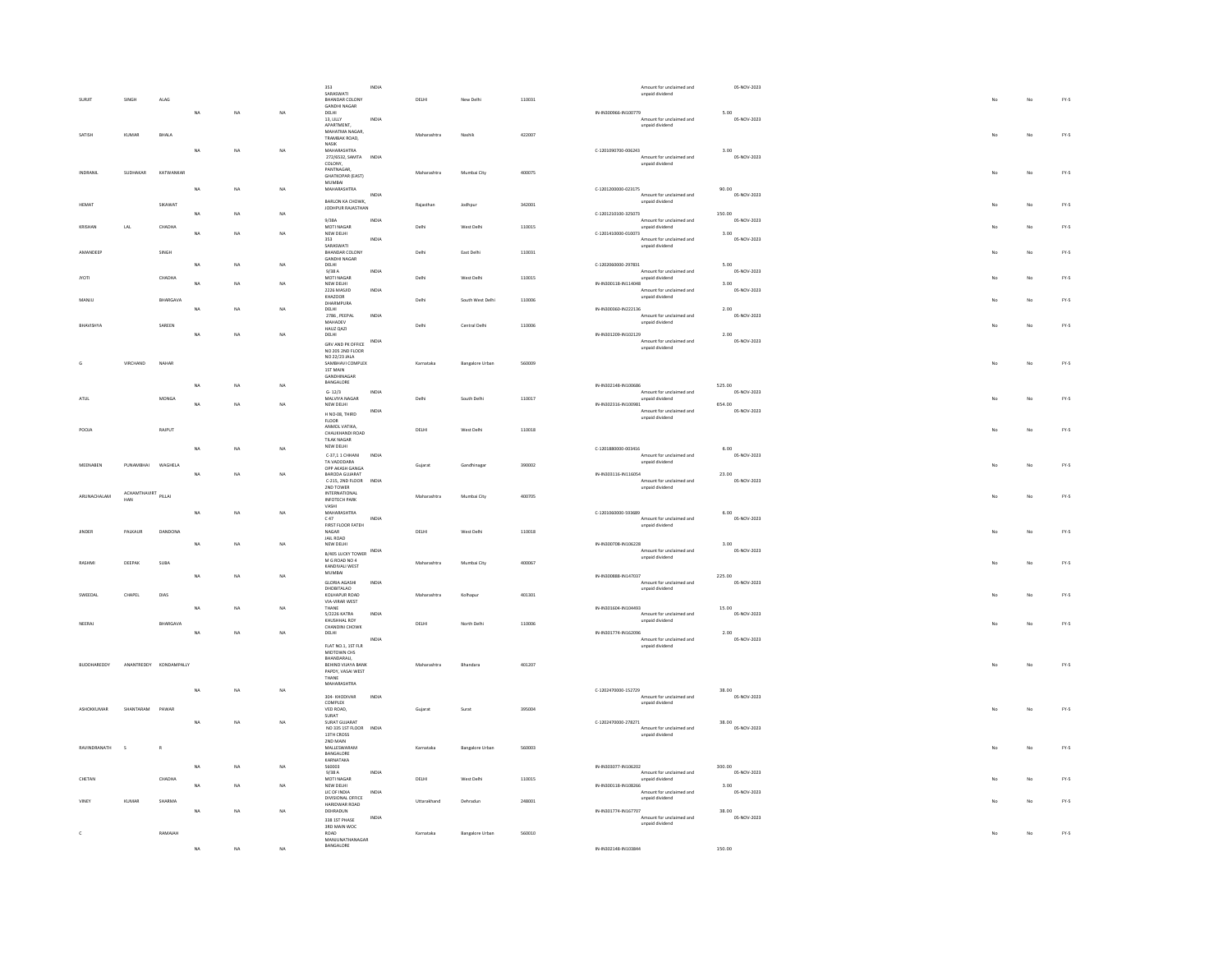|                |              |             |             |           |             | 353                                                            | INDIA        |             |                        |        |                      | Amount for unclaimed and                    | 05-NOV-2023           |    |             |               |
|----------------|--------------|-------------|-------------|-----------|-------------|----------------------------------------------------------------|--------------|-------------|------------------------|--------|----------------------|---------------------------------------------|-----------------------|----|-------------|---------------|
|                | SINGH        | ALAG        |             |           |             | SARASWATI<br>BHANDAR COLONY                                    |              | DELHI       | New Delhi              | 110031 |                      | unpaid dividend                             |                       |    | No          | $FY-5$        |
|                |              |             |             |           |             | GANDHI NAGAR                                                   |              |             |                        |        | IN-IN300966-IN100779 |                                             |                       |    |             |               |
|                |              |             | <b>NA</b>   | <b>NA</b> | NA          | DELHI<br>13, LILLY                                             | INDIA        |             |                        |        |                      | Amount for unclaimed and                    | 5.00<br>05-NOV-2023   |    |             |               |
|                |              |             |             |           |             | <b>APARTMENT</b><br>MAHATMA NAGAR,                             |              |             |                        |        |                      | unpaid dividend                             |                       |    |             |               |
| SATISH         | KUMAR        | BHALA       |             |           |             | TRAMBAK ROAD                                                   |              | Maharashtra | Nashik                 | 422007 |                      |                                             |                       |    | No          | FY.5          |
|                |              |             | <b>NA</b>   | <b>NA</b> | NA          | <b>NASIK</b><br>MAHARASHTRA                                    |              |             |                        |        | C-1201090700-006243  |                                             | 3.00                  |    |             |               |
|                |              |             |             |           |             | 272/6532, SAMTA<br>COLONY.                                     | <b>INDIA</b> |             |                        |        |                      | Amount for unclaimed and<br>unpaid dividend | 05-NOV-2023           |    |             |               |
| INDRANIL       | SUDHAKAR     | KATWANKAR   |             |           |             | PANTNAGAR                                                      |              | Maharashtra | Mumbai City            | 400075 |                      |                                             |                       | No | No          | $FY-5$        |
|                |              |             |             |           |             | <b>GHATKOPAR (EAST)</b><br>MUMBAI                              |              |             |                        |        |                      |                                             |                       |    |             |               |
|                |              |             | NA          | NA        | NA          | MAHARASHTRA                                                    |              |             |                        |        | C-1201200000-023175  |                                             | 90.00<br>05-NOV-2023  |    |             |               |
| HEMAT          |              | SIKAWAT     |             |           |             | BARLON KA CHOWK,                                               | INDIA        | Raiasthan   | Jodhour                | 342001 |                      | Amount for unclaimed and<br>unpaid dividend |                       |    | No          | FY-5          |
|                |              |             | NA          | NA        | $_{\rm NA}$ | JODHPUR RAJASTHAN                                              |              |             |                        |        | C-1201210100-325073  |                                             | 150.00                |    |             |               |
|                |              |             |             |           |             | 9/38A<br>MOTI NAGAR                                            | INDIA        | Delhi       |                        |        |                      | Amount for unclaimed and                    | 05-NOV-2023           |    | No          | FY-5          |
| <b>KRISHAN</b> | $_{\rm LAL}$ | CHADHA      | <b>NA</b>   | NA        | NA          | NEW DELHI                                                      |              |             | West Delhi             | 110015 | C-1201410000-010073  | unpaid dividend                             | 3.00                  |    |             |               |
|                |              |             |             |           |             | 353<br>SARASWATI                                               | INDIA        |             |                        |        |                      | Amount for unclaimed and<br>unpaid dividend | 05-NOV-2023           |    |             |               |
| AMANDEER       |              | SINGH       |             |           |             | BHANDAR COLONY<br>GANDHI NAGAR                                 |              | Delhi       | East Delhi             | 110031 |                      |                                             |                       |    | No          | $FY-5$        |
|                |              |             | <b>NA</b>   | NA        | NA          | DELHI                                                          |              |             |                        |        | C-1202060000-297831  |                                             | 5.00                  |    |             |               |
| <b>VOTI</b>    |              | CHADHA      |             |           |             | 9/38A<br>MOTI NAGAR                                            | INDIA        | Delhi       | West Delhi             | 110015 |                      | Amount for unclaimed and<br>unpaid dividend | 05-NOV-2023           |    | No          | FY-5          |
|                |              |             | NA          | NA        | NA          | NEW DELHI<br>2226 MASJID                                       | INDIA        |             |                        |        | IN-IN300118-IN114048 | Amount for unclaimed and                    | 3.00<br>05-NOV-2023   |    |             |               |
| MANJU          |              | BHARGAVA    |             |           |             | KHAZOOR                                                        |              | Delhi       | South West Delhi       | 110006 |                      | unpaid dividend                             |                       |    | No          | FY-5          |
|                |              |             | NA          | NA        | NA          | DHARMPURA<br>DELHI                                             |              |             |                        |        | IN-IN300360-IN222136 |                                             | 2.00                  |    |             |               |
|                |              |             |             |           |             | 2786 . PEEPAL<br>MAHADEV                                       | <b>INDIA</b> |             |                        |        |                      | Amount for unclaimed and<br>unpaid dividend | 05-NOV-2023           |    |             |               |
| BHAVISHYA      |              | SAREEN      |             |           |             | HAUZ QAZI                                                      |              | Delhi       | Central Delhi          | 110006 |                      |                                             |                       |    | No          | FY-5          |
|                |              |             | NA          | NA        | NA          | DELHI<br>GRV AND PK OFFICE                                     | <b>INDIA</b> |             |                        |        | IN-IN301209-IN102129 | Amount for unclaimed and                    | 2.00<br>05-NOV-2023   |    |             |               |
|                |              |             |             |           |             | NO 205 2ND FLOOR                                               |              |             |                        |        |                      | unpaid dividend                             |                       |    |             |               |
|                | VIRCHAND     | NAHAF       |             |           |             | NO 22/23 JALA<br>SAMBHAVI COMPLEX                              |              | Karnataka   | <b>Bangalore Urban</b> | 560009 |                      |                                             |                       |    | No          | $FY-5$        |
|                |              |             |             |           |             | 1ST MAIN                                                       |              |             |                        |        |                      |                                             |                       |    |             |               |
|                |              |             | <b>NA</b>   | <b>NA</b> | <b>NA</b>   | GANDHINAGAR<br>BANGALORE                                       |              |             |                        |        | IN-IN302148-IN100686 |                                             | 525.00                |    |             |               |
|                |              |             |             |           |             | $G - 12/3$                                                     | INDIA        |             |                        |        |                      | Amount for unclaimed and                    | 05-NOV-2023           |    |             |               |
| ATHL           |              | MONGA       | NA          | NA        | NA          | MAI VIYA NAGAR<br>NEW DELHI                                    |              | Delhi       | South Delhi            | 110017 | IN-IN302316-IN100981 | unpaid dividend                             | 654.00                |    | No          | FY-5          |
|                |              |             |             |           |             | H NO-08, THIRD                                                 | INDIA        |             |                        |        |                      | Amount for unclaimed and<br>unpaid dividend | 05-NOV-2023           |    |             |               |
| POOJA          |              |             |             |           |             | <b>FLOOR</b><br>ANMOL VATIKA                                   |              |             |                        |        |                      |                                             |                       |    |             |               |
|                |              | RAIPUT      |             |           |             | CHAUKHANDI ROAD<br>TILAK NAGAR                                 |              | DELHI       | West Delhi             | 110018 |                      |                                             |                       |    | No          | $FY\text{-}S$ |
|                |              |             | NA          | NA        | NA          | NEW DELHI                                                      |              |             |                        |        | C-1201880000-003416  |                                             | 6.00                  |    |             |               |
|                |              |             |             |           |             | C-37,11 CHHANI<br>TA VADODARA                                  | INDIA        |             |                        |        |                      | Amount for unclaimed and<br>unpaid dividend | 05-NOV-2023           |    |             |               |
| MEENABEN       | PUNAMBHAI    | WAGHELA     |             |           |             | OPP AKASH GANGA                                                |              | Guiarat     | Gandhinagan            | 390002 |                      |                                             |                       |    | No          | FY-5          |
|                |              |             | NA          | NA        | NA          | BARODA GUJARAT<br>C-215, 2ND FLOOR                             | <b>INDIA</b> |             |                        |        | IN-IN303116-IN116054 | Amount for unclaimed and                    | 23.00<br>05-NOV-2023  |    |             |               |
|                | ACHAMTHAVIRT |             |             |           |             | 2ND TOWER<br><b>INTERNATIONAL</b>                              |              |             |                        |        |                      | unpaid dividend                             |                       |    |             |               |
| ARLINACHALAM   | HAN          | PILLAL      |             |           |             | <b>INFOTECH PARK</b>                                           |              | Maharashtra | Mumbai City            | 400705 |                      |                                             |                       |    | No          | FY-5          |
|                |              |             | $_{\sf NA}$ | NA        | NA          | VASHI<br>MAHARASHTRA                                           |              |             |                        |        | C-1201060000-593689  |                                             | 6.00                  |    |             |               |
|                |              |             |             |           |             | C.47<br>FIRST FLOOR FATEH                                      | INDIA        |             |                        |        |                      | Amount for unclaimed and<br>unpaid dividend | 05-NOV-2023           |    |             |               |
| JINDER         | PALKAUR      | DANDONA     |             |           |             | NAGAR<br>JAIL ROAD                                             |              | DELHI       | West Delhi             | 110018 |                      |                                             |                       |    | No          | FY.5          |
|                |              |             | NA          | NA        | NA          | NEW DELHI                                                      |              |             |                        |        | IN-IN300708-IN106228 |                                             | 3.00                  |    |             |               |
|                |              |             |             |           |             | B/405 LUCKY TOWER INDIA                                        |              |             |                        |        |                      | Amount for unclaimed and<br>unpaid dividend | 05-NOV-2023           |    |             |               |
| RASHMI         | DEEPAK       | SUBA        |             |           |             | M G ROAD NO 4<br>KANDIVALI WEST                                |              | Maharashtra | Mumbai City            | 400067 |                      |                                             |                       |    | No          | FY-5          |
|                |              |             | <b>NA</b>   | NA        | NA          | MUMBAI                                                         |              |             |                        |        | IN-IN300888-IN147037 |                                             | 225.00                |    |             |               |
|                |              |             |             |           |             | <b>GLORIA AGASHI</b><br>DHOBITALAO                             | INDIA        |             |                        |        |                      | Amount for unclaimed and<br>unpaid dividend | 05-NOV-2023           |    |             |               |
| SWEEDAL        | CHAPEL       | DIAS        |             |           |             | KOLHAPUR ROAD<br>VIA-VIRAR WEST                                |              | Maharashtra | Kolhapu                | 401301 |                      |                                             |                       |    | No          | FY.5          |
|                |              |             | <b>NA</b>   | NA        | NA          | THANE                                                          |              |             |                        |        | IN-IN301604-IN104493 |                                             | 15.00                 |    |             |               |
| NEERAJ         |              | BHARGAVA    |             |           |             | 5/2226 KATRA<br>KHUSHHAL ROY<br>KHUSHHAL ROY<br>CHANDINI CHOWK | INDIA        | DELHI       | North Delhi            | 110006 |                      | Amount for unclaimed and<br>unpaid dividend | 05-NOV-2023           |    | No          | $FY-5$        |
|                |              |             | NA          | <b>NA</b> | <b>NA</b>   | DELHI                                                          |              |             |                        |        | IN-IN301774-IN162096 |                                             | 2.00                  |    |             |               |
|                |              |             |             |           |             | FLAT NO.1, 1ST FLR                                             | INDIA        |             |                        |        |                      | Amount for unclaimed and<br>unpaid dividend | 05-NOV-2023           |    |             |               |
|                |              |             |             |           |             | MIDTOWN CHS                                                    |              |             |                        |        |                      |                                             |                       |    |             |               |
| BUDDHAREDDY    | ANANTREDDY   | KONDAMPALLY |             |           |             | RHANDARALL<br>BEHIND VUAYA BANK                                |              | Maharashtra | Bhandara               | 401207 |                      |                                             |                       | No | No          | $FY\text{-}S$ |
|                |              |             |             |           |             | PAPDY, VASAI WEST<br>THANE                                     |              |             |                        |        |                      |                                             |                       |    |             |               |
|                |              |             |             |           |             | MAHARASHTRA                                                    |              |             |                        |        |                      |                                             |                       |    |             |               |
|                |              |             | <b>NA</b>   | NA        | NA          | 304- KHODIVAR                                                  | INDIA        |             |                        |        | C-1202470000-152729  | Amount for unclaimed and                    | 38.00<br>05-NOV-2023  |    |             |               |
| ASHOKKUMAR     | SHANTARAM    | PAWAR       |             |           |             | COMPLEX<br>VED ROAD,                                           |              | Gujarat     | Surat                  | 395004 |                      | unpaid dividend                             |                       | No | No          | FY-5          |
|                |              |             |             |           |             | SURAT                                                          |              |             |                        |        |                      |                                             |                       |    |             |               |
|                |              |             | NA          | NA        | NA          | SURAT GUJARAT<br>NO 335 1ST FLOOR<br>13TH CROSS                | INDIA        |             |                        |        | C-1202470000-278271  | Amount for unclaimed and                    | 38.00<br>05-NOV-2023  |    |             |               |
|                |              |             |             |           |             | 2ND MAIN                                                       |              |             |                        |        |                      | unpaid dividend                             |                       |    |             |               |
| RAVINDRANATH   |              |             |             |           |             | MALLESWARAM<br>BANGALORE                                       |              | Karnataka   | <b>Bangalore Urban</b> | 560003 |                      |                                             |                       |    | No          | $FY\text{-}S$ |
|                |              |             |             |           |             | KARNATAKA                                                      |              |             |                        |        |                      |                                             |                       |    |             |               |
|                |              |             | <b>NA</b>   | NA        | NA          | 560003<br>9/38A                                                | INDIA        |             |                        |        | IN-IN303077-IN106202 | Amount for unclaimed and                    | 300.00<br>05-NOV-2023 |    |             |               |
| CHETAN         |              | CHADHA      | NA          | NA        | <b>NA</b>   | MOTI NAGAR<br>NEW DELHI                                        |              | DELHI       | West Delhi             | 110015 | IN-IN300118-IN108266 | unpaid dividend                             |                       |    | No          | FY-5          |
|                |              |             |             |           |             | LIC OF INDIA                                                   | INDIA        |             |                        |        |                      | Amount for unclaimed and                    | 3.00<br>05-NOV-2023   |    |             |               |
|                | KUMAR        | SHARMA      |             |           |             | DIVISIONAL OFFICE                                              |              | Uttarakhand | Dehradun               | 248001 |                      | unpaid dividend                             |                       |    | $_{\rm No}$ | $FY\text{-}S$ |
|                |              |             | <b>NA</b>   | NA        | NA          | DEHRADUN                                                       | INDIA        |             |                        |        | IN-IN301774-IN167707 | Amount for unclaimed and                    | 38.00<br>05-NOV-2023  |    |             |               |
|                |              |             |             |           |             | 338 1ST PHASE<br>3RD MAIN WOC                                  |              |             |                        |        |                      | unpaid dividend                             |                       |    |             |               |
|                |              | RAMAIAH     |             |           |             | ROAD<br>MANJUNATHANAGAR                                        |              | Karnataka   | <b>Bangalore Urban</b> | 560010 |                      |                                             |                       |    | No          | $FY-5$        |
|                |              |             | <b>NA</b>   | NA        | NA          | BANGALORE                                                      |              |             |                        |        | IN-IN302148-IN103844 |                                             | 150.00                |    |             |               |
|                |              |             |             |           |             |                                                                |              |             |                        |        |                      |                                             |                       |    |             |               |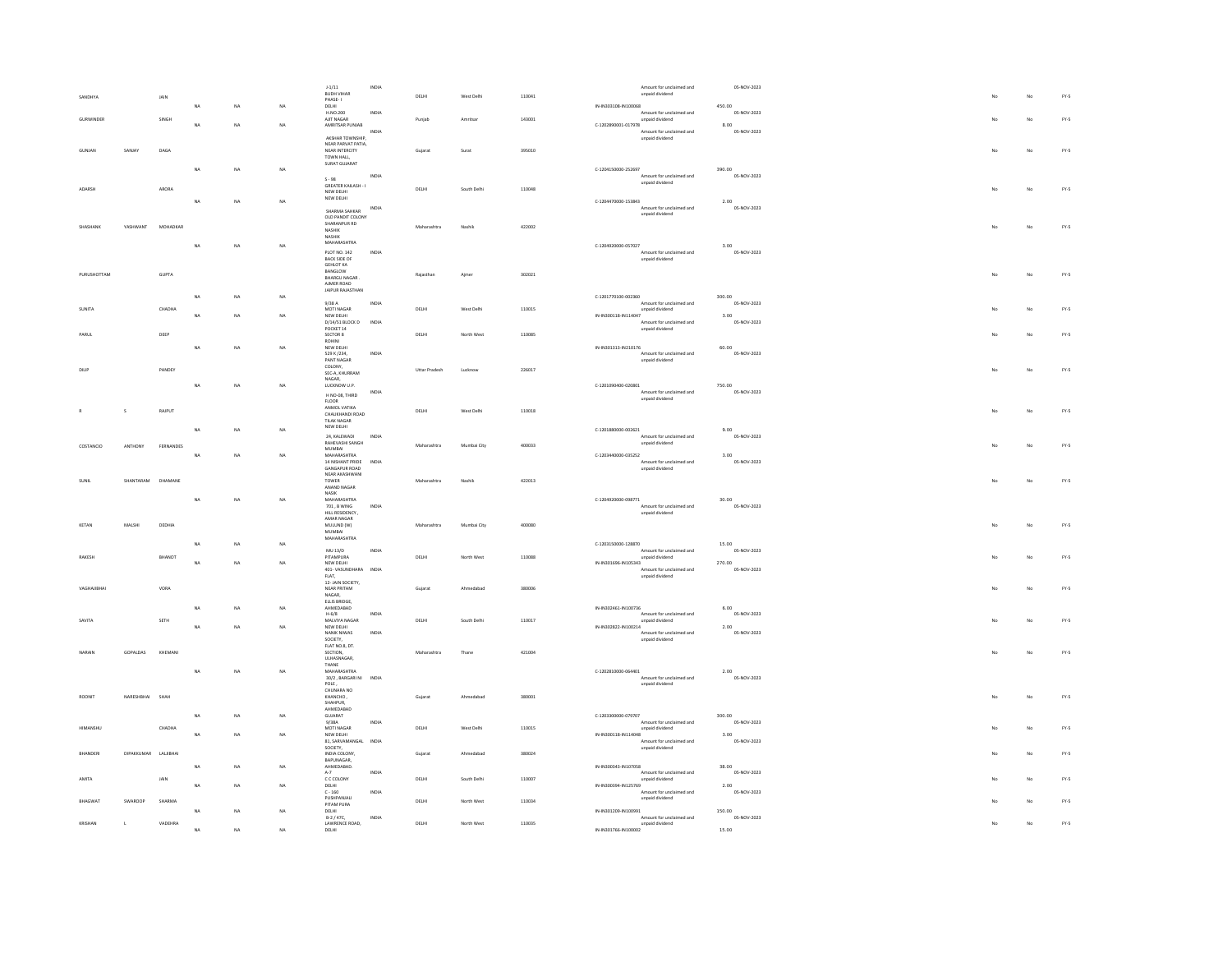|                         |                      |           |             |    |     | $1 - 1/11$                                        | INDIA                                |                      |             |        |                      | Amount for unclaimed and                    | 05-NOV-2023           |    |    |        |
|-------------------------|----------------------|-----------|-------------|----|-----|---------------------------------------------------|--------------------------------------|----------------------|-------------|--------|----------------------|---------------------------------------------|-----------------------|----|----|--------|
|                         |                      | JAIN      |             |    |     | BUDH VIHAR<br>PHASE-1                             |                                      | DELHI                | West Delh   | 110041 |                      | unpaid dividend                             |                       |    | No | FY.5   |
|                         |                      |           | <b>NA</b>   | NA | NA  | DELHL.<br>H.NO.200                                | INDIA                                |                      |             |        | IN-IN303108-IN100068 | Amount for unclaimed and                    | 450.00<br>05-NOV-2023 |    |    |        |
| GURWINDER               |                      | SINGH     | NA          | NA | NA  | AJIT NAGAR<br>AMRITSAR PUNJAB                     |                                      | Punjab               | Amritsar    | 143001 | C-1202890001-017978  | unpaid dividend                             | 8.00                  |    | No | $FY-5$ |
|                         |                      |           |             |    |     |                                                   | INDIA                                |                      |             |        |                      | Amount for unclaimed and                    | 05-NOV-2023           |    |    |        |
|                         |                      |           |             |    |     | AKSHAR TOWNSHIP.<br>NEAR PARVAT PATIA,            |                                      |                      |             |        |                      | unpaid dividend                             |                       |    |    |        |
| GUNJAN                  | SANJAY               | DAGA      |             |    |     | NEAR INTERCITY<br>TOWN HALL,                      |                                      | Gujarat              | Surat       | 395010 |                      |                                             |                       | No | No | $FY-5$ |
|                         |                      |           |             |    |     | SURAT GUJARAT                                     |                                      |                      |             |        |                      |                                             |                       |    |    |        |
|                         |                      |           | NA          | NA | NA  | 99.2                                              | INDIA                                |                      |             |        | C-1204150000-252697  | Amount for unclaimed and                    | 390.00<br>05-NOV-2023 |    |    |        |
| ADARSH                  |                      | ARORA     |             |    |     | GREATER KAILASH - I                               |                                      | DELHI                | South Delhi | 110048 |                      | unpaid dividend                             |                       | No | No | FY-5   |
|                         |                      |           | <b>NA</b>   | NA | NA  | NEW DELHI<br>NEW DELHI                            |                                      |                      |             |        | C-1204470000-153843  |                                             |                       |    |    |        |
|                         |                      |           |             |    |     | SHARMA SAHKAR                                     | INDIA                                |                      |             |        |                      | Amount for unclaimed and                    | 2.00<br>05-NOV-2023   |    |    |        |
|                         |                      |           |             |    |     | OLD PANDIT COLONY                                 |                                      |                      |             |        |                      | unpaid dividend                             |                       |    |    |        |
| SHASHANK                | <b>YASHWANT</b>      | MOHADKAR  |             |    |     | SHARANPUR RD<br>NASHIK                            |                                      | Maharashtra          | Nashik      | 422002 |                      |                                             |                       | No | No | FY-5   |
|                         |                      |           |             |    |     | NASHIK<br>MAHARASHTRA                             |                                      |                      |             |        |                      |                                             |                       |    |    |        |
|                         |                      |           | NA          | NA | NA  | PLOT NO. 142<br>BACK SIDE OF                      | $\ensuremath{\mathsf{INDIA}}\xspace$ |                      |             |        | C-1204920000-057027  | Amount for unclaimed and                    | 3.00<br>05-NOV-2023   |    |    |        |
|                         |                      |           |             |    |     | <b>GEHLOT KA</b>                                  |                                      |                      |             |        |                      | unpaid dividend                             |                       |    |    |        |
| PURLISHOTTAM            |                      | GUPTA     |             |    |     | BANGLOW<br>BHARGU NAGAR                           |                                      | Raiasthar            | Aimer       | 302021 |                      |                                             |                       | No | No | FY-5   |
|                         |                      |           |             |    |     | AJMER ROAD                                        |                                      |                      |             |        |                      |                                             |                       |    |    |        |
|                         |                      |           | NA          | NA | NA  | JAIPUR RAJASTHAN                                  |                                      |                      |             |        | C-1201770100-002360  |                                             | 300.00                |    |    |        |
| SUNITA                  |                      | CHADHA    |             |    |     | 9/38 A<br>MOTI NAGAR                              | INDIA                                | DELHI                | West Delhi  | 110015 |                      | Amount for unclaimed and<br>unpaid dividend | 05-NOV-2023           |    | No | $FY-5$ |
|                         |                      |           | NA          | NA | NA. | NEW DELHI                                         |                                      |                      |             |        | IN-IN300118-IN114047 |                                             | 3.00                  |    |    |        |
|                         |                      |           |             |    |     | D/14/51 BLOCK D INDIA<br>POCKET 14                |                                      |                      |             |        |                      | Amount for unclaimed and<br>unpaid dividend | 05-NOV-2023           |    |    |        |
| PARUI                   |                      | DEEP      |             |    |     | SECTOR 8<br>ROHINI                                |                                      | DELHI                | North West  | 110085 |                      |                                             |                       |    | No | $FY-5$ |
|                         |                      |           | NA          | NA | NA  | NEW DELHI                                         |                                      |                      |             |        | IN-IN301313-IN210176 |                                             | 60.00                 |    |    |        |
|                         |                      |           |             |    |     | 529 K /234,<br>PANT NAGAR                         | INDIA                                |                      |             |        |                      | Amount for unclaimed and<br>unpaid dividend | 05-NOV-2023           |    |    |        |
| DILIP                   |                      | PANDEY    |             |    |     | COLONY,<br>SEC-A, KHURRAM                         |                                      | <b>Uttar Pradesh</b> | Lucknow     | 226017 |                      |                                             |                       | No | No | FY-5   |
|                         |                      |           | <b>NA</b>   | NA | NA  | $\texttt{NAGAR}_\tau$<br>LUCKNOW U.P.             |                                      |                      |             |        | C-1201090400-020801  |                                             | 750.00                |    |    |        |
|                         |                      |           |             |    |     | H NO-08, THIRD                                    | INDIA                                |                      |             |        |                      | Amount for unclaimed and                    | 05-NOV-2023           |    |    |        |
|                         |                      |           |             |    |     | $FLOOR$<br>ANMOL VATIKA                           |                                      |                      |             |        |                      | unpaid dividend                             |                       |    |    |        |
| $\sf S$                 |                      | RAIPUT    |             |    |     | CHAUKHANDI ROAD                                   |                                      | DELHI                | West Delhi  | 110018 |                      |                                             |                       | No | No | $FN-5$ |
|                         |                      |           |             | NA | NA  | TILAK NAGAR<br>NEW DELHI                          |                                      |                      |             |        | C-1201880000-002621  |                                             |                       |    |    |        |
|                         |                      |           | NA          |    |     | 24, KALEWADI                                      | INDIA                                |                      |             |        |                      | Amount for unclaimed and                    | 9.00<br>05-NOV-2023   |    |    |        |
| COSTANCIO               | ANTHONY              | FERNANDES |             |    |     | RAHEVASHI SANGH<br>MUMBAI                         |                                      | Maharashtra          | Mumbai City | 400033 |                      | unpaid dividend                             |                       |    | No | $FY-S$ |
|                         |                      |           | <b>NA</b>   | NA | NA  | MAHARASHTRA<br>14 NISHANT PRIDE                   | INDIA                                |                      |             |        | C-1203440000-035252  | Amount for unclaimed and                    | 3.00<br>05-NOV-2023   |    |    |        |
|                         |                      |           |             |    |     | <b>GANGAPUR ROAD</b>                              |                                      |                      |             |        |                      | unpaid dividend                             |                       |    |    |        |
| SHNIL                   | SHANTARAM DHAMANE    |           |             |    |     | NEAR AKASHWANI<br>TOWER                           |                                      | Maharashtra          | Nashik      | 422013 |                      |                                             |                       |    | No | $FY-S$ |
|                         |                      |           |             |    |     | ANAND NAGAR<br><b>NASIK</b>                       |                                      |                      |             |        |                      |                                             |                       |    |    |        |
|                         |                      |           | NA          | NA | NA  | MAHARASHTRA<br>701 R WING                         |                                      |                      |             |        | C-1204920000-098771  | Amount for unclaimed and                    | 30.00<br>05-NOV-2023  |    |    |        |
|                         |                      |           |             |    |     | HILL RESIDENCY,                                   | <b>INDIA</b>                         |                      |             |        |                      | unpaid dividend                             |                       |    |    |        |
| KETAM                   | MALSHI               | DEDHIA    |             |    |     | AMAR NAGAR<br>MULUND (W)                          |                                      | Maharashtra          | Mumbai City | 400080 |                      |                                             |                       |    | No | FY-5   |
|                         |                      |           |             |    |     | MUMBAI<br>MAHARASHTRA                             |                                      |                      |             |        |                      |                                             |                       |    |    |        |
|                         |                      |           | <b>NA</b>   | NA | NA  |                                                   |                                      |                      |             |        | C-1203150000-128870  |                                             | 15.00                 |    |    |        |
| RAKESH                  |                      | BHANOT    |             |    |     | MU 13/D<br>PITAMPURA                              | INDIA                                | DELHI                | North West  | 110088 |                      | Amount for unclaimed and<br>unpaid dividend | 05-NOV-2023           |    | No | $FY-5$ |
|                         |                      |           | NA          | NA | NA  | NEW DELHI                                         |                                      |                      |             |        | IN-IN301696-IN105343 | Amount for unclaimed and                    | 270.00<br>05-NOV-2023 |    |    |        |
|                         |                      |           |             |    |     | 401-VASUNDHARA INDIA<br>FLAT,<br>12- JAIN SOCIETY |                                      |                      |             |        |                      | unpaid dividend                             |                       |    |    |        |
| VAGHAJIBHA              |                      | VORA      |             |    |     | NEAR PRITAM                                       |                                      | Gujarat              |             |        |                      |                                             |                       |    |    |        |
|                         |                      |           |             |    |     |                                                   |                                      |                      | Ahmedabad   | 380006 |                      |                                             |                       |    | No | $FY-5$ |
|                         |                      |           |             |    |     | $\texttt{NAGAR}_\tau$<br>ELLIS BRIDGE.            |                                      |                      |             |        |                      |                                             |                       |    |    |        |
|                         |                      |           | NA          | NA | NA  | AHMEDABAD<br>$H - 6/8$                            | <b>INDIA</b>                         |                      |             |        | IN-IN302461-IN100736 | Amount for unclaimed and                    | 6.00<br>05-NOV-2023   |    |    |        |
|                         |                      | SETH      |             |    |     | MALVIYA NAGAR                                     |                                      | DELHI                | South Delhi | 110017 |                      | unpaid dividend                             |                       |    | No | $FY-S$ |
|                         |                      |           | NA          | NA | NA  | NEW DELHI<br>NANIK NIWAS                          | INDIA                                |                      |             |        | IN-IN302822-IN100214 | Amount for unclaimed and                    | 2.00<br>05-NOV-2023   |    |    |        |
|                         |                      |           |             |    |     | SOCIETY.<br>FLAT NO.8, DT.                        |                                      |                      |             |        |                      | unpaid dividend                             |                       |    |    |        |
| NARAIN                  | GOPALDAS             | KHEMANI   |             |    |     | SECTION.                                          |                                      | Maharashtra          | Thane       | 421004 |                      |                                             |                       | No | No | $FY-5$ |
|                         |                      |           |             |    |     | ULHASNAGAR,<br>THANE                              |                                      |                      |             |        |                      |                                             |                       |    |    |        |
|                         |                      |           | $_{\sf NA}$ | NA | NA  | MAHARASHTRA<br>30/2, BARGARI NI INDIA             |                                      |                      |             |        | C-1202810000-064401  | Amount for unclaimed and                    | 2.00<br>05-NOV-2023   |    |    |        |
|                         |                      |           |             |    |     | $\texttt{POLE}$ ,<br>CHUNARA NO                   |                                      |                      |             |        |                      | unpaid dividend                             |                       |    |    |        |
| ROONIT                  | NARESHBHAI           | SHAF      |             |    |     | <b>КНАNCHO,</b>                                   |                                      | Gujarat              | Ahmedabad   | 380001 |                      |                                             |                       |    | No | $FN-5$ |
|                         |                      |           |             |    |     | SHAHPUR.<br>AHMEDABAD                             |                                      |                      |             |        |                      |                                             |                       |    |    |        |
|                         |                      |           | NA          | NA | NA  | GUJARAT<br>9/38A                                  | INDIA                                |                      |             |        | C-1203300000-079707  | Amount for unclaimed and                    | 300.00<br>05-NOV-2023 |    |    |        |
| <b>JIMAANCUL</b>        |                      | CHADHA    |             |    |     | MOTI NAGAR                                        |                                      | DELHI                | West Delhi  | 110015 |                      | unpaid dividend                             |                       |    | No | $FN-5$ |
|                         |                      |           | NA          | NA | NA  | NEW DELHI<br>81, SARVAMANGAL                      | INDIA                                |                      |             |        | IN-IN300118-IN114048 | Amount for unclaimed and                    | 3.00<br>05-NOV-2023   |    |    |        |
| HANDER                  | DIPAKKUMAR LALJIBHAI |           |             |    |     | SOCIETY,<br>INDIA COLONY,                         |                                      | Gujarat              | Ahmedabac   | 380024 |                      | unpaid dividend                             |                       |    | No | $FN-5$ |
|                         |                      |           | <b>NA</b>   | NA | NA  | BAPUNAGAR.<br>AHMEDABAD.                          |                                      |                      |             |        | IN-IN300343-IN107058 |                                             | 38.00                 |    |    |        |
|                         |                      |           |             |    |     | $A-7$                                             | INDIA                                |                      |             |        |                      | Amount for unclaimed and                    | 05-NOV-2023           |    |    |        |
| AMITA                   |                      | JAIN      | NA          | NA | NA  | C C COLONY<br>DELHI                               |                                      | DELHI                | South Delhi | 110007 | IN-IN300394-IN125769 | unpaid dividend                             | 2.00                  |    | No | $FN-5$ |
| <b>MAGMAT</b>           |                      | SHARMA    |             |    |     | $\textsf{C}$ - $160$<br>PUSHPANJALI               | <b>INDIA</b>                         |                      |             |        |                      | Amount for unclaimed and<br>unpaid dividend | 05-NOV-2023           |    |    |        |
|                         | SWAROOP              |           | <b>NA</b>   | NA | NA  | PITAM PURA<br>DELHI                               |                                      | DELHI                | North West  | 110034 | IN-IN301209-IN100991 |                                             | 150.00                |    | No | $FY-5$ |
| KRISHAN<br>$\mathbf{L}$ |                      | VADEHRA   |             | NA | NA. | B-2 / 47C,<br>LAWRENCE ROAD,<br>DELHI             | INDIA                                | DELHI                | North West  | 110035 | IN-IN301766-IN100002 | Amount for unclaimed and<br>unpaid dividend | 05-NOV-2023<br>15.00  |    | No | $FN-5$ |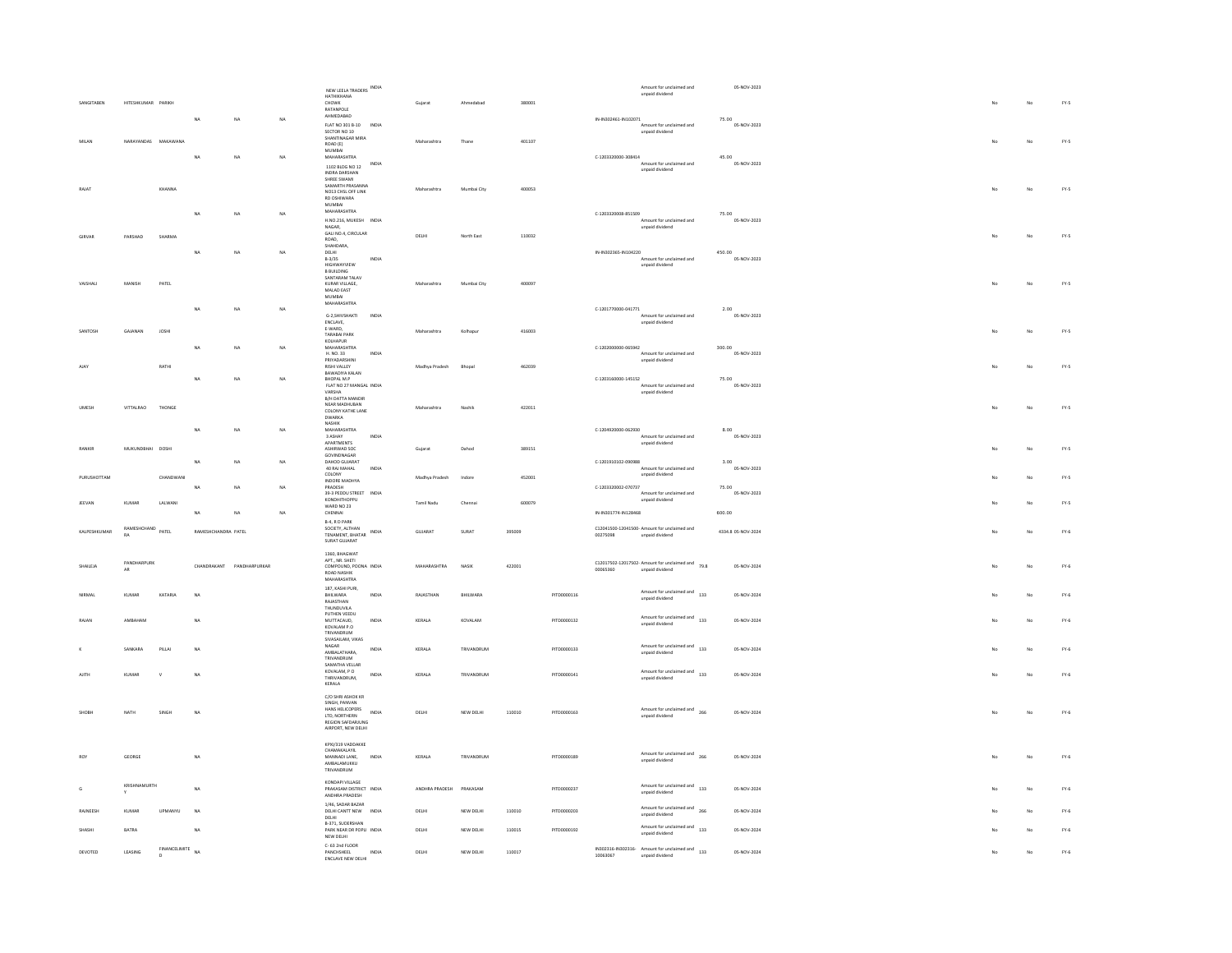|                                         |                                |                                  |                     |                           |           |                                                                                                                                                                                                                                                                                                                                                                                                                                               |              |                |             |        |             | Amount for unclaimed and                                                             |                                 | 05-NOV-2023          |
|-----------------------------------------|--------------------------------|----------------------------------|---------------------|---------------------------|-----------|-----------------------------------------------------------------------------------------------------------------------------------------------------------------------------------------------------------------------------------------------------------------------------------------------------------------------------------------------------------------------------------------------------------------------------------------------|--------------|----------------|-------------|--------|-------------|--------------------------------------------------------------------------------------|---------------------------------|----------------------|
|                                         |                                |                                  |                     |                           |           | NEW LEELA TRADERS INDIA<br>HATHIKHANA                                                                                                                                                                                                                                                                                                                                                                                                         |              |                |             |        |             | unpaid dividend                                                                      |                                 |                      |
| SANGITABEN                              | HITESHKUMAR PARIKH             |                                  |                     |                           |           | CHOWK<br>RATANPOLE                                                                                                                                                                                                                                                                                                                                                                                                                            |              | Guiarat        | Ahmedabad   | 380001 |             |                                                                                      |                                 |                      |
|                                         |                                |                                  | NA                  | NA                        | NA        | AHMEDABAD                                                                                                                                                                                                                                                                                                                                                                                                                                     |              |                |             |        |             | IN-IN302461-IN102071                                                                 |                                 | 75.00                |
|                                         |                                |                                  |                     |                           |           | FLAT NO 301 B-10 INDIA<br>SECTOR NO 10                                                                                                                                                                                                                                                                                                                                                                                                        |              |                |             |        |             | unpaid dividend                                                                      | Amount for unclaimed and        | 05-NOV-2023          |
| MILAN                                   |                                | NARAYANDAS MAKAWANA              |                     |                           |           | SHANTINAGAR MIRA                                                                                                                                                                                                                                                                                                                                                                                                                              |              | Maharashtra    | Thane       | 401107 |             |                                                                                      |                                 |                      |
|                                         |                                |                                  |                     |                           |           | ROAD (E)<br><b>MUMRAL</b>                                                                                                                                                                                                                                                                                                                                                                                                                     |              |                |             |        |             |                                                                                      |                                 |                      |
|                                         |                                |                                  | NA                  | NA                        | NA        | MAHARASHTRA                                                                                                                                                                                                                                                                                                                                                                                                                                   | INDIA        |                |             |        |             | C-1203320000-308414                                                                  | Amount for unclaimed and        | 45.00<br>05-NOV-2023 |
|                                         |                                |                                  |                     |                           |           | 1102 BLDG NO 12<br><b>INDRA DARSHAN</b>                                                                                                                                                                                                                                                                                                                                                                                                       |              |                |             |        |             | unpaid dividend                                                                      |                                 |                      |
|                                         |                                |                                  |                     |                           |           | SHREE SWAML                                                                                                                                                                                                                                                                                                                                                                                                                                   |              |                |             |        |             |                                                                                      |                                 |                      |
| RAJAT                                   |                                | KHANNA                           |                     |                           |           | SAMARTH PRASANNA<br>NO13 CHSL OFF LINK                                                                                                                                                                                                                                                                                                                                                                                                        |              | Maharashtra    | Mumbai City | 400053 |             |                                                                                      |                                 |                      |
|                                         |                                |                                  |                     |                           |           | RD OSHIWARA<br>MUMBAI                                                                                                                                                                                                                                                                                                                                                                                                                         |              |                |             |        |             |                                                                                      |                                 |                      |
|                                         |                                |                                  | NA                  | NA                        | NA        | MAHARASHTRA                                                                                                                                                                                                                                                                                                                                                                                                                                   |              |                |             |        |             | C-1203320008-851509                                                                  |                                 |                      |
|                                         |                                |                                  |                     |                           |           | H.NO.216, MUKESH INDIA                                                                                                                                                                                                                                                                                                                                                                                                                        |              |                |             |        |             |                                                                                      | Amount for unclaimed and        | 75.00<br>05-NOV-2023 |
|                                         |                                |                                  |                     |                           |           | $\texttt{NAGAR}_\tau$<br>GALI NO.4, CIRCULAR                                                                                                                                                                                                                                                                                                                                                                                                  |              |                |             |        |             | unpaid dividend                                                                      |                                 |                      |
| GIRVAR                                  | PARSHAD                        | SHARMA                           |                     |                           |           | ROAD,                                                                                                                                                                                                                                                                                                                                                                                                                                         |              | <b>DELHI</b>   | North East  | 110032 |             |                                                                                      |                                 |                      |
|                                         |                                |                                  | <b>NA</b>           | NA                        | NA        | SHAHDARA.                                                                                                                                                                                                                                                                                                                                                                                                                                     |              |                |             |        |             | IN-IN302365-IN104220                                                                 |                                 | 450.00               |
|                                         |                                |                                  |                     |                           |           | DELHI<br>B-3/35                                                                                                                                                                                                                                                                                                                                                                                                                               | INDIA        |                |             |        |             |                                                                                      | Amount for unclaimed and        | 05-NOV-2023          |
|                                         |                                |                                  |                     |                           |           | <b>HIGHWAYVIEW</b><br><b>B BUILDING</b>                                                                                                                                                                                                                                                                                                                                                                                                       |              |                |             |        |             | unpaid dividend                                                                      |                                 |                      |
|                                         |                                |                                  |                     |                           |           | SANTARAM TALAV                                                                                                                                                                                                                                                                                                                                                                                                                                |              |                |             |        |             |                                                                                      |                                 |                      |
| VAISHALI                                | MANISH                         | PATEL                            |                     |                           |           | KURAR VILLAGE,<br>MALAD EAST                                                                                                                                                                                                                                                                                                                                                                                                                  |              | Maharashtra    | Mumbai City | 400097 |             |                                                                                      |                                 |                      |
|                                         |                                |                                  |                     |                           |           | MUMBAI<br>MAHARASHTRA                                                                                                                                                                                                                                                                                                                                                                                                                         |              |                |             |        |             |                                                                                      |                                 |                      |
|                                         |                                |                                  | <b>NA</b>           | NA                        | <b>NA</b> |                                                                                                                                                                                                                                                                                                                                                                                                                                               |              |                |             |        |             | C-1201770000-041771                                                                  |                                 | 2.00                 |
|                                         |                                |                                  |                     |                           |           | G-2,SHIVSHAKTI<br><b>ENCLAVE</b>                                                                                                                                                                                                                                                                                                                                                                                                              | INDIA        |                |             |        |             | unpaid dividend                                                                      | Amount for unclaimed and        | 05-NOV-2023          |
| SANTOSH                                 | GAJANAN                        | <b>JOSHI</b>                     |                     |                           |           | E-WARD,                                                                                                                                                                                                                                                                                                                                                                                                                                       |              | Maharashtra    | Kolhapur    | 416003 |             |                                                                                      |                                 |                      |
|                                         |                                |                                  |                     |                           |           | TARABAI PARK<br>KOLHAPUR                                                                                                                                                                                                                                                                                                                                                                                                                      |              |                |             |        |             |                                                                                      |                                 |                      |
|                                         |                                |                                  | <b>NA</b>           | NA                        | NA        | MAHARASHTRA                                                                                                                                                                                                                                                                                                                                                                                                                                   |              |                |             |        |             | C-1202000000-065942                                                                  |                                 | 300.00               |
|                                         |                                |                                  |                     |                           |           | H. NO. 33<br>PRIYADARSHINI                                                                                                                                                                                                                                                                                                                                                                                                                    | INDIA        |                |             |        |             | unpaid dividend                                                                      | Amount for unclaimed and        | 05-NOV-2023          |
|                                         |                                | RATHI                            |                     |                           |           | <b>RISHI VALLEY</b>                                                                                                                                                                                                                                                                                                                                                                                                                           |              | Madhya Pradesh | Rhonal      | 462039 |             |                                                                                      |                                 |                      |
|                                         |                                |                                  | <b>NA</b>           | NA                        | NA        | BAWADIYA KALAN<br>BHOPAL M.P                                                                                                                                                                                                                                                                                                                                                                                                                  |              |                |             |        |             | C-1203160000-145152                                                                  |                                 | 75.00                |
|                                         |                                |                                  |                     |                           |           | FLAT NO 27 MANGAL INDIA                                                                                                                                                                                                                                                                                                                                                                                                                       |              |                |             |        |             |                                                                                      | Amount for unclaimed and        | 05-NOV-2023          |
|                                         |                                |                                  |                     |                           |           | VARSHA<br>B/H DATTA MANDIR                                                                                                                                                                                                                                                                                                                                                                                                                    |              |                |             |        |             | unpaid dividend                                                                      |                                 |                      |
| UMESH                                   | VITTALRAO                      | THONGE                           |                     |                           |           | NEAR MADHUBAN                                                                                                                                                                                                                                                                                                                                                                                                                                 |              | Maharashtra    | Nashik      | 422011 |             |                                                                                      |                                 |                      |
|                                         |                                |                                  |                     |                           |           | COLONY KATHE LANE<br>DWARKA                                                                                                                                                                                                                                                                                                                                                                                                                   |              |                |             |        |             |                                                                                      |                                 |                      |
|                                         |                                |                                  | NA                  | NA                        | NA        | <b>NASHIK</b><br><b>MAHARASHTRA</b>                                                                                                                                                                                                                                                                                                                                                                                                           |              |                |             |        |             | C-1204920000-062930                                                                  |                                 | 8.00                 |
|                                         |                                |                                  |                     |                           |           | 3 ASHAY                                                                                                                                                                                                                                                                                                                                                                                                                                       | <b>INDIA</b> |                |             |        |             |                                                                                      | Amount for unclaimed and        | 05-NOV-2023          |
| RANKIR                                  | MUKUNDBHAI DOSHI               |                                  |                     |                           |           | APARTMENTS<br>ASHIRWAD SOC                                                                                                                                                                                                                                                                                                                                                                                                                    |              | Guiarat        | Dahod       | 389151 |             | unpaid dividend                                                                      |                                 |                      |
|                                         |                                |                                  |                     |                           |           | GOVINDNAGAR                                                                                                                                                                                                                                                                                                                                                                                                                                   |              |                |             |        |             |                                                                                      |                                 |                      |
|                                         |                                |                                  | <b>NA</b>           | NA                        | NA        | DAHOD GUJARAT<br>40 RAJ MAHAL                                                                                                                                                                                                                                                                                                                                                                                                                 | INDIA        |                |             |        |             | C-1201910102-090988                                                                  | Amount for unclaimed and        | 3.00<br>05-NOV-2023  |
|                                         |                                | CHANDWANI                        |                     |                           |           | COLONY<br>INDORF MADHYA                                                                                                                                                                                                                                                                                                                                                                                                                       |              | Madhya Pradesh | Indore      | 452001 |             | unpaid dividend                                                                      |                                 |                      |
|                                         |                                |                                  |                     |                           |           |                                                                                                                                                                                                                                                                                                                                                                                                                                               |              |                |             |        |             |                                                                                      |                                 | 75.00                |
|                                         |                                |                                  | NA                  | NA                        | NA        | PRADESH                                                                                                                                                                                                                                                                                                                                                                                                                                       |              |                |             |        |             | C-1203320002-070737                                                                  |                                 |                      |
|                                         |                                |                                  |                     |                           |           | 39-3 PEDDU STREET INDIA                                                                                                                                                                                                                                                                                                                                                                                                                       |              |                |             |        |             |                                                                                      | Amount for unclaimed and        | 05-NOV-2023          |
|                                         | KUMAR                          | LALWANI                          |                     |                           |           | KONDHITHOPPU<br>WARD NO 23                                                                                                                                                                                                                                                                                                                                                                                                                    |              | Tamil Nadu     | Chenna      | 600079 |             | unpaid dividend                                                                      |                                 |                      |
|                                         |                                |                                  | NA                  | NA                        | NA        | CHENNAI                                                                                                                                                                                                                                                                                                                                                                                                                                       |              |                |             |        |             | IN-IN301774-IN128468                                                                 |                                 | 600.00               |
|                                         |                                |                                  |                     |                           |           | B-4, R D PARK                                                                                                                                                                                                                                                                                                                                                                                                                                 |              |                |             |        |             |                                                                                      |                                 |                      |
|                                         | RAMESHCHAND PATEL<br><b>RA</b> |                                  | RAMESHCHANDRA PATEL |                           |           | SOCIETY, ALTHAN                                                                                                                                                                                                                                                                                                                                                                                                                               |              | <b>GUJARA1</b> | SURAT       | 395009 |             | C12041500-12041500- Amount for unclaimed and<br>00275098<br>unpaid dividend          |                                 | 4334.8 05-NOV-2024   |
|                                         |                                |                                  |                     |                           |           | $\begin{tabular}{ll} \multicolumn{2}{c}{\textbf{1.5.6.6.8.7}} & \multicolumn{2}{c}{\textbf{1.6.6.7}}\\ \multicolumn{2}{c}{\textbf{1.6.7}} & \multicolumn{2}{c}{\textbf{1.6.7}}\\ \multicolumn{2}{c}{\textbf{1.6.7}} & \multicolumn{2}{c}{\textbf{1.6.7}}\\ \multicolumn{2}{c}{\textbf{1.6.7}} & \multicolumn{2}{c}{\textbf{1.6.7}}\\ \multicolumn{2}{c}{\textbf{2.6.7}} & \multicolumn{2}{c}{\textbf{2.6.7}}\\ \multicolumn$<br>SURAT GUJARAT |              |                |             |        |             |                                                                                      |                                 |                      |
|                                         |                                |                                  |                     |                           |           | 1360 BHAGWAT                                                                                                                                                                                                                                                                                                                                                                                                                                  |              |                |             |        |             |                                                                                      |                                 |                      |
|                                         | PANDHARPURK                    |                                  |                     | CHANDRAKANT PANDHARPURKAR |           | APT., NR. SHETI<br>COMPOUND, POONA INDIA                                                                                                                                                                                                                                                                                                                                                                                                      |              | MAHARASHTRA    | NASIK       | 422001 |             | $C12017502 - 12017502$ - Amount for unclaimed and $79.8$                             |                                 | 05-NOV-2024          |
|                                         |                                |                                  |                     |                           |           | <b>ROAD NASHIK</b>                                                                                                                                                                                                                                                                                                                                                                                                                            |              |                |             |        |             | 00065360<br>unpaid dividend                                                          |                                 |                      |
|                                         |                                |                                  |                     |                           |           | MAHARASHTRA                                                                                                                                                                                                                                                                                                                                                                                                                                   |              |                |             |        |             |                                                                                      |                                 |                      |
|                                         | <b>KUMAR</b>                   | KATARIA                          | NA                  |                           |           | 187, KASHI PURI,<br>BHILWARA                                                                                                                                                                                                                                                                                                                                                                                                                  | <b>INDIA</b> | RAJASTHAN      | BHILWARA    |        | PITD0000116 |                                                                                      | Amount for unclaimed and 133    | 05-NOV-2024          |
|                                         |                                |                                  |                     |                           |           | RAJASTHAN                                                                                                                                                                                                                                                                                                                                                                                                                                     |              |                |             |        |             | unpaid dividend                                                                      |                                 |                      |
|                                         |                                |                                  |                     |                           |           | THUNDUVILA<br>PUTHEN VEEDU                                                                                                                                                                                                                                                                                                                                                                                                                    |              |                |             |        |             |                                                                                      |                                 |                      |
|                                         | AMBAHAM                        |                                  | <b>NA</b>           |                           |           | MUTTACAUD.<br>KOVALAM P.O.                                                                                                                                                                                                                                                                                                                                                                                                                    | <b>INDIA</b> | KERALA         | KOVALAM     |        | PITD0000132 | unpaid dividend                                                                      | Amount for unclaimed and<br>133 | 05-NOV-2024          |
|                                         |                                |                                  |                     |                           |           | TRIVANDRUM                                                                                                                                                                                                                                                                                                                                                                                                                                    |              |                |             |        |             |                                                                                      |                                 |                      |
|                                         |                                |                                  |                     |                           |           | SIVASAILAM, VIKAS                                                                                                                                                                                                                                                                                                                                                                                                                             |              |                |             |        |             |                                                                                      |                                 |                      |
|                                         | SANKARA                        | PILLAI                           | <b>NA</b>           |                           |           | $\texttt{NAGAR}$<br>AMBALATHARA.                                                                                                                                                                                                                                                                                                                                                                                                              | INDIA        | KERALA         | TRIVANDRUM  |        | PITD0000133 | unpaid dividend                                                                      | Amount for unclaimed and<br>133 | 05-NOV-2024          |
|                                         |                                |                                  |                     |                           |           | TRIVANDRUM                                                                                                                                                                                                                                                                                                                                                                                                                                    |              |                |             |        |             |                                                                                      |                                 |                      |
|                                         |                                | v                                |                     |                           |           | SAMATHA VELLAR                                                                                                                                                                                                                                                                                                                                                                                                                                |              |                | TRIVANDRUM  |        |             |                                                                                      |                                 |                      |
|                                         | KUMAR                          |                                  | NA                  |                           |           | KOVALAM, P O<br>THRIVANDRUM,<br>KERALA                                                                                                                                                                                                                                                                                                                                                                                                        | INDIA        | KERALA         |             |        | PITD0000141 | unpaid dividend                                                                      | Amount for unclaimed and<br>133 | 05-NOV-2024          |
| JEEVAN<br>VIRMAL<br>RAJAN               |                                |                                  |                     |                           |           |                                                                                                                                                                                                                                                                                                                                                                                                                                               |              |                |             |        |             |                                                                                      |                                 |                      |
| PURUSHOTTAM<br>KALPESHKUMAR<br>SHAILEIA |                                |                                  |                     |                           |           | C/O SHRI ASHOK KR<br>SINGH, PANVAN                                                                                                                                                                                                                                                                                                                                                                                                            |              |                |             |        |             |                                                                                      |                                 |                      |
|                                         | <b>NATH</b>                    | <b>SINGH</b>                     | NA                  |                           |           | HANS HELICOPERS                                                                                                                                                                                                                                                                                                                                                                                                                               | INDIA        | DELHI          | NEW DELHI   | 110010 | PITD0000163 |                                                                                      | Amount for unclaimed and 266    | 05-NOV-2024          |
|                                         |                                |                                  |                     |                           |           | LTD, NORTHERN<br><b>REGION SAFDARJUNG</b>                                                                                                                                                                                                                                                                                                                                                                                                     |              |                |             |        |             | unpaid dividend                                                                      |                                 |                      |
|                                         |                                |                                  |                     |                           |           | AIRPORT, NEW DELHI                                                                                                                                                                                                                                                                                                                                                                                                                            |              |                |             |        |             |                                                                                      |                                 |                      |
|                                         |                                |                                  |                     |                           |           |                                                                                                                                                                                                                                                                                                                                                                                                                                               |              |                |             |        |             |                                                                                      |                                 |                      |
|                                         |                                |                                  |                     |                           |           | KPXI/319 VADDAKKE<br>CHAMAKALAYIL                                                                                                                                                                                                                                                                                                                                                                                                             |              |                |             |        |             |                                                                                      |                                 |                      |
|                                         | GEORGE                         |                                  | <b>NA</b>           |                           |           | MANNADI LANE                                                                                                                                                                                                                                                                                                                                                                                                                                  | INDIA        | KERALA         | TRIVANDRUM  |        | PITD0000189 | unpaid dividend                                                                      | Amount for unclaimed and 266    | 05-NOV-2024          |
|                                         |                                |                                  |                     |                           |           | AMBALAMUKKU<br>TRIVANDRUM                                                                                                                                                                                                                                                                                                                                                                                                                     |              |                |             |        |             |                                                                                      |                                 |                      |
|                                         |                                |                                  |                     |                           |           | KONDAPI VILLAGE                                                                                                                                                                                                                                                                                                                                                                                                                               |              |                |             |        |             |                                                                                      |                                 |                      |
|                                         | KRISHNAMURTH                   |                                  | NA                  |                           |           | PRAKASAM DISTRICT INDIA                                                                                                                                                                                                                                                                                                                                                                                                                       |              | ANDHRA PRADESH | PRAKASAN    |        | PITD0000237 | unpaid dividend                                                                      | Amount for unclaimed and<br>133 | 05-NOV-2024          |
|                                         |                                |                                  |                     |                           |           | ANDHRA PRADESH                                                                                                                                                                                                                                                                                                                                                                                                                                |              |                |             |        |             |                                                                                      |                                 |                      |
|                                         | <b>KUMAR</b>                   | <b>UPMANYU</b>                   | <b>NA</b>           |                           |           | 1/46, SADAR BAZAR<br>DELHI CANTT NEW INDIA                                                                                                                                                                                                                                                                                                                                                                                                    |              | DELHI          | NEW DELHI   | 110010 | PITD0000203 |                                                                                      | Amount for unclaimed and<br>266 | 05-NOV-2024          |
| SHORH                                   |                                |                                  |                     |                           |           | DELHI                                                                                                                                                                                                                                                                                                                                                                                                                                         |              |                |             |        |             | unpaid dividend                                                                      |                                 |                      |
| <b>ROY</b><br>RAJNEESH<br>SHASH         | BATRA                          |                                  | NA                  |                           |           | B-371, SUDERSHAN<br>PARK NEAR DR POPLI INDIA                                                                                                                                                                                                                                                                                                                                                                                                  |              | DELHI          | NEW DELHI   | 110015 | PITD0000192 |                                                                                      | Amount for unclaimed and<br>133 | 05-NOV-2024          |
|                                         |                                |                                  |                     |                           |           | NEW DELHI                                                                                                                                                                                                                                                                                                                                                                                                                                     |              |                |             |        |             | unpaid dividend                                                                      |                                 |                      |
| DEVOTED                                 | LEASING                        | FINANCELIMITE NA<br>$\mathbf{D}$ |                     |                           |           | $C-63$ 2nd FLOOR<br>PANCHSHEEL<br>ENCLAVE NEW DELHI                                                                                                                                                                                                                                                                                                                                                                                           | INDIA        | DELHI          | NEW DELHI   | 110017 |             | IN302316-IN302316-<br>Amount for unclaimed and<br>133<br>10063067<br>unpaid dividend |                                 | 05-NOV-2024          |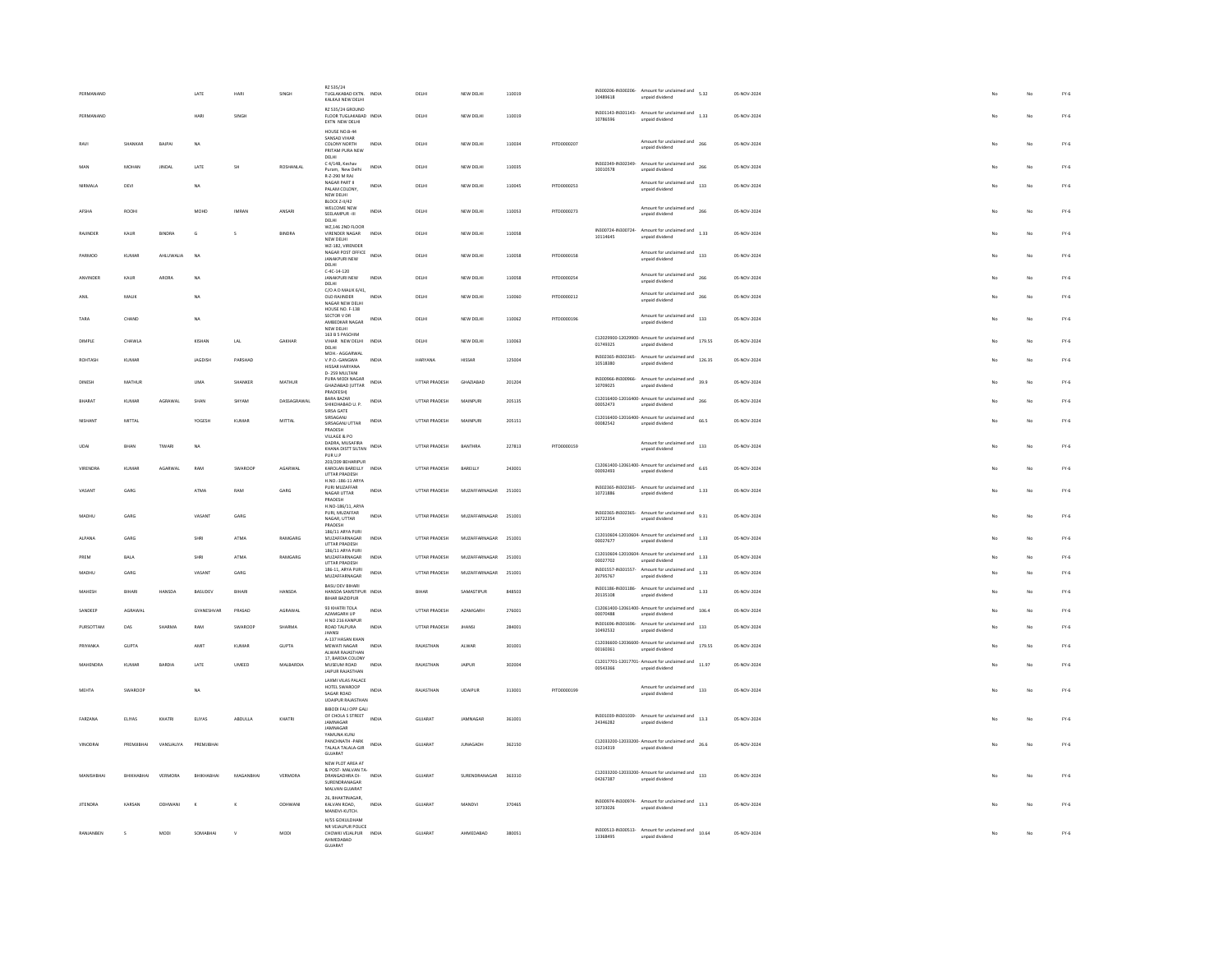| PERMANAND        |                      |               | LATE          | HARI         | SINGH          | RZ 535/24<br>TUGLAKABAD EXTN. INDIA<br>KALKAJI NEW DELHI                              |              | DELHI                 | NEW DELHI            | 110019 |                    | 10489618                       | IN300206-IN300206- Amount for unclaimed and<br>unpaid dividend                                    | 5.32   | 05-NOV-2024 |    | No | $FY-6$ |
|------------------|----------------------|---------------|---------------|--------------|----------------|---------------------------------------------------------------------------------------|--------------|-----------------------|----------------------|--------|--------------------|--------------------------------|---------------------------------------------------------------------------------------------------|--------|-------------|----|----|--------|
| PERMANAND        |                      |               | HARI          | SINGH        |                | RZ 535/24 GROUND<br>FLOOR TUGLAKABAD INDIA<br>EXTN NEW DELHI                          |              | DELHI                 | NEW DELHI            | 110019 |                    | 10786596                       | IN301143-IN301143-Amount for unclaimed and<br>1.33<br>unpaid dividend                             |        | 05-NOV-2024 |    | No | $FY-6$ |
| RAVI             | SHANKAR              | BAJPAI        | <b>NA</b>     |              |                | HOUSE NO.B-44<br>SANSAD VIHAR<br>COLONY NORTH<br>PRITAM PURA NEW                      | INDIA        | DELHI                 | NEW DELHI            | 110034 | PITD0000207        |                                | Amount for unclaimed and<br>unpaid dividend                                                       | 266    | 05-NOV-2024 | No | No | $FY-6$ |
|                  | <b>MOHAN</b>         | <b>JINDA</b>  | LATE          | ŚH           | ROSHANLAI      | DELHI<br>C 4/14B, Keshav<br>Puram, New Delhi<br>8-7-290 M RAI                         | INDIA        | DELHI                 | NEW DELHI            | 110035 |                    | 10010578                       | IN302349-IN302349- Amount for unclaimed and<br>unpaid dividend                                    | 266    | 05-NOV-2024 |    | No | $FY-6$ |
| <b>NIRMALA</b>   | DEVI                 |               | <b>NA</b>     |              |                | NAGAR PART II<br>PALAM COLONY<br>NEW DELHI                                            | INDIA        | DELHI                 | NEW DELHI            | 110045 | PITD0000253        |                                | Amount for unclaimed and 133<br>unpaid dividend                                                   |        | 05-NOV-2024 | No | No | $FY-6$ |
| AFSHA            | ROOHI                |               | MOHD          | <b>IMRAN</b> | ANSARI         | BLOCK Z-II/42<br>WELCOME NEW<br>SEELAMPUR-III<br>DELHI                                | INDIA        | DELHI                 | NEW DELHI            | 110053 | PITD0000273        |                                | Amount for unclaimed and<br>266<br>unpaid dividend                                                |        | 05-NOV-2024 | No | No | $FY-6$ |
| RAJINDER         | KAUR                 | <b>BINDRA</b> | G             |              | BINDRA         | WZ.146 2ND FLOOR<br>VIRENDER NAGAR<br>NEW DELHI                                       | INDIA        | DELHI                 | NEW DELHI            | 110058 |                    | IN300724-IN300724-<br>10114645 | Amount for unclaimed and<br>1.33<br>unpaid dividend                                               |        | 05-NOV-2024 |    | No | $FY-6$ |
| PARMOD           | KUMAR                | AHLI WALK     | NA            |              |                | W2-182, VIRENDER<br>NAGAR POST OFFICE<br><b>JANAKPURI NEW</b><br>DELHI                | INDIA        | DELHI                 | NEW DELHI            | 110058 | <b>PITD0000158</b> |                                | Amount for unclaimed and 133<br>unpaid dividend                                                   |        | 05-NOV-2024 |    | No | $FY-6$ |
| ANVINDER         | KAUR                 | ARORA         | <b>NA</b>     |              |                | $C-4C-14-120$<br>JANAKPURI NEW<br>DELHI                                               | INDIA        | DELHI                 | NEW DELHI            | 110058 | PITD0000254        |                                | Amount for unclaimed and<br>unpaid dividend                                                       | 266    | 05-NOV-2024 |    | No | $FY-6$ |
|                  | MALIK                |               | <b>NA</b>     |              |                | C/O A D MALIK 6/41.<br><b>OLD RAJINDER</b><br>NAGAR NEW DELHI                         | INDV         | DELH                  | NEW DELHI            | 110060 | PITD0000212        |                                | Amount for unclaimed and<br>unpaid dividend                                                       | 266    | 05-NOV-2024 |    | No | $FY-6$ |
| TARA             | CHAND                |               | <b>NA</b>     |              |                | HOUSE NO. F-138<br>SECTOR V DR<br>AMBEDKAR NAGAR<br>NEW DELHI                         | INDIA        | DELHI                 | NEW DELHI            | 110062 | PITD0000196        |                                | Amount for unclaimed and<br>unpaid dividend                                                       | 133    | 05-NOV-2024 |    | No | $FY-6$ |
| DIMPLE           | CHAWLA               |               | KISHAN        | LAL          | GAKHAR         | 163 B 5 PASCHIM<br>VIHAR NEW DELHI INDIA<br><b>DELHI</b>                              |              | DELHI                 | NEW DELHI            | 110063 |                    | 01749325                       | C12029900-12029900- Amount for unclaimed and<br>unpaid dividend                                   | 179.55 | 05-NOV-2024 |    | No | $FY-6$ |
| ROHTASH          | KUMAR                |               | JAGDISH       | PARSHAD      |                | MOH.- AGGARWAL<br>V.P.O.-GANGWA<br>HISSAR HARYANA                                     | INDIA        | HARYANA               | <b>HISSAR</b>        | 125004 |                    | 10518380                       | IN302365-IN302365- Amount for unclaimed and<br>unpaid dividend                                    | 126.35 | 05-NOV-2024 |    | No | $FY-6$ |
| DINESH           | <b>MATHUR</b>        |               | <b>UMA</b>    | SHANKER      | MATHUR         | D-259 MULTANI<br>PURA MODI NAGAR<br>GHAZIABAD (UTTAR                                  | INDIA        | UTTAR PRADESH         | GHAZIABAD            | 201204 |                    | 10709025                       | IN300966-IN300966- Amount for unclaimed and<br>unpaid dividend                                    | 39.9   | 05-NOV-2024 |    | No | $FY-6$ |
| RHARAT           | KUMAR                | AGRAWAL       | SHAN          | SHYAM        | DASSAGRAWAL    | PRADFESH)<br>BARA BAZAR<br>SHIKOHABAD U. P.<br>SIRSA GATE                             | INDIA        | UTTAR PRADESH         | MAINPURI             | 205135 |                    | 00052473                       | C12016400-12016400- Amount for unclaimed and<br>unpaid dividend                                   | 266    | 05-NOV-2024 |    | No | $FY-6$ |
| NISHANT          | MITTAL               |               | YOGESH        | KUMAR        | MITTAL         | SIRSAGAN<br>SIRSAGANJ UTTAR<br>PRADESH                                                | INDIA        | UTTAR PRADESH         | MAINPURI             | 205151 |                    | 00082542                       | C12016400-12016400- Amount for unclaimed and<br>unpaid dividend                                   | 66.5   | 05-NOV-2024 |    | No | $FY-6$ |
| UDAI             | BHAN                 | TIWARI        | <b>NA</b>     |              |                | VILLAGE & PO<br>DADRA, MUSAFIRA<br>KHANA DISTT SILTAN<br>PUR U.F                      | INDIA        | UTTAR PRADESH         | <b>BANTHRA</b>       | 227813 | PITD0000159        |                                | Amount for unclaimed and<br>133<br>unpaid dividend                                                |        | 05-NOV-2024 |    | No | $FY-6$ |
| VIRENDRA         | KUMAR                | AGARWAL       | RAM           | SWAROOP      | <b>AGARWAI</b> | 203/209 BEHARIPUR<br>KAROLAN BAREILLY INDIA<br><b>UTTAR PRADESH</b>                   |              | <b>LITTAR PRADESH</b> | <b>BARELLY</b>       | 243001 |                    | 00092493                       | $C12061400-12061400$ - Amount for unclaimed and $6.65$<br>unpaid dividend                         |        | 05-NOV-2024 |    | No | $FY-6$ |
| VASANT           | GARG                 |               | <b>ATMA</b>   | RAM          | GARG.          | H.NO.-186-11 ARYA<br>PURI MUZAFFAR<br>NAGAR UTTAR                                     | INDIA        | <b>LITTAR PRADESH</b> | MUZAFFARNAGAR        | 251001 |                    | 10721886                       | IN302365-IN302365- Amount for unclaimed and 1.33<br>unpaid dividend                               |        | 05-NOV-2024 | No | No | $FY-6$ |
| <b>MADHU</b>     | GARG                 |               | VASANT        | GARG         |                | PRADESH<br>H.NO-186/11, ARYA<br>PURI, MUZAFFAR<br>NAGAR, UTTAR                        | INDIA        | UTTAR PRADESH         | MUZAFFARNAGAR 251001 |        |                    | 10722354                       | IN302365-IN302365-<br>Amount for unclaimed and<br>9.31<br>unpaid dividend                         |        | 05-NOV-2024 | No | No | $FY-6$ |
| ALPANA           | GARG                 |               | SHRI          | ATMA         | RAMGARG        | PRADESH<br>186/11 ARYA PURI<br>MUZAFFARNAGAR                                          | INDIA        | UTTAR PRADESH         | MUZAFFARNAGAR 251001 |        |                    | 00027677                       | $C12010604 - 12010604$ - Amount for unclaimed and $1.33$<br>unpaid dividend                       |        | 05-NOV-2024 |    | No | $FY-6$ |
| PREM             | BALA                 |               | SHRI          | ATMA         | RAMGARG        | UTTAR PRADESH<br>186/11 ARYA PURI<br>MUZAFFARNAGAR                                    | <b>INDIA</b> | UTTAR PRADESH         | MUZAFFARNAGAR 251001 |        |                    | 00027702                       | C12010604-12010604- Amount for unclaimed and<br>unpaid dividend                                   | 1.33   | 05-NOV-2024 |    | No | $FY-6$ |
| <b>MADHL</b>     | GARG                 |               | VASANT        | GARG         |                | UTTAR PRADESH<br>186-11 ARYA PURL<br>MUZAFFARNAGAR                                    | INDIA        | UTTAR PRADESH         | MUZAFFARNAGAR        | 251001 |                    | 20795767                       | IN301557-IN301557-Amount for unclaimed and 1.33<br>unpaid dividend                                |        | 05-NOV-2024 |    | No | $FY-6$ |
| MAHESH           | BIHARI               | HANSDA        | BASUDEV       | BIHARI       | HANSDA         | <b>BASU DEV BIHARI</b><br>HANSDA SAMSTIPUR INDIA<br>BIHAR BAZIDPUR                    |              | BIHAR                 | SAMASTIPUR           | 848503 |                    | 20135108                       | IN301186-IN301186-Amount for unclaimed and<br>Amount for unclaimed and<br>1.33<br>unpaid dividend |        | 05-NOV-2024 |    | No | $FY-6$ |
| SANDEEP          | AGRAWAL              |               | GYANESHVAR    | PRASAD       | AGRAWAL        | 93 KHATRI TOLA<br>AZAMGARH UP<br>H NO 216 KANPUR                                      | <b>INDIA</b> | UTTAR PRADESH         | AZAMGARH             | 276001 |                    | 00070488                       | $C12061400-12061400$ - Amount for unclaimed and $106.4$<br>unpaid dividend                        |        | 05-NOV-2024 | No | No | $FY-6$ |
| <b>PURSOTTAM</b> | nas                  | SHARMA        | RAM           | SWAROOP      | SHARMA         | ROAD TALPURA<br><b>JHANSI</b>                                                         | INDIA        | <b>LITTAR PRADESH</b> | <b>IHANS</b>         | 284001 |                    | 10492532                       | IN301696-IN301696- Amount for unclaimed and<br>unpaid dividend                                    | 133    | 05-NOV-2024 |    | No | $FY-6$ |
| PRIYANKA         | <b>GUPTA</b>         |               | AMIT          | KUMAR        | GUPTA          | A-137 HASAN KHAN<br>MEWATI NAGAR<br>ALWAR RAIASTHAN                                   | INDIA        | RAJASTHAN             | ALWAR                | 301001 |                    | 00160361                       | C12036600-12036600- Amount for unclaimed and<br>179.55<br>unpaid dividend                         |        | 05-NOV-2024 |    | No | $FY-6$ |
| MAHENDRA         | KUMAR                | RARDIA        | LATE          | UMEED        | MALBARDIA      | 17, BARDIA COLONY<br>MUSEUM ROAD<br>JAIPUR RAJASTHAN                                  | INDIA        | RAJASTHAN             | JAIPUR               | 302004 |                    | 00543366                       | C12017701-12017701- Amount for unclaimed and<br>unpaid dividend                                   | 11.97  | 05-NOV-2024 |    | No | $FY-6$ |
| MEHTA            | SWAROOF              |               | <b>NA</b>     |              |                | LAXMI VILAS PALACE<br>HOTEL SWAROOP<br>SAGAR ROAD<br><b>UDAIPUR RAJASTHAM</b>         | INDIA        | RAJASTHAN             | UDAIPUR              | 313001 | PITD0000199        |                                | Amount for unclaimed and 133<br>unpaid dividend                                                   |        | 05-NOV-2024 | No | No | $FY-6$ |
| FARZANA          | <b>FLIVAS</b>        | KHATRI        | <b>FLIVAS</b> | ARDUILA      | KHATRI         | <b>BIBODI FALI OPP GALI</b><br>OF CHOLA S STREET<br>JAMNAGAR                          | INDIA        | GUIARAT               | <b>IAMNAGAR</b>      | 361001 |                    | 24346282                       | IN301039-IN301039- Amount for unclaimed and<br>unpaid dividend                                    | 13.3   | 05-NOV-2024 |    | No | $FY-6$ |
| VINODRAL         | PREMIRHAL            | VANSIAUVA     | PREMIIRHA     |              |                | <b>IAMNAGAR</b><br>YAMUNA KUNI<br>PANCHNATH - PARK                                    | INDIA        | GUJARAT               | <b>ILINAGADH</b>     | 362150 |                    | 01214319                       | C12033200-12033200- Amount for unclaimed and 26.6<br>unpaid dividend                              |        | 05-NOV-2024 |    | No | $FY-6$ |
|                  |                      |               |               |              |                | TALALA TALALA-GIR<br>GUJARAT<br>NEW PLOT AREA AT                                      |              |                       |                      |        |                    |                                |                                                                                                   |        |             |    |    |        |
|                  |                      | VERMORA       | BHIKHABHAI    | MAGANBHA     | VERMORA        | & POST- MALVAN TA-<br>DRANGADHRA DI-<br>SURENDRANAGAR<br>MALVAN GUJARAT               | INDIA        | GUJARAT               | SURENDRANAGAR        | 363310 |                    | 04267387                       | C12033200-12033200-Amount for unclaimed and $133$<br>unpaid dividend                              |        | 05-NOV-2024 |    | No | $FY-6$ |
| <b>JITENDRA</b>  | KARSAN               | ODHWANI       | $\mathbf x$   | $\kappa$     | ODHWANI        | 26, BHAKTINAGAR,<br>KALVAN ROAD,<br>MANDVI-KUTCH.                                     | INDIA        | GUJARAT               | MANDVI               | 370465 |                    | 10733026                       | IN300974-IN300974- Amount for unclaimed and $13.3$<br>unpaid dividend                             |        | 05-NOV-2024 |    | No | $FY-6$ |
| RANJANBEN        | $\ddot{\phantom{1}}$ | <b>MODI</b>   | SOMABHAI      | $\mathbf{v}$ | MOD1           | H/55 GOKULDHAM<br>NR VEJALPUR POLICE<br>CHOWKI VEJALPUR INDIA<br>AHMEDABAD<br>GUJARAT |              | GUJARAT               | AHMEDABAD            | 380051 |                    | 13368495                       | IN300513-IN300513- Amount for unclaimed and 10.64<br>unpaid dividend                              |        | 05-NOV-2024 | No | No | $FY-6$ |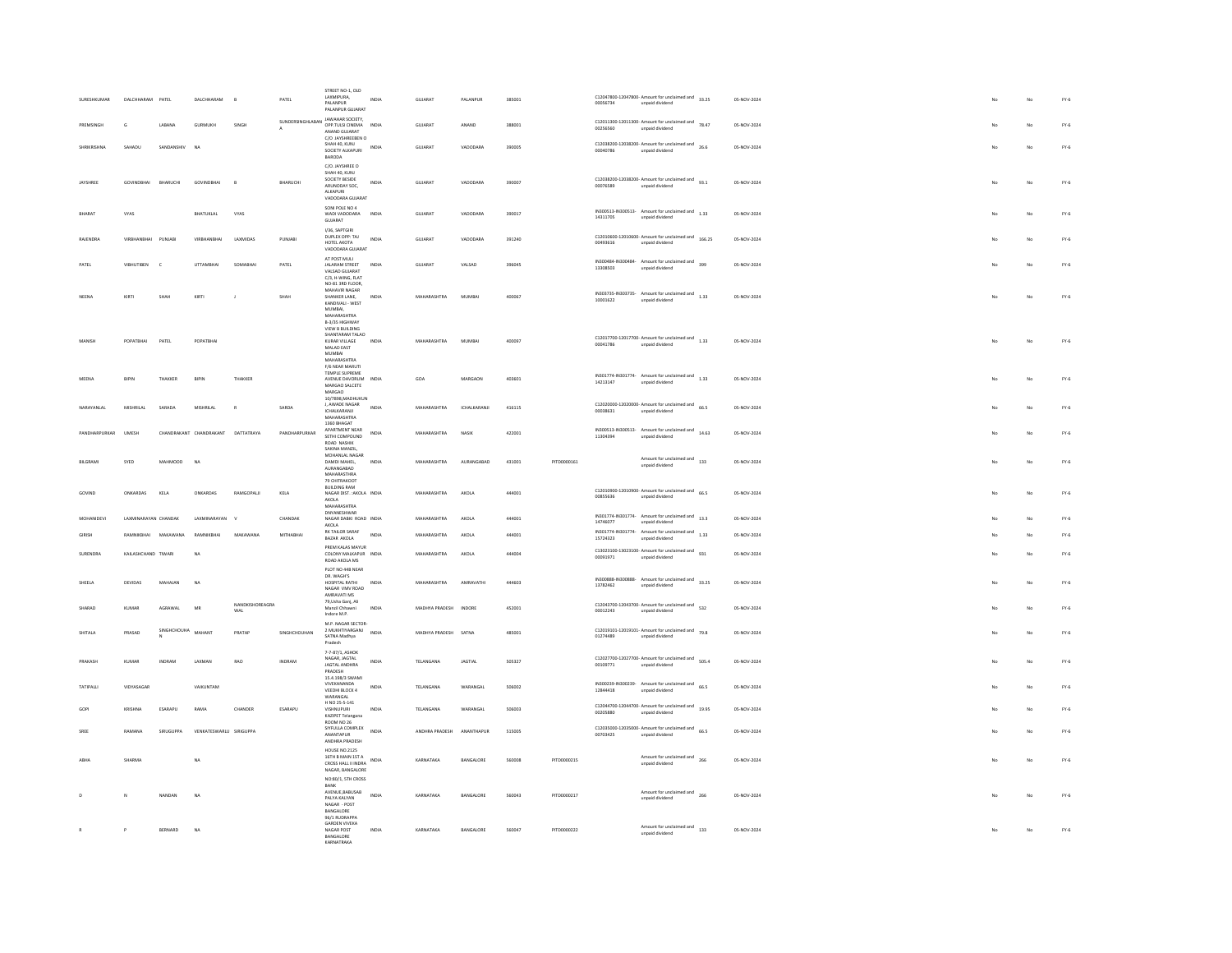| SURESHKUMAR         | DALCHHARAM PATEL     |               | DALCHHARAM<br>B                    |                        | PATEL            | STREET NO-1, OLD<br>LAXMIPURA.<br>PALANPUR<br>PALANPUR GUJARAT                                                      | <b>INDIA</b> | GUJARAT               | PALANPUR        | 385001 |             | 00056734 | C12047800-12047800- Amount for unclaimed and 33.25<br>unpaid dividend                                                        | 05-NOV-2024 |  |    | No                      | $FY-6$ |
|---------------------|----------------------|---------------|------------------------------------|------------------------|------------------|---------------------------------------------------------------------------------------------------------------------|--------------|-----------------------|-----------------|--------|-------------|----------|------------------------------------------------------------------------------------------------------------------------------|-------------|--|----|-------------------------|--------|
| PREMSINGH           | $\epsilon$           | <b>LARANA</b> | GURMUKH                            | SINGH                  | SUNDERSINGHLABAN | JAWAHAR SOCIETY,<br>OPP THIS CINEMA INDIA<br>ANAND GUJARAT                                                          |              | GUIARAT               | ANAND           | 388001 |             | 00256560 | $C12011300-12011300$ - Amount for unclaimed and $78.47$<br>unpaid dividend                                                   | 05-NOV-2024 |  |    | No                      | $FY-6$ |
| SHRIKRISHNA         | SAHADU               | SANDANSHIV    | N <sub>A</sub>                     |                        |                  | C/O JAYSHREEBEN O<br>SHAH 40, KUNJ<br>SOCIETY ALKAPURI<br>BARODA                                                    | INDIA        | GUJARAT               | VADODARA        | 390005 |             | 00040786 | C12038200-12038200- Amount for unclaimed and 26.6<br>unpaid dividend                                                         | 05-NOV-2024 |  | No | No                      | $FY-6$ |
| JAYSHREE            | GOVINDBHAI           | BHARUCHI      | <b>GOVINDBHAI</b>                  | B                      | BHARUCHI         | C/O. JAYSHREE O<br>SHAH 40 KUNI<br>SOCIETY BESIDE<br>ARUNODAY SOC.<br>ALKAPURI<br>VADODARA GUJARAT                  | INDIA        | GUJARAT               | VADODARA        | 390007 |             | 00076589 | C12038200-12038200- Amount for unclaimed and $93.1$<br>unpaid dividend                                                       | 05-NOV-2024 |  | No | No                      | $FY-6$ |
| RHARAT              | VYAS                 |               | <b>BHATUKLAL</b>                   | VYAS                   |                  | SONI POLE NO 4<br>WADI VADODARA                                                                                     | INDIA        | GUJARAT               | VADODARA        | 390017 |             | 14311705 | IN300513-IN300513- Amount for unclaimed and 1.33<br>unpaid dividend                                                          | 05-NOV-2024 |  | No | No                      | $FY-6$ |
| RAJENDRA            | VIRBHANBHAI          | PUNJAE        |                                    | LAXMIDAS               | PUNJAB           | GUJARAT<br>I/36, SAPTGIRI<br>DUPLEX OPP: TAJ<br>HOTEL AKOTA<br>VADODARA GUIARAT                                     | INDIA        | GUJARAT               | VADODARA        | 391240 |             | 00493616 | $C12010600-12010600$ - Amount for unclaimed and $166.25$<br>unpaid dividend                                                  | 05-NOV-2024 |  |    | $\overline{\mathsf{N}}$ | $FY-6$ |
| PATEL               | <b>VIBHUTIBEN</b>    |               | <b>UTTAMBHA</b>                    | SOMARHA                | PATEL            | AT POST MULI<br>JALARAM STREET<br>VALSAD GUJARAT<br>C/3, H-WING, FLAT                                               | INDIA        | GUJARAT               | VALSAD          | 396045 |             | 13308503 | IN300484-IN300484- Amount for unclaimed and 399<br>unpaid dividend                                                           | 05-NOV-2024 |  |    | No                      | $FY-6$ |
| NEENA               | KIRTI                | SHAH          | KIRTI                              |                        | SHAH             | NO-81 3RD FLOOR.<br>MAHAVIR NAGAR<br>SHANKER LANE.<br>KANDIVALI - WEST<br>MUMBAI.                                   | <b>INDIA</b> | MAHARASHTRA           | MUMBAI          | 400067 |             | 10001622 | IN303735-IN303735-<br>Amount for unclaimed and<br>1.33<br>unpaid dividend                                                    | 05-NOV-2024 |  | No | No                      | $FY-6$ |
|                     | POPATBHAI            | PATEL         | POPATBHAI                          |                        |                  | <b>MAHARASHTRA</b><br>B-3/35 HIGHWAY<br>VIEW B BUILDING<br>SHANTARAM TALAO<br>KURAR VILLAGE<br>MALAD EAST<br>MUMBAI | INDIA        | MAHARASHTRA           | MUMBA           | 400097 |             | 00041786 | C12017700-12017700- Amount for unclaimed and 1.33<br>unpaid dividend                                                         | 05-NOV-2024 |  | No | No                      | $FY-6$ |
|                     |                      |               |                                    |                        |                  | MAHARASHTRA<br>F/6 NEAR MARUTI<br>TEMPLE SUPREME                                                                    |              |                       |                 |        |             |          | IN301774-IN301774- Amount for unclaimed and 1.33                                                                             |             |  |    |                         |        |
| MEENA               | BIPIN                | THAKKER       | BIPIN                              | THAKKER                |                  | AVENUE DAVORLIM<br>MARGAO SALCETE<br>MARGAO<br>10/7898.MADHUKUN                                                     | INDIA        | GOA                   | MARGAON         | 403601 |             | 14213147 | unpaid dividend                                                                                                              | 05-NOV-2024 |  | No | No                      | $FY-6$ |
| NARAYANLAL          | <b>MISHRILAL</b>     | SARADA        | MISHRILAL                          | $\mathbb{R}$           | SARDA            | J, AWADE NAGAR<br><b>ICHALKARANJI</b><br><b>MAHARASHTRA</b>                                                         | INDIA        | MAHARASHTRA           | ICHALKARANJI    | 416115 |             | 00038631 | $C12020000-12020000$ - Amount for unclaimed and $66.5$<br>unpaid dividend                                                    | 05-NOV-2024 |  |    | No                      | $FY-6$ |
| PANDHARPURKAR UMESH |                      |               | CHANDRAKANT CHANDRAKANT DATTATRAYA |                        | PANDHARPURKAR    | 1360 BHAGAT<br>APARTMENT NEAR<br>SETHI COMPOUND<br>ROAD NASHIK<br>SAKINA MANZIL                                     | <b>INDIA</b> | MAHARASHTRA           | NASIK           | 422001 |             | 11304394 | IN300513-IN300513- Amount for unclaimed and 14.63<br>unpaid dividend                                                         | 05-NOV-2024 |  |    | No                      | $FY-6$ |
| <b>BILGRAMI</b>     | SYED                 | MAHMOOD       | NA                                 |                        |                  | MOHANLAL NAGAR<br>DAMDI MAHEL,<br>MAHARASTHRA<br>79 CHITRAKOOT                                                      | INDIA        | <b>MAHARASHTRA</b>    | AURANGABAD      | 431001 | PITD0000161 |          | Amount for unclaimed and<br>133<br>unpaid dividend                                                                           | 05-NOV-2024 |  |    | No                      | $FY-6$ |
| GOVIND              | ONKARDAS             | KELA          | ONKARDAS                           | RAMGOPALII             | KELA             | <b>BUILDING RAM</b><br>NAGAR DIST. : AKOLA INDIA<br>AKOLA<br>MAHARASHTRA                                            |              | MAHARASHTRA           | AKOLA           | 444001 |             | 00855636 | C12010900-12010900- Amount for unclaimed and $66.5$<br>unpaid dividend                                                       | 05-NOV-2024 |  | No | No                      | $FY-6$ |
| MOHANIDEVI          | LAXMINARAYAN CHANDAK |               | LAXMINARAYAN                       |                        | CHANDAK          | DNYANESHWAR<br>NAGAR DABKI ROAD INDIA<br>AKOLA<br>RK TAILOR SARAF                                                   |              | MAHARASHTRA           | AKOLA           | 444001 |             | 14746077 | IN301774-IN301774- Amount for unclaimed and 13.3<br>unpaid dividend                                                          | 05-NOV-2024 |  |    | No                      | $FY-6$ |
| GIRISH              | RAMNIKRHAL           | MAKAWANA      | RAMNIKRHAL                         | MAKAWANA               | MITHARHAL        | BAZAR AKOLA<br>PREM KALAS MAYUR                                                                                     | INDIA        | <b>MAHARASHTRA</b>    | AKOLA           | 444001 |             | 15724323 | IN301774-IN301774- Amount for unclaimed and 1.33<br>unpaid dividend<br>$C13023100-13023100$ - Amount for unclaimed and $931$ | 05-NOV-2024 |  |    | No                      | $FY-6$ |
| <b>SURENDRA</b>     | KAILASHCHAND TIWARI  |               | <b>NA</b>                          |                        |                  | COLONY MALKAPUR INDIA<br>ROAD AKOLA MS<br>PLOT NO 44B NEAR                                                          |              | MAHARASHTRA           | AKOLA           | 444004 |             | 00091971 | unpaid dividend                                                                                                              | 05-NOV-2024 |  |    | No                      | $FY-6$ |
| SHEELA              | DEVIDAS              | MAHAJAN       | NA                                 |                        |                  | DR. WAGH'S<br>HOSPITAL RATHI<br>NAGAR VMV ROAD<br>AMRAVATI MS                                                       | INDIA        | MAHARASHTRA           | AMRAVATH        | 444603 |             | 13782462 | IN300888-IN300888- Amount for unclaimed and 33.25<br>unpaid dividend                                                         | 05-NOV-2024 |  | No | No                      | $FY-6$ |
| SHARAD              | <b>KUMAR</b>         | AGRAWAL       | MR                                 | NANDKISHOREAGRA<br>WAL |                  | 79, Usha Ganj, Ali<br>Manzil Chhawni<br>Indore M.P.                                                                 | <b>INDIA</b> | MADHYA PRADESH INDORE |                 | 452001 |             | 00012243 | C12043700-12043700- Amount for unclaimed and<br>532<br>unpaid dividend                                                       | 05-NOV-2024 |  | No | No                      | $FY-6$ |
| SHITALA             | PRASAD               | SINGHCHOUHA   | MAHANT                             | PRATAP                 | SINGHCHOUHAN     | M P. NAGAR SECTOR-<br>2 MUKHTIYARGANJ<br>SATNA Madhya<br>Pradesh                                                    | <b>INDIA</b> | MADHYA PRADESH SATNA  |                 | 485001 |             | 01274489 | C12019101-12019101- Amount for unclaimed and $79.8$<br>unpaid dividend                                                       | 05-NOV-2024 |  | No | No                      | $FY-6$ |
| PRAKASH             | KUMAR                | INDRAM        | LAXMAN                             | RAO                    | INDRAM           | 7-7-87/1, ASHOK<br>NAGAR IAGTAL<br><b>JAGTAL ANDHRA</b><br>PRADESH                                                  | INDIA        | TELANGANA             | <b>JAGTIAL</b>  | 505327 |             | 00109771 | C12027700-12027700- Amount for unclaimed and 505.4<br>unpaid dividend                                                        | 05-NOV-2024 |  |    | No                      | $FY-6$ |
| TATIPALL            | VIDYASAGAR           |               | VAIKUNTAM                          |                        |                  | 15.4.198/3 SWAMI<br>VIVEKANANDA<br>VEEDHI BLOCK 4<br><b>WARANGAL</b>                                                | INDIA        | TELANGANA             | WARANGA         | 506002 |             | 12844418 | IN300239-IN300239- $\overline{a}$ Amount for unclaimed and $\overline{b}$ 66.5<br>unpaid dividend                            | 05-NOV-2024 |  |    | No                      | $FY-6$ |
| GOP                 | KRISHNA              | ESARAPU       | RAMA                               | CHANDER                | ESARAPU          | H NO 25-5-141<br><b>VISHNUPURI</b><br>KAZIPET Telangana                                                             | INDIA        | TELANGANA             | <b>WARANGAL</b> | 506003 |             | 00205880 | C12044700-12044700- Amount for unclaimed and 19.95<br>unpaid dividend                                                        | 05-NOV-2024 |  |    | No                      | $FY-6$ |
| SREE                | RAMANA               | SIRUGUPPA     | VENKATESWARLU SIRIGUPPA            |                        |                  | <b>ROOM NO 26</b><br>SIYFULLA COMPLEX<br><b>ANANTAPLIR</b><br>ANDHRA PRADESH                                        | <b>INDIA</b> | ANDHRA PRADESH        | ANANTHAPUR      | 515005 |             | 25650700 | $C12035000 - 12035000$ - Amount for unclaimed and $66.5$<br>unpaid dividend                                                  | 05-NOV-2024 |  |    | No                      | $FY-6$ |
|                     | SHARMA               |               | NA                                 |                        |                  | <b>HOUSE NO.2125</b><br>16TH B MAIN 1ST A<br>CROSS HALL II INDRA<br>NAGAR, BANGALORE<br>NO:80/1, STH CROSS          | INDIA        | KARNATAKA             | BANGALORE       | 560008 | PITD0000215 |          | Amount for unclaimed and<br>266<br>unpaid dividend                                                                           | 05-NOV-2024 |  | No | No                      | $FY-6$ |
|                     | M.                   | NANDAN        | NA                                 |                        |                  | RANK<br>AVENUE, BABUSAB<br>PALYA KALYAN<br>NAGAR - POST<br>BANGALORE                                                | INDIA        | KARNATAKA             | BANGALORE       | 560043 | PITD0000217 |          | Amount for unclaimed and<br>266<br>unpaid dividend                                                                           | 05-NOV-2024 |  | No | No                      | $FY-6$ |
|                     | P                    | BERNARD       | <b>NA</b>                          |                        |                  | 96/1 RUDRAPPA<br>GARDEN VIVEKA<br>NAGAR POST<br>BANGALORE<br><b>VADNATOAVA</b>                                      | INDIA        | KARNATAKA             | BANGALORE       | 560047 | PITD0000222 |          | $\begin{tabular}{c} Amount for uncalimed and \\ 133 \end{tabular}$<br>unpaid dividend                                        | 05-NOV-2024 |  | No | No                      | $FY-6$ |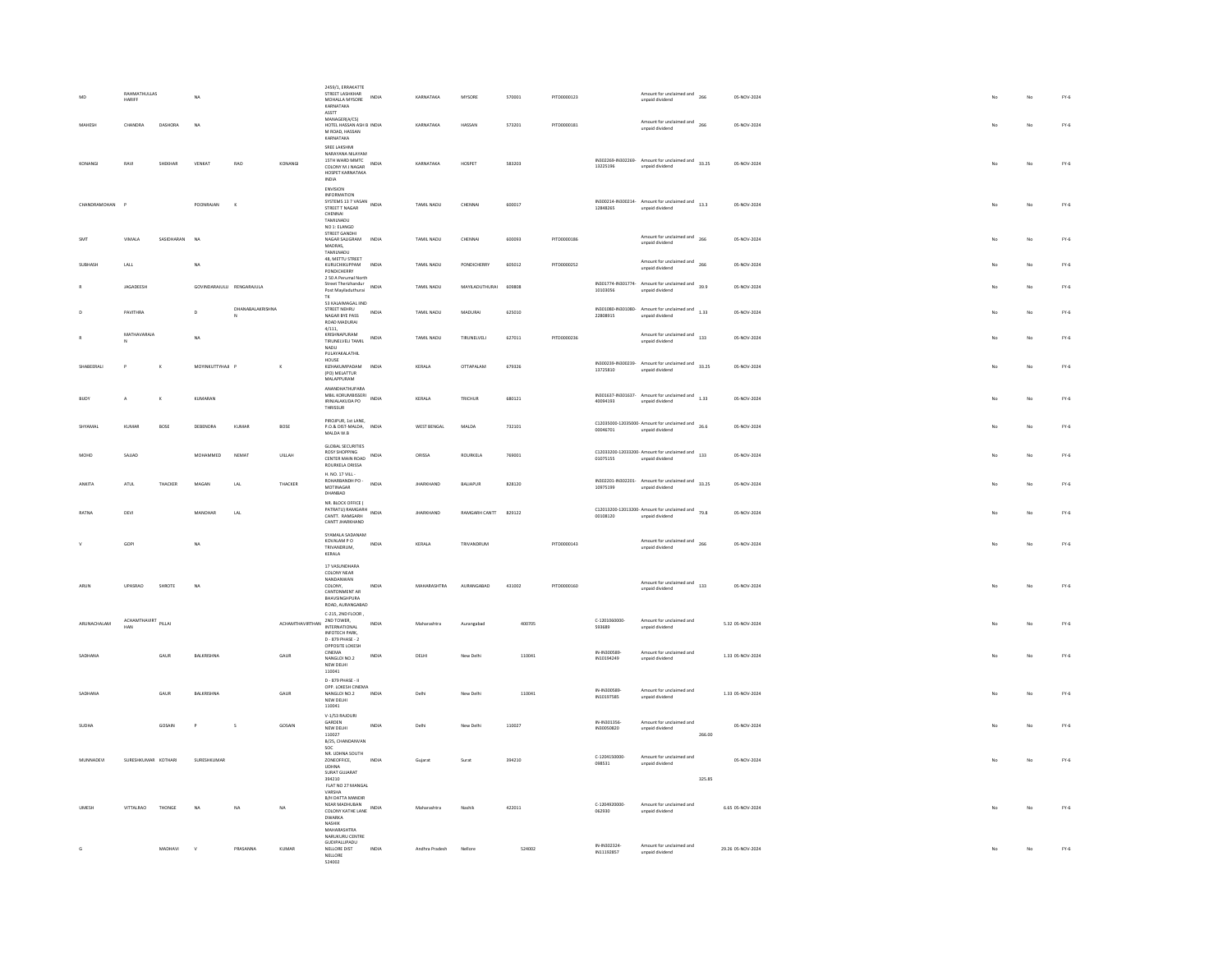| MAHESH        | RAHMATHULLAS<br>HARIFF<br>CHANDRA | DASHORA    | NA<br>NA                  |                  |                            | 2459/1, ERRAKATTE<br>STREET LASHKHAR<br>MOHALLA MYSORE<br>KARNATAKA<br>ASSTT<br>MANAGER(A/CS)<br>HOTEL HASSAN ASH B INDIA<br>M ROAD, HASSAN                                                                                                                                                                                                                                                                                                                                                                                  | INDIA                                | KARNATAKA<br>KARNATAKA | MYSORE<br>HASSAN  | 570001<br>573201 | PITD0000123<br>PITD0000181 |                                | Amount for unclaimed and<br>266<br>unpaid dividend<br>Amount for unclaimed and<br>266<br>unpaid dividend                                                                                            |        | 05-NOV-2024<br>05-NOV-2024 |  |    | No      | $FY-6$<br>$FY-6$ |
|---------------|-----------------------------------|------------|---------------------------|------------------|----------------------------|------------------------------------------------------------------------------------------------------------------------------------------------------------------------------------------------------------------------------------------------------------------------------------------------------------------------------------------------------------------------------------------------------------------------------------------------------------------------------------------------------------------------------|--------------------------------------|------------------------|-------------------|------------------|----------------------------|--------------------------------|-----------------------------------------------------------------------------------------------------------------------------------------------------------------------------------------------------|--------|----------------------------|--|----|---------|------------------|
| KONANGI       | RAVI                              | SHEKHAR    | VENKAT                    | RAO              | KONANGI                    | KARNATAKA<br>SREE LAKSHMI<br>NARAYANA NILAYAM<br>15TH WARD MMTC<br>COLONY M J NAGAR<br>HOSPET KARNATAKA                                                                                                                                                                                                                                                                                                                                                                                                                      | INDIA                                | KARNATAKA              | HOSPET            | 583203           |                            | 13225196                       | IN302269-IN302269-Amount for unclaimed and 33.25<br>unpaid dividend                                                                                                                                 |        | 05-NOV-2024                |  |    | No      | $FY-6$           |
| CHANDRAMOHAN  | - p                               |            | POONRAJAN                 | $\kappa$         |                            | <b>INDIA</b><br><b>ENVISION</b><br><b>INFORMATION</b><br>SYSTEMS 13 7 VASAN INDIA<br>STREET T NAGAR<br>CHENNAI<br><b>TAMILNADU</b>                                                                                                                                                                                                                                                                                                                                                                                           |                                      | TAMIL NADU             | CHENNAL           | 600017           |                            | 12848265                       | IN300214-IN300214- Amount for unclaimed and 13.3<br>unpaid dividend                                                                                                                                 |        | 05-NOV-2024                |  |    | No      | $FY-6$           |
| SMT           | VIMALA                            | SASIDHARAN | NA                        |                  |                            | NO 1: ELANGO<br>STREET GANDH<br>NAGAR SALIGRAM<br><b>MADRAS</b><br>TAMILNADU                                                                                                                                                                                                                                                                                                                                                                                                                                                 | INDIA                                | TAMIL NADU             | CHENNAL           | 600093           | PITD0000186                |                                | Amount for unclaimed and<br>266<br>unpaid dividend                                                                                                                                                  |        | 05-NOV-2024                |  |    | No      | $FY-6$           |
| SURHASH       | LALL                              |            | NA                        |                  |                            | 48, METTU STREET<br>KURUCHIKUPPAM<br>PONDICHERRY<br>2 50 A Perumal North                                                                                                                                                                                                                                                                                                                                                                                                                                                     | INDIA                                | TAMIL NADU             | PONDICHERRY       | 605012           | PITD0000252                |                                | Amount for unclaimed and 266<br>unpaid dividend                                                                                                                                                     |        | 05-NOV-2024                |  |    | No      | $FY-6$           |
|               | JAGADEESH                         |            | GOVINDARAJULU RENGARAJULA |                  |                            | Street Therizhandur<br>Post Mayiladuthurai                                                                                                                                                                                                                                                                                                                                                                                                                                                                                   | INDIA                                | TAMIL NADU             | MAYILADUTHURAI    | 609808           |                            | 32080101                       | IN301774-IN301774- Amount for unclaimed and 39.9<br>unpaid dividend                                                                                                                                 |        | 05-NOV-2024                |  |    | No      | $FY-6$           |
|               | PAVITHRA                          |            | $\mathsf D$               | DHANABALAKRISHNA |                            | 53 KALAIMAGAL IIND<br>STREET NEHRU<br>NAGAR BYE PASS<br>ROAD MADURAI                                                                                                                                                                                                                                                                                                                                                                                                                                                         | $\ensuremath{\mathsf{INDIA}}\xspace$ | TAMIL NADU             | <b>MADURA</b>     | 625010           |                            | IN301080-IN301080-<br>22808915 | $A {m } {o } {u } {n } {c } {l } {a } {m } {d } {a } {n } {d }$ $1.33$<br>unpaid dividend                                                                                                           |        | 05-NOV-2024                |  |    | No      | $FY-6$           |
|               | MATHAVARAJA                       |            | <b>NA</b>                 |                  |                            | 4/111,<br>KRISHNAPURAM<br>TIRUNELVELI TAMIL<br><b>NADU</b><br>PULAYAKALATHIL                                                                                                                                                                                                                                                                                                                                                                                                                                                 | INDIA                                | TAMIL NADU             | TIRLINELVELL      | 627011           | PITD0000236                |                                | Amount for unclaimed and 133<br>unpaid dividend                                                                                                                                                     |        | 05-NOV-2024                |  |    | No      | $FY-6$           |
| SHABEERALL    | $\circ$                           | ĸ          | MOVINKLITTYHAIL P         |                  | $\kappa$                   | HOUSE<br>KIZHAKUMPADAM INDIA<br>(PO) MELATTUR<br>MALAPPURAM                                                                                                                                                                                                                                                                                                                                                                                                                                                                  |                                      | KERALA                 | OTTAPALAM         | 679326           |                            | 13725810                       | IN300239-IN300239- Amount for unclaimed and 33.25<br>unpaid dividend                                                                                                                                |        | 05-NOV-2024                |  |    | No      | $FY-6$           |
|               |                                   |            | KUMARAN                   |                  |                            | ANANDHATHUPARA<br>MBIL KORUMBISSERI<br>IRINJALAKUDA PO<br><b>THRISSUR</b>                                                                                                                                                                                                                                                                                                                                                                                                                                                    | INDIA                                | KERALA                 | TRICHUR           | 680121           |                            | 40094193                       | $IN301637·IN301637·\quad \text{Amount for uncalained and} \quad 1.33$<br>unpaid dividend                                                                                                            |        | 05-NOV-2024                |  |    | .<br>No | $FY-6$           |
|               | KUMAR                             | BOSE       | DEBENDRA                  | KUMAR            | BOSE                       | PIROJPUR, 1st LANE.<br>$\begin{tabular}{ll} $\mathsf{P.O.A.} \\ \mathsf{D.O.A.} \end{tabular} \begin{tabular}{ll} \begin{tabular}{ll} \multicolumn{2}{l} \multicolumn{2}{l} \multicolumn{2}{l} \multicolumn{2}{l} \multicolumn{2}{l} \multicolumn{2}{l} \multicolumn{2}{l} \multicolumn{2}{l} \multicolumn{2}{l} \multicolumn{2}{l} \multicolumn{2}{l} \multicolumn{2}{l} \multicolumn{2}{l} \multicolumn{2}{l} \multicolumn{2}{l} \multicolumn{2}{l} \multicolumn{2}{l} \multicolumn{2}{l} \multicolumn{2}{l}$<br>MALDA W.B |                                      | WEST BENGAL            | MALDA             | 732101           |                            | 00046701                       | C12035000-12035000- Amount for unclaimed and 26.6<br>unpaid dividend                                                                                                                                |        | 05-NOV-2024                |  |    | No      | $FY-6$           |
| MOHD          | SAJJAD                            |            | MOHAMMED                  | NEMAT            | UILLAH                     | <b>GLOBAL SECURITIES</b><br><b>ROSY SHOPPING</b><br>CENTER MAIN ROAD INDIA<br>ROURKELA ORISSA                                                                                                                                                                                                                                                                                                                                                                                                                                |                                      | ORISSA                 | ROURKELA          | 769001           |                            | 01075155                       | $C12033200-12033200$ - Amount for unclaimed and $133$<br>unpaid dividend                                                                                                                            |        | 05-NOV-2024                |  |    | No      | $FY-6$           |
| <b>ANKITA</b> | $ATUL$                            | THACKER    | MAGAN                     | $_{\rm LAL}$     | THACKER                    | H. NO. 17 VILL-<br>ROHARBANDH PO -<br>MOTINAGAR<br>DHANBAD                                                                                                                                                                                                                                                                                                                                                                                                                                                                   | INDIA                                | <b>JHARKHAND</b>       | BALIAPUR          | 828120           |                            | 10975199                       | $\nonumber \begin{tabular}{ll} \bf 1 N302201\cdot IN302201\cdot & \textit{Amount for uncalained and} \\ \hline \end{tabular} \qquad \begin{tabular}{ll} \bf 33.25 \end{tabular}$<br>unpaid dividend |        | 05-NOV-2024                |  |    | No      | $FY-6$           |
| <b>RATNA</b>  | DEVI                              |            | MANOHAR                   | LAL              |                            | NR. BLOCK OFFICE (<br>PATRATU) RAMGARH<br>CANTT, RAMGARH<br>CANTT JHARKHAND                                                                                                                                                                                                                                                                                                                                                                                                                                                  | <b>INDIA</b>                         | <b>IHARKHAND</b>       | RAMGARH CANTT     | 829122           |                            | 00108120                       | $C12013200-12013200$ - Amount for unclaimed and $79.8$<br>unpaid dividend                                                                                                                           |        | 05-NOV-2024                |  |    | No      | $FY-6$           |
|               | GOP                               |            | <b>NA</b>                 |                  |                            | SYAMALA SADANAM<br>KOVALAM P.O.<br>TRIVANDRUM,<br>KERALA                                                                                                                                                                                                                                                                                                                                                                                                                                                                     | INDIA                                | KERALA                 | TRIVANDRUM        |                  | PITD0000143                |                                | Amount for unclaimed and<br>unpaid dividend<br>266                                                                                                                                                  |        | 05-NOV-2024                |  |    | No      | $FY-6$           |
| <b>ARLIN</b>  | LIPASRAD                          | SHROTE     | <b>NA</b>                 |                  |                            | 17 VASUNDHARA<br>COLONY NEAR<br>NANDANWAN<br>COLONY<br>CANTONMENT AR<br>BHAVSINGHPURA<br>ROAD, AURANGABAD                                                                                                                                                                                                                                                                                                                                                                                                                    | INDIA                                | MAHARASHTRA            | <b>AURANGARAD</b> | 431002           | PITD0000160                |                                | Amount for unclaimed and 133<br>unpaid dividend                                                                                                                                                     |        | 05-NOV-2024                |  |    | No      | $FY-6$           |
| ARUNACHALAM   | ACHAMTHAVIRT PILLAI<br>HAN        |            |                           |                  | ACHAMTHAVIRTHAN 2ND TOWER, | C-215, 2ND FLOOR,<br><b>INFOTECH PARK</b>                                                                                                                                                                                                                                                                                                                                                                                                                                                                                    | INDIA                                | Maharashtra            | Aurangabad        | 400705           |                            | C-1201060000-<br>593689        | Amount for unclaimed and<br>unpaid dividend                                                                                                                                                         |        | 5.32 05-NOV-2024           |  |    | No      | $FY-6$           |
| SADHANA       |                                   | GAUR       | BALKRISHNA                |                  | GAUR                       | D - 879 PHASE - 2<br>OPPOSITE LOKESH<br>CINEMA<br>NANGLOL NO.2<br>NEW DELHI                                                                                                                                                                                                                                                                                                                                                                                                                                                  | INDIA                                | DELHI                  | New Delhi         | 110041           |                            | IN-IN300589<br>IN10194249      | Amount for unclaimed and<br>unpaid dividend                                                                                                                                                         |        | 1.33 05-NOV-2024           |  |    | No      | $FY-6$           |
| SADHANA       |                                   | GAUR       | BALKRISHNA                |                  | GAUR                       | 110041<br>D - 879 PHASE - II<br>OPP LOKESH CINEMA<br>NANGLOI NO.2<br>NEW DELHI                                                                                                                                                                                                                                                                                                                                                                                                                                               | INDIA                                | Delhi                  | New Delhi         | 110041           |                            | IN-IN300589<br>IN10197585      | Amount for unclaimed and<br>unpaid dividend                                                                                                                                                         |        | 1.33 05-NOV-2024           |  |    | No      | $FY-6$           |
|               |                                   |            |                           |                  |                            | 110041<br>V-1/53 RAJOURI                                                                                                                                                                                                                                                                                                                                                                                                                                                                                                     |                                      |                        |                   |                  |                            |                                |                                                                                                                                                                                                     |        |                            |  |    |         |                  |
| SUDHA         |                                   | GOSAIN     | P                         | $\sf s$          | GOSAIN                     | GARDEN<br>NEW DELHI<br>110027<br>B/25, CHANDANVAN<br>son                                                                                                                                                                                                                                                                                                                                                                                                                                                                     | INDIA                                | Delhi                  | New Delhi         | 110027           |                            | IN-IN301356<br>IN30050820      | Amount for unclaimed and<br>unpaid dividend                                                                                                                                                         | 266.00 | 05-NOV-2024                |  |    | No      | $FY-6$           |
| MUNNADEVI     | SURESHKUMAR KOTHARI               |            | SURESHKUMAR               |                  |                            | NR. UDHNA SOUTH<br>ZONEOFFICE,<br>UDHNA<br>SURAT GUJARAT                                                                                                                                                                                                                                                                                                                                                                                                                                                                     | <b>INDIA</b>                         | Gujarat                | Surat             | 394210           |                            | C-1204150000<br>098531         | Amount for unclaimed and<br>unpaid dividend                                                                                                                                                         |        | 05-NOV-2024                |  | No | No      | $FY-6$           |
|               |                                   |            |                           |                  |                            | 394210<br>FLAT NO 27 MANGAL<br>VARSHA<br>B/H DATTA MANDIR                                                                                                                                                                                                                                                                                                                                                                                                                                                                    |                                      |                        |                   |                  |                            |                                |                                                                                                                                                                                                     | 325.85 |                            |  |    |         |                  |
| <b>UMESH</b>  | VITTALRAD                         | THONGE     | NA                        | NA               | NA                         | NEAR MADHUBAN<br>COLONY KATHE LANE INDIA<br><b>DWARKA</b><br>NASHIK<br>MAHARASHTRA                                                                                                                                                                                                                                                                                                                                                                                                                                           |                                      | Maharashtra            | Nashik            | 422011           |                            | C-1204920000-<br>062930        | Amount for unclaimed and<br>unpaid dividend                                                                                                                                                         |        | 6.65 05-NOV-2024           |  |    | No      | $FY-6$           |
|               |                                   | MADHAVI    | $\mathbf{v}$              | PRASANNA         | KUMAR                      | NARUKURU CENTRE<br>GUDIPALLIPADU<br>NELLORE DIST<br>NELLORE<br>524002                                                                                                                                                                                                                                                                                                                                                                                                                                                        | <b>INDIA</b>                         | Andhra Pradesh         | Nellore           | 524002           |                            | IN-IN302324<br>IN11192857      | Amount for unclaimed and<br>unpaid dividend                                                                                                                                                         |        | 29.26 05-NOV-2024          |  |    | No      | $FY-6$           |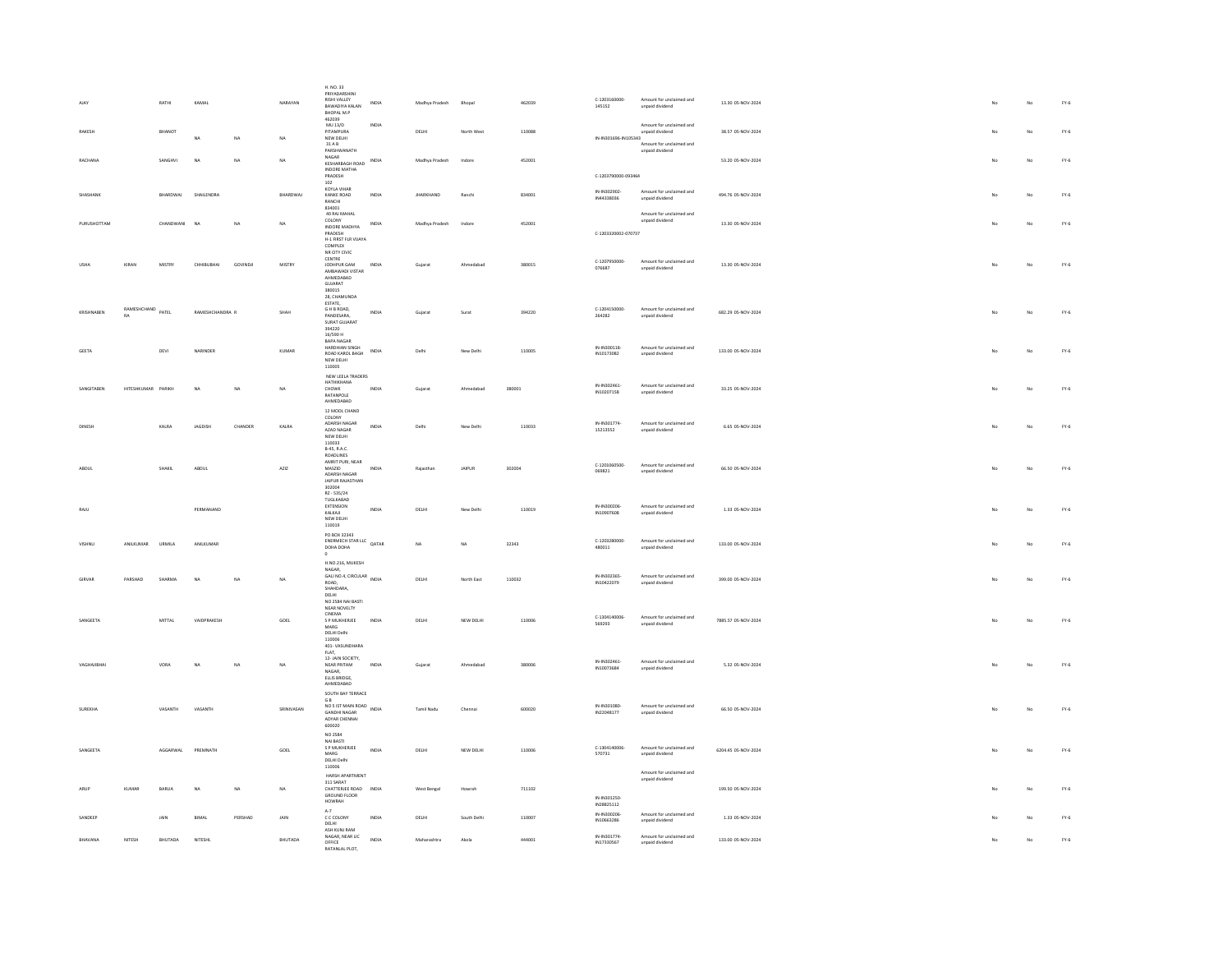| AJAY           |                                | RATHI           | KAMAL           |           | NARAYAN     | H. NO. 33<br>PRIYADARSHINI<br><b>RISHI VALLEY</b><br>BAWADIYA KALAN<br>BHOPAL M.P | INDIA                                | Madhya Pradesh    | Bhopal      | 462039 | C-1203160000-<br>145152    | Amount for unclaimed and<br>unpaid dividend                             | 13.30 05-NOV-2024   |             | No          | $FY-6$ |
|----------------|--------------------------------|-----------------|-----------------|-----------|-------------|-----------------------------------------------------------------------------------|--------------------------------------|-------------------|-------------|--------|----------------------------|-------------------------------------------------------------------------|---------------------|-------------|-------------|--------|
| RAKESH         |                                | BHANOT          | <b>NA</b>       | NA        | NA          | 462039<br>$MU$ 13/D<br>PITAMPURA<br>NEW DELHI<br>31AB                             | INDIA                                | DELHI             | North West  | 110088 | IN-IN301696-IN105343       | Amount for unclaimed and<br>unpaid dividend<br>Amount for unclaimed and | 38.57 05-NOV-2024   | No          | No          | $FY-6$ |
| RACHANA        |                                | SANGHVI         | NA              | NA        | NA          | PARSHWANATH<br>NAGAR                                                              | <b>INDIA</b>                         | Madhya Pradesh    | Indore      | 452001 |                            | unpaid dividend                                                         | 53.20 05-NOV-2024   |             | No          | $FY-6$ |
|                |                                |                 |                 |           |             | KESHARBAGH ROAD<br><b>INDORE MATHA</b><br>PRADESH<br>102                          |                                      |                   |             |        | C-1203790000-093464        |                                                                         |                     |             |             |        |
| SHASHANK       |                                | BHARDWAJ        | SHAILENDRA      |           | BHARDWAJ    | KOYLA VIHAR<br>KANKE ROAD<br>RANCHI<br>834001                                     | INDIA                                | <b>JHARKHAND</b>  | Ranchi      | 834001 | IN-IN302902-<br>IN44338036 | Amount for unclaimed and<br>unpaid dividend                             | 494.76 05-NOV-2024  | No          | No          | $FY-6$ |
| PURLISHOTTAM   |                                | CHANDWANI       | NA              | <b>NA</b> | <b>NA</b>   | 40 RAJ MAHAL<br>COLONY<br>INDORE MADHYA<br>PRADESH                                | INDIA                                | Madhya Pradesh    | Indore      | 452001 | C-1203320002-070737        | Amount for unclaimed and<br>unpaid dividend                             | 13.30.05-NOV-2024   |             | No          | $FY-6$ |
|                |                                |                 |                 |           |             | H-1 FIRST FLR VIJAYA<br>COMPLEX<br>NR CITY CIVIC<br>CENTRE                        |                                      |                   |             |        |                            |                                                                         |                     |             |             |        |
| <b>USHA</b>    | KIRAN                          | MISTRY          | CHHIBUBHAI      | GOVINDJI  | MISTRY      | JODHPUR GAM<br>AMBAWADI VISTAR<br>AHMEDARAD<br>GUJARAT<br>280015                  | INDIA                                | Gujarat           | Ahmedabad   | 380015 | C-1207950000-<br>076687    | Amount for unclaimed and<br>unpaid dividend                             | 13.30 05-NOV-2024   | No          | No          | $FY-6$ |
|                |                                |                 |                 |           |             | 28, CHAMUNDA<br>ESTATE                                                            |                                      |                   |             |        |                            |                                                                         |                     |             |             |        |
| KRISHNABEN     | RAMESHCHAND PATEL<br><b>RA</b> |                 | RAMESHCHANDRA R |           | SHAH        | G H B ROAD,<br>PANDESARA.<br><b>SURAT GUJARAT</b><br>394220                       | INDIA                                | Gujarat           | Surat       | 394220 | C-1204150000<br>264282     | Amount for unclaimed and<br>unpaid dividend                             | 682.29 05-NOV-2024  |             | No          | $FY-6$ |
|                |                                |                 |                 |           |             | 16/590 H<br>BAPA NAGAR<br>HARDHIAN SINGH                                          |                                      |                   |             |        | IN-IN300118-               | Amount for unclaimed and                                                |                     |             |             |        |
| GEETA          |                                | DEVI            | NARINDER        |           | KUMAR       | ROAD KAROL BAGH<br>NEW DELHI<br>110005                                            | INDIA                                | Delhi             | New Delhi   | 110005 | IN10173082                 | unpaid dividend                                                         | 133.00 05-NOV-2024  |             | No          | $FY-6$ |
| SANGITABEN     | HITESHKUMAR PARIKH             |                 | <b>NA</b>       | NA        | NA          | NEW LEELA TRADERS<br>HATHIKHANA<br>CHOWK                                          | INDIA                                | Gujarat           | Ahmedabad   | 38000  | IN-IN302461                | Amount for unclaimed and                                                | 33.25 05-NOV-2024   |             | No          | $FY-6$ |
|                |                                |                 |                 |           |             | RATANPOLE<br>AHMEDABAD                                                            |                                      |                   |             |        | IN10207158                 | unpaid dividend                                                         |                     |             |             |        |
|                |                                |                 |                 |           |             | 12 MOOL CHAND<br>COLONY<br>ADARSH NAGAR                                           |                                      |                   |             |        | IN-IN301774                | Amount for unclaimed and                                                |                     |             |             |        |
| DINES          |                                | KALRA           | JAGDISH         | CHANDER   | KALRA       | AZAD NAGAR<br>NEW DELHI<br>110033                                                 | INDIA                                | Delhi             | New Delhi   | 110033 | 15213552                   | unpaid dividend                                                         | 6.65 05-NOV-2024    |             | $_{\rm No}$ | $FY-6$ |
|                |                                |                 |                 |           |             | <b>B-45, R.A.C.</b><br>ROADLINES                                                  |                                      |                   |             |        |                            |                                                                         |                     |             |             |        |
| ABDUL          |                                | SHAKIL          | ABDUL           |           | AZIZ        | AMRIT PURI, NEAR<br>MASZID<br>ADARSH NAGAR<br><b>JAIPUR RAJASTHAN</b>             | INDIA                                | Rajasthan         | JAIPUR      | 302004 | C-1201060500<br>069821     | Amount for unclaimed and<br>unpaid dividend                             | 66.50 05-NOV-2024   |             | No          | $FY-6$ |
|                |                                |                 |                 |           |             | 302004<br>RZ - 535/24                                                             |                                      |                   |             |        |                            |                                                                         |                     |             |             |        |
| RAJU           |                                |                 | PERMANAND       |           |             | TUGLKABAD<br>EXTENSION<br>KAIKAIL<br>NEW DELHI                                    | INDIA                                | DELHI             | New Delhi   | 110019 | IN-IN300206<br>IN10907608  | Amount for unclaimed and<br>unnaid dividend                             | 1.33 05-NOV-2024    | No          | No          | $FY-6$ |
|                | ANILKUMAR                      | URMILA          | ANILKUMAR       |           |             | 110019<br>PO BOX 32343<br>ENERMECH STAR LLC QATAR                                 |                                      | NA                | NA          | 32343  | C-1203280000               | Amount for unclaimed and                                                | 133.00 05-NOV-2024  |             | No          | $FY-6$ |
|                |                                |                 |                 |           |             | $^{\circ}$<br>H.NO.216, MUKESH                                                    |                                      |                   |             |        | 480011                     | unpaid dividend                                                         |                     |             |             |        |
| <b>GIRVAR</b>  | PARSHAD                        | SHARMA          | NA              | NA        | <b>NA</b>   | NAGAR,<br>GALI NO.4, CIRCULAR INDIA<br>ROAD,<br>SHAHDARA,                         |                                      | DELHI             | North Fast  | 110032 | IN-IN302365<br>IN10422079  | Amount for unclaimed and<br>unpaid dividend                             | 399.00.05-NOV-2024  | No          | No          | $FY-6$ |
|                |                                |                 |                 |           |             | DELHI<br>NO 2584 NAJ BASTI<br>NEAR NOVELTY                                        |                                      |                   |             |        |                            |                                                                         |                     |             |             |        |
| SANGEETA       |                                | MITTAL          | VAIDPRAKESH     |           | GOEL        | CINEMA<br>S P MUKHERJEE<br>MARG                                                   | $\ensuremath{\mathsf{INDIA}}\xspace$ | DELHI             | NEW DELHI   | 110006 | C-1304140006<br>569293     | Amount for unclaimed and<br>unpaid dividend                             | 7885.57 05-NOV-2024 | No          | No          | $FY-6$ |
|                |                                |                 |                 |           |             | DELHI Delhi<br>110006<br>401-VASUNDHARA                                           |                                      |                   |             |        |                            |                                                                         |                     |             |             |        |
|                |                                |                 |                 |           |             | FLAT,<br>12-JAIN SOCIETY.                                                         |                                      |                   |             |        | IN-IN302461                | Amount for unclaimed and                                                |                     |             |             |        |
| VAGHAJIBHAI    |                                | VORA            | NA              | NA        | NA          | NEAR PRITAM<br>NAGAR.<br>ELLIS BRIDGE,<br>AHMEDABAD                               | INDIA                                | Gujarat           | Ahmedabad   | 380006 | IN10073684                 | unpaid dividend                                                         | 5.32 05-NOV-2024    | No          | No          | $FY-6$ |
|                |                                |                 |                 |           |             | SOUTH BAY TERRACE<br>G B<br>NO 5 IST MAIN ROAD                                    |                                      |                   |             |        |                            |                                                                         |                     |             |             |        |
| <b>SUREKHA</b> |                                | VASANTH         | VASANTH         |           | SRINIVASAN  | GANDHI NAGAR<br>ADYAR CHENNAL<br>600020                                           | <b>INDIA</b>                         | <b>Tamil Nadu</b> | Chennai     | 600020 | IN-IN301080<br>IN22048177  | Amount for unclaimed and<br>unpaid dividend                             | 66.50 05-NOV-2024   | No          | No          | $FY-6$ |
|                |                                |                 |                 |           |             | NO 2584<br>NAI BASTI                                                              |                                      |                   |             |        |                            |                                                                         |                     |             |             |        |
| SANGEETA       |                                | <b>AGGARWAL</b> | PREMNATH        |           | GOEL        | S P MUKHERJEE<br>$\ensuremath{\mathsf{MARS}}$<br>DELHI Delhi<br>110006            | INDIA                                | DELHI             | NEW DELHI   | 110006 | C-1304140006<br>570731     | Amount for unclaimed and<br>unpaid dividend                             | 6204.45 05-NOV-2024 | No          | No          | $FY-6$ |
|                |                                |                 |                 |           |             | HARSH APARTMENT<br>311 SARAT                                                      |                                      |                   |             |        |                            | Amount for unclaimed and<br>unpaid dividend                             |                     |             |             |        |
| ARUP           | KUMAR                          | RARIJA          | NA              | NA        | NA          | CHATTERIEF ROAD INDIA<br>GROUND FLOOR<br>HOWRAH                                   |                                      | West Bengal       | Howrah      | 711102 | IN-IN301250                |                                                                         | 199.50.05-NOV-2024  | $M_{\odot}$ | No          | $FY-6$ |
| SANDEER        |                                | JAIN            | BIMAL           | PERSHAD   | <b>JAIN</b> | $A-7$<br>C C COLONY                                                               | INDIA                                | DELHI             | South Delhi | 110007 | IN28825112<br>IN-IN300206  | Amount for unclaimed and                                                | 1.33 05-NOV-2024    |             | No          | $FY-6$ |
|                |                                |                 |                 |           |             | DELHI<br>ASH KUNJ RAM                                                             |                                      |                   |             |        | IN10663286                 | unpaid dividend                                                         |                     |             |             |        |
| BHAVANA        | NITESH                         | <b>BHUTADA</b>  | NITESHL         |           | BHUTADA     | NAGAR, NEAR LIC<br>OFFICE<br>RATANIAI PIOT                                        | <b>INDIA</b>                         | Maharashtra       | Akola       | 444001 | IN-IN301774-<br>IN17330567 | Amount for unclaimed and<br>unpaid dividend                             | 133.00 05-NOV-2024  |             | No          | $FY-6$ |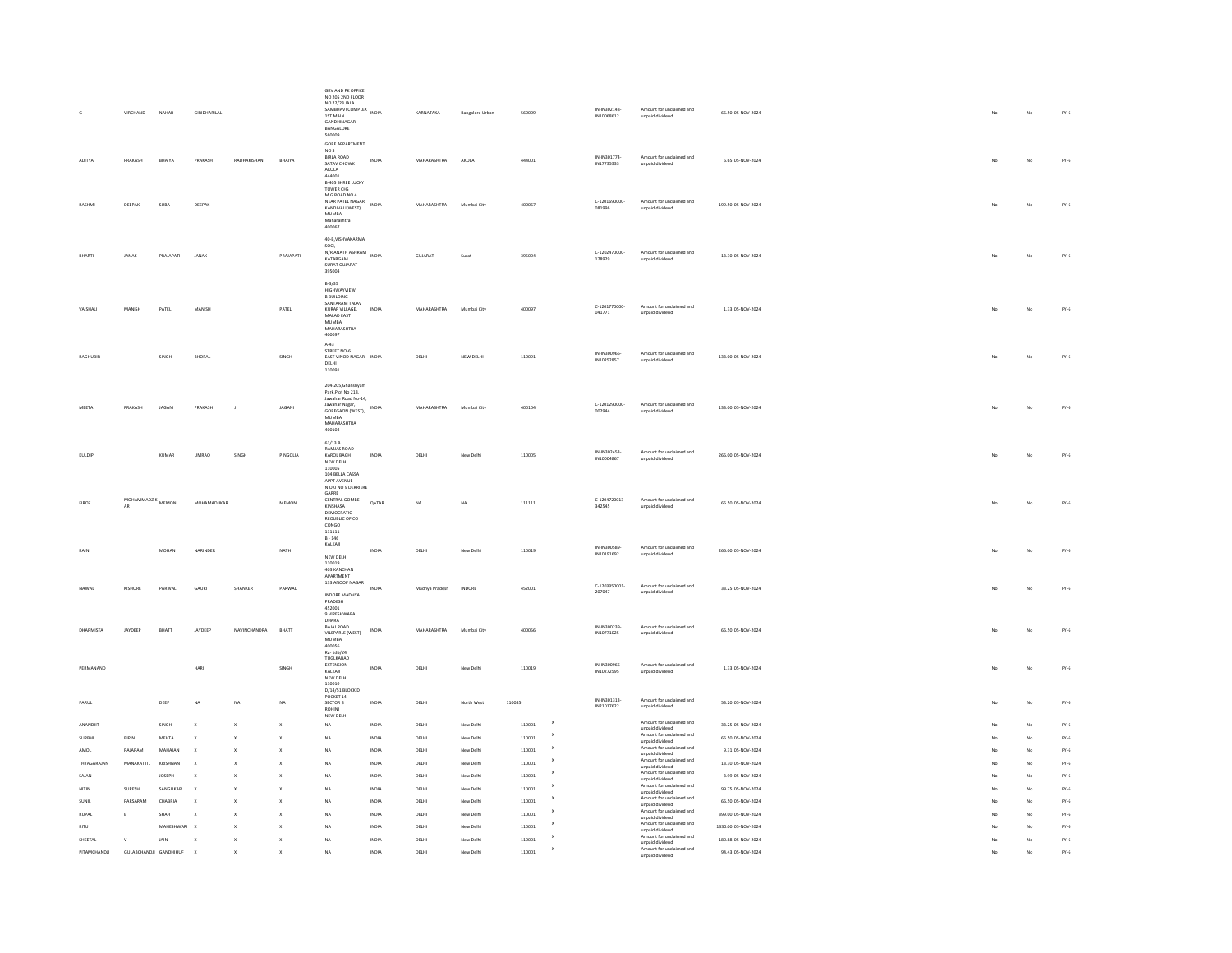|                 | VIRCHAND                 | $\textsf{NAHAR}$           | GIRIDHARILAL   |                           |                           | GRV AND PK OFFICE<br>NO 205 2ND FLOOR<br>NO 22/23 JALA<br>NU 22/23 AT.<br>1ST MAIN<br><b>GANDHINAGAR</b><br>BANGALORE<br>560009               |                | KARNATAKA          | <b>Bangalore Urban</b> | 560009           |                           | IN-IN302148-<br>IN10068612 | Amount for unclaimed and<br>unpaid dividend                             | 66.50 05-NOV-2024                      | No | No       | $FY-6$           |
|-----------------|--------------------------|----------------------------|----------------|---------------------------|---------------------------|-----------------------------------------------------------------------------------------------------------------------------------------------|----------------|--------------------|------------------------|------------------|---------------------------|----------------------------|-------------------------------------------------------------------------|----------------------------------------|----|----------|------------------|
| ADITYA          | PRAKASH                  | BHAIYA                     | PRAKASH        | RADHAKISHAN               | BHAIYA                    | GORE APPARTMENT<br>NO <sub>3</sub><br><b>BIRLA ROAD</b><br>SATAV CHOWK<br>AKOLA                                                               | INDIA          | MAHARASHTRA        | AKOLA                  | 444001           |                           | IN-IN301774-<br>IN17735333 | Amount for unclaimed and<br>unpaid dividend                             | 6.65 05-NOV-2024                       | No | No       | $FY-6$           |
| RASHM           | DEEPAK                   | SUBA                       | DEEPAK         |                           |                           | 444001<br><b>B-405 SHREE LUCKY</b><br>TOWER CHS<br>M G ROAD NO 4<br>NEAR PATEL NAGAR<br>KANDIVALI(WEST)<br>MUMBAI<br>Maharashtra<br>400067    | INDIA          | <b>MAHARASHTRA</b> | Mumbai City            | 400067           |                           | C-1201690000<br>081996     | Amount for unclaimed and<br>unpaid dividend                             | 199.50 05-NOV-2024                     |    | No       | $FY-6$           |
|                 | JANAK                    | PRAJAPATI                  | JANAK          |                           | PRAJAPATI                 | 40-B, VISHVAKARMA<br>son<br>N/R ANATH ASHRAM<br>KATARGAM<br>SURAT GUJARAT<br>395004                                                           | INDIA          | GUJARAT            | Surat                  | 395004           |                           | C-1202470000-<br>178929    | Amount for unclaimed and<br>unpaid dividend                             | 13.30 05-NOV-2024                      |    | No       | $FY-6$           |
|                 | MANISH                   | PATEL                      | MANISH         |                           | PATEL                     | $B-3/35$<br>HIGHWAYVIEW<br>B BUILDING<br>SANTARAM TALAV<br>KURAR VILLAGE,<br>MALAD EAST<br>MUMBAI<br>MAHARASHTRA<br>400097                    | INDIA          | MAHARASHTRA        | Mumbai City            | 400097           |                           | C-1201770000-<br>041771    | Amount for unclaimed and<br>unpaid dividend                             | 1.33 05-NOV-2024                       |    | No       | $FY-6$           |
| <b>RAGHUBIR</b> |                          | SINGH                      | <b>BHOPAL</b>  |                           | SINGH                     | $A - 43$<br>STREET NO-6<br>EAST VINOD NAGAR INDIA<br>DELHI<br>110091                                                                          |                | DELHI              | NEW DELHI              | 110091           |                           | IN-IN300966<br>IN10252857  | Amount for unclaimed and<br>unpaid dividend                             | 133.00 05-NOV-2024                     | No | No       | $FY-6$           |
| MEETA           | PRAKASH                  | JAGAN                      | PRAKASH        |                           | JAGANI                    | 204-205. Ghanshyan<br>Park,Plot No 218<br>Jawahar Road No-14,<br>Jawahar Nagar,<br>GOREGAON (WEST),<br><b>MUMBAI</b><br>MAHARASHTRA<br>400104 |                | MAHARASHTRA        | Mumbai City            | 400104           |                           | C-1201290000<br>002944     | Amount for unclaimed and<br>unpaid dividend                             | 133.00 05-NOV-2024                     | No | No       | $FY-6$           |
| KULDIP          |                          | <b>KUMAR</b>               | <b>UMRAO</b>   | SINGH                     | PINGOLIA                  | 61/13 B<br>RAMJAS ROAD<br>KAROL BAGH<br>NEW DELHI<br>110005<br>104 BELLA CASSA<br>APPT AVENUE<br>NIOKI NO 9 DERRIERE                          | INDIA          | DELHI              | New Delhi              | 110005           |                           | IN-IN302453-<br>IN10004867 | Amount for unclaimed and<br>unpaid dividend                             | 266.00 05-NOV-2024                     | No | No       | $FY-6$           |
| <b>FIROZ</b>    | MOHAMMADZIK MEMON<br>AR. |                            | MOHAMADJIKAR   |                           | MEMON                     | GARRE<br>CENTRAL GOMBE<br>KINSHASA<br>DEMOCRATIC<br>REQUBLIC OF CO.<br>CONGO<br>111111<br>$B - 146$                                           | <b>QATAR</b>   | <b>NA</b>          | NA                     | 111111           |                           | C-1204720013<br>342545     | Amount for unclaimed and<br>unpaid dividend                             | 66.50 05-NOV-2024                      |    | No       | $FY-6$           |
| RAIN            |                          | MOHAN                      | NARINDER       |                           | NATH                      | KALKAJI<br>NEW DELHI<br>110019<br>403 KANCHAN<br>APARTMENT                                                                                    | INDIA          | DELHI              | New Delhi              | 110019           |                           | IN-IN300589<br>IN10191692  | Amount for unclaimed and<br>unpaid dividend                             | 266.00 05-NOV-2024                     |    | No       | $FY-6$           |
| <b>NAWAI</b>    | KISHORE                  | PARWAL                     | <b>GAURI</b>   | SHANKER                   | PARWAI                    | 133 ANOOP NAGAR<br>INDORE MADHYA<br>PRADESH<br>452001<br>9 VIRESHWARA                                                                         | INDIA          | Madhya Pradesh     | <b>INDORE</b>          | 452001           |                           | C-1203350001<br>207047     | Amount for unclaimed and<br>unpaid dividend                             | 33.25 05-NOV-2024                      |    | No       | $FY-6$           |
| DHARMISTA       | <b>IAVOFFP</b>           | <b>BHATT</b>               | <b>JAYDEEP</b> | NAVINCHANDRA              | RHATT                     | DHARA<br>BAJAJ ROAD<br>VILEPARLE (WEST)<br>MUMBAI<br>400056<br>RZ-535/24                                                                      | INDIA          | <b>MAHARASHTRA</b> | Mumbai City            | 400056           |                           | IN-IN300239-<br>IN10771025 | Amount for unclaimed and<br>unpaid dividend                             | 66.50 05-NOV-2024                      |    | No       | $FY-6$           |
| PERMANAND       |                          |                            | HARI           |                           | SINGH                     | TUGIKARAD<br>EXTENSION<br>KALKAJI<br>NEW DELHI<br>110019<br>D/14/51 BLOCK D                                                                   | INDIA          | DELHI              | New Delhi              | 110019           |                           | IN-IN300966-<br>IN10272595 | Amount for unclaimed and<br>unpaid dividend                             | 1.33 05-NOV-2024                       |    | No       | $FY-6$           |
| PARUI           |                          | DEEP                       | <b>NA</b>      | NA                        | NA                        | POCKET 14<br>SECTOR 8<br>ROHINI<br>NEW DELHI                                                                                                  | INDIA          | DELHI              | North West             | 110085           |                           | IN-IN301313-<br>IN21017622 | Amount for unclaimed and<br>unpaid dividend                             | 53.20 05-NOV-2024                      |    | No       | $FY-6$           |
| ANANDJIT        |                          | SINGH                      |                | $\boldsymbol{\mathsf{x}}$ | $\boldsymbol{\mathsf{x}}$ | <b>NA</b>                                                                                                                                     | INDIA          | DELHI              | New Delhi              | 110001           | $\boldsymbol{\mathsf{x}}$ |                            | Amount for unclaimed and<br>unpaid dividend                             | 33.25 05-NOV-2024                      |    | No       | $FY-6$           |
| <b>SURBH</b>    | BIPIN                    | MEHTA                      |                |                           | $\boldsymbol{\mathsf{x}}$ | <b>NA</b>                                                                                                                                     | INDIA          | DELHI              | New Delhi              | 110001           |                           |                            | Amount for unclaimed and<br>unpaid dividend<br>Amount for unclaimed and | 66.50 05-NOV-2024                      |    | No       | $FY-6$           |
| AMOL            | RAJARAM                  | MAHAJAN                    |                | X                         | $\boldsymbol{\mathsf{x}}$ | NA                                                                                                                                            | INDIA          | DELHI              | New Delhi              | 110001           |                           |                            | unpaid dividend<br>Amount for unclaimed and                             | 9.31 05-NOV-2024                       |    | No       | $FY-6$           |
| THYAGARAJAM     | MANAKATTIL               | <b>KRISHNAP</b>            |                |                           |                           | NA                                                                                                                                            | INDIA          | DELHI              | New Delhi              | 110001           |                           |                            | unpaid dividend<br>Amount for unclaimed and                             | 13.30 05-NOV-2024                      |    | No       | $FY-6$           |
| SAJAN<br>NITIN  | SURESH                   | <b>JOSEPH</b><br>SANGLIKAR |                |                           |                           | NA<br><b>NA</b>                                                                                                                               | INDIA<br>INDIA | $DELHI$<br>DELHI   | New Delhi<br>New Delhi | 110001<br>110001 |                           |                            | unpaid dividend<br>Amount for unclaimed and                             | 3.99 05-NOV-2024                       |    | No<br>No | $FY-6$<br>$FY-6$ |
| SHNIE           | PARSARAM                 | CHABRIA                    |                |                           | $\mathbf{x}$              | <b>NA</b>                                                                                                                                     | INDIA          | DELHI              | New Delhi              | 110001           | $\mathbf{x}$              |                            | unpaid dividend<br>Amount for unclaimed and                             | 99.75 05-NOV-2024<br>66.50 05-NOV-2024 |    | No       | $FY-6$           |
| <b>RUPAL</b>    | $\mathsf{B}$             | SHAH                       |                | $\mathbf{x}$              | $\boldsymbol{\mathsf{x}}$ | <b>NA</b>                                                                                                                                     | INDIA          | DELHI              | New Delhi              | 110001           | $\boldsymbol{\mathsf{x}}$ |                            | unpaid dividend<br>Amount for unclaimed and                             | 399.00 05-NOV-2024                     |    | No       | $FY-6$           |
| <b>RITU</b>     |                          | MAHESHWARI                 |                |                           | $\mathbf{x}$              | <b>NA</b>                                                                                                                                     | INDIA          | DELHI              | New Delhi              | 110001           | $\boldsymbol{\mathsf{x}}$ |                            | unpaid dividend<br>Amount for unclaimed and                             | 1330.00 05-NOV-2024                    |    | No       | $FY-6$           |
| SHEETAL         | $_{\rm V}$               | JAIN                       |                | $\mathbf{x}$              | $\mathbf{x}$              | NA                                                                                                                                            | INDIA          | DELHI              | New Delhi              | 110001           |                           |                            | unpaid dividend<br>Amount for unclaimed and<br>unpaid dividend          | 180.88 05-NOV-2024                     |    | No       | $FY-6$           |
| PITAMCHANDJI    | GULABCHANDJI GANDHIHUF   |                            | $\mathbf{x}$   |                           |                           | NA                                                                                                                                            | INDIA          | DELHI              | New Delhi              | 110001           | x                         |                            | Amount for unclaimed and<br>unpaid dividend                             | 94.43 05-NOV-2024                      | No | No       | $FY-6$           |
|                 |                          |                            |                |                           |                           |                                                                                                                                               |                |                    |                        |                  |                           |                            |                                                                         |                                        |    |          |                  |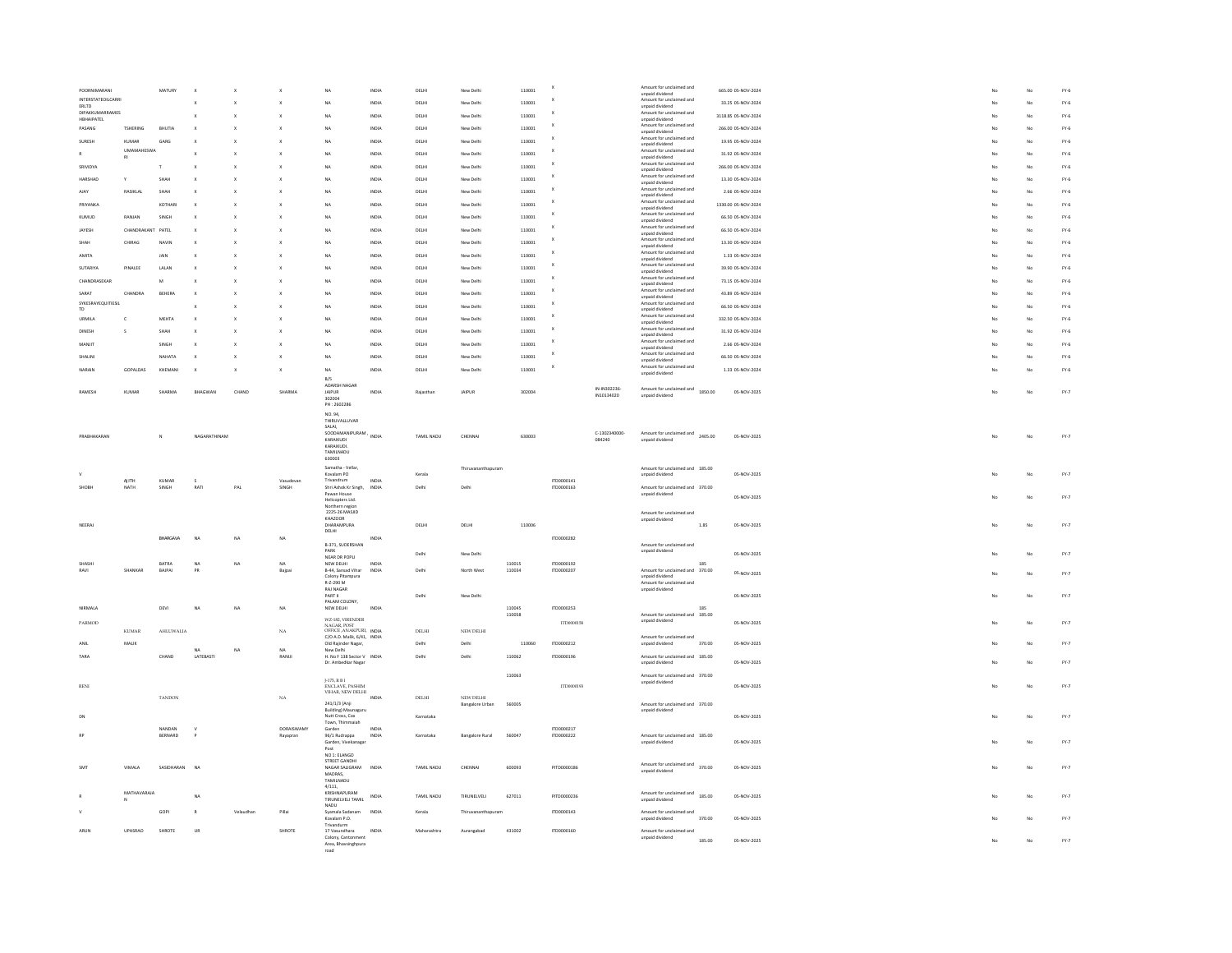|                                      |                      | MATURY         |              |           |                           | <b>NA</b>                                                                | INDIA          | <b>DELHI</b> | New Delhi                           | 110001           |                           |                           | Amount for unclaimed and                                       |        | 665.00.05-NOV-2024  |  |    | No | $FY-6$ |
|--------------------------------------|----------------------|----------------|--------------|-----------|---------------------------|--------------------------------------------------------------------------|----------------|--------------|-------------------------------------|------------------|---------------------------|---------------------------|----------------------------------------------------------------|--------|---------------------|--|----|----|--------|
| INTERSTATEOILCARRI<br>ERLTD          |                      |                |              |           |                           | NΔ                                                                       | INDIA          | DELHI        | New Delhi                           | 110001           | $\boldsymbol{\mathsf{x}}$ |                           | unpaid dividend<br>Amount for unclaimed and<br>unpaid dividend |        | 33.25.05-NOV-2024   |  |    | No | $FY-6$ |
| <b>DIPAKKUMARRAMES</b><br>HBHAIPATEL |                      |                |              |           |                           | NA                                                                       | INDIA          | DELHI        | New Delhi                           | 110001           | x                         |                           | Amount for unclaimed and                                       |        | 3118.85.05-NOV-2024 |  |    | No | $FY-6$ |
| PASANG                               | <b>TSHERING</b>      | BHUTIA         |              |           |                           | NA                                                                       | INDIA          | DELHI        | New Delhi                           | 110001           | x                         |                           | unpaid dividend<br>Amount for unclaimed and                    |        | 266.00 05-NOV-2024  |  |    | No | $FY-6$ |
| SURESH                               | KUMAR                | GARG           |              |           |                           | NA                                                                       | INDIA          | DELHI        | New Delhi                           | 110001           | x                         |                           | unpaid dividend<br>Amount for unclaimed and                    |        | 19.95 05-NOV-2024   |  |    | No | $FY-6$ |
|                                      | <b>UMAMAHESWA</b>    |                |              |           |                           |                                                                          |                |              |                                     |                  |                           |                           | unpaid dividend<br>Amount for unclaimed and                    |        |                     |  |    |    | $FY-6$ |
| $\mathsf R$                          | RI                   |                |              |           | $\boldsymbol{\mathsf{x}}$ | NA                                                                       | INDIA          | DELHI        | New Delhi                           | 110001           | x                         |                           | unpaid dividend<br>Amount for unclaimed and                    |        | 31.92 05-NOV-2024   |  |    | No |        |
| SRIVIDYA                             |                      |                |              |           |                           | NA                                                                       | INDIA          | DELHI        | New Delhi                           | 110001           |                           |                           | unpaid dividend<br>Amount for unclaimed and                    |        | 266.00 05-NOV-2024  |  |    | No | $FY-6$ |
| HARSHAD                              | Y                    | SHAF           |              |           |                           | NA                                                                       | INDIA          | DELHI        | New Delh                            | 110001           |                           |                           | unpaid dividend                                                |        | 13.30 05-NOV-2024   |  |    | No | $FY-6$ |
| AJAY                                 | RASIKLAL             | SHAF           |              |           |                           | <b>NA</b>                                                                | INDU           | DELHI        | New Delhi                           | 110001           |                           |                           | Amount for unclaimed and<br>unpaid dividend                    |        | 2.66 05-NOV-2024    |  |    | No | $FY-6$ |
| PRIYANKA                             |                      | KOTHAI         |              |           |                           | <b>NA</b>                                                                | INDU           | DELHI        | New Delh                            | 11000            |                           |                           | Amount for unclaimed and<br>unpaid dividend                    |        | 1330.00 05-NOV-2024 |  |    | No | $FY-6$ |
| KUMUD                                | RANJAN               | SINGH          |              |           |                           | <b>NA</b>                                                                | INDU           | DELH         | New Delh                            | 110001           |                           |                           | Amount for unclaimed and<br>unpaid dividend                    |        | 66.50 05-NOV-2024   |  |    | No | $FY-6$ |
| JAYESH                               | CHANDRAKANT          | PATEL          |              |           |                           | NA                                                                       | INDIA          | DELHI        | New Delhi                           | 110001           | x                         |                           | Amount for unclaimed and<br>unpaid dividend                    |        | 66.50 05-NOV-2024   |  |    | No | $FY-6$ |
| SHAH                                 | CHIRAG               | NAVIE          |              |           |                           | <b>NA</b>                                                                | INDIA          | <b>DELHI</b> | New Delhi                           | 110001           |                           |                           | Amount for unclaimed and<br>unpaid dividend                    |        | 13.30 05-NOV-2024   |  |    | No | $FY-6$ |
| AMITA                                |                      | <b>JAIN</b>    |              |           | $\mathbf{x}$              | <b>NA</b>                                                                | INDIA          | <b>DELHI</b> | New Delhi                           | 110001           |                           |                           | Amount for unclaimed and                                       |        | 1.33 05-NOV-2024    |  |    | No | $FY-6$ |
| SUTARIYA                             | PINAIFF              | 1.41.45        |              |           |                           | NA                                                                       | INDIA          | <b>DELHI</b> | New Delhi                           | 110001           | X                         |                           | unpaid dividend<br>Amount for unclaimed and                    |        | 39.90 05-NOV-2024   |  |    | No | $FY-6$ |
| CHANDRASEKAR                         |                      | M              |              |           | $\mathbf{x}$              | <b>NA</b>                                                                | INDIA          | DELHI        | New Delhi                           | 110001           | x                         |                           | unpaid dividend<br>Amount for unclaimed and                    |        | 73.15 05-NOV-2024   |  |    | No | $FY-6$ |
| SARAT                                | CHANDRA              | BEHERA         |              |           | $\mathbf{x}$              | <b>NA</b>                                                                | INDIA          | DELHI        | New Delhi                           | 110001           | x                         |                           | unpaid dividend<br>Amount for unclaimed and                    |        | 43.89 05-NOV-2024   |  | No | No | $FY-6$ |
| SYKESRAYEQUITIESIL                   |                      |                |              |           |                           |                                                                          |                |              |                                     |                  | x                         |                           | unpaid dividend<br>Amount for unclaimed and                    |        |                     |  |    |    |        |
| TD                                   |                      |                |              |           | $\mathbf{x}$              | <b>NA</b>                                                                | INDIA          | DELHI        | New Delhi                           | 110001           |                           |                           | unpaid dividend<br>Amount for unclaimed and                    |        | 66.50 05-NOV-2024   |  | No | No | $FY-6$ |
| <b>URMILA</b>                        | $\mathbf{c}$         | MEHTA          | $\mathbf x$  |           | $\mathbf{x}$              | <b>NA</b>                                                                | INDIA          | DELHI        | New Delhi                           | 110001           |                           |                           | unpaid dividend                                                |        | 332.50 05-NOV-2024  |  | No | No | $FY-6$ |
| DINESH                               | s                    | SHAH           |              |           |                           | <b>NA</b>                                                                | INDIA          | DELHI        | New Delhi                           | 110001           | X                         |                           | Amount for unclaimed and<br>unpaid dividend                    |        | 31.92 05-NOV-2024   |  |    | No | $FY-6$ |
| MANJIT                               |                      | SINGH          |              |           | $\boldsymbol{\mathsf{x}}$ | NA                                                                       | INDIA          | DELHI        | New Delhi                           | 110001           |                           |                           | Amount for unclaimed and<br>unpaid dividend                    |        | 2.66 05-NOV-2024    |  |    | No | $FY-6$ |
| SHALIN                               |                      | NAHATA         |              |           | $\boldsymbol{\mathsf{x}}$ | NA                                                                       | INDIA          | DELHI        | New Delhi                           | 110001           | X                         |                           | Amount for unclaimed and<br>unpaid dividend                    |        | 66.50 05-NOV-2024   |  |    | No | $FY-6$ |
| NARAIM                               | GOPALDAS             | KHEMAN         |              | X         | $\mathsf X$               | NA                                                                       | INDIA          | DELHI        | New Delhi                           | 110001           |                           |                           | Amount for unclaimed and<br>unpaid dividend                    |        | 1.33 05-NOV-2024    |  | No | No | $FY-6$ |
|                                      |                      |                |              |           |                           | B/S<br>ADARSH NAGAR                                                      |                |              |                                     |                  |                           |                           |                                                                |        |                     |  |    |    |        |
| RAMESH                               | KUMAR                | SHARMA         | RHAGWAN      | CHAND     | SHARMA                    | <b>IAIPUR</b>                                                            | INDIA          | Raiasthar    | <b>JAIPLIR</b>                      | 302004           |                           | IN-IN302236<br>IN10134020 | Amount for unclaimed and<br>1850.00<br>unpaid dividend         |        | 05-NOV-2025         |  | No | No | FY.7   |
|                                      |                      |                |              |           |                           | 302004<br>PH: 2602286                                                    |                |              |                                     |                  |                           |                           |                                                                |        |                     |  |    |    |        |
|                                      |                      |                |              |           |                           | NO.94,<br>THIRUVALLUVAR                                                  |                |              |                                     |                  |                           |                           |                                                                |        |                     |  |    |    |        |
|                                      |                      |                |              |           |                           | SALAI,                                                                   |                |              |                                     |                  |                           | C-1302340000              |                                                                |        |                     |  |    |    |        |
| PRABHAKARAN                          |                      |                | NAGARATHINAM |           |                           | SALAI,<br>SOODAMANIPURAM, INDIA<br>KARAIKUDI                             |                | TAMIL NADU   | CHENNA                              | 630003           |                           | 084240                    | Amount for unclaimed and 2405.00<br>unpaid dividend            |        | 05-NOV-2025         |  |    | No | FY.7   |
|                                      |                      |                |              |           |                           | KARAIKUDI.<br>TAMILNADU                                                  |                |              |                                     |                  |                           |                           |                                                                |        |                     |  |    |    |        |
|                                      |                      |                |              |           |                           | 630003                                                                   |                |              |                                     |                  |                           |                           |                                                                |        |                     |  |    |    |        |
|                                      |                      |                |              |           |                           |                                                                          |                |              |                                     |                  |                           |                           |                                                                |        |                     |  |    |    |        |
| $\vee$                               |                      |                |              |           |                           | Samatha - Vellar,<br>Kovalam PO                                          |                | Keralz       | Thiruvananthapuran                  |                  |                           |                           | Amount for unclaimed and 185.00<br>Innalisib bironu            |        | 05-NOV-2025         |  |    | No | $FY-7$ |
| SHORH                                | AJITH<br><b>NATH</b> | KUMAR<br>SINGH | RATI         | PAI       | Vasudevar<br>SINGH        | Trivandrum<br>Shri Ashok Kr Singh,                                       | INDIA          | Delhi        | Delhi                               |                  | ITD0000141<br>ITD0000163  |                           | Amount for unclaimed and 370.00                                |        |                     |  |    |    |        |
|                                      |                      |                |              |           |                           | Pawan House                                                              |                |              |                                     |                  |                           |                           | unpaid dividend                                                |        | 05-NOV-2025         |  |    | No | FY.7   |
|                                      |                      |                |              |           |                           | Helicopters Ltd.<br>Northern regior                                      |                |              |                                     |                  |                           |                           |                                                                |        |                     |  |    |    |        |
|                                      |                      |                |              |           |                           | 2225-26 MASJID<br>KHAZOOR                                                |                |              |                                     |                  |                           |                           | Amount for unclaimed and<br>unpaid dividend                    |        |                     |  |    |    |        |
| NEERAJ                               |                      |                |              |           |                           | <b>DHARAMPURA</b><br>DELHI                                               |                | DELHI        | DELHI                               | 110006           |                           |                           |                                                                | 1.85   | 05-NOV-2025         |  | No | No | FY.7   |
|                                      |                      | BHARGAVA       | <b>NA</b>    | NA        | NA                        |                                                                          | INDIA          |              |                                     |                  | ITD0000282                |                           | Amount for unclaimed and                                       |        |                     |  |    |    |        |
|                                      |                      |                |              |           |                           | B-371, SUDERSHAN<br>PARK<br>NEAR DR POPLI                                |                | Delhi        | New Delhi                           |                  |                           |                           | unpaid dividend                                                |        | 05-NOV-2025         |  |    | No | $FY-7$ |
| SHASH                                | SHANKAR              | BATRA          | NA<br>PR     | NA        | NA                        | NEW DELHI                                                                | INDIA<br>INDIA | <b>Delhi</b> |                                     | 110015           | ITD0000192<br>ITD0000207  |                           |                                                                | 185    |                     |  |    |    |        |
| RAVI                                 |                      | BAJPAI         |              |           | Bajpa                     | B-44, Sansad Vihar<br>Colony Pitampura                                   |                |              | North West                          | 110034           |                           |                           | Amount for unclaimed and 370.00<br>unpaid dividend             |        | 05-NOV-2025         |  |    | No | $FY.7$ |
|                                      |                      |                |              |           |                           | R-Z-290 M<br>RAJ NAGAR                                                   |                |              |                                     |                  |                           |                           | Amount for unclaimed and<br>unpaid dividend                    |        |                     |  |    |    |        |
|                                      |                      |                |              |           |                           | PART II<br>PALAM COLONY,                                                 |                | Delhi        | New Delhi                           |                  |                           |                           |                                                                |        | 05-NOV-2025         |  |    | No | FY.7   |
| NIRMALA                              |                      | DEVI           | <b>NA</b>    | NA        | NA                        | NEW DELHI                                                                | INDIA          |              |                                     | 110045<br>110058 | ITD0000253                |                           | Amount for unclaimed and 185.00                                | 185    |                     |  |    |    |        |
| PARMOD                               |                      |                |              |           |                           | WZ-182, VIRENDER                                                         |                |              |                                     |                  | ITD0000158                |                           | unpaid dividend                                                |        | 05-NOV-2025         |  |    | No | FY.7   |
|                                      | <b>KUMAR</b>         | AHLUWALIA      |              |           | $_{\rm{NA}}$              | NAGAR, POST<br>OFFICE, ANAKPURI, INDIA<br>C/O A.D. Malik, 6/41, INDIA    |                | DELHI        | NEW DELHI                           |                  |                           |                           | Amount for unclaimed and                                       |        |                     |  |    |    |        |
| ANIL                                 | MALIK                |                | N/A          | NA        | NA                        | Old Rajinder Nagar,                                                      |                | Delhi        | Delhi                               | 110060           | ITD0000212                |                           | unpaid dividend                                                | 370.00 | 05-NOV-2025         |  |    | No | FY.7   |
| TARA                                 |                      | CHAND          | LATEBASTI    |           | RANUI                     | New Delhi<br>H. No F 138 Sector V INDIA                                  |                | Delhi        | Delhi                               | 110062           | ITD0000196                |                           | Amount for unclaimed and 185.00                                |        |                     |  |    |    |        |
|                                      |                      |                |              |           |                           | Dr. Ambedkar Nagar                                                       |                |              |                                     |                  |                           |                           | unpaid dividend                                                |        | 05-NOV-2025         |  |    | No | FY.7   |
|                                      |                      |                |              |           |                           |                                                                          |                |              |                                     | 110063           | ITD0000193                |                           | Amount for unclaimed and 370.00<br>unpaid dividend             |        |                     |  |    |    |        |
| RENI                                 |                      |                |              |           |                           | J-175, R B I<br>ENCLAVE, PASHIM<br>VIHAR, NEW DELHI                      | INDIA          |              |                                     |                  |                           |                           |                                                                |        | 05-NOV-2025         |  |    | No | $FY.7$ |
|                                      |                      | <b>TANDON</b>  |              |           | $_{\rm NA}$               | 241/1/3 (Anji                                                            |                | DELHI        | NEW DELHI<br><b>Bangalore Urban</b> | 560005           |                           |                           | Amount for unclaimed and 370.00                                |        |                     |  |    |    |        |
| DN                                   |                      |                |              |           |                           | <b>Building) Maunaguru</b><br>Nutt Cross, Cox                            |                | Karnataka    |                                     |                  |                           |                           | unpaid dividend                                                |        | 05-NOV-2025         |  | No | No | FY.7   |
|                                      |                      | NANDAN         |              |           | DORAISWAMY                | Town, Thimmaiah<br>Garden                                                | INDIA          |              |                                     |                  | ITD0000217                |                           |                                                                |        |                     |  |    |    |        |
|                                      |                      | BERNARD        |              |           | Rayapran                  | 96/1 Rudrappa<br>Garden, Vivekanagar                                     | INDIA          | Karnataka    | <b>Bangalore Rural</b>              | 560047           | ITD0000222                |                           | Amount for unclaimed and 185.00<br>unpaid dividend             |        | 05-NOV-2025         |  | No | No | $FY-7$ |
|                                      |                      |                |              |           |                           | Post<br>NO 1: ELANGO                                                     |                |              |                                     |                  |                           |                           |                                                                |        |                     |  |    |    |        |
|                                      |                      |                |              |           |                           | STREET GANDHI                                                            |                |              |                                     |                  |                           |                           |                                                                |        |                     |  |    |    |        |
| SMT                                  | VIMALA               | SASIDHARAN     | <b>NA</b>    |           |                           | NAGAR SALIGRAM<br>MADRAS,                                                | <b>INDIA</b>   | TAMIL NADU   | CHENNAL                             | 600093           | PITD0000186               |                           | Amount for unclaimed and 370.00<br>unpaid dividend             |        | 05-NOV-2025         |  | No | No | FY.7   |
|                                      |                      |                |              |           |                           | TAMILNADU<br>4/111,                                                      |                |              |                                     |                  |                           |                           |                                                                |        |                     |  |    |    |        |
|                                      | MATHAVARAJA          |                | <b>NA</b>    |           |                           | KRISHNAPURAM<br>TIRUNELVELI TAMIL                                        | INDIA          | TAMIL NADL   | TIRLINELVELL                        | 627011           | PITD0000236               |                           | Amount for unclaimed and<br>185.00<br>unpaid dividend          |        | 05-NOV-2025         |  |    | No | FY.7   |
|                                      |                      | GOPI           | $\mathbb{R}$ | Velaudhar | Pilla                     | NADU<br>Syamala Sadanam                                                  | INDU           | Kerala       | Thin                                |                  | ITD0000143                |                           | Amount for unclaimed and                                       |        |                     |  |    |    |        |
|                                      |                      |                |              |           |                           | Kovalam P.O.                                                             |                |              |                                     |                  |                           |                           | unpaid dividend                                                | 370.00 | 05-NOV-2025         |  |    | No | FY.7   |
| ARUN                                 | UPASRAO              | SHROTE         | UR           |           | SHROTE                    | Trivandurm<br>17 Vasundhara<br>Colony, Cantonment<br>Area, Bhavsinghpura | INDIA          | Maharashtra  | Aurangabad                          | 431002           | ITD0000160                |                           | Amount for unclaimed and<br>unpaid dividend                    | 185.00 | 05-NOV-2025         |  |    | No | FY.7   |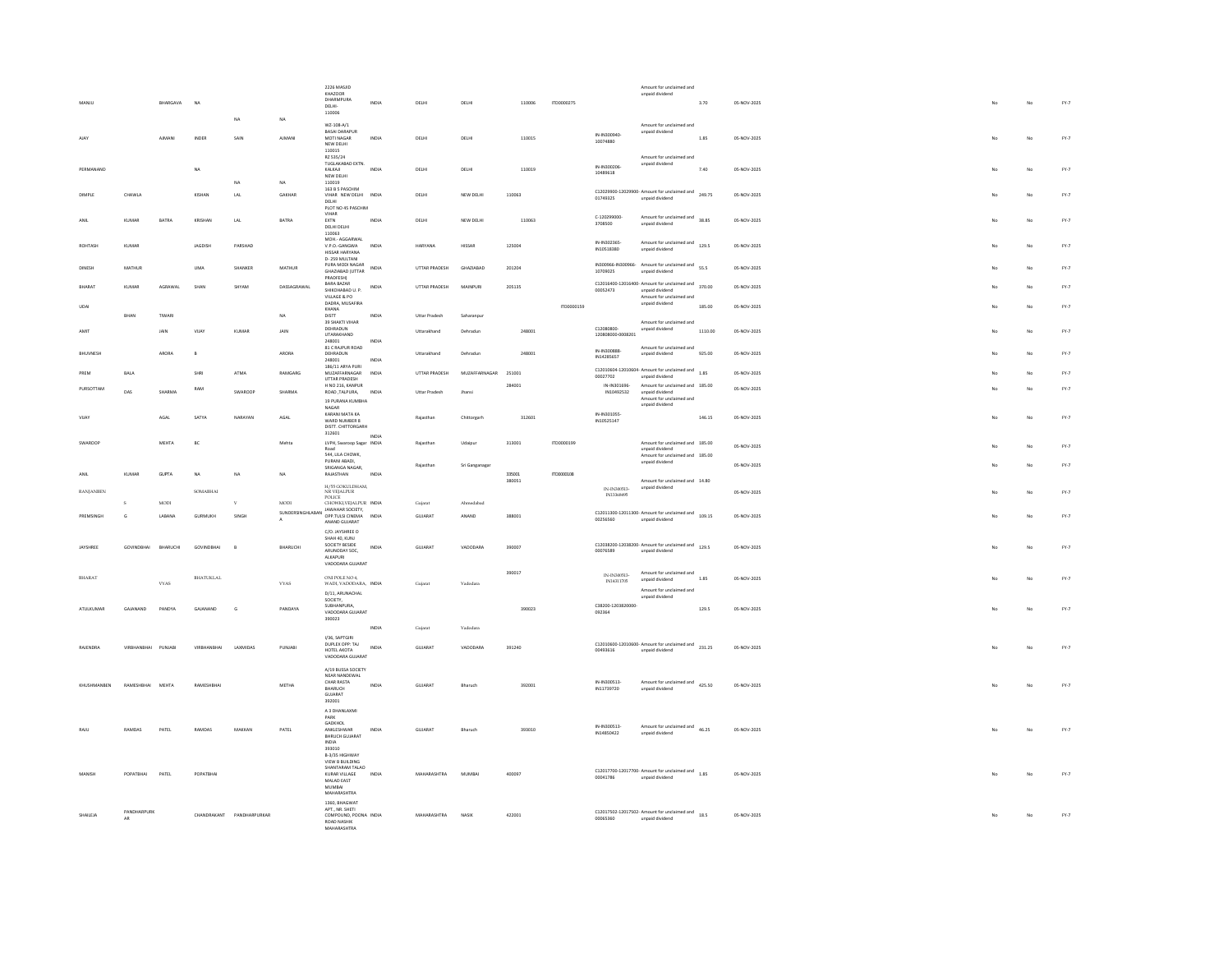|               |                  |                     |               |                  |                           |               | 2226 MASJID<br>KHAZOOR                                            |       |                      |                |        |            |                              | Amount for unclaimed and                                               |         |             |    |    |        |
|---------------|------------------|---------------------|---------------|------------------|---------------------------|---------------|-------------------------------------------------------------------|-------|----------------------|----------------|--------|------------|------------------------------|------------------------------------------------------------------------|---------|-------------|----|----|--------|
| MANILL        |                  |                     | BHARGAVA      | NA               |                           |               | DHARMPURA<br>DELHI-                                               | INDIA | DELHI                | DELHI          | 110006 | 1700000275 |                              | unpaid dividend                                                        | 3.70    | 05-NOV-2025 |    | No | FY.7   |
|               |                  |                     |               |                  |                           |               | 110006                                                            |       |                      |                |        |            |                              |                                                                        |         |             |    |    |        |
|               |                  |                     |               |                  | NA.                       | NA            | W7-108-A/1                                                        |       |                      |                |        |            |                              | Amount for unclaimed and                                               |         |             |    |    |        |
| AIAY          |                  |                     | <b>AIMANI</b> | INDER            | SAIN                      | <b>AIMANI</b> | <b>BASAI DARAPUR</b><br>MOTI NAGAR                                | INDIA | <b>DELHI</b>         | DELHI          | 110015 |            | IN-IN300940-                 | unpaid dividend                                                        | 1.85    | 05-NOV-2025 |    | No | FY.7   |
|               |                  |                     |               |                  |                           |               | NEW DELHI<br>110015                                               |       |                      |                |        |            | 10074880                     |                                                                        |         |             |    |    |        |
|               |                  |                     |               |                  |                           |               | RZ 535/24<br>TUGLAKABAD EXTN.                                     |       |                      |                |        |            |                              | Amount for unclaimed and<br>unpaid dividend                            |         |             |    |    |        |
|               | PERMANAND        |                     |               | <b>NA</b>        |                           |               | KALKAJI                                                           | INDIA | DELHI                | DELHI          | 110019 |            | IN-IN300206<br>10489618      |                                                                        | 7.40    | 05-NOV-2025 |    | No | $FY-7$ |
|               |                  |                     |               |                  | NA                        | NA            | NEW DELHI<br>110019                                               |       |                      |                |        |            |                              |                                                                        |         |             |    |    |        |
| <b>DIMPLE</b> |                  | CHAWLA              |               | KISHAN           | LAL                       | GAKHAR        | 163 B 5 PASCHIM<br>VIHAR NEW DELHI INDIA                          |       | DELHI                | NEW DELHI      | 110063 |            |                              | C12029900-12029900- Amount for unclaimed and 249.75                    |         | 05-NOV-2025 |    | No | $FY-7$ |
|               |                  |                     |               |                  |                           |               | DELHI<br>PLOT NO 45 PASCHIM                                       |       |                      |                |        |            | 01749325                     | unpaid dividend                                                        |         |             |    |    |        |
| ANIL          |                  | KUMAR               | RATRA         | KRISHAN          | LAL                       | BATRA         | VIHAR<br>EXTN                                                     | INDIA | <b>DELHI</b>         | NEW DELHI      | 110063 |            | C-120299000                  | Amount for unclaimed and 38.85                                         |         | 05-NOV-2025 |    | No | FY.7   |
|               |                  |                     |               |                  |                           |               | DELHI DELHI                                                       |       |                      |                |        |            | 3708500                      | unpaid dividend                                                        |         |             |    |    |        |
|               |                  |                     |               |                  |                           |               | 110063<br>MOH.- AGGARWAL                                          |       |                      |                |        |            | IN-IN302365-                 |                                                                        |         |             |    |    |        |
| ROHTASH       |                  | KUMAR               |               | <b>JAGDISK</b>   | PARSHAD                   |               | V.P.O.-GANGWA<br>HISSAR HARYANA                                   | INDIA | HARYANA              | HISSAR         | 125004 |            | IN10518380                   | Amount for unclaimed and<br>129.5<br>unpaid dividend                   |         | 05-NOV-2025 |    | No | FY.7   |
|               |                  |                     |               |                  |                           |               | D-259 MULTANI<br>PURA MODI NAGAR                                  |       |                      |                |        |            |                              | IN300966-IN300966- Amount for unclaimed and 55.5                       |         |             |    |    |        |
| DINES         |                  | MATHUR              |               | UMA              | SHANKER                   | MATHUR        | GHAZIABAD (UTTAR                                                  | INDIA | UTTAR PRADESH        | GHAZIABAD      | 201204 |            | 10709025                     | unpaid dividend                                                        |         | 05-NOV-2025 |    | No | FY.7   |
| BHARAT        |                  | <b>KUMAR</b>        | AGRAWAL       | SHAN             | SHYAM                     | DASSAGRAWAL   | <b>PRADEESH)</b><br><b>BARA BAZAR</b>                             | INDIA | UTTAR PRADESH        | MAINPURI       | 205135 |            |                              | C12016400-12016400- Amount for unclaimed and                           | 370.00  | 05-NOV-2025 |    | No | $FY-7$ |
|               |                  |                     |               |                  |                           |               | SHIKOHABAD U. P.<br>VILLAGE & PO                                  |       |                      |                |        |            | 00052473                     | unpaid dividend<br>Amount for unclaimed and                            |         |             |    |    |        |
| UDAI          |                  |                     |               |                  |                           |               | DADRA, MUSAFIRA<br>KHANA                                          |       |                      |                |        | ITD0000159 |                              | unpaid dividend                                                        | 185.00  | 05-NOV-2025 |    | No | $FY.7$ |
|               |                  | BHAN                | TIWARI        |                  |                           | NA            | DISTT<br>39 SHAKTI VIHAR                                          | INDIA | Uttar Pradesh        | Saharanpu      |        |            |                              | Amount for unclaimed and                                               |         |             |    |    |        |
| AMIT          |                  |                     | JAIN          | VIJAY            | KUMAR                     | JAIN          | DEHRADUN                                                          |       | Uttarakhand          | Dehradun       | 248001 |            | C12080800                    | unpaid dividend                                                        | 1110.00 | 05-NOV-2025 | No | No | $FY-7$ |
|               |                  |                     |               |                  |                           |               | UTARAKHAND<br>248001                                              | INDIA |                      |                |        |            | 120808000-0008201            |                                                                        |         |             |    |    |        |
| BHUVNESH      |                  |                     | ARORA         | $\,$ B           |                           | ARORA         | 81 C RAJPUR ROAD<br>DEHRADUN                                      |       | Uttarakhand          | Dehradun       | 248001 |            | IN-IN300888-<br>IN14285657   | Amount for unclaimed and<br>unpaid dividend                            | 925.00  | 05-NOV-2025 |    | No | FY.7   |
|               |                  |                     |               |                  |                           |               | 248001<br>186/11 ARYA PURI                                        | INDIA |                      |                |        |            |                              |                                                                        |         |             |    |    |        |
| PREM          |                  | BALA                |               | <b>SHRI</b>      | ATMA                      | RAMGARG       | MUZAFFARNAGAR<br>UTTAR PRADESH                                    | INDIA | UTTAR PRADESH        | MUZAFFARNAGAR  | 251001 |            | 00027702                     | C12010604-12010604- Amount for unclaimed and<br>unpaid dividend        | 1.85    | 05-NOV-2025 |    | No | FY.7   |
|               | PURSOTTAM        |                     |               | RAM              |                           |               | H NO 216, KANPUR                                                  |       |                      |                | 28400  |            | IN-IN301696                  | Amount for unclaimed and 185.00                                        |         | 05-NOV-2025 |    | No | $FY.7$ |
|               |                  | DAS                 | SHARMA        |                  | SWAROOP                   | SHARMA        | ROAD, TALPURA,<br>19 PURANA KUMBHA                                | INDIA | <b>Uttar Pradesh</b> | Jhansi         |        |            | IN10492532                   | unpaid dividend<br>Amount for unclaimed and                            |         |             |    |    |        |
|               |                  |                     |               |                  |                           |               | NAGAR                                                             |       |                      |                |        |            |                              | unpaid dividend                                                        |         |             |    |    |        |
| VIIAY         |                  |                     | AGAL          | SATYA            | NARAYAN                   | AGAI          | KARANI MATA KA<br>WARD NUMBER 8                                   |       | Rajasthan            | Chittorgarh    | 312601 |            | IN-IN301055-<br>IN10525147   |                                                                        | 146.15  | 05-NOV-2025 | No | No | $FV-7$ |
|               |                  |                     |               |                  |                           |               | DISTT, CHITTORGARH<br>312601                                      |       |                      |                |        |            |                              |                                                                        |         |             |    |    |        |
| SWARDOR       |                  |                     | <b>MEHTA</b>  | BC               |                           | Mehta         | LVPH, Swaroop Sagar INDIA                                         | INDIA | Rajastha             | Udaipu         | 313001 | ITD0000199 |                              | Amount for unclaimed and 185.00                                        |         | 05-NOV-2025 |    | No | FY.7   |
|               |                  |                     |               |                  |                           |               | Road<br>544, LILA CHOWK,                                          |       |                      |                |        |            |                              | unpaid dividend<br>Amount for unclaimed and 185.00                     |         |             |    |    |        |
|               |                  |                     |               |                  |                           |               | PURANI ABADI.<br>SRIGANGA NAGAR.                                  |       | Rajasthan            | Sri Ganganagar |        |            |                              | unpaid dividend                                                        |         | 05-NOV-2025 |    | No | FY.7   |
| ANIL          |                  | <b>KUMAR</b>        | <b>GUPTA</b>  | NA               | NA                        | NA            | RAJASTHAN                                                         | INDIA |                      |                | 335001 | ITD0000108 |                              |                                                                        |         |             |    |    |        |
|               | <b>RANIANBEN</b> |                     |               | <b>SOMABHAI</b>  |                           |               | H/55 GOKULDHAM,<br>NR VEJALPUR                                    |       |                      |                | 380051 |            | IN-IN300513-                 | Amount for unclaimed and 14.80<br>unpaid dividend                      |         | 05-NOV-2025 |    | No | $FY-7$ |
|               |                  | s                   | MODI          |                  | $\mathbf{v}$              | <b>MODI</b>   | POLICE<br>CHOWKI, VEJALPUR INDIA                                  |       |                      |                |        |            | IN13368495                   |                                                                        |         |             |    |    |        |
|               |                  |                     |               |                  | SINGH                     |               | JAWAHAR SOCIETY.<br>SUNDERSINGHLABAN OPP.TULSI CINEMA             |       | Gujarat              | Ahmedabad      |        |            |                              | $C12011300-12011300$ - Amount for unclaimed and $109.15$               |         |             |    |    |        |
|               | PREMSINGH        | G                   | LABANA        | <b>GURMUKH</b>   |                           |               |                                                                   |       |                      |                |        |            |                              |                                                                        |         |             |    | No | FY.7   |
|               |                  |                     |               |                  |                           |               | ANAND GUJARAT                                                     | INDIA | GUJARAT              | ANAND          | 388001 |            | 00256560                     | unpaid dividend                                                        |         | 05-NOV-2025 |    |    |        |
| JAYSHREE      |                  |                     |               |                  |                           |               | C/O JAYSHREE O                                                    |       |                      |                |        |            |                              |                                                                        |         |             |    |    |        |
|               |                  |                     |               |                  |                           |               | SHAH 40, KUNJ<br>SOCIETY RESIDE                                   |       |                      |                |        |            |                              |                                                                        |         |             |    |    |        |
|               |                  | <b>GOVINDBHAI</b>   | BHARUCH       | GOVINDBHAI       |                           | BHARUCH       | ARUNODAY SOC,<br>ALKAPURI                                         | INDIA | GUJARAT              | VADODARA       | 390007 |            | 00076589                     | C12038200-12038200- Amount for unclaimed and 129.5<br>unpaid dividend  |         | 05-NOV-2025 |    | No | FY.7   |
|               |                  |                     |               |                  |                           |               | VADODARA GUJARAT                                                  |       |                      |                |        |            |                              |                                                                        |         |             |    |    |        |
| BHARAT        |                  |                     |               | <b>BHATUKLAL</b> |                           |               | ONI POLE NO 4,                                                    |       |                      |                | 390017 |            | IN-IN300513-<br>IN14311705   | Amount for unclaimed and<br>unpaid dividend                            | 1.85    | 05-NOV-2025 |    | No | FY.7   |
|               |                  |                     | <b>VYAS</b>   |                  |                           | <b>VYAS</b>   | WADI, VADODARA, INDIA                                             |       | Guiarat              | Vadodara       |        |            |                              | Amount for unclaimed and                                               |         |             |    |    |        |
|               |                  |                     |               |                  |                           |               | D/11, ARUNACHAL<br>SOCIETY,                                       |       |                      |                |        |            |                              | unpaid dividend                                                        |         |             |    |    |        |
|               | ATULKUMAR        | GAJANAND            | PANDYA        | GAJANAND         | G                         | PANDAYA       | SUBHANPURA.<br>VADODARA GUJARAT                                   |       |                      |                | 390023 |            | C38200-1203820000-<br>092364 |                                                                        | 129.5   | 05-NOV-2025 | No | No | FY.7   |
|               |                  |                     |               |                  |                           |               | 390023                                                            |       |                      |                |        |            |                              |                                                                        |         |             |    |    |        |
|               |                  |                     |               |                  |                           |               | I/36, SAPTGIRI                                                    | INDIA | Gujarat              | Vadodara       |        |            |                              |                                                                        |         |             |    |    |        |
| RAJENDRA      |                  | VIRBHANBHAI PUNJABI |               | VIRBHANBHAI      | LAXMIDAS                  | PUNJABI       | DUPLEX OPP: TAJ                                                   | INDIA | GUJARAT              | VADODARA       | 391240 |            | 00493616                     | C12010600-12010600- Amount for unclaimed and 231.25<br>unpaid dividend |         | 05-NOV-2025 | No | No | FY.7   |
|               |                  |                     |               |                  |                           |               | HOTEL AKOTA<br>VADODARA GUJARAT                                   |       |                      |                |        |            |                              |                                                                        |         |             |    |    |        |
|               |                  |                     |               |                  |                           |               | A/19 BUSSA SOCIETY                                                |       |                      |                |        |            |                              |                                                                        |         |             |    |    |        |
|               |                  |                     |               |                  |                           |               | NEAR NANDEWAL<br>CHAR RASTA                                       |       |                      |                |        |            | IN-IN300513-                 |                                                                        |         |             |    |    |        |
|               | KHUSHMANBEN      | RAMESHBHAI MEHTA    |               | RAMESHBHA        |                           | METHA         | BHARUCH<br>GUJARAT                                                | INDIA | GUJARAT              | Bharuch        | 392001 |            | IN11739720                   | Amount for unclaimed and<br>425.50<br>unpaid dividend                  |         | 05-NOV-2025 | No | No | FY.7   |
|               |                  |                     |               |                  |                           |               | 392001                                                            |       |                      |                |        |            |                              |                                                                        |         |             |    |    |        |
|               |                  |                     |               |                  |                           |               | A 3 DHANLAXMI<br>PARK                                             |       |                      |                |        |            |                              |                                                                        |         |             |    |    |        |
| RAJL          |                  | RAMDAS              | PATEL         | RAMDAS           | MAKKAN                    | PATEL         | <b>GADKHOL</b><br>ANKLESHWAR                                      | INDIA | GUJARAT              | Bharuch        | 393010 |            | IN-IN300513-                 | Amount for unclaimed and                                               | 46.25   | 05-NOV-2025 |    | No | FY.7   |
|               |                  |                     |               |                  |                           |               | <b>BHRUCH GUJARAT</b>                                             |       |                      |                |        |            | IN14850422                   | unpaid dividend                                                        |         |             |    |    |        |
|               |                  |                     |               |                  |                           |               | <b>INDIA</b><br>393010                                            |       |                      |                |        |            |                              |                                                                        |         |             |    |    |        |
|               |                  |                     |               |                  |                           |               | B-3/35 HIGHWAY<br>VIEW R RUILDING                                 |       |                      |                |        |            |                              |                                                                        |         |             |    |    |        |
| <b>MANIS</b>  |                  | POPATBHAI           | PATEL         | POPATBHAI        |                           |               | SHANTARAM TALAO<br>KURAR VILLAGE                                  | INDIA | MAHARASHTRA          | MUMBAI         | 400097 |            |                              | C12017700-12017700- Amount for unclaimed and 1.85                      |         | 05-NOV-2025 |    | No | FY.7   |
|               |                  |                     |               |                  |                           |               | MALAD EAST<br>MUMBAI                                              |       |                      |                |        |            | 00041786                     | unpaid dividend                                                        |         |             |    |    |        |
|               |                  |                     |               |                  |                           |               | MAHARASHTRA                                                       |       |                      |                |        |            |                              |                                                                        |         |             |    |    |        |
|               |                  |                     |               |                  |                           |               | 1360, BHAGWAT<br>APT., NR. SHETI                                  |       |                      |                |        |            |                              |                                                                        |         |             |    |    |        |
| SHAILEIA      |                  | PANDHARPURK<br>AR   |               |                  | CHANDRAKANT PANDHARPURKAR |               | COMPOUND, POONA INDIA<br><b>ROAD NASHIK</b><br><b>MANADACUTDA</b> |       | MAHARASHTRA          | NASIK          | 422001 |            | 00065360                     | C12017502-12017502-Amount for unclaimed and<br>18.5<br>unpaid dividend |         | 05-NOV-2025 | No | No | $FY-7$ |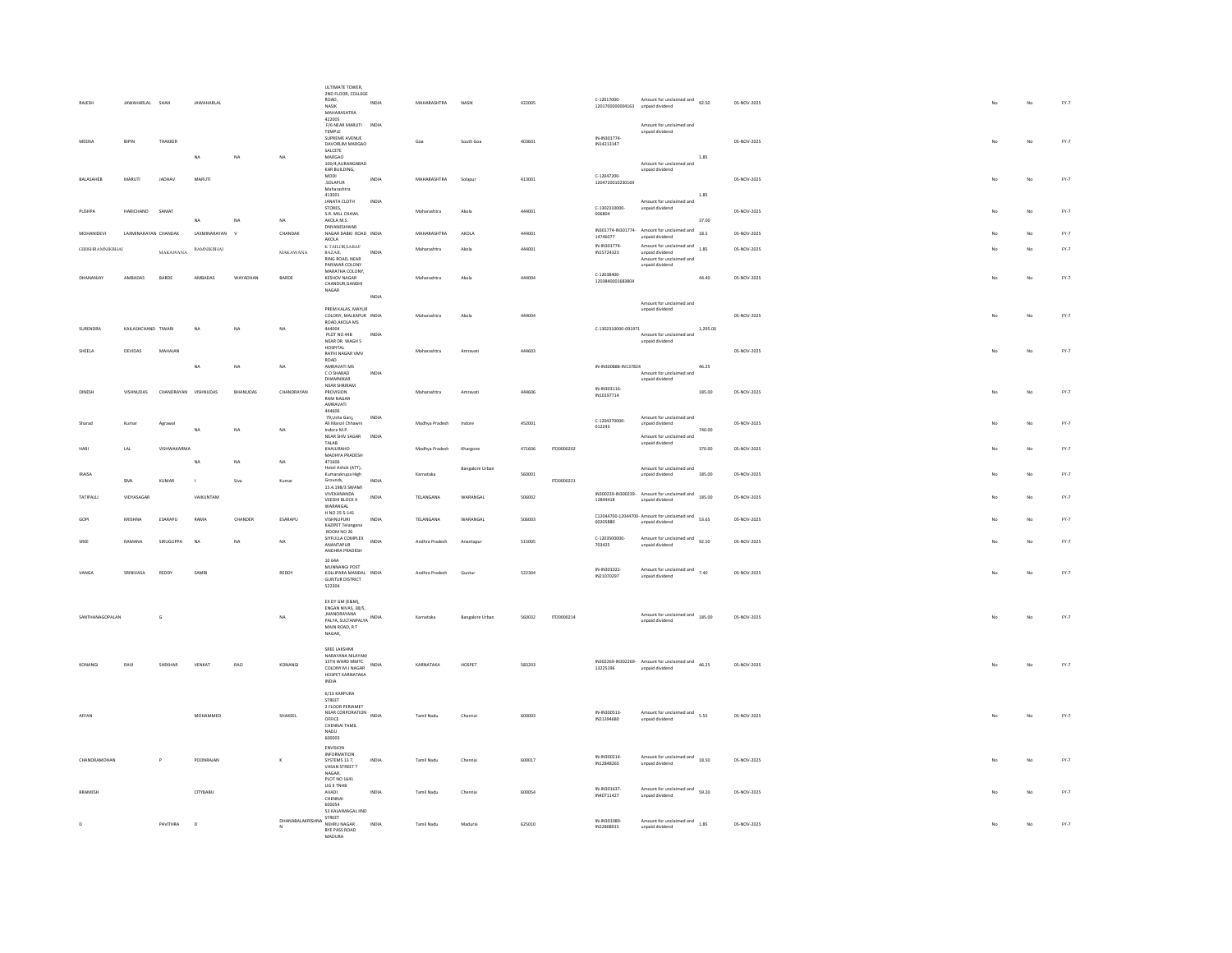| <b>RAIFSH</b>           | JAWAHARLAL          | SHAH                 | <b>IAWAHARI AI</b> |            |                   | ULTIMATE TOWER.<br>2ND FLOOR, COLLEGE<br>ROAD,<br>NASIK<br>MAHARASHTRA                                       | INDIA          | MAHARASHTRA    | <b>NASK</b>            | 422005 |            | C-12017000-<br>1201700000004163 | Amount for unclaimed and<br>92.50<br>unpaid dividend                                       |               | 05-NOV-2025 |             | No | FY.7   |
|-------------------------|---------------------|----------------------|--------------------|------------|-------------------|--------------------------------------------------------------------------------------------------------------|----------------|----------------|------------------------|--------|------------|---------------------------------|--------------------------------------------------------------------------------------------|---------------|-------------|-------------|----|--------|
| MEENA                   | BIPIN               | THAKKER              | NA                 | NA         | NA                | 422005<br>F/6 NEAR MARUTI INDIA<br>TEMPLE<br>SUPREME AVENUE<br>DAVORLIM MARGAO<br>SALCETE                    |                | Goa            | South Goa              | 403601 |            | IN-IN301774-<br>IN14213147      | Amount for unclaimed and<br>unpaid dividend                                                |               | 05-NOV-2025 | No          | No | $FY-7$ |
| BALASAHEB               | MARUTI              | JADHAV               | MARUTI             |            |                   | MARGAO<br>100/4 AURANGARAD<br>KAR BUILDING,<br>MODI<br>SOLAPUR<br>Maharashtra                                | INDIA          | MAHARASHTRA    | Solapur                | 413001 |            | C-12047200-<br>1204720010230169 | Amount for unclaimed and<br>unpaid dividend                                                | 1.85          | 05-NOV-2025 | No          | No | $FY-7$ |
| <b>PLISHPA</b>          | HARICHAND           | SAMAT                | NA                 | NA         | NA                | 413001<br>JANATA CLOTH<br>STORES,<br>S.R. MILL CHAWL<br>AKOLA M.S.                                           | INDIA          | Maharashtra    | Akola                  | 444001 |            | C-1302310000-<br>006804         | Amount for unclaimed and<br>unpaid dividend                                                | 1.85<br>37.00 | 05-NOV-2025 | $M_{\odot}$ | No | $FY-7$ |
| <b>MOHANIDEVI</b>       |                     | LAXMINARAYAN CHANDAK | LAXMINARAYAN       |            | CHANDAK           | DNYANESHWAR<br>NAGAR DABKI ROAD INDIA<br>AKOLA                                                               |                | MAHARASHTRA    | AKOLA                  | 444001 |            | 14746077                        | IN301774-IN301774- Amount for unclaimed and<br>unpaid dividend                             | 18.5          | 05-NOV-2025 |             | No | $FY-7$ |
| <b>GIRISHRAMNIKBHAI</b> |                     | $\text{MAXAWANA}$    | RAMNIKBHAI         |            | $\text{MAXAWANA}$ | K TAILOR, SARAF BAZAR,<br>RING ROAD, NEAR<br>PARIWAR COLONY                                                  | INDIA          | Maharashtra    | Akob                   | 444001 |            | IN-IN301774-<br>IN15724323      | Amount for unclaimed and<br>unpaid dividend<br>Amount for unclaimed and<br>unpaid dividend | 1.85          | 05-NOV-2025 |             | No | $FY-7$ |
|                         | AMBADAS             | BARDE                | AMBADAS            | WAYADHAN   | BARDE             | MARATHA COLONY.<br>KESHOV NAGAR<br>CHANDUR.GANDHI<br>NAGAR                                                   |                | Maharashtra    | Akola                  | 444004 |            | C-12038400-<br>1203840001683804 |                                                                                            | 44.40         | 05-NOV-2025 |             | No | FY.7   |
|                         |                     |                      |                    |            |                   | PREMIKALAS MAYUR<br>COLONY, MALKAPUR INDIA                                                                   | INDIA          | Maharashtra    | Akola                  | 444004 |            |                                 | Amount for unclaimed and<br>unpaid dividend                                                |               | 05-NOV-2025 | No          | No | FY.7   |
| SURENDRA                | KAILASHCHAND TIWARI |                      | <b>NA</b>          | NA         | NA                | ROAD AKOLA MS<br>444004<br>PLOT NO 44B                                                                       | INDIA          |                |                        |        |            | C-1302310000-091971             | Amount for unclaimed and                                                                   | 1,295.00      |             |             |    |        |
| SHEELA                  | DEVIDAS             | MAHAJAN              |                    |            |                   | NEAR DR. WAGH S<br>HOSPITAL<br>RATHI NAGAR VMV                                                               |                | Maharashtra    | Amravati               | 444603 |            |                                 | unpaid dividend                                                                            |               | 05-NOV-2025 | No          | No | $FY-7$ |
|                         |                     |                      | NA                 | NA         | NA                | ROAD<br>AMRAVATI MS<br>$\mathsf C$ O SHARAD<br>DHAMNIKAR                                                     | INDIA          |                |                        |        |            | IN-IN300888-IN137824            | Amount for unclaimed and<br>unpaid dividend                                                | 46.25         |             |             |    |        |
| DINESH                  | VISHNUDAS           | CHANDRAYAN VISHNUDAS |                    | BHANUDAS   | CHANDRAYAN        | NEAR SHRIRAM<br>PROVISION<br><b>RAM NAGAR</b><br>AMRAVATI<br>444606                                          |                | Maharashtra    | Amravati               | 444606 |            | IN-IN303116-<br>IN10197714      |                                                                                            | 185.00        | 05-NOV-2025 | No          | No | $FY-7$ |
| Sharad                  | Kumar               | Agrawa               | NΔ                 | NA         | <b>NA</b>         | 79.Usha Gani.<br>Ali Manzil Chhawni<br>Indore M P<br>NEAR SHIV SAGAR                                         | INDIA<br>INDIA | Madhya Pradesh | Indore                 | 452001 |            | C-1204370000<br>012243          | Amount for unclaimed and<br>unpaid dividend<br>Amount for unclaimed and                    | 740.00        | 05-NOV-2025 |             | No | $FY-7$ |
|                         | LAL                 | VISHWAKARMA          |                    |            |                   | TALAB<br>KHAJURAHO<br>MADHYA PRADESH                                                                         |                | Madhya Pradesh | Khargone               | 471606 | ITD0000202 |                                 | unpaid dividend                                                                            | 370.00        | 05-NOV-2025 |             | No | FY.7   |
| <b>IRAISA</b>           | SIVA                | KUMAR                | <b>NA</b><br>п.    | NA<br>Siva | NA<br>Kuma        | 471606<br>Hotel Ashok (ATT).<br>Kumarakrupa High<br>Grounds.                                                 | INDIA          | Karnataka      | <b>Bangalore Urban</b> | 560001 | ITD0000221 |                                 | Amount for unclaimed and<br>unpaid dividend                                                | 185.00        | 05-NOV-2025 |             | No | FY.7   |
| TATIPALL                | VIDYASAGAR          |                      | VAIKUNTAM          |            |                   | 15.4.198/3 SWAMI<br>VIVEKANANDA<br>VEEDHI BLOCK 4                                                            | INDIA          | TELANGANA      | WARANGAL               | 506002 |            | IN300239-IN300239-<br>12844418  | Amount for unclaimed and<br>unpaid dividend                                                | 185.00        | 05-NOV-2025 |             | No | FY.7   |
|                         | KRISHNA             | ESARAPU              | RAMA               | CHANDER    | ESARAPU           | WARANGAL<br>H NO 25-5-141<br>VISHNUPURI<br>KAZIPET Telangana                                                 | INDIA          | TELANGANA      | WARANGAL               | 506003 |            | 00205880                        | C12044700-12044700- Amount for unclaimed and<br>unpaid dividend                            | 53.65         | 05-NOV-2025 |             | No | $FY-7$ |
|                         | RAMANA              | SIRUGUPPA            | <b>NA</b>          | NA         | NA                | ROOM NO 26<br>SIYFULLA COMPLEX<br>ANANTAPUR<br>ANDHRA PRADESH                                                | INDIA          | Andhra Pradesh | Anantapu               | 515005 |            | C-1203500000<br>703425          | Amount for unclaimed and<br>92.50<br>unpaid dividend                                       |               | 05-NOV-2025 |             | No | FY.7   |
| VANGA                   | SRINIVASA           | REDDY                | SAMBI              |            | REDDY             | 10.644<br>MUNNANGI POST<br>KOLLIPARA MANDAL INDIA<br><b>GUNTUR DISTRICT</b><br>522304                        |                | Andhra Pradesh | Guntur                 | 522304 |            | IN-IN301022-<br>IN21070297      | Amount for unclaimed and 7.40<br>unpaid dividend                                           |               | 05-NOV-2025 | No          | No | $FY-7$ |
| SANTHANAGOPALAN         |                     | G                    |                    |            | $_{\rm NA}$       | EX DY GM (E&M),<br>ENGAN NIVAS, 38/5.<br><b>MANORAYANA</b><br>PALYA, SULTANPALYA<br>MAIN ROAD, R T<br>NAGAR, |                | Karnataka      | <b>Bangalore Urban</b> | 560032 | ITD0000214 |                                 | Amount for unclaimed and<br>185.00<br>unpaid dividend                                      |               | 05-NOV-2025 | No          | No | FY.7   |
|                         | RAVI                | SHEKHAR              | <b>VENKA</b>       | <b>RAO</b> | KONANGI           | SREE LAKSHMI<br>NARAYANA NILAYAM<br>COLONY M J NAGAR<br>HOSPET KARNATAKA<br><b>INDIA</b>                     |                | KARNATAKA      | HOSPET                 | 583203 |            | 13225196                        | IN302269-IN302269-<br>Manufor unclaimed and<br>46.25<br>unpaid dividend                    |               | 05-NOV-2025 |             | No | $FY-7$ |
| AFFAN                   |                     |                      | MOHAMMED           |            | SHAKEEL           | 6/13 KARPURA<br>STREET<br>2 FLOOR PERIAMET<br>NEAR CORPORATION<br>OFFICE<br>CHENNAI TAMIL<br>NADU<br>600003  | INDIA          | Tamil Nadu     | Chennai                | 600003 |            | IN-IN300513-<br>IN21394680      | Amount for unclaimed and 5.55<br>unpaid dividend                                           |               | 05-NOV-2025 | No          | No | FY.7   |
| CHANDRAMOHAN            |                     | $\overline{P}$       | POONRAJAN          |            | $\kappa$          | ENVISION<br>INFORMATION<br>SYSTEMS 13 7,<br>VASAN STREET T<br>NAGAR,<br>PLOT NO 1641                         | INDM           | Tamil Nadu     |                        | 600017 |            | IN-IN300214-<br>IN12848265      | Amount for unclaimed and<br>18.50<br>unpaid dividend                                       |               | 05-NOV-2025 |             | No | FY.7   |
| BRAMESH                 |                     |                      | CITYBABU           |            |                   | <b>LIG II TNHB</b><br>AVADI<br>CHENNAI<br>600054                                                             | INDIA          | Tamil Nadu     | Chennai                | 600054 |            | IN-IN301637-<br>IN40711427      | Amount for unclaimed and<br>59.20<br>unpaid dividend                                       |               | 05-NOV-2025 |             | No | FY.7   |
| $\mathbf{D}$            |                     | PAVITHRA             | $\mathbf{D}$       |            | DHANABALAKRISHNA  | 53 KALAIMAGAL IIND<br>STREET<br>NEHRU NAGAR<br>BYE PASS ROAD<br>MADURA.                                      | INDIA          | Tamil Nadu     | Madurai                | 625010 |            | IN-IN301080<br>IN22808915       | Amount for unclaimed and<br>1.85<br>unpaid dividend                                        |               | 05-NOV-2025 |             | No | FY.7   |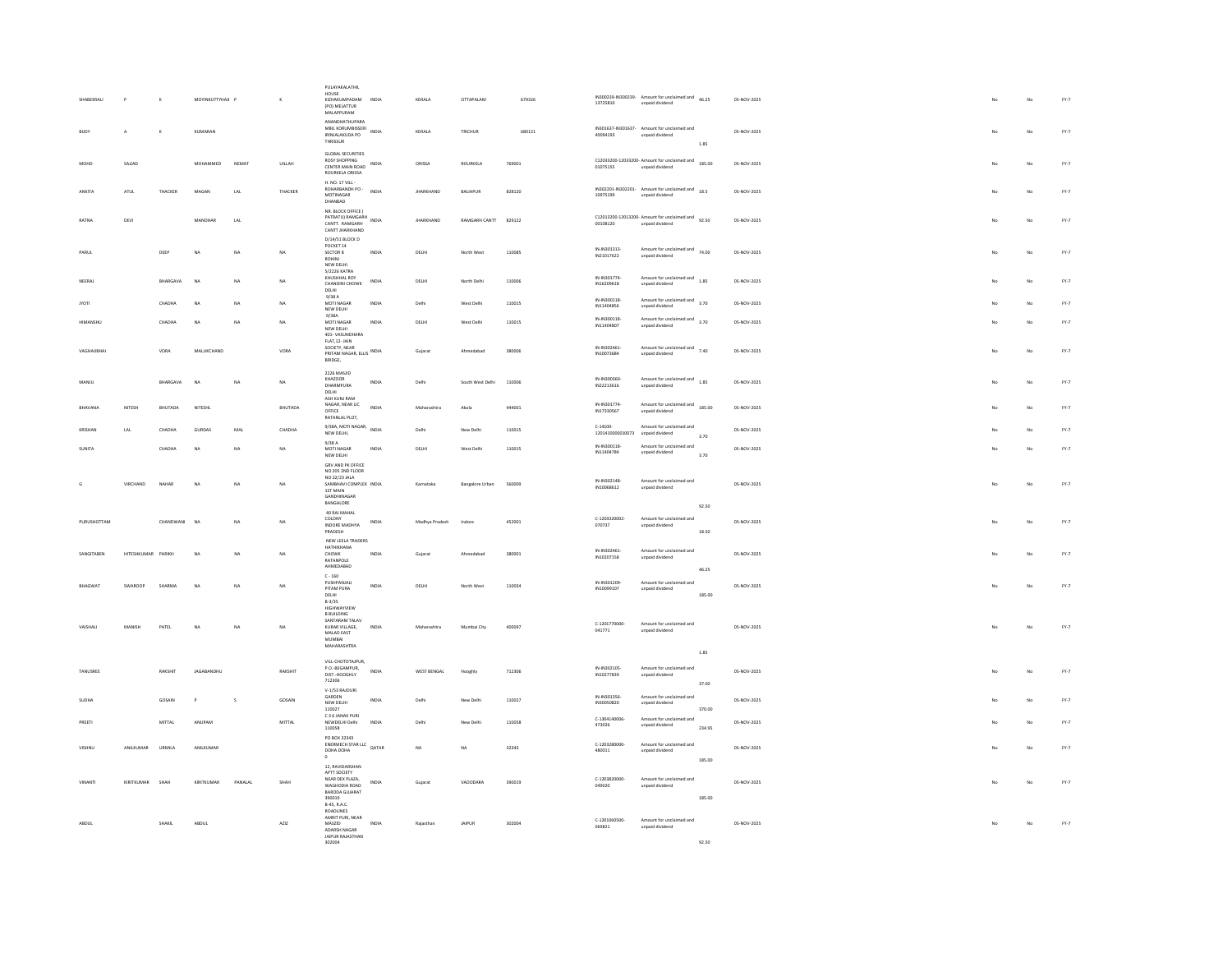| SHABEERALI      |               |              | MOYINKUTTYHAJI P         |                | $\kappa$       | PULAYAKALATHIL<br>HOUSE<br>KIZHAKUMPADAM<br>(PO) MELATTUR<br><b>MALAPPURAM</b>                              | INDIA | KERALA             | OTTAPALAM              | 679326 | 13725810                       | IN300239-IN300239-Amount for unclaimed and<br>46.25<br>unpaid dividend |        | 05-NOV-2025 |    | No | $FY-7$                          |
|-----------------|---------------|--------------|--------------------------|----------------|----------------|-------------------------------------------------------------------------------------------------------------|-------|--------------------|------------------------|--------|--------------------------------|------------------------------------------------------------------------|--------|-------------|----|----|---------------------------------|
| BUOY            | A             | $\mathbf{K}$ | KUMARAN                  |                |                | ΑΝΑΝΠΗΑΤΗΠΡΑΒΑ<br>MBIL KORUMBISSERI<br>MBIL KORUMBISSERI INDIA<br>IRINIAI AKUDA PO<br>THRISSUR              |       | KERALA             | TRICHUR                | 680121 | 40094193                       | IN301637-IN301637- Amount for unclaimed and<br>unpaid dividend         | 1.85   | 05-NOV-2025 | No | No | $FY-7$                          |
| MOHE            | SAJJAD        |              | MOHAMMED                 | NEMAT          | UILLAH         | <b>GLOBAL SECURITIES</b><br><b>ROSY SHOPPING</b><br>CENTER MAIN ROAD<br>ROURKELA ORISSA                     | INDIA | ORISSA             | ROURKELA               | 769001 | 01075155                       | C12033200-12033200- Amount for unclaimed and 185.00<br>unpaid dividend |        | 05-NOV-2025 |    | No | $FY-7$                          |
| ANKITA          | ATUL          | THACKER      | MAGAN                    | LAL            | THACKER        | H. NO. 17 VILL-<br>ROHARBANDH PO -<br>MOTINAGAR<br>DHANBAD                                                  | INDIA | <b>JHARKHAND</b>   | BALIAPUR               | 828120 | IN302201-IN302201-<br>10975199 | Amount for unclaimed and 18.5<br>unpaid dividend                       |        | 05-NOV-2025 |    | No | $\text{FY-}7$                   |
| RATNA           | DEVI          |              | MANOHAR                  | LAL            |                | NR RLOCK OFFICE (<br>PATRATU) RAMGARH<br>INDIA<br>CANTT RAMGARH<br>CANTT JHARKHAND                          |       | <b>JHARKHAND</b>   | RAMGARH CANTT          | 829122 | 00108120                       | C12013200-12013200- Amount for unclaimed and 92.50<br>unpaid dividend  |        | 05-NOV-2025 | No | No | FY.7                            |
| PARUL           |               | DEEP         | NA                       | NA             | NA             | D/14/51 BLOCK D<br>POCKET 14<br>SECTOR 8<br>ROHINI<br>NEW DELHI                                             | INDIA | DELHI              | North Wes              | 110085 | IN-IN301313-<br>IN21017622     | Amount for unclaimed and 74.00<br>unpaid dividend                      |        | 05-NOV-2025 | No | No | $\text{FY-}7$                   |
| NEERAJ          |               | BHARGAVA     | N <sub>0</sub>           | NA             | $_{\text{NA}}$ | 5/2226 KATRA<br>KHUSHHAL ROY<br>CHANDINI CHOWK<br>DELHI                                                     | INDIA | DELHI              | North Delhi            | 110006 | IN-IN301774<br>IN16209618      | Amount for unclaimed and<br>1.85<br>unpaid dividend                    |        | 05-NOV-2025 | No | No | $FY-7$                          |
| <b>IYOTI</b>    |               | CHADHA       | NA                       | NA             | NA             | 9/38A<br>MOTI NAGAR<br>NEW DELHI                                                                            | INDIA | Delhi              | West Delhi             | 110015 | IN-IN300118<br>IN11404856      | Amount for unclaimed and 3.70<br>unpaid dividend                       |        | 05-NOV-2025 |    | No | FY.7                            |
| HIMANSHL        |               | CHADHA       | NA                       | NA             | NA             | 9/384<br>MOTI NAGAR<br>NEW DELHI<br>401-VASUNDHARA                                                          | INDIA | $DELHI$            | West Delhi             | 110015 | IN-IN300118<br>IN11404807      | Amount for unclaimed and 3.70<br>unpaid dividend                       |        | 05-NOV-2025 | No | No | $FY-7$                          |
| VAGHAJIBHA      |               | VORA         | MALUKCHAND               |                | VORA           | FLAT.12-JAIN<br>SOCIETY, NEAR<br>PRITAM NAGAR, ELLIS INDIA<br>BRIDGE,                                       |       | Guiarat            | Ahmedabad              | 380006 | IN-IN302461<br>IN10073684      | Amount for unclaimed and 7.40<br>unpaid dividend                       |        | 05-NOV-2025 | No | No | $FY-7$                          |
| MANJU           |               | BHARGAVA     | $\overline{M}$           | NA             | NA             | 2226 MASJID<br>KHAZOOR<br>DHARMPURA<br>DELHI.                                                               | INDIA | Delhi              | South West Delhi       | 110006 | IN-IN300360<br>IN22213616      | Amount for unclaimed and<br>1.85<br>unpaid dividend                    |        | 05-NOV-2025 | No | No | FY.7                            |
| RHAVANA         | NITESH        | BHUTADA      | NITESH                   |                | BHUTADA        | ASH KUNJ RAM<br>NAGAR, NEAR LIC<br>OFFICE<br>RATANLAL PLOT.                                                 | INDIA | Maharashtra        | Akola                  | 444001 | IN-IN301774-<br>IN17330567     | Amount for unclaimed and 185.00<br>unpaid dividend                     |        | 05-NOV-2025 |    | No | $FY-7$                          |
| KRISHAN         | LAL           | CHADHA       | <b>GURDAS</b>            | MAL            | CHADHA         | 9/38A, MOTI NAGAR, INDIA<br>NEW DELHI,                                                                      |       | Delhi              | New Delhi              | 110015 | $C-14100-$<br>1201410000010073 | Amount for unclaimed and<br>unpaid dividend                            | 3.70   | 05-NOV-2025 | No | No | $FY-7$                          |
| SUNITA          |               | CHADHA       | NA                       | NA             | NA             | 9/38A<br>MOTI NAGAR<br>NEW DELHI                                                                            | INDIA | DELHI              | West Delhi             | 110015 | IN-IN300118-<br>IN11404784     | Amount for unclaimed and<br>unpaid dividend                            | 3.70   | 05-NOV-2025 | No | No | $FY-7$                          |
|                 | VIRCHAND      | NAHAR        | NA                       | NA             | NA             | GRV AND PK OFFICE<br>NO 205 2ND FLOOR<br>NO 22/23 JALA<br>SAMBHAVI COMPLEX INDIA<br>1ST MAIN<br>GANDHINAGAR |       | Karnataka          | <b>Bangalore Urban</b> | 560009 | IN-IN302148<br>IN10068612      | Amount for unclaimed and<br>unpaid dividend                            |        | 05-NOV-2025 | No | No | $FY-7$                          |
| PURUSHOTTAM     |               | CHANDWANI    | N <sub>0</sub>           | N <sub>A</sub> | NA.            | BANGALORE<br>40 RAJ MAHAL<br>COLONY                                                                         | INDIA | Madhya Pradesh     | Indone                 | 452001 | C-1203320002-                  | Amount for unclaimed and                                               | 92.50  | 05-NOV-2025 | No | No | $FY-7$                          |
|                 |               |              |                          |                |                | INDORE MADHYA<br>PRADESH                                                                                    |       |                    |                        |        | 070737                         | unpaid dividend                                                        | 18.50  |             |    |    |                                 |
| SANGITABEN      | HITESHKUMAR   | PARIKH       | $\overline{\mathcal{M}}$ | NA             | NA             | NEW LEELA TRADERS<br>HATHIKHANA<br>CHOWK<br>RATANPOLE<br>AHMEDABAD                                          | INDIA | Gujarat            | Ahmedabao              | 380001 | IN-IN302461<br>IN10207158      | Amount for unclaimed and<br>unpaid dividend                            |        | 05-NOV-2025 |    | No | $FY-7$                          |
| RHAGWAT         | SWAROOP       | SHARMA       | NA                       | NA             | <b>NA</b>      | $\textsf{C}\cdot\textsf{160}$<br>PUSHPANJALI                                                                | INDIA | DELHI              | North West             | 110034 | IN-IN301209                    | Amount for unclaimed and                                               | 46.25  | 05-NOV-2025 | No | No | $FY-7$                          |
|                 |               |              |                          |                |                | PITAM PURA<br>DELHI<br>$B-3/35$<br>HIGHWAYVIEW                                                              |       |                    |                        |        | IN10099107                     | unpaid dividend                                                        | 185.00 |             |    |    |                                 |
| <b>VAISHALL</b> | <b>MANISH</b> | PATEL        | NA                       | NA             | NA             | <b>B BUILDING</b><br>SANTARAM TALAV<br>KURAR VILLAGE.                                                       | INDIA | Maharashtra        | Mumbai City            | 400097 | C-1201770000-                  | Amount for unclaimed and                                               |        | 05-NOV-2025 | No | No | $FY-7$                          |
|                 |               |              |                          |                |                | MALAD EAST<br>MUMBAL<br><b>MAHARASHTRA</b>                                                                  |       |                    |                        |        | 041771                         | unpaid dividend                                                        |        |             |    |    |                                 |
|                 |               |              |                          |                |                | VILL-CHOTOTAJPUR.                                                                                           |       |                    |                        |        |                                |                                                                        | 1.85   |             |    |    |                                 |
| TANUSREE        |               | RAKSHIT      | JAGABANDHU               |                | RAKSHIT        | P.O.-BEGAMPUR,<br>DIST.-HOOGHLY<br>712306                                                                   | INDIA | <b>WEST BENGAL</b> | Hooghly                | 712306 | IN-IN302105<br>IN10277839      | Amount for unclaimed and<br>unpaid dividend                            | 37.00  | 05-NOV-2025 | No | No | $FY-7$                          |
| SUDHA           |               | GOSAIN       | $\mathsf{P}$             | $\mathsf{s}$   | GOSAIN         | V-1/53 RAIOURI<br>GARDEN<br>NEW DELHI                                                                       | INDIA | Delhi              | New Delhi              | 110027 | IN-IN301356<br>IN30050820      | Amount for unclaimed and<br>unpaid dividend                            |        | 05-NOV-2025 | No | No | $FY-7$                          |
| PREETI          |               | MITTAL       | ANUPAM                   |                | MITTAL         | 110027<br>C 3 6 JANAK PURI<br>NEWDELHI Delhi                                                                | INDIA | Delhi              | New Delhi              | 110058 | C-1304140006<br>473026         | Amount for unclaimed and<br>unpaid dividend                            | 370.00 | 05-NOV-2025 |    | No | FY.7                            |
|                 | ANILKUMAR     | URMILA       | ANILKUMAR                |                |                | 110058<br>PO BOX 32343<br>ENERMECH STAR LLC QATAR                                                           |       | NA                 |                        | 32343  | C-1203280000-                  | Amount for unclaimed and                                               | 234.95 | 05-NOV-2025 |    | No | $\text{FY-}7$                   |
|                 |               |              |                          |                |                | DOHA DOHA<br>12 RAVIDARSHAN                                                                                 |       |                    |                        |        | 480011                         | unpaid dividend                                                        | 185.00 |             |    |    |                                 |
| VINANTI         | KIRITKUMAR    | SHAH         | KIRITKUMAR               | PANALAL        | SHAH           | APTT SOCIETY<br>NEAR DEX PLAZA.<br>WAGHODIA ROAD<br>BARODA GUJARAT<br>390019<br><b>B-45, R.A.C.</b>         | INDIA | Gujarat            | VADODARA               | 390019 | C-1203820000-<br>049020        | Amount for unclaimed and<br>unpaid dividend                            | 185.00 | 05-NOV-2025 | No | No | $\mathsf{FY}\text{-}\mathsf{7}$ |
| ABDUL           |               | SHAKIL       | ABDUL                    |                | AZIZ           | ROADLINES<br>AMRIT PURI, NEAR<br>MASZID                                                                     | INDIA | Rajasthan          | JAIPUR                 | 302004 | 0-1201060500-<br>069821        | Amount for unclaimed and<br>unpaid dividend                            |        | 05-NOV-2025 | No | No | $FY-7$                          |
|                 |               |              |                          |                |                | ADARSH NAGAR<br>JAIPUR RAJASTHAN<br>302004                                                                  |       |                    |                        |        |                                |                                                                        | 92.50  |             |    |    |                                 |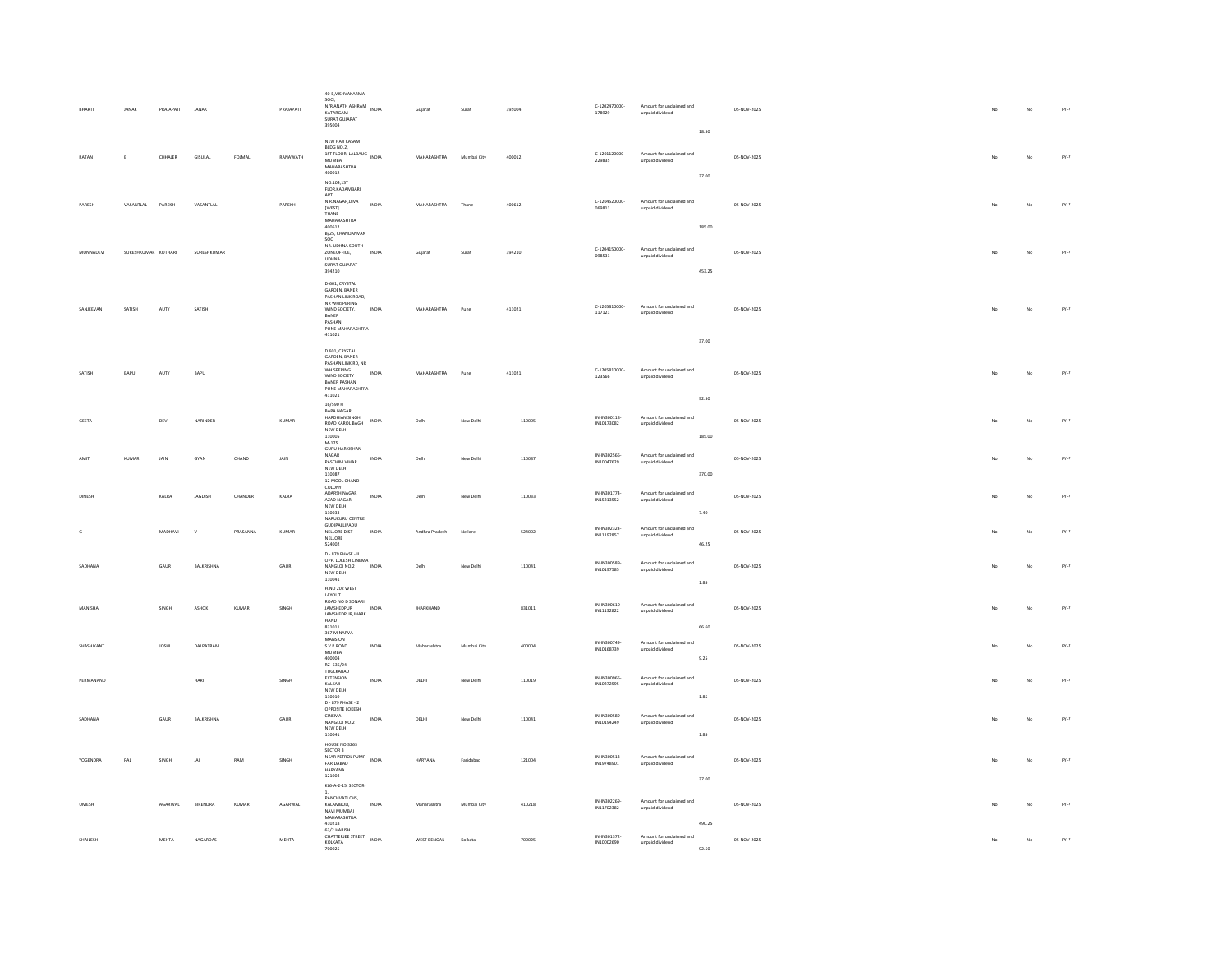|              | JANAK               | PRAJAPATI       | JANA)             |          | PRAJAPATI        | 40-B, VISHVAKARMA<br>soci,<br>SULI,<br>N/R ANATH ASHRAM INDIA<br>KATARGAM<br>SURAT GUJARAT<br>395004                                    |              | Gujarat          | Surat       | 395004 | C-1202470000-<br>178929   | Amount for unclaimed and<br>unpaid dividend |                | 05-NOV-2025 | No | No          | FY.7   |
|--------------|---------------------|-----------------|-------------------|----------|------------------|-----------------------------------------------------------------------------------------------------------------------------------------|--------------|------------------|-------------|--------|---------------------------|---------------------------------------------|----------------|-------------|----|-------------|--------|
| RATAN        | B                   | CHHAJER         | <b>GISULAL</b>    | FOJMAL   | RANAWATH         | NEW HAJI KASAM<br>BLDG NO.2.<br>1ST FLOOR, LALBAUG INDIA<br>MUMBAI<br>MAHARASHTRA<br>400012                                             |              | MAHARASHTRA      | Mumbai City | 400012 | C-1201120000-<br>229835   | Amount for unclaimed and<br>unpaid dividend | 18.50<br>37.00 | 05-NOV-2025 | No | No          | $FY-7$ |
| PARESH       | VASANTLAL           | PAREKH          | VASANTLAL         |          | PAREKH           | NO.104.1ST<br>FLOR, KADAMBARI<br>APT.<br>N.R.NAGAR, DIVA<br>[WEST]<br>THANE<br>MAHARASHTRA<br>400612                                    | INDIA        | MAHARASHTRA      | Thane       | 400612 | C-1204520000-<br>069811   | Amount for unclaimed and<br>unpaid dividend | 185.00         | 05-NOV-2025 | No | No          | FY.7   |
| MUNNADEV     | SURESHKUMAR KOTHARI |                 | SURESHKUMAR       |          |                  | B/25, CHANDANVAN<br>SOC<br>NR. UDHNA SOUTH<br>ZONEOFFICE,<br><b>UDHNA</b><br>SURAT GUJARAT<br>394210                                    | INDIA        | Gujarat          | Surat       | 394210 | C-1204150000-<br>098531   | Amount for unclaimed and<br>unpaid dividend | 453.25         | 05-NOV-2025 |    | No          | FY.7   |
| SANJEEVANI   | SATISH              | AUTY            | SATISH            |          |                  | D-601, CRYSTAL<br>GARDEN, BANER<br>PASHAN LINK ROAD.<br>NR WHISPERING<br>WIND SOCIETY,<br>BANER<br>PASHAN<br>PUNE MAHARASHTRA<br>411021 | INDIA        | MAHARASHTRA      | Pune        | 411021 | $C-1205810000$<br>117121  | Amount for unclaimed and<br>unpaid dividend |                | 05-NOV-2025 | No | No          | FY.7   |
| SATISH       | BAPU                | AUTY            | BAPU              |          |                  | D 601, CRYSTAL<br>GARDEN, BANER<br>PASHAN LINK RD, NR<br>WHISPERING<br>WIND SOCIETY<br>BANER PASHAN<br>PUNE MAHARASHTRA                 | INDIA        | MAHARASHTRA      | Pune        | 411021 | C-1205810000-<br>123566   | Amount for unclaimed and<br>unpaid dividend | 37.00          | 05-NOV-2025 | No | No          | FY.7   |
|              |                     |                 |                   |          |                  | 411021<br>$16/590$ H                                                                                                                    |              |                  |             |        |                           |                                             | 92.50          |             |    |             |        |
| GEETA        |                     | $\mathsf{DEVI}$ | NARINDER          |          | KUMAR            | BAPA NAGAR<br>HARDHIAN SINGH<br>ROAD KAROL BAGH<br>NEW DELHI<br>110005<br>$M-175$                                                       | INDIA        | Delhi            | New Delhi   | 110005 | IN-IN300118<br>IN10173082 | Amount for unclaimed and<br>unpaid dividend | 185.00         | 05-NOV-2025 | No | $_{\rm No}$ | $FY-7$ |
|              | KUMAI               | JAIN            | GYAN              | CHAND    | <b>JAIN</b>      | <b>GURU HARKISHAN</b><br>NAGAR<br>PASCHIM VIHAR<br>NEW DELHI<br>110087                                                                  | INDIA        | Delhi            | New Delhi   | 110087 | IN-IN302566<br>IN10047629 | Amount for unclaimed and<br>unpaid dividend | 370.00         | 05-NOV-2025 |    |             | FY.7   |
| <b>DINES</b> |                     | KALRA           | <b>JAGDISH</b>    | CHANDER  | $\texttt{KALRA}$ | 12 MOOL CHAND<br>COLONY<br>ADARSH NAGAR<br>AZAD NAGAR<br>NEW DELHI<br>110033                                                            | INDIA        | Delhi            | New Delhi   | 110033 | IN-IN301774<br>IN15213552 | Amount for unclaimed and<br>unpaid dividend | 7.40           | 05-NOV-2025 |    | No          | $FY.7$ |
|              |                     | MADHAVI         |                   | PRASANNA | KUMAR            | NARUKURU CENTRE<br>GUDIPALLIPADU<br>NELLORE DIST<br>NELLORE<br>524002                                                                   | <b>INDIA</b> | Andhra Pradesh   | Nellon      | 524002 | IN-IN302324<br>IN11192857 | Amount for unclaimed and<br>unpaid dividend | 46.25          | 05-NOV-2025 | No | No          | $FY-7$ |
| SADHANA      |                     | GAUR            | BALKRISHNA        |          | GAUR             | D - 879 PHASE - II<br>OPP. LOKESH CINEMA<br>NANGLOI NO.2<br>NEW DELHI<br>110041                                                         | INDIA        | Delhi            | New Delhi   | 110041 | IN-IN300589<br>IN10197585 | Amount for unclaimed and<br>unpaid dividend | 1.85           | 05-NOV-2025 | No | No          | $FY-7$ |
| MANISHA      |                     | SINGH           | ASHOK             | KUMAR    | SINGH            | <b>H.NO 202 WEST</b><br><b>LAYOUT</b><br>ROAD NO D SONARI<br><b>JAMSHEDPUR</b><br>JAMSHEDPUR, JHARK<br>HAND                             | INDIA        | <b>IHARKHAND</b> |             | 831011 | IN-IN300610<br>IN11132822 | Amount for unclaimed and<br>unpaid dividend |                | 05-NOV-2025 | No | No          | FY.7   |
|              |                     |                 |                   |          |                  | 831011<br>367 MINARVA                                                                                                                   |              |                  |             |        |                           |                                             | 66.60          |             |    |             |        |
| SHASHIKANT   |                     | <b>JOSHI</b>    | <b>DAI PATRAM</b> |          |                  | MANSION<br>S V P ROAD<br>MUMBAI<br>400004<br>RZ-535/24                                                                                  | INDIA        | Maharashtra      | Mumbai City | 400004 | IN-IN300749<br>IN10168739 | Amount for unclaimed and<br>unpaid dividend | 9.25           | 05-NOV-2025 | No | No          | $FY-7$ |
| PERMANAND    |                     |                 | HARI              |          | SINGH            | TUGLKABAD<br>EXTENSION<br>KALKAJI<br>NEW DELHI<br>110019<br>D - 879 PHASE - 2                                                           | INDIA        | DELHI            | New Delhi   | 110019 | IN-IN300966<br>IN10272595 | Amount for unclaimed and<br>unpaid dividend | 1.85           | 05-NOV-2025 | No | No          | $FY-7$ |
| SADHANA      |                     | GAUR            | BALKRISHNA        |          | GAUR             | OPPOSITE LOKESH<br>CINEMA<br>NANGLOLNO 2<br>NEW DELHI<br>110041                                                                         | INDIA        | DELHI            | New Delhi   | 110041 | IN-IN300589<br>IN10194249 | Amount for unclaimed and<br>unpaid dividend | 1.85           | 05-NOV-2025 | No | No          | FY.7   |
| YOGENDRA     | PAL                 | SINGH           | JAI               | RAM      | SINGH            | HOUSE NO 3263<br>SECTOR 3<br>NEAR PETROL PUMP<br>INDIA<br>FARIDARAD<br>HARYANA<br>121004                                                |              | <b>HARYANA</b>   | Faridabad   | 121004 | IN-IN300513<br>IN19748901 | Amount for unclaimed and<br>unpaid dividend |                | 05-NOV-2025 | No | No          | FY.7   |
|              |                     |                 |                   |          |                  | KL6-A-2-15, SECTOR-                                                                                                                     |              |                  |             |        |                           |                                             | 37.00          |             |    |             |        |
| <b>UMES</b>  |                     | AGARWAL         | BIRENDRA          | KUMAR    | AGARWAL          | PANCHVATI CHS.<br>KALAMBOLI,<br>NAVI MUMBAI<br>MAHARASHTRA.<br>410218                                                                   | INDIA        | Maharashtra      | Mumbai City | 410218 | IN-IN302269<br>IN11702382 | Amount for unclaimed and<br>unpaid dividend | 490.25         | 05-NOV-2025 |    |             | FY.7   |
| SHAILESH     |                     | MEHTA           | NAGARDAS          |          | MEHTA            | 63/2 HARISH<br>CHATTERIEE STREET<br>KOLKATA<br>700025                                                                                   | INDIA        | WEST BENGAL      | Kolkata     | 700025 | IN-IN301372<br>IN10002690 | Amount for unclaimed and<br>unpaid dividend | 92.50          | 05-NOV-2025 |    | No          | FY.7   |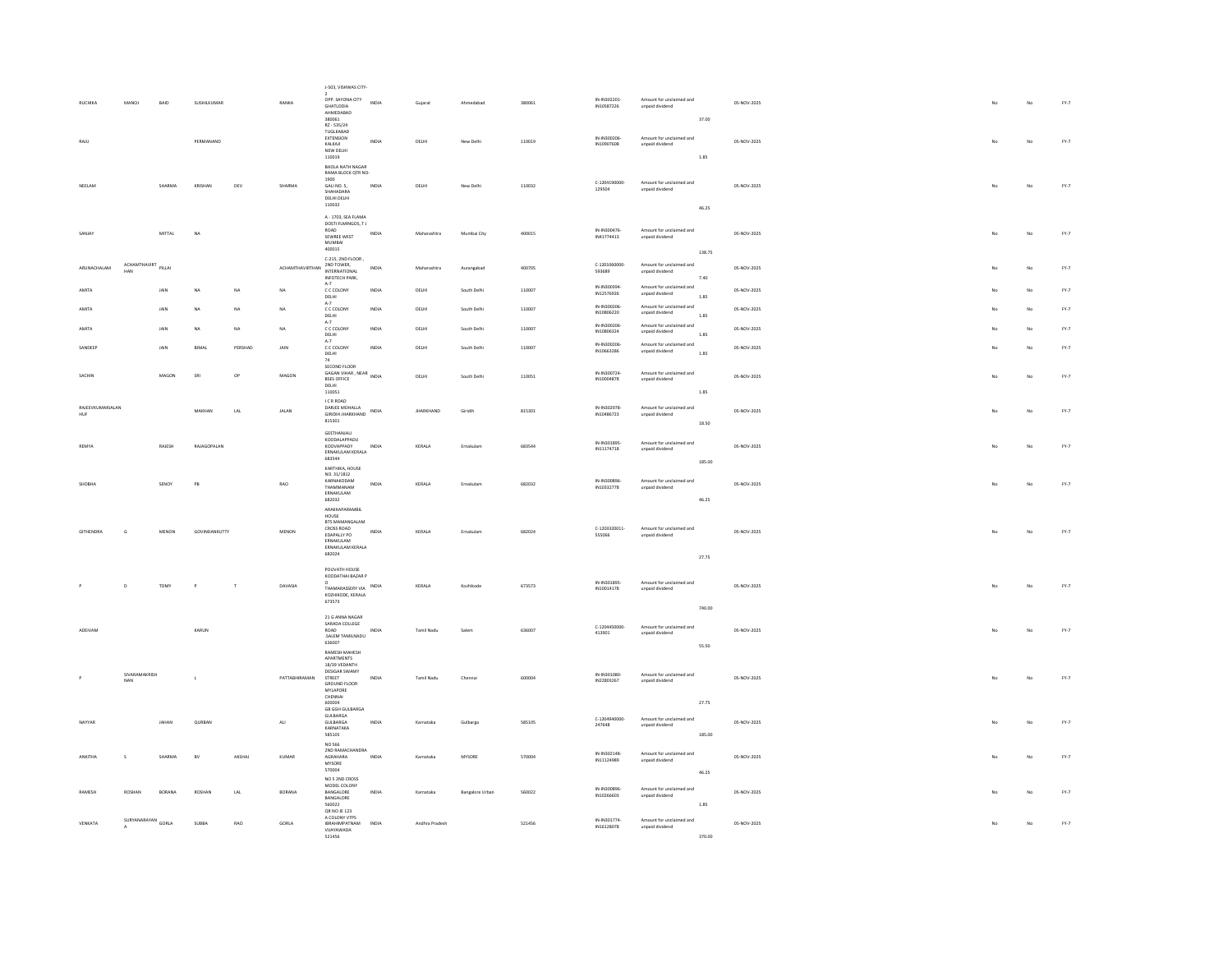|                  |                     |        |                    |                             |                                                                                                                                                   | J-503, VISHWAS CITY-                                          |              |                  |                        |        |                            |                                             |          |             |    |             |                                 |
|------------------|---------------------|--------|--------------------|-----------------------------|---------------------------------------------------------------------------------------------------------------------------------------------------|---------------------------------------------------------------|--------------|------------------|------------------------|--------|----------------------------|---------------------------------------------|----------|-------------|----|-------------|---------------------------------|
| RUCHIKA          | MANOJ               | BAID   | SUSHILKUMAR        |                             | RANKA                                                                                                                                             | OPP. SAYONA CITY<br><b>GHATLODIA</b><br>AHMEDABAD             | INDIA        | Gujarat          | Ahmedabad              | 380061 | IN-IN302201<br>IN10587226  | Amount for unclaimed and<br>unpaid dividend |          | 05-NOV-2025 |    | No          | $\mathsf{FY}\text{-}\mathsf{7}$ |
|                  |                     |        |                    |                             |                                                                                                                                                   | 380061<br>RZ - 535/24                                         |              |                  |                        |        |                            |                                             | 37.00    |             |    |             |                                 |
| RAJU             |                     |        | PERMANAND          |                             |                                                                                                                                                   | TUGLKABAD<br>EXTENSION<br>KALKAJI                             | INDIA        | DELHI            | New Delhi              | 110019 | IN-IN300206<br>IN10907608  | Amount for unclaimed and<br>unpaid dividend |          | 05-NOV-2025 |    | No          | $FY-7$                          |
|                  |                     |        |                    |                             |                                                                                                                                                   | NEW DELHI<br>110019<br>BHOLA NATH NAGAR                       |              |                  |                        |        |                            |                                             | 1.85     |             |    |             |                                 |
|                  |                     |        |                    |                             |                                                                                                                                                   | RAMA BLOCK QTR NO-<br>1900                                    |              |                  |                        |        | C-1204190000-              | Amount for unclaimed and                    |          |             |    |             |                                 |
| NEELAM           |                     | SHARMA | KRISHAN            | DEV                         | SHARMA                                                                                                                                            | GALINO, 5.<br>SHAHADARA<br>DELHI DELHI                        | INDIA        | DELHI            | New Delhi              | 110032 | 129504                     | unpaid dividend                             |          | 05-NOV-2025 | No | No          | $FY-7$                          |
|                  |                     |        |                    |                             |                                                                                                                                                   | 110032<br>A - 1703, SEA FLAMA                                 |              |                  |                        |        |                            |                                             | 46.25    |             |    |             |                                 |
| SANJAY           |                     | MITTAL | <b>NA</b>          |                             |                                                                                                                                                   | DOSTI FLMINGOS, TJ<br>ROAD<br>SEWREE WEST                     | <b>INDIA</b> | Maharashtra      | Mumbai City            | 400015 | IN-IN300476<br>IN41774413  | Amount for unclaimed and                    |          | 05-NOV-2025 | No | No          | $FY-7$                          |
|                  |                     |        |                    |                             |                                                                                                                                                   | MUMBAI<br>400015                                              |              |                  |                        |        |                            | unpaid dividend                             | 138.75   |             |    |             |                                 |
| ARUNACHALAM      | ACHAMTHAVIRT<br>HAN | PILLAI |                    |                             | ${\sf ACHAMTHAVIRTHAN} \begin{array}{ll} \mbox{\scriptsize\it MW~norm}\mbox{\scriptsize\sc TUV}\\ \mbox{\scriptsize\sc MTERMATIONAL} \end{array}$ | C-215, 2ND FLOOR<br>2ND TOWER,                                | <b>INDIA</b> | Maharashtra      | Aurangabad             | 400705 | C-1201060000-<br>593689    | Amount for unclaimed and<br>unpaid dividend |          | 05-NOV-2025 | No | No          | FY.7                            |
|                  |                     |        |                    |                             |                                                                                                                                                   | INFOTECH PARK,<br>$\Delta - 7$                                |              |                  |                        |        | IN-IN300394                | Amount for unclaimed and                    | 7.40     |             |    |             |                                 |
| AMITA            |                     | JAIN   | NA                 | NA                          | NA                                                                                                                                                | C C COLONY<br>DELHI<br>$A-7$                                  | INDIA        | DELHI            | South Delhi            | 110007 | IN12576926<br>IN-IN300206  | unpaid dividend<br>Amount for unclaimed and | $1.85\,$ | 05-NOV-2025 |    | No          | FY.7                            |
| AMITA            |                     | JAIN   | NA                 | NA                          | NA                                                                                                                                                | C C COLONY<br>DELHI<br>$A-7$                                  | INDIA        | DELHI            | South Delhi            | 110007 | IN10806220                 | unpaid dividend                             | 1.85     | 05-NOV-2025 |    | No          | $FY-7$                          |
| AMITA            |                     | JAIN   | <b>NA</b>          | NA                          | NA                                                                                                                                                | C COLONY<br>DELHI                                             | INDIA        | DELHI            | South Delhi            | 110007 | IN-IN300206<br>IN10806324  | Amount for unclaimed and<br>unpaid dividend | 1.85     | 05-NOV-2025 |    | No          | FY.7                            |
| SANDEE           |                     | JAIN   | BIMAL              | PERSHAD                     | JAIN                                                                                                                                              | $A-7$<br>$C$ C COLONY<br>DELHI                                | INDIA        | DELHI            | South Delhi            | 110007 | IN-IN300206<br>IN10663286  | Amount for unclaimed and<br>unpaid dividend | 1.85     | 05-NOV-2025 |    | No          | $\mathsf{FY}\text{-}\mathsf{7}$ |
|                  |                     |        |                    |                             |                                                                                                                                                   | 74<br>SECOND FLOOR<br>GAGAN VIHAR , NEAR                      |              |                  |                        |        | IN-IN300724                | Amount for unclaimed and                    |          |             |    |             |                                 |
| SACHIN           |                     | MAGON  | SRI                | $_{\mathsf{OP}}$            | MAGON                                                                                                                                             | <b>BSES OFFICE</b><br>DELHI<br>110051                         | INDIA        | DELHI            | South Delhi            | 110051 | IN10004878                 | unpaid dividend                             | 1.85     | 05-NOV-2025 | No | No          | FY.7                            |
| RAJEEVKUMARJALAN |                     |        |                    |                             |                                                                                                                                                   | I C R ROAD<br>DARIEE MOHALLA                                  |              |                  |                        |        | IN-IN302978                | Amount for unclaimed and                    |          |             |    |             |                                 |
| HUF              |                     |        | MAKHAN             | $\ensuremath{\mathsf{LAL}}$ | JALAN                                                                                                                                             | GIRIDIH JHARKHAND<br>815301                                   | INDIA        | <b>JHARKHAND</b> | Giridih                | 815301 | IN10486723                 | unpaid dividend                             | 18.50    | 05-NOV-2025 | No | $_{\rm No}$ | $\mathsf{FY}\text{-}\mathsf{7}$ |
| REMYA            |                     | RAJESH | <b>RAIAGOPALAN</b> |                             |                                                                                                                                                   | CEETHANIAU<br>KOODALAPPADU<br>ΚΟΟΥΔΡΡΑΠΥ                      | <b>INDIA</b> | KERALA           | Ernakulam              | 683544 | IN-IN301895                | Amount for unclaimed and                    |          | 05-NOV-2025 |    | No          | $FY-7$                          |
|                  |                     |        |                    |                             |                                                                                                                                                   | ERNAKULAM KERALA<br>683544                                    |              |                  |                        |        | IN11174718                 | unpaid dividend                             | 185.00   |             |    |             |                                 |
|                  |                     |        |                    |                             |                                                                                                                                                   | KARTHIKA, HOUSE<br>NO. 31/1812<br>KARNAKODAM                  |              |                  |                        |        | IN-IN300896                | Amount for unclaimed and                    |          |             |    |             |                                 |
| <b>SHOBHA</b>    |                     | SENOY  | PB                 |                             | RAO                                                                                                                                               | THAMMANAM<br>FRNAKLIJ AM                                      | INDIA        | KERALA           | Ernakulam              | 682032 | IN10332778                 | unpaid dividend                             |          | 05-NOV-2025 |    | No          | FY.7                            |
|                  |                     |        |                    |                             |                                                                                                                                                   | 682032<br>ARAKKAPARAMBIL<br>HOUSE                             |              |                  |                        |        |                            |                                             | 46.25    |             |    |             |                                 |
| GITHENDRA        | $\mathbf{G}$        | MENON  | GOVINDANKLITTY     |                             | MENON                                                                                                                                             | <b>BTS MAMANGALAM</b><br>CROSS ROAD                           | INDIA        | KERALA           | Frnakulam              | 682024 | C-1203320011-              | Amount for unclaimed and                    |          | 05-NOV-2025 |    | No          | $FY-7$                          |
|                  |                     |        |                    |                             |                                                                                                                                                   | EDAPALLY PO<br>ERNAKULAM<br>ERNAKULAM KERALA                  |              |                  |                        |        | 555066                     | unpaid dividend                             |          |             |    |             |                                 |
|                  |                     |        |                    |                             |                                                                                                                                                   | 682024<br>POUVATH HOUSE                                       |              |                  |                        |        |                            |                                             | 27.75    |             |    |             |                                 |
|                  | $\mathbf{D}$        | TOMY   |                    |                             | DAVASIA                                                                                                                                           | KOODATHAI BAZAR P<br>$\Omega$                                 |              | KERALA           | Kozhikode              | 673573 | IN-IN301895                | Amount for unclaimed and                    |          | 05-NOV-2025 |    | $_{\rm No}$ | $FY-7$                          |
|                  |                     |        |                    |                             |                                                                                                                                                   | THAMARASSERY VIA INDIA<br>KOZHIKODE, KERALA<br>673573         |              |                  |                        |        | IN10014178                 | unpaid dividend                             |          |             |    |             |                                 |
|                  |                     |        |                    |                             |                                                                                                                                                   | 21 G ANNA NAGAR                                               |              |                  |                        |        |                            |                                             | 740.00   |             |    |             |                                 |
| ADEIVAM          |                     |        | KARUN              |                             |                                                                                                                                                   | SARADA COLLEGE<br>ROAD<br>SALEM TAMILNADU                     | <b>INDIA</b> | Tamil Nadu       | Salem                  | 636007 | C-1204450000-<br>413901    | Amount for unclaimed and<br>unpaid dividend |          | 05-NOV-2025 | No | No          | $FY-7$                          |
|                  |                     |        |                    |                             |                                                                                                                                                   | 636007<br>RAMESH MAHESH                                       |              |                  |                        |        |                            |                                             | 55.50    |             |    |             |                                 |
|                  | SIVARAMAKRISH       |        |                    |                             |                                                                                                                                                   | APARTMENTS<br>18/39 VEDANTH<br>DESIGAR SWAMY                  |              |                  |                        |        | IN-IN301080                | Amount for unclaimed and                    |          |             |    |             |                                 |
|                  | <b>NAN</b>          |        | $\mathbf{t}$       |                             | PATTABHIRAMAN                                                                                                                                     | STREET<br>GROUND FLOOR<br>MYLAPORE                            | INDIA        | Tamil Nadu       | Chennai                | 600004 | IN22803267                 | unpaid dividend                             |          | 05-NOV-2025 | No | No          | $FY-7$                          |
|                  |                     |        |                    |                             |                                                                                                                                                   | CHENNAI<br>600004<br>GB GGH GULBARGA                          |              |                  |                        |        |                            |                                             | 27.75    |             |    |             |                                 |
| NAYYAR           |                     | JAHAN  | QURBAN             |                             | $\mathsf{ALL}$                                                                                                                                    | GUI RARGA<br>GULBARGA<br>KARNATAKA                            | INDIA        | Karnataka        | Gulbarga               | 585105 | C-1204940000<br>247648     | Amount for unclaimed and<br>unpaid dividend |          | 05-NOV-2025 |    | No          | FY.7                            |
|                  |                     |        |                    |                             |                                                                                                                                                   | 585105<br>NO 566                                              |              |                  |                        |        |                            |                                             | 185.00   |             |    |             |                                 |
| <b>ANKITHA</b>   | $\mathsf{s}$        | SHARMA | BV                 | AKSHAJ                      | KUMAR                                                                                                                                             | 2ND RAMACHANDRA<br>AGRAHARA<br>MYSORE                         | INDIA        | Karnataka        | MYSORE                 | 570004 | IN-IN302148<br>IN11124989  | Amount for unclaimed and<br>unpaid dividend |          | 05-NOV-2025 |    | No          | $FY-7$                          |
|                  |                     |        |                    |                             |                                                                                                                                                   | 570004                                                        |              |                  |                        |        |                            |                                             | 46.25    |             |    |             |                                 |
| RAMESH           | ROSHAN              | RORANA | ROSHAN             | LAL                         | ROBANA                                                                                                                                            | NO 5 2ND CROSS<br>MODEL COLONY<br>RANGALORE<br>BANGALORE      | INDIA        | Karnataka        | <b>Bangalore Urban</b> | 560022 | IN-IN300896<br>IN10266603  | Amount for unclaimed and<br>unpaid dividend |          | 05-NOV-2025 |    | No          | $FY-7$                          |
|                  |                     |        |                    |                             |                                                                                                                                                   | 560022<br>QR NO JE 123                                        |              |                  |                        |        |                            |                                             | 1.85     |             |    |             |                                 |
| VENKATA          | SURYANARAYAN        | GORLA  | SUBBA              | RAO                         | GORLA                                                                                                                                             | A COLONY VTPS<br><b>IBRAHIMPATNAM</b><br>VIJAYAWADA<br>521456 | INDIA        | Andhra Pradesh   |                        | 521456 | IN-IN301774-<br>IN16128078 | Amount for unclaimed and<br>unpaid dividend |          | 05-NOV-2025 |    | No          | FY.7                            |
|                  |                     |        |                    |                             |                                                                                                                                                   |                                                               |              |                  |                        |        |                            |                                             | 370.00   |             |    |             |                                 |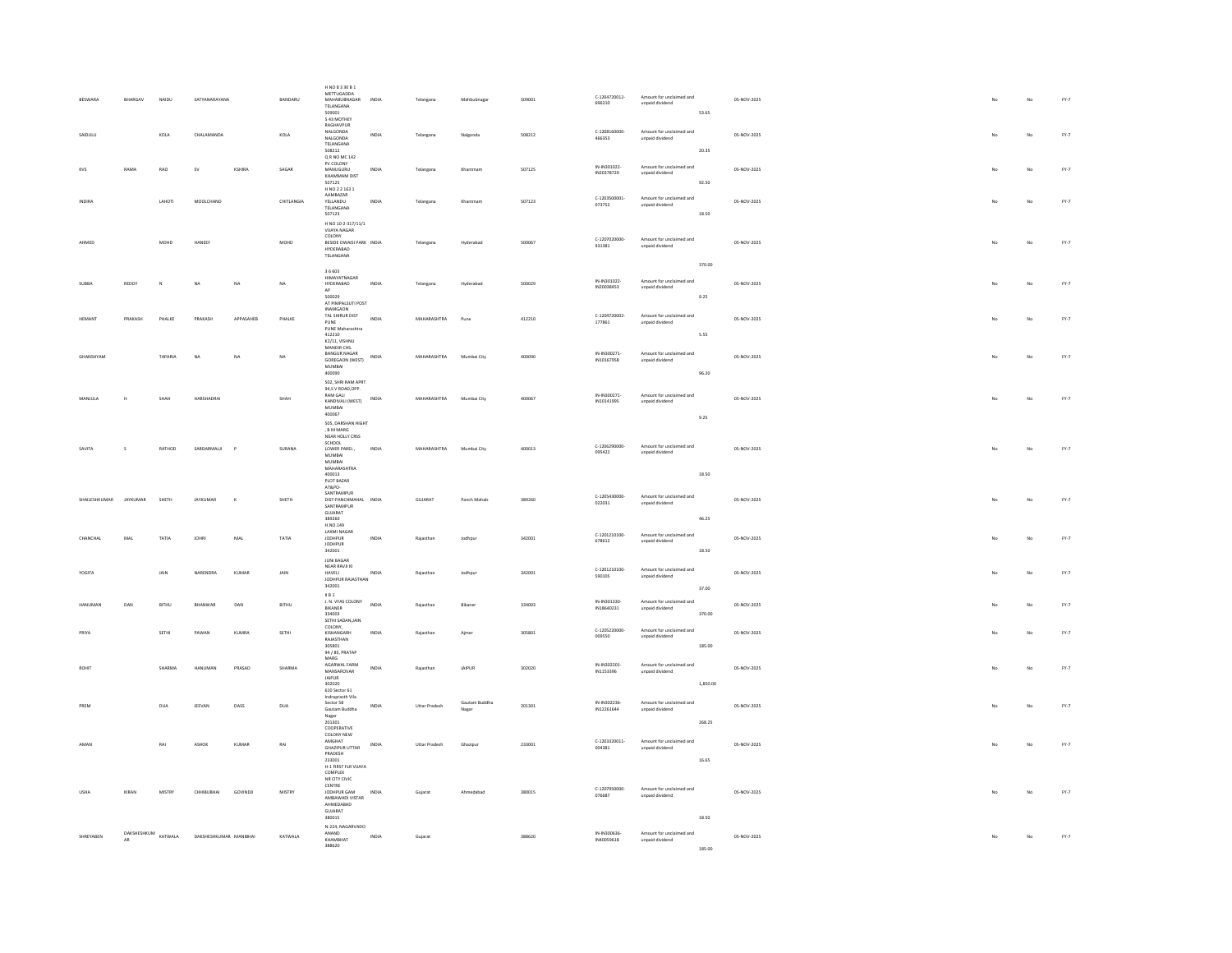| <b>RESWARA</b>    | <b>RHARGAV</b>                          | NAIDII        | SATYANARAYANA          |              | <b>RANDARU</b> | H NO 8 3 30 B 1<br><b>METTUGADDA</b><br><b>MAHARLIRNAGAR</b><br>TELANGANA<br>509001<br>543 MOTHEY | INDIA | Telangana     | Mahhubnaza             | 509001 | C-1204720012-<br>696210   | Amount for unclaimed and<br>unpaid dividend | 53.65    | 05-NOV-2025 | No | No          | FY.7                            |
|-------------------|-----------------------------------------|---------------|------------------------|--------------|----------------|---------------------------------------------------------------------------------------------------|-------|---------------|------------------------|--------|---------------------------|---------------------------------------------|----------|-------------|----|-------------|---------------------------------|
| SAIDULU           |                                         | KOLA          | CHALAMANDA             |              | KOLA           | RAGHAVPUR<br>NALGONDA<br>NALGONDA<br>TELANGANA<br>508212                                          | INDIA | Telangana     | Nalgonda               | 508212 | C-1208160000-<br>466353   | Amount for unclaimed and<br>unpaid dividend | 20.35    | 05-NOV-2025 | No | No          | FY.7                            |
| KVS               | RAMA                                    | $_{\rm RAO}$  | <b>SV</b>              | KSHIRA       | SAGAR          | Q R NO MC 142<br>PV COLONY<br>MANUGURU<br>KHAMMAM DIST<br>507125<br>H NO 2 2 163 1                | INDIA | Telangana     |                        | 507125 | IN-IN301022<br>IN20378729 | Amount for unclaimed and<br>unpaid dividend | 92.50    | 05-NOV-2025 |    | $_{\rm No}$ | $\mathsf{FY}\text{-}\mathsf{7}$ |
| <b>INDIRA</b>     |                                         | LAHOTI        | MOOLCHAND              |              | CHITLANGIA     | AAMBAZAR<br>YELLANDU<br>TELANGANA<br>507123<br>H NO 10-2-317/11/1                                 | INDIA | Telangana     | Khammam                | 507123 | C-1203500001<br>073752    | Amount for unclaimed and<br>unpaid dividend | 18.50    | 05-NOV-2025 | No | No          | $FY-7$                          |
| AHMED             |                                         | MOHD          | HANEER                 |              | MOHD           | VIJAYA NAGAR<br>COLONY<br>BESIDE OWAISI PARK INDIA<br><b>HYDERABAD</b><br>TELANGANA               |       | Telangana     | Hyderabad              | 500067 | C-1207020000-<br>931381   | Amount for unclaimed and<br>unpaid dividend | 370.00   | 05-NOV-2025 | No | No          | FY.7                            |
| <b>SUBBA</b>      | REDDY                                   | $\mathbf{N}$  | <b>NA</b>              | NA           | <b>NA</b>      | 36603<br>HIMAYATNAGAR<br>HYDERABAD                                                                | INDIA | Telangana     | Hyderabad              | 500029 | IN-IN301022-              | Amount for unclaimed and                    |          | 05-NOV-2025 | No | No          | $FY-7$                          |
|                   |                                         |               |                        |              |                | 500029                                                                                            |       |               |                        |        | IN20038453                | unpaid dividend                             | 9.25     |             |    |             |                                 |
| HEMANT            | PRAKASH                                 | PHALKE        | PRAKASH                | APPASAHEB    | PHALKE         | AT PIMPALSUTI POST<br>TAL SHIRUR DIST<br>PUNE<br>PUNE Maharashtra                                 | INDIA | MAHARASHTRA   | Pune                   | 412210 | C-1204720002<br>177861    | Amount for unclaimed and<br>unpaid dividend |          | 05-NOV-2025 | No | $_{\rm No}$ | $\text{FY-}7$                   |
|                   |                                         |               |                        |              |                | 412210<br>K2/11, VISHNU<br>MANDIR CHS.<br><b>RANGUR NAGAR</b>                                     |       |               |                        |        | IN-IN300271               |                                             | 5.55     |             |    |             |                                 |
| GHANSHYAN         |                                         | TAPARIA       | NA                     | NA           | NA             | GOREGAON (WEST)<br><b>MUMBAI</b>                                                                  | INDIA | MAHARASHTRA   | Mumbai City            | 400090 | IN10167958                | Amount for unclaimed and<br>unpaid dividend |          | 05-NOV-2025 | No | No          | $\mathsf{FY}\text{-}\mathsf{7}$ |
|                   |                                         |               |                        |              |                | 400090<br>502, SHRI RAM APRT<br>94,S V ROAD, OPP.                                                 |       |               |                        |        |                           |                                             | 96.20    |             |    |             |                                 |
| MANJULA           |                                         | SHAH          | HARSHADRA              |              | SHAH           | <b>RAM GALL</b><br>KANDIVALI (WEST)<br>MUMBAL.                                                    | INDIA | MAHARASHTRA   | Mumbai City            | 400067 | IN-IN300271<br>IN10141995 | Amount for unclaimed and<br>unpaid dividend |          | 05-NOV-2025 | No | No          | FY.7                            |
|                   |                                         |               |                        |              |                | 400067<br>505, DARSHAN HIGHT<br>, B M MARG<br>NEAR HOLLY CRSS                                     |       |               |                        |        |                           |                                             | 9.25     |             |    |             |                                 |
| SAVITA            | s                                       | RATHOD        | SARDARMALII            | $\mathbf{p}$ | SURANA         | SCHOOL<br>LOWER PAREL,<br>MUMBAI                                                                  | INDIA | MAHARASHTRA   | Mumbai City            | 400013 | C-1206290000-<br>095422   | Amount for unclaimed and<br>unpaid dividend |          | 05-NOV-2025 | No | No          | $\mathsf{FY}\text{-}\mathsf{7}$ |
|                   |                                         |               |                        |              |                | MUMBAI<br>MAHARASHTRA<br>400013<br>PLOT BAZAR                                                     |       |               |                        |        |                           |                                             | 18.50    |             |    |             |                                 |
| SHAILESHKUMAR     | JAYKUMAR                                | SHETH         | JAYKUMAR               | $\kappa$     | SHETH          | AT&PO-<br>SANTRAMPUR<br>DIST-PANCHMAHAL INDIA                                                     |       | GUJARAT       | Panch Mahals           | 389260 | C-1205430000-<br>022031   | Amount for unclaimed and<br>unpaid dividend |          | 05-NOV-2025 | No | No          | FY.7                            |
|                   |                                         |               |                        |              |                | SANTRAMPUR<br>GUJARAT<br>389260                                                                   |       |               |                        |        |                           |                                             | 46.25    |             |    |             |                                 |
| CHANCHAL          | MAL                                     | TATIA         | <b>JOHRI</b>           | MAL          | TATIA          | H.NO.149<br>LAXMI NAGAR<br><b>JODHPUR</b>                                                         | INDIA | Rajasthan     | Jodhpur                | 342001 | C-1201210100-<br>678612   | Amount for unclaimed and<br>unpaid dividend |          | 05-NOV-2025 |    | No          | FY.7                            |
|                   |                                         |               |                        |              |                | <b>JODHPUR</b><br>342001<br><b>JUNI BAGAR</b>                                                     |       |               |                        |        |                           |                                             | 18.50    |             |    |             |                                 |
| YOGITA            |                                         | JAIN          | <b>NARENDRA</b>        | KUMAF        | JAIN           | NEAR RAVJI KI<br>HAVELI<br>JODHPUR RAJASTHAN                                                      | INDIA | Rajasthan     | Jodhpur                | 342001 | C-1201210100<br>590105    | Amount for unclaimed and<br>unpaid dividend |          | 05-NOV-2025 |    | No          | FY.7                            |
|                   |                                         |               |                        |              |                | 342001<br>IBI                                                                                     |       |               |                        |        |                           |                                             | 37.00    |             |    |             |                                 |
| <b>HANUMAN</b>    | DAN                                     | <b>BITHU</b>  | BHANWAR                | DAN          | BITHU          | J. N. VYAS COLONY<br>BIKANER<br>334003                                                            | INDIA | Rajasthan     | Bikaner                | 334003 | IN-IN301330<br>IN18640231 | Amount for unclaimed and<br>unpaid dividend | 370.00   | 05-NOV-2025 |    | No          | FY.7                            |
| PRIYA             |                                         | SETHI         | PAWAN                  | KUMRA        | SETHI          | SETHI SADAN, JAIN<br>COLONY,<br>KISHANGARH                                                        | INDIA | Rajasthan     | Ajmer                  | 305801 | C-1205220000-<br>009550   | Amount for unclaimed and<br>unpaid dividend |          | 05-NOV-2025 | No | No          | FY.7                            |
|                   |                                         |               |                        |              |                | RAJASTHAN<br>305801<br>94 / 85, PRATAP                                                            |       |               |                        |        |                           |                                             | 185.00   |             |    |             |                                 |
| ROHI <sup>*</sup> |                                         | <b>SHARMA</b> | HANUMAN                | PRASAD       | SHARMA         | MARG<br>AGARWAL FARM<br>MANSAROVAR<br><b>IAIPUR</b>                                               | INDIA | Rajasthan     | JAIPUR                 | 302020 | IN-IN302201<br>IN1153396  | Amount for unclaimed and<br>unpaid dividend |          | 05-NOV-2025 | No | No          | FY.7                            |
|                   |                                         |               |                        |              |                | 302020<br>610 Sector 61<br>Indraprasth Vila                                                       |       |               |                        |        |                           |                                             | 1,850.00 |             |    |             |                                 |
| PREM              |                                         | DUA           | <b>IFFVAN</b>          | DASS         | DUA            | Sector 58<br>Gautam Buddha<br>Nagar<br>201301<br>COOPERATIVE                                      | INDIA | Uttar Pradesh | Gautam Buddha<br>Nagar | 201301 | IN-IN302236<br>IN12261644 | Amount for unclaimed and<br>unpaid dividend | 268.25   | 05-NOV-2025 | No | No          | FY.7                            |
| AMAN              |                                         | RAI           | <b>ASHOK</b>           | KUMAR        | RAI            | COLONY NEW<br>AMGHAT                                                                              | INDIA | Uttar Pradesh | Ghazipur               | 233001 | C-1203320011-             | Amount for unclaimed and                    |          | 05-NOV-2025 | No | No          | FY.7                            |
|                   |                                         |               |                        |              |                | <b>GHAZIPUR UTTAR</b><br>PRADESH<br>233001<br>H-1 FIRST FLR VIJAYA<br>COMPLEX                     |       |               |                        |        | 004381                    | unpaid dividend                             | 16.65    |             |    |             |                                 |
| USHA              | KIRAN                                   | MISTRY        | CHHIBUBHAI             | GOVINDJI     | MISTRY         | NR CITY CIVIC<br>CENTRE<br>JODHPUR GAM                                                            | INDIA | Gujarat       | Ahmedabad              | 380015 | C-1207950000<br>076687    | Amount for unclaimed and<br>unpaid dividend |          | 05-NOV-2025 | No | No          | $FY-7$                          |
|                   |                                         |               |                        |              |                | AMRAWADI VISTAR<br>AHMEDABAD<br>GUIARAT<br>380015                                                 |       |               |                        |        |                           |                                             | 18.50    |             |    |             |                                 |
| SHREYABEN         | $\texttt{DAKSHESHKUM} \texttt{KATWALA}$ |               | DAKSHESHKUMAR MANIBHAI |              | KATWALA        | N-224, NAGARVADO<br>ANAND                                                                         | INDIA | Guiarat       |                        | 388620 | IN-IN300636               | Amount for unclaimed and                    |          | 05-NOV-2025 |    | No          | $FY-7$                          |
|                   | AR                                      |               |                        |              |                | KHAMRHAT<br>388620                                                                                |       |               |                        |        | IN40059618                | unpaid dividend                             | 185.00   |             |    |             |                                 |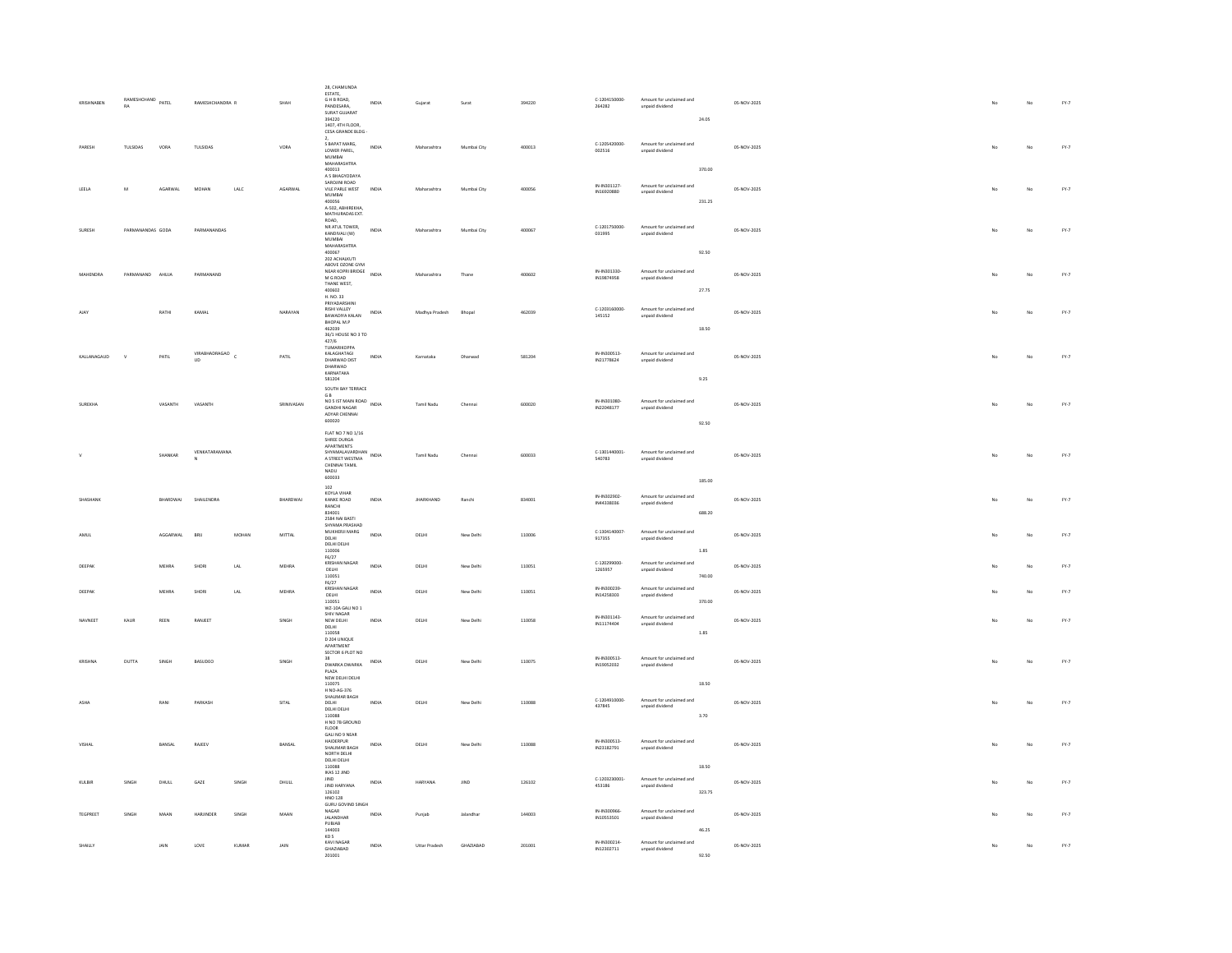| KRISHNAREN      | RAMESHCHAND PATEL<br><b>RA</b> |              | RAMESHCHANDRA R     |            | SHAH       | 28, CHAMUNDA<br>ESTATE,<br>ESTATE,<br>G H B ROAD,<br>PANDESARA,<br>SURAT GUJARAT<br>394220<br>1407, 4TH FLOOR,                                 | INDIA        | Gujarat          | Surat       | 394220 | C-1204150000-<br>264282    | Amount for unclaimed and<br>unpaid dividend | 24.05            | 05-NOV-2025 | No             | No          | FY.7                            |
|-----------------|--------------------------------|--------------|---------------------|------------|------------|------------------------------------------------------------------------------------------------------------------------------------------------|--------------|------------------|-------------|--------|----------------------------|---------------------------------------------|------------------|-------------|----------------|-------------|---------------------------------|
| PARESH          | TULSIDAS                       | VORA         | TULSIDAS            |            | VORA       | CESA GRANDE BLDG<br>S BAPAT MARG.<br>LOWER PAREL,<br><b>MUMBAI</b><br>MAHARASHTRA                                                              | INDIA        | Maharashtra      | Mumbai City | 400013 | C-1205420000<br>002516     | Amount for unclaimed and<br>unpaid dividend |                  | 05-NOV-2025 |                | No          | $\mathsf{FY}\text{-}\mathsf{7}$ |
| LEELA           | $\mathbf{M}$                   | AGARWAL      | MOHAN               | LALC       | AGARWAL    | 400013<br>A 5 BHAGYODAYA<br>SAROJINI ROAD<br>VILE PARLE WEST<br>MUMBAI<br>400056<br>A-502, ABHIREKHA<br>MATHURADAS EXT.                        | INDIA        | Maharashtra      | Mumbai City | 400056 | IN-IN301127<br>IN16920880  | Amount for unclaimed and<br>unpaid dividend | 370.00<br>231.25 | 05-NOV-2025 |                | No          | $\text{FY-}7$                   |
| SURFSH          | PARMANANDAS GODA               |              | PARMANANDAS         |            |            | ROAD,<br>NR ATUL TOWER.<br>KANDIVALI (W)<br><b>MUMBAI</b><br>MAHARASHTRA                                                                       | INDIA        | Maharashtra      | Mumbai City | 400067 | C-1201750000-<br>031995    | Amount for unclaimed and<br>unpaid dividend |                  | 05-NOV-2025 | No             | No          | $FY-7$                          |
| MAHENDRA        | PARMANAND                      | AHUJA        | PARMANAND           |            |            | 400067<br>202 ACHALKUTI<br>ABOVE OZONE GYM<br>NEAR KOPRI BRIDGE<br>$M$ G ROAD<br>THANE WEST,<br>400602<br>H. NO. 33                            | INDIA        | Maharashtra      | Thane       | 400602 | IN-IN301330<br>IN19874958  | Amount for unclaimed and<br>unpaid dividend | 92.50<br>27.75   | 05-NOV-2025 | No             | $_{\rm No}$ | FY.7                            |
| <b>AIAV</b>     |                                | RATHI        | KAMAL               |            | NARAYAN    | PRIYADARSHINI<br>RISHI VALLEY<br>BAWADIYA KALAN<br>BHOPAL M.P<br>462039<br>36/1 HOUSE NO 3 TO                                                  | INDIA        | Madhya Pradesh   | Bhopal      | 462039 | C-1203160000-<br>145152    | Amount for unclaimed and<br>unpaid dividend | 18.50            | 05-NOV-2025 | N <sub>0</sub> | No          | $FY-7$                          |
| KALLANAGAUD     | $\mathbf{v}$                   | PATIL        | VIRABHADRAGAO<br>UD | $\epsilon$ | PATIL      | 427/6<br>TUMARIKOPPA<br>KALAGHATAGI<br>DHARWAD DIST<br>DHARWAD<br>KARNATAKA                                                                    | INDIA        | Karnataka        | Dharwad     | 581204 | IN-IN300513<br>IN21778624  | Amount for unclaimed and<br>unpaid dividend |                  | 05-NOV-2025 | No             | No          | $\mathsf{FY}\text{-}\mathsf{7}$ |
| SUREKHA         |                                | VASANTH      | VASANTH             |            | SRINIVASAN | 581204<br>SOUTH BAY TERRACE<br><b>GB</b><br>NO 5 IST MAIN ROAD<br>NO 5 IST MAIN ROAD<br>NDIA<br><b>GANDHI NAGAR</b><br>ADYAR CHENNAI<br>600020 |              | Tamil Nadu       | Chennai     | 600020 | IN-IN301080<br>IN22048177  | Amount for unclaimed and<br>unpaid dividend | 9.25<br>92.50    | 05-NOV-2025 | No             | No          | FY.7                            |
|                 |                                | SHANKAR      | VENKATARAMANA       |            |            | FLAT NO 7 NO 1/16<br>SHREE DURGA<br>APARTMENTS<br>SHYAMALAVARDHAN<br>A STREET WESTMA<br>CHENNAI TAMIL<br>NADU                                  | INDIA        | Tamil Nadu       | Chenna      | 600033 | C-1301440001<br>540783     | Amount for unclaimed and<br>unpaid dividend |                  | 05-NOV-2025 |                | No          | FY.7                            |
|                 |                                | BHARDWA      | SHAILENDRA          |            | BHARDWAJ   | 600033<br>102<br>KOYLA VIHAR<br>KANKE ROAD<br>RANCHI<br>834001                                                                                 | INDIA        | <b>JHARKHAND</b> | Ranchi      | 834001 | IN-IN302902<br>IN44338036  | Amount for unclaimed and<br>unpaid dividend | 185.00<br>688.20 | 05-NOV-2025 |                | No          | $\text{FY-}7$                   |
| <b>AMILI</b>    |                                | AGGARWAL     | <b>RRII</b>         | MOHAN      | MITTAL     | 2584 NAI BASTI<br>SHYAMA PRASHAD<br>MUKHERJI MARG<br>DELHI<br>DELHI DELHI<br>110006<br>F6/27                                                   | INDIA        | <b>DELHI</b>     | New Delhi   | 110006 | C-1304140007<br>917355     | Amount for unclaimed and<br>unpaid dividend | 1.85             | 05-NOV-2025 | No             | No          | FY.7                            |
| DEEPAR          |                                | MEHRA        | SHOR                | LAL        | MEHRA      | KRISHAN NAGAR<br>DELHI<br>110051                                                                                                               | INDIA        | DELHI            | New Delhi   | 110051 | C-120299000<br>1265957     | Amount for unclaimed and<br>unpaid dividend | 740.00           | 05-NOV-2025 | No             | No          | FY.7                            |
| DEEPAR          |                                | <b>MEHRA</b> | SHORL               | LAL        | MEHRA      | $F6/27$<br>KRISHAN NAGAR<br>DELHI<br>110051                                                                                                    | INDIA        | DELHI            | New Delhi   | 110051 | IN-IN300239<br>IN14258303  | Amount for unclaimed and<br>unpaid dividend | 370.00           | 05-NOV-2025 |                | No          | $FY-7$                          |
| NAVNEET         | KAUR                           | REEN         | RANJEET             |            | SINGH      | WZ-10A GALI NO 1<br>SHIV NAGAR<br>NEW DELHI<br>DELHI<br>110058<br>D 204 UNIQUE<br>APARTMENT                                                    | INDIA        | DELHI            | New Delhi   | 110058 | IN-IN301143-<br>IN11174404 | Amount for unclaimed and<br>unpaid dividend | 1.85             | 05-NOV-2025 | No             | No          | FY.7                            |
| KRISHNA         | DUTTA                          | SINGH        | BASUDEO             |            | SINGH      | SECTOR 6 PLOT NO<br>38<br>DWARKA DWARKA<br>PLAZA<br>NEW DELHI DELHI<br>110075                                                                  | INDIA        | DELHI            | New Delhi   | 110075 | IN-IN300513-<br>IN19052032 | Amount for unclaimed and<br>unpaid dividend | 18.50            | 05-NOV-2025 | No             | No          | FY.7                            |
| ASHA            |                                | RANI         | PARKASH             |            | SITAL      | H NO-46-376<br>SHALIMAR BAGH<br>DELHI<br>DELHI DELHI<br>110088<br>H NO 7B GROUND<br><b>FLOOR</b>                                               | <b>INDIA</b> | DELHI            | New Delhi   | 110088 | C-1204910000-<br>437845    | Amount for unclaimed and<br>npaid dividend  | 3.70             | 05-NOV-2025 | No             | No          | FY.7                            |
| VISHAL          |                                | BANSAL       | RAJEEV              |            | BANSAL     | GALI NO 9 NEAR<br>HAIDERPUR<br>SHALIMAR RAGH<br>NORTH DELHI<br>DELHI DELHI<br>110088                                                           | <b>INDIA</b> | DELHI            | New Delhi   | 110088 | IN-IN300513<br>IN23182791  | Amount for unclaimed and<br>unpaid dividend | 18.50            | 05-NOV-2025 | No             | No          | FY.7                            |
| KULBIR          | SINGH                          | DHULL        | GAZE                | SINGH      | DHULL      | IKAS 12 JIND<br>JIND<br>JIND HARYANA<br>126102                                                                                                 | INDIA        | HARYANA          | JIND        | 126102 | C-1203230001<br>453186     | Amount for unclaimed and<br>unpaid dividend | 323.75           | 05-NOV-2025 |                | No          | FY.7                            |
| <b>TEGPREET</b> | SINGH                          | MAAN         | HARJINDER           | SINGH      | MAAN       | <b>HNO 128</b><br><b>GURU GOVIND SINGH</b><br>NAGAR<br>JALANDHAR<br>PUBJAB                                                                     | INDIA        | Punjab           | Jalandhar   | 144003 | IN-IN300966<br>IN10553501  | Amount for unclaimed and<br>unpaid dividend |                  | 05-NOV-2025 | No             | No          | $FY-7$                          |
| SHAILLY         |                                | JAIN         | LOVE                | KUMAR      | JAIN       | 144003<br>KD <sub>S</sub><br>KAVI NAGAR<br>GHAZIABAD<br>201001                                                                                 | INDIA        | Uttar Pradesh    | GHAZIABAD   | 201001 | IN-IN300214<br>IN12302711  | Amount for unclaimed and<br>unpaid dividend | 46.25<br>92.50   | 05-NOV-2025 |                | No          | $\mathsf{FY}\text{-}\mathsf{7}$ |
|                 |                                |              |                     |            |            |                                                                                                                                                |              |                  |             |        |                            |                                             |                  |             |                |             |                                 |